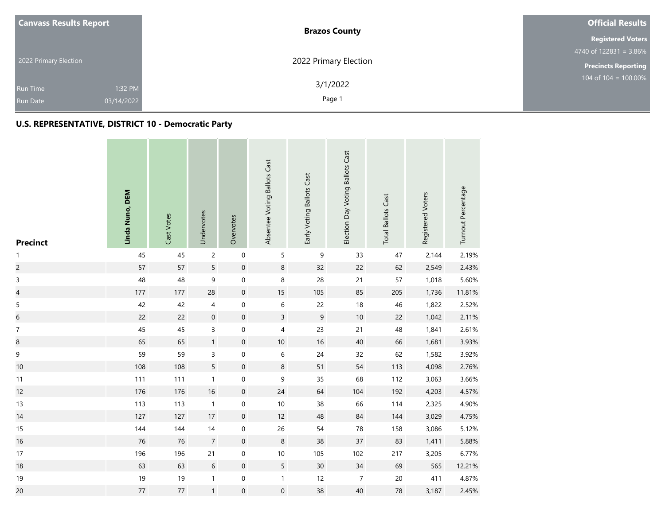| <b>Canvass Results Report</b> | <b>Brazos County</b>  | <b>Official Results</b>                       |  |  |
|-------------------------------|-----------------------|-----------------------------------------------|--|--|
|                               |                       | <b>Registered Voters</b>                      |  |  |
|                               |                       | $4740 \overline{\text{ of } 122831} = 3.86\%$ |  |  |
| 2022 Primary Election         | 2022 Primary Election | <b>Precincts Reporting</b>                    |  |  |
| 1:32 PM<br><b>Run Time</b>    | 3/1/2022              | 104 of $104 = 100.00\%$                       |  |  |
| 03/14/2022<br><b>Run Date</b> | Page 1                |                                               |  |  |

| <b>Precinct</b>          | Linda Nuno, DEM | Cast Votes | Undervotes     | Overvotes           | Absentee Voting Ballots Cast | Early Voting Ballots Cast | Election Day Voting Ballots Cast | <b>Total Ballots Cast</b> | Registered Voters | Turnout Percentage |
|--------------------------|-----------------|------------|----------------|---------------------|------------------------------|---------------------------|----------------------------------|---------------------------|-------------------|--------------------|
| 1                        | 45              | 45         | $\overline{c}$ | $\mathbf 0$         | 5                            | $\mathsf 9$               | 33                               | 47                        | 2,144             | 2.19%              |
| $\overline{c}$           | 57              | 57         | 5              | $\mathbf 0$         | 8                            | 32                        | 22                               | 62                        | 2,549             | 2.43%              |
| $\mathsf{3}$             | 48              | 48         | 9              | $\mathsf{O}\xspace$ | 8                            | 28                        | 21                               | 57                        | 1,018             | 5.60%              |
| $\overline{\mathcal{L}}$ | 177             | $177$      | 28             | $\mathbf 0$         | $15\,$                       | 105                       | 85                               | 205                       | 1,736             | 11.81%             |
| $\mathsf S$              | 42              | 42         | 4              | $\mathbf 0$         | $\,$ 6 $\,$                  | 22                        | 18                               | 46                        | 1,822             | 2.52%              |
| $\sqrt{6}$               | 22              | 22         | $\mathbf 0$    | $\mathbf 0$         | $\overline{3}$               | $\mathsf g$               | $10$                             | 22                        | 1,042             | 2.11%              |
| $\boldsymbol{7}$         | 45              | 45         | 3              | $\boldsymbol{0}$    | $\overline{\mathbf{4}}$      | 23                        | $21$                             | 48                        | 1,841             | 2.61%              |
| $\bf8$                   | 65              | 65         | $\mathbf{1}$   | $\mathbf 0$         | $10$                         | $16\,$                    | 40                               | 66                        | 1,681             | 3.93%              |
| 9                        | 59              | 59         | 3              | $\boldsymbol{0}$    | 6                            | 24                        | 32                               | 62                        | 1,582             | 3.92%              |
| 10                       | 108             | 108        | 5              | $\mathbf 0$         | $\,8\,$                      | 51                        | 54                               | 113                       | 4,098             | 2.76%              |
| 11                       | 111             | 111        | $\mathbf{1}$   | $\boldsymbol{0}$    | 9                            | 35                        | 68                               | 112                       | 3,063             | 3.66%              |
| 12                       | 176             | 176        | $16\,$         | $\boldsymbol{0}$    | 24                           | 64                        | 104                              | 192                       | 4,203             | 4.57%              |
| 13                       | 113             | 113        | $\mathbf{1}$   | $\mathbf 0$         | 10                           | 38                        | 66                               | 114                       | 2,325             | 4.90%              |
| 14                       | 127             | 127        | 17             | $\mathbf 0$         | 12                           | 48                        | 84                               | 144                       | 3,029             | 4.75%              |
| 15                       | 144             | 144        | $14$           | $\mathsf{O}\xspace$ | 26                           | 54                        | 78                               | 158                       | 3,086             | 5.12%              |
| 16                       | 76              | 76         | $\overline{7}$ | $\mathbf 0$         | 8                            | 38                        | 37                               | 83                        | 1,411             | 5.88%              |
| 17                       | 196             | 196        | 21             | $\boldsymbol{0}$    | $10\,$                       | 105                       | 102                              | 217                       | 3,205             | 6.77%              |
| 18                       | 63              | 63         | $\,$ 6 $\,$    | $\mathbf 0$         | 5                            | 30 <sup>°</sup>           | 34                               | 69                        | 565               | 12.21%             |
| $19$                     | 19              | 19         | $\mathbf{1}$   | $\mathsf{O}\xspace$ | $\mathbf{1}$                 | 12                        | $\boldsymbol{7}$                 | $20\,$                    | 411               | 4.87%              |
| 20                       | $77\,$          | $77\,$     | $\mathbf{1}$   | $\boldsymbol{0}$    | $\boldsymbol{0}$             | 38                        | 40                               | 78                        | 3,187             | 2.45%              |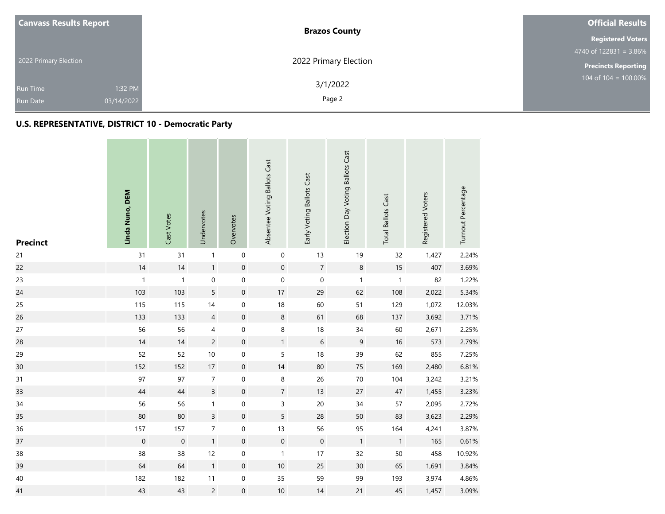|                       | <b>Canvass Results Report</b> | <b>Brazos County</b>  | <b>Official Results</b>    |  |  |
|-----------------------|-------------------------------|-----------------------|----------------------------|--|--|
|                       |                               |                       | <b>Registered Voters</b>   |  |  |
| 2022 Primary Election |                               |                       | 4740 of $122831 = 3.86\%$  |  |  |
|                       |                               | 2022 Primary Election | <b>Precincts Reporting</b> |  |  |
|                       |                               | 3/1/2022              | 104 of $104 = 100.00\%$    |  |  |
|                       | 1:32 PM<br><b>Run Time</b>    |                       |                            |  |  |
|                       | 03/14/2022<br><b>Run Date</b> | Page 2                |                            |  |  |

and the control

| <b>Precinct</b> | Linda Nuno, DEM | Cast Votes       | Undervotes     | Overvotes           | Absentee Voting Ballots Cast | Early Voting Ballots Cast | Election Day Voting Ballots Cast | <b>Total Ballots Cast</b> | Registered Voters | Turnout Percentage |
|-----------------|-----------------|------------------|----------------|---------------------|------------------------------|---------------------------|----------------------------------|---------------------------|-------------------|--------------------|
| 21              | 31              | 31               | $\mathbf{1}$   | $\mathbf 0$         | $\boldsymbol{0}$             | 13                        | 19                               | 32                        | 1,427             | 2.24%              |
| 22              | 14              | 14               | $\mathbf{1}$   | $\mathbf 0$         | $\mathbf 0$                  | $\overline{7}$            | $\,8\,$                          | $15\,$                    | 407               | 3.69%              |
| 23              | $\mathbf{1}$    | $\mathbf{1}$     | 0              | $\mathbf 0$         | 0                            | $\mathbf 0$               | $\mathbf{1}$                     | $\mathbf{1}$              | 82                | 1.22%              |
| 24              | 103             | 103              | 5              | $\mathbf 0$         | 17                           | 29                        | 62                               | 108                       | 2,022             | 5.34%              |
| 25              | 115             | 115              | 14             | $\mathbf 0$         | 18                           | 60                        | 51                               | 129                       | 1,072             | 12.03%             |
| 26              | 133             | 133              | $\overline{4}$ | $\mathbf 0$         | $\,8\,$                      | 61                        | 68                               | 137                       | 3,692             | 3.71%              |
| 27              | 56              | 56               | 4              | $\mathbf 0$         | 8                            | $18\,$                    | 34                               | 60                        | 2,671             | 2.25%              |
| 28              | 14              | 14               | $\overline{c}$ | $\mathbf 0$         | $\mathbf{1}$                 | $\sqrt{6}$                | $\mathsf 9$                      | $16$                      | 573               | 2.79%              |
| 29              | 52              | 52               | $10$           | $\mathbf 0$         | 5                            | 18                        | 39                               | 62                        | 855               | 7.25%              |
| 30              | 152             | 152              | $17\,$         | $\mathbf 0$         | 14                           | 80                        | 75                               | 169                       | 2,480             | 6.81%              |
| 31              | 97              | 97               | $\overline{7}$ | $\mathbf 0$         | $\,8\,$                      | 26                        | $70\,$                           | 104                       | 3,242             | 3.21%              |
| 33              | $44\,$          | 44               | $\overline{3}$ | $\mathbf 0$         | $\overline{7}$               | 13                        | 27                               | $47\,$                    | 1,455             | 3.23%              |
| 34              | 56              | 56               | $\mathbf{1}$   | $\mathsf{O}\xspace$ | 3                            | $20\,$                    | 34                               | 57                        | 2,095             | 2.72%              |
| 35              | 80              | 80               | $\overline{3}$ | $\mathbf 0$         | 5                            | 28                        | 50                               | 83                        | 3,623             | 2.29%              |
| 36              | 157             | 157              | $\overline{7}$ | $\mathbf 0$         | 13                           | 56                        | 95                               | 164                       | 4,241             | 3.87%              |
| 37              | $\mathbf 0$     | $\boldsymbol{0}$ | $\mathbf{1}$   | $\mathbf 0$         | $\boldsymbol{0}$             | $\mathbf 0$               | $\overline{1}$                   | $\mathbf{1}$              | 165               | 0.61%              |
| 38              | 38              | 38               | 12             | $\mathbf 0$         | $\mathbf{1}$                 | 17                        | 32                               | 50                        | 458               | 10.92%             |
| 39              | 64              | 64               | $\mathbf{1}$   | $\mathbf 0$         | 10                           | 25                        | 30                               | 65                        | 1,691             | 3.84%              |
| 40              | 182             | 182              | 11             | 0                   | 35                           | 59                        | 99                               | 193                       | 3,974             | 4.86%              |
| 41              | 43              | 43               | $\overline{c}$ | $\boldsymbol{0}$    | $10\,$                       | 14                        | 21                               | 45                        | 1,457             | 3.09%              |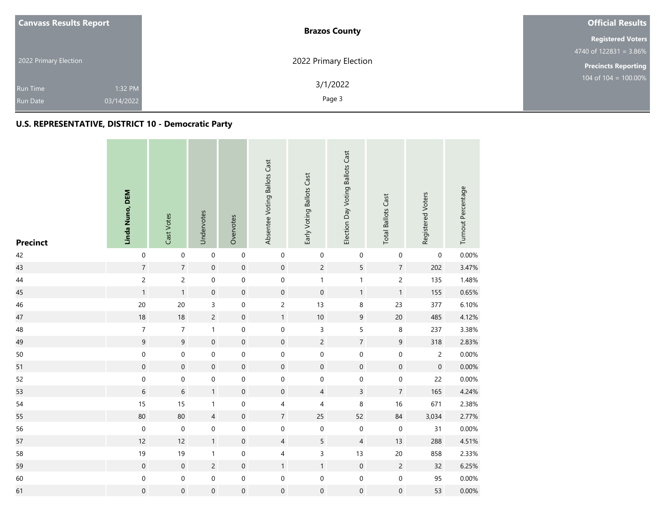| <b>Canvass Results Report</b> | <b>Brazos County</b>  | <b>Official Results</b>                       |  |  |  |
|-------------------------------|-----------------------|-----------------------------------------------|--|--|--|
|                               |                       | <b>Registered Voters</b>                      |  |  |  |
|                               |                       | $4740 \overline{\text{ of } 122831} = 3.86\%$ |  |  |  |
| 2022 Primary Election         | 2022 Primary Election | <b>Precincts Reporting</b>                    |  |  |  |
| 1:32 PM<br><b>Run Time</b>    | 3/1/2022              | 104 of $104 = 100.00\%$                       |  |  |  |
| 03/14/2022<br><b>Run Date</b> | Page 3                |                                               |  |  |  |

| <b>Precinct</b> | Linda Nuno, DEM  | Cast Votes       | Undervotes          | Overvotes           | Absentee Voting Ballots Cast | Early Voting Ballots Cast | Election Day Voting Ballots Cast | <b>Total Ballots Cast</b> | Registered Voters   | Turnout Percentage |
|-----------------|------------------|------------------|---------------------|---------------------|------------------------------|---------------------------|----------------------------------|---------------------------|---------------------|--------------------|
| 42              | $\mathbf 0$      | $\mathbf 0$      | $\mathsf{O}\xspace$ | $\mathbf 0$         | $\boldsymbol{0}$             | $\boldsymbol{0}$          | $\boldsymbol{0}$                 | $\mathbf 0$               | $\boldsymbol{0}$    | 0.00%              |
| 43              | $\sqrt{7}$       | $\overline{7}$   | $\mathbf 0$         | $\mathbf 0$         | $\mathbf 0$                  | $\overline{c}$            | 5                                | $7\overline{ }$           | 202                 | 3.47%              |
| $44\,$          | $\overline{c}$   | $\mathbf{2}$     | $\boldsymbol{0}$    | $\mathbf 0$         | $\boldsymbol{0}$             | $\mathbf{1}$              | $\mathbf{1}$                     | $\overline{c}$            | 135                 | 1.48%              |
| 45              | $\mathbf{1}$     | $\mathbf{1}$     | $\mathsf{O}\xspace$ | $\mathbf 0$         | $\mathbf 0$                  | $\mathbf 0$               | $\mathbf{1}$                     | $\mathbf{1}$              | 155                 | 0.65%              |
| 46              | 20               | 20               | 3                   | $\mbox{O}$          | $\overline{c}$               | 13                        | 8                                | 23                        | 377                 | 6.10%              |
| 47              | 18               | 18               | $\overline{c}$      | $\mathbf 0$         | $\mathbf{1}$                 | $10\,$                    | $\boldsymbol{9}$                 | $20\,$                    | 485                 | 4.12%              |
| 48              | $\overline{7}$   | $\overline{7}$   | $\mathbf{1}$        | $\boldsymbol{0}$    | $\pmb{0}$                    | 3                         | 5                                | $\,8\,$                   | 237                 | 3.38%              |
| 49              | $\mathsf 9$      | $\overline{9}$   | $\mathbf 0$         | $\mathbf 0$         | $\mathsf{O}\xspace$          | $\overline{c}$            | $\sqrt{7}$                       | $9\,$                     | 318                 | 2.83%              |
| 50              | $\mathbf 0$      | $\mathbf 0$      | 0                   | $\boldsymbol{0}$    | $\pmb{0}$                    | $\mathbf 0$               | $\boldsymbol{0}$                 | $\mathbf 0$               | $\overline{c}$      | 0.00%              |
| 51              | $\mathbf 0$      | $\mathbf 0$      | $\mathbf 0$         | $\mathsf{O}\xspace$ | $\mathbf 0$                  | $\mathbf 0$               | $\mathbf 0$                      | $\mathbf 0$               | $\mathsf{O}\xspace$ | $0.00\%$           |
| 52              | $\mathbf 0$      | $\pmb{0}$        | $\mathsf{O}\xspace$ | $\mbox{O}$          | $\mathsf{O}\xspace$          | $\boldsymbol{0}$          | $\mbox{O}$                       | $\boldsymbol{0}$          | 22                  | 0.00%              |
| 53              | $\,$ 6 $\,$      | $\,$ 6 $\,$      | $\mathbf{1}$        | $\mathbf 0$         | $\mathbf 0$                  | $\overline{4}$            | $\overline{3}$                   | $\overline{7}$            | 165                 | 4.24%              |
| 54              | 15               | 15               | $\mathbf{1}$        | $\mathbf 0$         | $\overline{4}$               | $\overline{\mathcal{A}}$  | 8                                | $16\,$                    | 671                 | 2.38%              |
| 55              | 80               | 80               | $\overline{4}$      | $\mathbf 0$         | $\overline{7}$               | 25                        | 52                               | 84                        | 3,034               | 2.77%              |
| 56              | $\boldsymbol{0}$ | $\boldsymbol{0}$ | $\boldsymbol{0}$    | $\boldsymbol{0}$    | $\boldsymbol{0}$             | $\boldsymbol{0}$          | $\boldsymbol{0}$                 | $\pmb{0}$                 | 31                  | 0.00%              |
| 57              | 12               | 12               | $\mathbf{1}$        | $\mathbf 0$         | $\overline{4}$               | 5                         | $\overline{4}$                   | 13                        | 288                 | 4.51%              |
| 58              | $19$             | 19               | $\mathbf{1}$        | $\mathbf 0$         | $\overline{\mathbf{4}}$      | $\overline{3}$            | 13                               | $20\,$                    | 858                 | 2.33%              |
| 59              | $\mathbf 0$      | $\mathbf 0$      | $\overline{c}$      | $\mathbf 0$         | $\mathbf{1}$                 | $\mathbf{1}$              | $\mathbf 0$                      | $\sqrt{2}$                | 32                  | 6.25%              |
| 60              | $\mathbf 0$      | $\mathbf 0$      | $\mathsf{O}\xspace$ | $\mathbf 0$         | $\boldsymbol{0}$             | $\mathbf 0$               | $\pmb{0}$                        | $\mathbf 0$               | 95                  | 0.00%              |
| 61              | $\mathbf 0$      | $\boldsymbol{0}$ | $\mathsf{O}\xspace$ | $\mathbf 0$         | $\boldsymbol{0}$             | $\mathbf 0$               | $\mathbf 0$                      | $\boldsymbol{0}$          | 53                  | 0.00%              |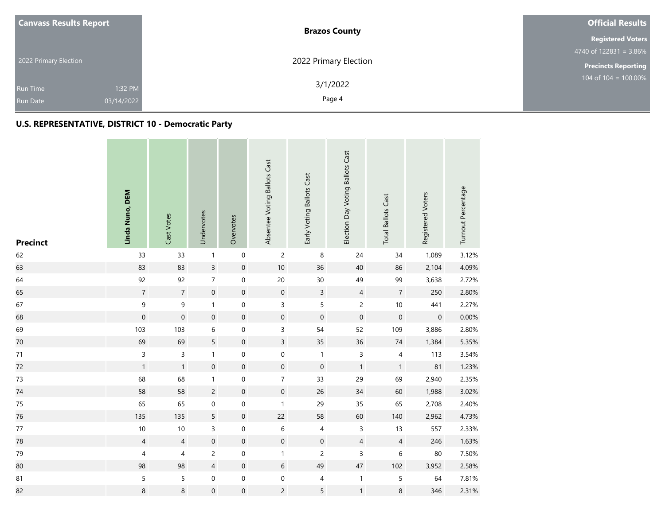| <b>Canvass Results Report</b> | <b>Brazos County</b>  | <b>Official Results</b>                       |  |  |
|-------------------------------|-----------------------|-----------------------------------------------|--|--|
|                               |                       | <b>Registered Voters</b>                      |  |  |
|                               |                       | $4740 \overline{\text{ of } 122831} = 3.86\%$ |  |  |
| 2022 Primary Election         | 2022 Primary Election | <b>Precincts Reporting</b>                    |  |  |
| 1:32 PM<br><b>Run Time</b>    | 3/1/2022              | 104 of $104 = 100.00\%$                       |  |  |
| 03/14/2022<br><b>Run Date</b> | Page 4                |                                               |  |  |

| <b>Precinct</b> | Linda Nuno, DEM  | Cast Votes       | Undervotes          | Overvotes           | Absentee Voting Ballots Cast | Early Voting Ballots Cast | Election Day Voting Ballots Cast | <b>Total Ballots Cast</b> | Registered Voters   | Turnout Percentage |
|-----------------|------------------|------------------|---------------------|---------------------|------------------------------|---------------------------|----------------------------------|---------------------------|---------------------|--------------------|
| 62              | 33               | 33               | $\mathbf{1}$        | $\boldsymbol{0}$    | $\mathsf{2}\,$               | $\,8\,$                   | 24                               | 34                        | 1,089               | 3.12%              |
| 63              | 83               | 83               | $\overline{3}$      | $\mathbf 0$         | 10                           | 36                        | 40                               | 86                        | 2,104               | 4.09%              |
| 64              | 92               | 92               | $\overline{7}$      | $\mbox{O}$          | 20                           | 30 <sup>°</sup>           | 49                               | 99                        | 3,638               | 2.72%              |
| 65              | $\sqrt{7}$       | $\overline{7}$   | $\boldsymbol{0}$    | $\boldsymbol{0}$    | $\mathsf{O}\xspace$          | $\mathbf{3}$              | $\overline{4}$                   | $\overline{7}$            | 250                 | 2.80%              |
| 67              | $\boldsymbol{9}$ | 9                | $\mathbf{1}$        | $\mathbf 0$         | $\overline{3}$               | $\overline{5}$            | $\overline{c}$                   | $10\,$                    | 441                 | 2.27%              |
| 68              | $\mathbf 0$      | $\boldsymbol{0}$ | $\mathsf{O}\xspace$ | $\boldsymbol{0}$    | $\mathsf{O}\xspace$          | $\mathbf 0$               | $\mathbf 0$                      | $\mathbf 0$               | $\mathsf{O}\xspace$ | 0.00%              |
| 69              | 103              | 103              | 6                   | $\boldsymbol{0}$    | 3                            | 54                        | 52                               | 109                       | 3,886               | 2.80%              |
| 70              | 69               | 69               | 5                   | $\mathbf 0$         | $\overline{3}$               | 35                        | 36                               | $74\,$                    | 1,384               | 5.35%              |
| 71              | $\overline{3}$   | 3                | $\mathbf{1}$        | $\mathbf 0$         | $\boldsymbol{0}$             | $\mathbf{1}$              | $\mathsf{3}$                     | 4                         | 113                 | 3.54%              |
| 72              | $\mathbf{1}$     | $\mathbf{1}$     | $\mathsf{O}\xspace$ | $\mathbf 0$         | $\mathsf{O}\xspace$          | $\mathbf 0$               | $\mathbf{1}$                     | $\mathbf{1}$              | 81                  | 1.23%              |
| 73              | 68               | 68               | $\mathbf{1}$        | $\pmb{0}$           | $\overline{7}$               | 33                        | 29                               | 69                        | 2,940               | 2.35%              |
| 74              | 58               | 58               | $\overline{c}$      | $\mathsf{O}\xspace$ | $\mathbf 0$                  | 26                        | 34                               | 60                        | 1,988               | 3.02%              |
| $75\,$          | 65               | 65               | 0                   | $\boldsymbol{0}$    | $\mathbf{1}$                 | 29                        | 35                               | 65                        | 2,708               | 2.40%              |
| 76              | 135              | 135              | 5                   | $\boldsymbol{0}$    | 22                           | 58                        | 60                               | 140                       | 2,962               | 4.73%              |
| 77              | $10\,$           | 10               | 3                   | $\mathbf 0$         | $\,6$                        | $\overline{4}$            | $\mathsf{3}$                     | 13                        | 557                 | 2.33%              |
| 78              | $\overline{4}$   | $\overline{4}$   | $\boldsymbol{0}$    | $\mathbf 0$         | $\boldsymbol{0}$             | $\pmb{0}$                 | $\overline{4}$                   | $\overline{4}$            | 246                 | 1.63%              |
| 79              | $\overline{4}$   | $\overline{4}$   | $\overline{c}$      | $\mbox{O}$          | $\mathbf{1}$                 | $\overline{c}$            | 3                                | 6                         | $80\,$              | 7.50%              |
| 80              | 98               | 98               | $\overline{4}$      | $\mathbf 0$         | 6                            | 49                        | 47                               | 102                       | 3,952               | 2.58%              |
| 81              | 5                | 5                | $\boldsymbol{0}$    | $\mathbf 0$         | $\boldsymbol{0}$             | $\overline{4}$            | $\mathbf{1}$                     | 5                         | 64                  | 7.81%              |
| 82              | $\,8\,$          | 8                | $\boldsymbol{0}$    | $\mbox{O}$          | $\overline{c}$               | 5                         | $\mathbf 1$                      | 8                         | 346                 | 2.31%              |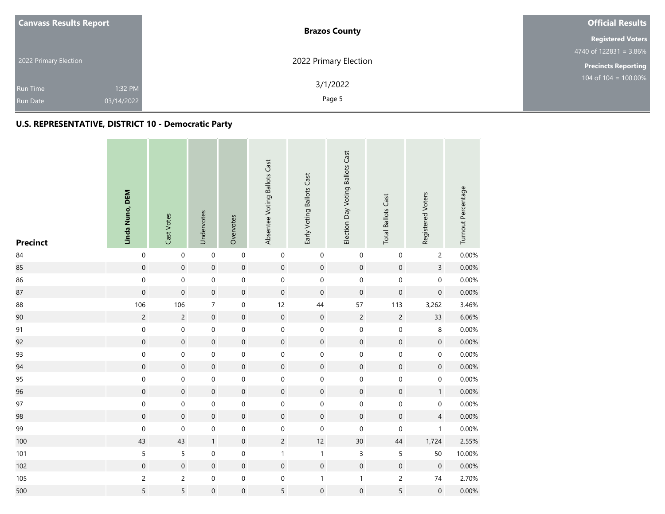| <b>Canvass Results Report</b> | <b>Brazos County</b>  | <b>Official Results</b>                       |  |  |
|-------------------------------|-----------------------|-----------------------------------------------|--|--|
|                               |                       | <b>Registered Voters</b>                      |  |  |
|                               |                       | $4740 \overline{\text{ of } 122831} = 3.86\%$ |  |  |
| 2022 Primary Election         | 2022 Primary Election | <b>Precincts Reporting</b>                    |  |  |
| 1:32 PM<br><b>Run Time</b>    | 3/1/2022              | 104 of $104 = 100.00\%$                       |  |  |
| 03/14/2022<br><b>Run Date</b> | Page 5                |                                               |  |  |

| <b>Precinct</b> | Linda Nuno, DEM | Cast Votes          | Undervotes          | Overvotes           | Absentee Voting Ballots Cast | Early Voting Ballots Cast | Election Day Voting Ballots Cast | <b>Total Ballots Cast</b> | Registered Voters        | Turnout Percentage |
|-----------------|-----------------|---------------------|---------------------|---------------------|------------------------------|---------------------------|----------------------------------|---------------------------|--------------------------|--------------------|
| 84              | $\mathbf 0$     | $\mathsf{O}\xspace$ | $\mathbf 0$         | $\mathbf 0$         | $\mathbf 0$                  | $\mathbf 0$               | $\boldsymbol{0}$                 | $\pmb{0}$                 | $\overline{c}$           | 0.00%              |
| 85              | $\mathbf 0$     | $\boldsymbol{0}$    | $\mathbf 0$         | $\mathbf 0$         | $\boldsymbol{0}$             | $\mathsf{O}\xspace$       | $\mathbf 0$                      | $\mathbf 0$               | $\mathsf{3}$             | 0.00%              |
| 86              | $\mathbf 0$     | $\mathbf 0$         | $\boldsymbol{0}$    | $\mathbf 0$         | $\boldsymbol{0}$             | $\mathbf 0$               | $\boldsymbol{0}$                 | $\pmb{0}$                 | $\mathsf{O}\xspace$      | 0.00%              |
| 87              | $\mathbf 0$     | $\mathbf 0$         | $\mathbf 0$         | $\mathbf 0$         | $\mathbf 0$                  | $\mathbf 0$               | $\mathbf 0$                      | $\boldsymbol{0}$          | $\mathsf{O}\xspace$      | 0.00%              |
| 88              | 106             | 106                 | $\overline{7}$      | $\mbox{O}$          | 12                           | 44                        | 57                               | 113                       | 3,262                    | 3.46%              |
| 90              | $\overline{c}$  | $\overline{c}$      | $\mathbf 0$         | $\mathbf 0$         | $\boldsymbol{0}$             | $\mathsf{O}\xspace$       | $\overline{c}$                   | $\overline{c}$            | 33                       | 6.06%              |
| 91              | $\mathbf 0$     | $\mbox{O}$          | 0                   | $\mbox{O}$          | $\mathbf 0$                  | $\boldsymbol{0}$          | $\pmb{0}$                        | $\pmb{0}$                 | 8                        | 0.00%              |
| 92              | $\mathbf 0$     | $\mathbf 0$         | $\mathbf 0$         | $\mathbf 0$         | $\mathbf 0$                  | $\mathbf 0$               | $\mathbf 0$                      | $\mathbf 0$               | $\mathsf{O}\xspace$      | 0.00%              |
| 93              | $\mathbf 0$     | $\mathbf 0$         | 0                   | $\mathbf 0$         | $\mbox{O}$                   | $\boldsymbol{0}$          | $\pmb{0}$                        | $\pmb{0}$                 | $\mathsf{O}\xspace$      | $0.00\%$           |
| 94              | $\mathbf 0$     | $\mathbf 0$         | $\mathbf 0$         | $\mathbf 0$         | $\mathsf{O}\xspace$          | $\mathsf{O}\xspace$       | $\mathbf 0$                      | $\mathbf 0$               | $\pmb{0}$                | 0.00%              |
| 95              | $\mathbf 0$     | $\pmb{0}$           | $\boldsymbol{0}$    | $\mbox{O}$          | $\mathsf{O}\xspace$          | $\mathbf 0$               | $\mbox{O}$                       | $\mathbf 0$               | $\boldsymbol{0}$         | 0.00%              |
| 96              | $\mathbf 0$     | $\mathbf 0$         | $\mathsf{O}\xspace$ | $\mathbf 0$         | $\mathbf 0$                  | $\mathbf 0$               | $\mathbf 0$                      | $\mathbf 0$               | $\mathbf{1}$             | 0.00%              |
| 97              | $\pmb{0}$       | $\pmb{0}$           | $\boldsymbol{0}$    | $\mathbf 0$         | $\mathbf 0$                  | $\mathbf 0$               | $\mbox{O}$                       | $\mathbf 0$               | $\mathsf{O}\xspace$      | 0.00%              |
| 98              | $\mathbf 0$     | $\mathbf 0$         | $\mathsf{O}\xspace$ | $\mathsf{O}\xspace$ | $\mathbf 0$                  | $\mathbf 0$               | $\mathbf 0$                      | $\mathbf 0$               | $\overline{\mathcal{L}}$ | 0.00%              |
| 99              | $\mathbf 0$     | $\mathbf 0$         | $\boldsymbol{0}$    | $\mbox{O}$          | $\mathsf{O}\xspace$          | $\mathbf 0$               | $\boldsymbol{0}$                 | 0                         | $\mathbf{1}$             | 0.00%              |
| 100             | 43              | 43                  | $\mathbf{1}$        | $\mathbf 0$         | $\overline{c}$               | 12                        | $30\,$                           | $44\,$                    | 1,724                    | 2.55%              |
| 101             | 5               | $\sf 5$             | 0                   | $\mathbf 0$         | $\mathbf{1}$                 | $\mathbf{1}$              | $\mathsf{3}$                     | 5                         | 50                       | 10.00%             |
| 102             | $\mathbf 0$     | $\pmb{0}$           | $\mathsf{O}\xspace$ | $\mathbf 0$         | $\boldsymbol{0}$             | $\mathsf{O}\xspace$       | $\mathbf 0$                      | $\mathbf 0$               | $\mathsf{O}\xspace$      | 0.00%              |
| 105             | $\overline{c}$  | $\overline{c}$      | $\boldsymbol{0}$    | $\mathbf 0$         | $\mathbf 0$                  | $\mathbf{1}$              | $\mathbf 1$                      | $\overline{c}$            | $74\,$                   | 2.70%              |
| 500             | $\mathsf S$     | 5                   | $\boldsymbol{0}$    | $\mathbf 0$         | 5                            | $\boldsymbol{0}$          | $\mathsf{O}\xspace$              | 5                         | $\mathsf{O}\xspace$      | 0.00%              |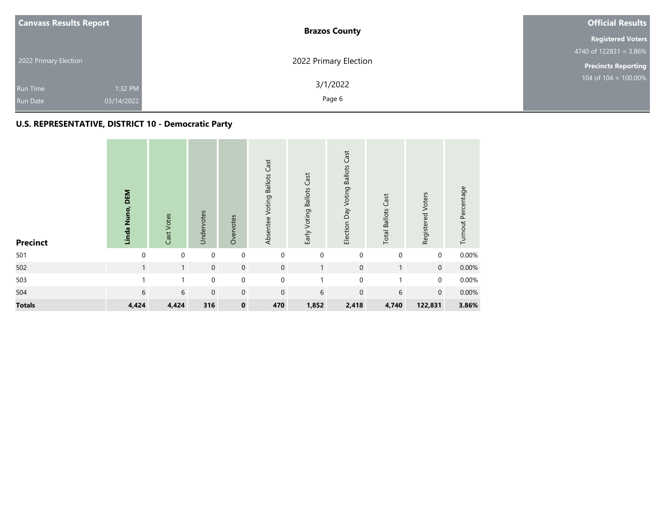| <b>Canvass Results Report</b>                               | <b>Brazos County</b>  | <b>Official Results</b>    |  |  |
|-------------------------------------------------------------|-----------------------|----------------------------|--|--|
|                                                             |                       | <b>Registered Voters</b>   |  |  |
|                                                             |                       | 4740 of $122831 = 3.86\%$  |  |  |
| 2022 Primary Election                                       | 2022 Primary Election | <b>Precincts Reporting</b> |  |  |
| 1:32 PM<br><b>Run Time</b><br>03/14/2022<br><b>Run Date</b> | 3/1/2022<br>Page 6    | $104$ of $104 = 100.00\%$  |  |  |

| <b>Precinct</b> | Linda Nuno, DEM | Cast Votes   | Undervotes  | Overvotes           | Absentee Voting Ballots Cast | Early Voting Ballots Cast | Election Day Voting Ballots Cast | <b>Total Ballots Cast</b> | Registered Voters | Turnout Percentage |
|-----------------|-----------------|--------------|-------------|---------------------|------------------------------|---------------------------|----------------------------------|---------------------------|-------------------|--------------------|
| 501             | $\mathbf{0}$    | $\mathbf 0$  | $\mathbf 0$ | $\mathbf 0$         | $\mathbf 0$                  | $\mathbf 0$               | $\mathbf 0$                      | $\mathbf 0$               | 0                 | 0.00%              |
| 502             | $\mathbf{1}$    | $\mathbf{1}$ | $\mathbf 0$ | $\mathsf{O}\xspace$ | $\mathbf 0$                  | $\overline{1}$            | $\mathbf 0$                      | $\mathbf{1}$              | $\mathbf 0$       | 0.00%              |
| 503             |                 |              | $\pmb{0}$   | $\pmb{0}$           | $\mathbf 0$                  |                           | $\mathbf 0$                      |                           | 0                 | 0.00%              |
| 504             | 6               | 6            | $\mathbf 0$ | $\mathbf 0$         | $\mathbf 0$                  | 6                         | $\mathbf 0$                      | 6                         | $\mathbf 0$       | 0.00%              |
| <b>Totals</b>   | 4,424           | 4,424        | 316         | $\pmb{0}$           | 470                          | 1,852                     | 2,418                            | 4,740                     | 122,831           | 3.86%              |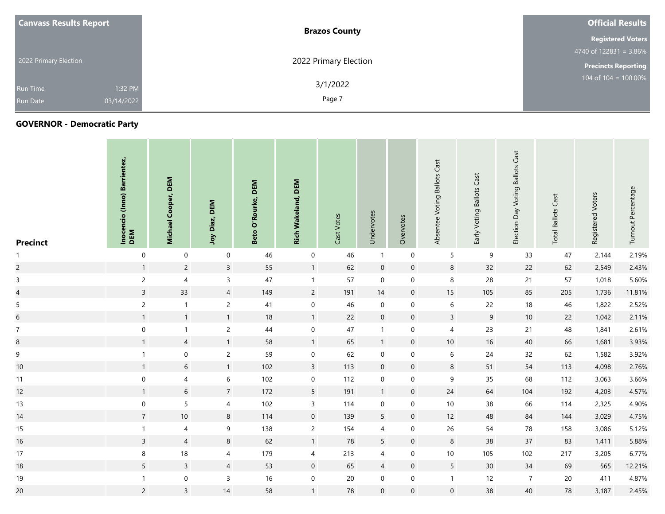| <b>Canvass Results Report</b> |            | <b>Brazos County</b>  | <b>Official Results</b>    |
|-------------------------------|------------|-----------------------|----------------------------|
|                               |            |                       | <b>Registered Voters</b>   |
|                               |            |                       | 4740 of $122831 = 3.86\%$  |
| 2022 Primary Election         |            | 2022 Primary Election | <b>Precincts Reporting</b> |
| <b>Run Time</b>               | 1:32 PM    | 3/1/2022              | 104 of 104 = $100.00\%$    |
| <b>Run Date</b>               | 03/14/2022 | Page 7                |                            |

| <b>Precinct</b> | Inocencio (Inno) Barrientez,<br>DEM | DEM<br>Cooper,<br><b>Michael</b> | DEM<br>Joy Diaz, | DEM<br>O'Rourke,<br>Beto | <b>Rich Wakeland, DEM</b> | Cast Votes | Undervotes       | Overvotes           | Absentee Voting Ballots Cast | Early Voting Ballots Cast | Voting Ballots Cast<br>Election Day | Cast<br><b>Total Ballots</b> | Registered Voters | Turnout Percentage |
|-----------------|-------------------------------------|----------------------------------|------------------|--------------------------|---------------------------|------------|------------------|---------------------|------------------------------|---------------------------|-------------------------------------|------------------------------|-------------------|--------------------|
| $\mathbf{1}$    | $\mathbf 0$                         | $\mathbf 0$                      | $\mathbf 0$      | 46                       | $\mathbf 0$               | 46         | $\overline{1}$   | $\boldsymbol{0}$    | $5\overline{)}$              | 9                         | 33                                  | 47                           | 2,144             | 2.19%              |
| $\overline{c}$  | $\mathbf{1}$                        | $\overline{2}$                   | $\overline{3}$   | 55                       | $\mathbf{1}$              | 62         | $\boldsymbol{0}$ | $\mathbf 0$         | $\bf 8$                      | 32                        | 22                                  | 62                           | 2,549             | 2.43%              |
| $\mathsf{3}$    | $\overline{2}$                      | $\overline{4}$                   | $\mathsf{3}$     | 47                       | $\mathbf{1}$              | 57         | $\boldsymbol{0}$ | $\mathbf 0$         | 8                            | 28                        | 21                                  | 57                           | 1,018             | 5.60%              |
| $\overline{4}$  | $\overline{3}$                      | 33                               | $\overline{4}$   | 149                      | $\overline{2}$            | 191        | 14               | $\overline{0}$      | 15                           | 105                       | 85                                  | 205                          | 1,736             | 11.81%             |
| 5 <sub>5</sub>  | $\overline{2}$                      | $\mathbf{1}$                     | $\overline{2}$   | 41                       | $\pmb{0}$                 | 46         | $\mathbf 0$      | $\mathbf 0$         | $6\,$                        | 22                        | 18                                  | 46                           | 1,822             | 2.52%              |
| $6\,$           | $\mathbf{1}$                        | $\mathbf{1}$                     | $\mathbf{1}$     | 18                       | $\mathbf{1}$              | 22         | $\mathbf 0$      | $\mathbf 0$         | $\overline{3}$               | 9                         | 10                                  | 22                           | 1,042             | 2.11%              |
| $\overline{7}$  | $\mathbf 0$                         | $\mathbf{1}$                     | $\overline{c}$   | 44                       | $\mathbf 0$               | 47         | $\overline{1}$   | $\mathbf 0$         | $\overline{4}$               | 23                        | 21                                  | 48                           | 1,841             | 2.61%              |
| $\bf 8$         | $\mathbf{1}$                        | $\overline{4}$                   | $\mathbf{1}$     | 58                       | $\overline{1}$            | 65         | $\mathbf{1}$     | $\mathbf 0$         | 10                           | 16                        | 40                                  | 66                           | 1,681             | 3.93%              |
| 9               | $\mathbf{1}$                        | $\mathbf 0$                      | $\overline{c}$   | 59                       | $\mathbf 0$               | 62         | $\mathbf 0$      | $\mathbf 0$         | 6                            | 24                        | 32                                  | 62                           | 1,582             | 3.92%              |
| $10$            | $\mathbf{1}$                        | $\sqrt{6}$                       | $\mathbf{1}$     | 102                      | $\overline{3}$            | 113        | $\boldsymbol{0}$ | $\mathsf{O}\xspace$ | $\bf 8$                      | 51                        | 54                                  | 113                          | 4,098             | 2.76%              |
| 11              | $\boldsymbol{0}$                    | $\overline{4}$                   | $\,6\,$          | 102                      | $\overline{0}$            | 112        | $\mathbf 0$      | $\mathbf 0$         | 9                            | 35                        | 68                                  | 112                          | 3,063             | 3.66%              |
| 12              | $\mathbf{1}$                        | 6                                | $\overline{7}$   | 172                      | 5 <sup>5</sup>            | 191        | $\overline{1}$   | $\mathbf 0$         | 24                           | 64                        | 104                                 | 192                          | 4,203             | 4.57%              |
| 13              | $\mathbf 0$                         | $\overline{5}$                   | 4                | 102                      | $\mathsf{3}$              | 114        | $\mathbf 0$      | $\mathbf 0$         | 10                           | 38                        | 66                                  | 114                          | 2,325             | 4.90%              |
| 14              | $\overline{7}$                      | $10\,$                           | $8\phantom{1}$   | 114                      | $\boldsymbol{0}$          | 139        | $\sqrt{5}$       | $\mathsf{O}\xspace$ | 12                           | 48                        | 84                                  | 144                          | 3,029             | 4.75%              |
| 15              | $\mathbf{1}$                        | $\overline{4}$                   | 9                | 138                      | $\overline{2}$            | 154        | 4                | 0                   | 26                           | 54                        | 78                                  | 158                          | 3,086             | 5.12%              |
| 16              | $\overline{3}$                      | $\overline{4}$                   | 8                | 62                       | $\mathbf{1}$              | 78         | $\sqrt{5}$       | $\mathbf 0$         | 8                            | 38                        | 37                                  | 83                           | 1,411             | 5.88%              |
| 17              | $\,8\,$                             | $18$                             | 4                | 179                      | $\overline{4}$            | 213        | 4                | $\mathbf 0$         | 10                           | 105                       | 102                                 | 217                          | 3,205             | 6.77%              |
| 18              | 5                                   | $\overline{3}$                   | $\overline{4}$   | 53                       | $\mathbf 0$               | 65         | $\overline{4}$   | $\mathbf 0$         | $5\phantom{.0}$              | 30 <sup>°</sup>           | 34                                  | 69                           | 565               | 12.21%             |
| 19              | $\mathbf{1}$                        | $\pmb{0}$                        | 3                | $16\,$                   | $\mathbf 0$               | 20         | 0                | 0                   | $\overline{1}$               | 12                        | $\overline{7}$                      | 20                           | 411               | 4.87%              |
| 20              | $\overline{c}$                      | $\overline{3}$                   | 14               | 58                       | $\mathbf{1}$              | 78         | $\mathbf{0}$     | $\mathbf 0$         | $\mathbf 0$                  | 38                        | 40                                  | 78                           | 3,187             | 2.45%              |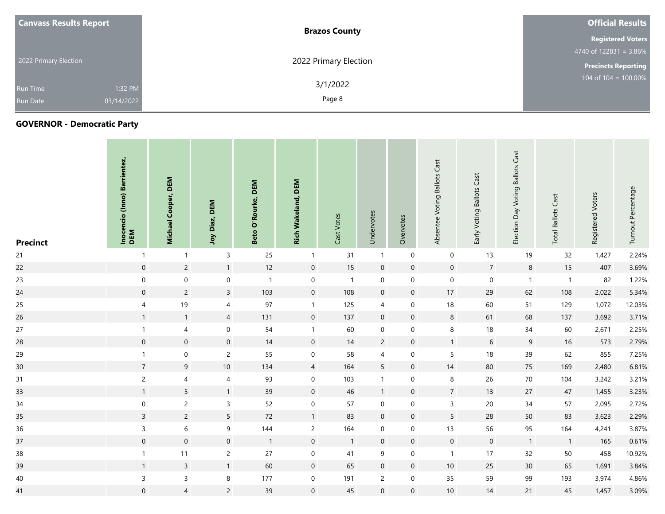| <b>Canvass Results Report</b> | <b>Brazos County</b>  | <b>Official Results</b>    |  |  |  |  |
|-------------------------------|-----------------------|----------------------------|--|--|--|--|
|                               |                       | <b>Registered Voters</b>   |  |  |  |  |
|                               |                       | 4740 of $122831 = 3.86\%$  |  |  |  |  |
| 2022 Primary Election         | 2022 Primary Election | <b>Precincts Reporting</b> |  |  |  |  |
| 1:32 PM<br><b>Run Time</b>    | 3/1/2022              | 104 of $104 = 100.00\%$    |  |  |  |  |
| 03/14/2022<br><b>Run Date</b> | Page 8                |                            |  |  |  |  |

| <b>Precinct</b> | Inocencio (Inno) Barrientez,<br>DEM | DEM<br>Cooper,<br>Michael | DEM<br>Joy Diaz,    | DEM<br>Rourke,<br>$\overline{\mathbf{o}}$<br>Beto | <b>Rich Wakeland, DEM</b> | Cast Votes     | Undervotes       | Overvotes   | Absentee Voting Ballots Cast | Early Voting Ballots Cast | <b>Voting Ballots Cast</b><br>Election Day | <b>Total Ballots Cast</b> | Registered Voters | Turnout Percentage |
|-----------------|-------------------------------------|---------------------------|---------------------|---------------------------------------------------|---------------------------|----------------|------------------|-------------|------------------------------|---------------------------|--------------------------------------------|---------------------------|-------------------|--------------------|
| 21              | $\mathbf{1}$                        | $\mathbf{1}$              | $\mathsf{3}$        | 25                                                | $\mathbf{1}$              | 31             | $\overline{1}$   | $\mathbf 0$ | $\mathbf 0$                  | 13                        | 19                                         | 32                        | 1,427             | 2.24%              |
| 22              | $\mathsf{O}\xspace$                 | $\overline{c}$            | $\mathbf{1}$        | 12                                                | $\mathsf{O}\xspace$       | 15             | $\boldsymbol{0}$ | $\mathbf 0$ | $\overline{0}$               | $\overline{7}$            | $8\phantom{1}$                             | 15                        | 407               | 3.69%              |
| 23              | $\mathsf{O}\xspace$                 | $\mathsf{O}\xspace$       | $\mathsf{O}\xspace$ | $\overline{1}$                                    | $\mathsf{O}\xspace$       | $\overline{1}$ | $\mathbf 0$      | $\mathbf 0$ | $\overline{0}$               | $\mathbf 0$               | $\overline{1}$                             | $\overline{1}$            | 82                | 1.22%              |
| 24              | $\mathsf{O}\xspace$                 | $\overline{2}$            | $\overline{3}$      | 103                                               | $\mathsf{O}\xspace$       | 108            | $\mathbf 0$      | $\mathbf 0$ | 17                           | 29                        | 62                                         | 108                       | 2,022             | 5.34%              |
| 25              | $\overline{\mathbf{4}}$             | 19                        | $\overline{4}$      | 97                                                | $\mathbf{1}$              | 125            | 4                | 0           | 18                           | 60                        | 51                                         | 129                       | 1,072             | 12.03%             |
| 26              | $\mathbf{1}$                        | $\overline{1}$            | $\overline{4}$      | 131                                               | $\mathsf{O}\xspace$       | 137            | $\mathbf 0$      | $\mathbf 0$ | $\,8\,$                      | 61                        | 68                                         | 137                       | 3,692             | 3.71%              |
| 27              | $\mathbf{1}$                        | $\overline{4}$            | $\mathbf 0$         | 54                                                | $\mathbf{1}$              | 60             | $\mathbf 0$      | $\mathbf 0$ | 8                            | 18                        | 34                                         | 60                        | 2,671             | 2.25%              |
| 28              | $\mathbf 0$                         | $\mathsf{O}\xspace$       | $\mathbf 0$         | 14                                                | $\mathsf{O}\xspace$       | 14             | $\overline{2}$   | $\mathbf 0$ | $\mathbf{1}$                 | $6\phantom{.}6$           | 9                                          | 16                        | 573               | 2.79%              |
| 29              | $\mathbf{1}$                        | $\mathsf{O}\xspace$       | $\overline{2}$      | 55                                                | $\mathbf 0$               | 58             | $\overline{4}$   | $\mathbf 0$ | 5                            | 18                        | 39                                         | 62                        | 855               | 7.25%              |
| 30              | $\overline{7}$                      | 9                         | 10                  | 134                                               | $\overline{4}$            | 164            | $5\phantom{.0}$  | $\mathbf 0$ | 14                           | 80                        | 75                                         | 169                       | 2,480             | 6.81%              |
| 31              | $\overline{2}$                      | $\overline{4}$            | 4                   | 93                                                | $\mathsf{O}\xspace$       | 103            | $\mathbf{1}$     | $\mathbf 0$ | $\bf 8$                      | 26                        | 70                                         | 104                       | 3,242             | 3.21%              |
| 33              | $\mathbf{1}$                        | 5                         | $\mathbf{1}$        | 39                                                | $\mathbf 0$               | 46             | $\overline{1}$   | $\mathbf 0$ | $\overline{7}$               | 13                        | 27                                         | 47                        | 1,455             | 3.23%              |
| 34              | $\boldsymbol{0}$                    | $\overline{2}$            | $\mathsf{3}$        | 52                                                | $\mathsf{O}\xspace$       | 57             | $\mathbf 0$      | 0           | $\mathbf{3}$                 | 20                        | 34                                         | 57                        | 2,095             | 2.72%              |
| 35              | $\mathbf{3}$                        | $\overline{2}$            | $5\overline{)}$     | 72                                                | $\mathbf{1}$              | 83             | $\overline{0}$   | $\mathbf 0$ | $5\phantom{.0}$              | 28                        | 50                                         | 83                        | 3,623             | 2.29%              |
| 36              | $\mathsf{3}$                        | $\sqrt{6}$                | $\boldsymbol{9}$    | 144                                               | $\overline{2}$            | 164            | $\mathbf 0$      | $\mathbf 0$ | 13                           | 56                        | 95                                         | 164                       | 4,241             | 3.87%              |
| 37              | $\mathbf 0$                         | $\mathsf{O}\xspace$       | $\mathbf 0$         | $\overline{1}$                                    | $\mathsf{O}\xspace$       | $\overline{1}$ | $\mathbf 0$      | $\mathbf 0$ | $\overline{0}$               | $\mathsf{O}\xspace$       | $\overline{1}$                             | $\overline{1}$            | 165               | 0.61%              |
| 38              | $\mathbf{1}$                        | 11                        | $\overline{2}$      | 27                                                | $\mathsf{O}\xspace$       | 41             | 9                | $\mathbf 0$ | $\overline{1}$               | 17                        | 32                                         | 50                        | 458               | 10.92%             |
| 39              | $\mathbf{1}$                        | $\overline{3}$            | $\mathbf{1}$        | 60                                                | $\mathsf{O}\xspace$       | 65             | $\mathbf 0$      | $\mathbf 0$ | 10                           | 25                        | 30 <sup>°</sup>                            | 65                        | 1,691             | 3.84%              |
| 40              | $\mathsf{3}$                        | $\mathsf{3}$              | 8                   | 177                                               | $\mathbf 0$               | 191            | $\overline{c}$   | 0           | 35                           | 59                        | 99                                         | 193                       | 3,974             | 4.86%              |
| 41              | $\mathbf 0$                         | $\overline{4}$            | $\overline{2}$      | 39                                                | $\mathbf 0$               | 45             | $\boldsymbol{0}$ | $\mathbf 0$ | 10                           | 14                        | 21                                         | 45                        | 1,457             | 3.09%              |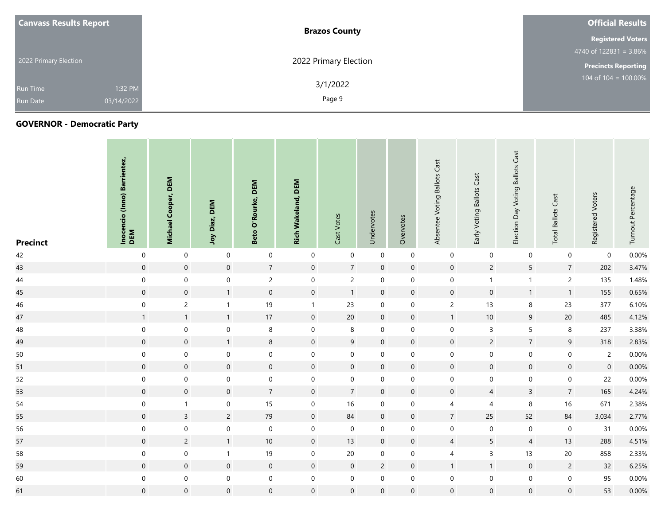| <b>Canvass Results Report</b> |            | <b>Brazos County</b>  | <b>Official Results</b>    |
|-------------------------------|------------|-----------------------|----------------------------|
|                               |            |                       | <b>Registered Voters</b>   |
|                               |            |                       | 4740 of $122831 = 3.86\%$  |
| 2022 Primary Election         |            | 2022 Primary Election | <b>Precincts Reporting</b> |
| <b>Run Time</b>               | 1:32 PM    | 3/1/2022              | 104 of 104 = $100.00\%$    |
| <b>Run Date</b>               | 03/14/2022 | Page 9                |                            |

| <b>Precinct</b> | Inocencio (Inno) Barrientez,<br>DEM | DEM<br>Cooper,<br>Michael | DEM<br>Joy Diaz,    | DEM<br>O'Rourke,<br>Beto | <b>Rich Wakeland, DEM</b> | Cast Votes          | Undervotes     | Overvotes        | Absentee Voting Ballots Cast | Early Voting Ballots Cast | <b>Ballots Cast</b><br>Voting<br>Election Day | Cast<br><b>Total Ballots</b> | Registered Voters | Turnout Percentage |
|-----------------|-------------------------------------|---------------------------|---------------------|--------------------------|---------------------------|---------------------|----------------|------------------|------------------------------|---------------------------|-----------------------------------------------|------------------------------|-------------------|--------------------|
| 42              | $\boldsymbol{0}$                    | $\mathbf 0$               | $\boldsymbol{0}$    | $\mathbf 0$              | $\boldsymbol{0}$          | $\mathbf 0$         | $\mathbf 0$    | $\boldsymbol{0}$ | $\mathbf 0$                  | $\mathbf 0$               | $\mathbf 0$                                   | $\boldsymbol{0}$             | $\mathbf 0$       | 0.00%              |
| 43              | $\overline{0}$                      | $\mathsf{O}\xspace$       | $\mathsf{O}\xspace$ | $\overline{7}$           | $\overline{0}$            | $7\overline{ }$     | $\mathbf 0$    | $\mathbf 0$      | $\mathsf{O}\xspace$          | $\overline{2}$            | $5\phantom{.0}$                               | $\overline{7}$               | 202               | 3.47%              |
| 44              | $\boldsymbol{0}$                    | $\boldsymbol{0}$          | $\mathbf 0$         | $\overline{c}$           | $\mathbf 0$               | $\overline{2}$      | $\mathbf 0$    | 0                | $\boldsymbol{0}$             | $\mathbf{1}$              | $\mathbf{1}$                                  | $\overline{c}$               | 135               | 1.48%              |
| 45              | $\mathsf{O}\xspace$                 | $\mathsf{O}\xspace$       | $\mathbf{1}$        | $\mathsf{O}\xspace$      | $\mathsf{O}\xspace$       | $\mathbf{1}$        | $\mathbf 0$    | $\mathbf 0$      | $\mathbf 0$                  | $\mathsf{O}\xspace$       | 1                                             | $\overline{1}$               | 155               | 0.65%              |
| 46              | $\boldsymbol{0}$                    | $\overline{c}$            | $\mathbf{1}$        | 19                       | $\mathbf{1}$              | 23                  | $\mathbf 0$    | $\boldsymbol{0}$ | $\overline{c}$               | 13                        | 8                                             | 23                           | 377               | 6.10%              |
| 47              | $\mathbf{1}$                        | 1                         | $\mathbf{1}$        | $17\,$                   | $\overline{0}$            | 20                  | $\mathbf 0$    | $\mathbf 0$      | $\mathbf{1}$                 | 10                        | $\overline{9}$                                | 20                           | 485               | 4.12%              |
| 48              | $\mathbf 0$                         | $\boldsymbol{0}$          | $\mathbf 0$         | $\,8\,$                  | $\boldsymbol{0}$          | $\bf 8$             | $\mathbf 0$    | 0                | $\mathbf 0$                  | $\mathsf{3}$              | 5                                             | $\,8\,$                      | 237               | 3.38%              |
| 49              | $\mathsf{O}\xspace$                 | $\mathsf{O}\xspace$       | $\mathbf{1}$        | $\bf8$                   | $\mathsf{O}\xspace$       | 9                   | $\overline{0}$ | $\mathbf 0$      | $\boldsymbol{0}$             | $\overline{2}$            | $7\overline{ }$                               | $\boldsymbol{9}$             | 318               | 2.83%              |
| 50              | $\mathbf 0$                         | $\mathsf{O}\xspace$       | $\boldsymbol{0}$    | $\mathsf{O}\xspace$      | $\mathbf 0$               | $\mathbf 0$         | $\mathbf 0$    | $\mathbf 0$      | $\mathbf 0$                  | $\mathsf{O}\xspace$       | $\mathbf 0$                                   | $\pmb{0}$                    | $\overline{2}$    | 0.00%              |
| 51              | $\overline{0}$                      | $\mathsf{O}\xspace$       | $\mathsf{O}\xspace$ | $\mathsf{O}\xspace$      | $\mathbf 0$               | $\mathsf{O}\xspace$ | $\mathbf 0$    | $\mathbf 0$      | $\mathsf{O}\xspace$          | $\mathbf 0$               | $\mathbf 0$                                   | $\mathsf{O}\xspace$          | $\mathsf{O}$      | 0.00%              |
| 52              | $\boldsymbol{0}$                    | $\boldsymbol{0}$          | $\mathbf 0$         | $\boldsymbol{0}$         | $\boldsymbol{0}$          | $\mathbf 0$         | $\mathbf 0$    | 0                | $\mathbf 0$                  | $\mathbf 0$               | 0                                             | $\mathbf 0$                  | 22                | 0.00%              |
| 53              | $\mathsf{O}\xspace$                 | $\mathsf{O}\xspace$       | $\mathsf{O}\xspace$ | $\overline{7}$           | $\overline{0}$            | $7^{\circ}$         | $\mathbf 0$    | $\mathbf 0$      | $\mathbf 0$                  | $\overline{4}$            | $\overline{3}$                                | $\overline{7}$               | 165               | 4.24%              |
| 54              | $\mathbf 0$                         | $\mathbf{1}$              | $\boldsymbol{0}$    | $15\,$                   | 0                         | 16                  | 0              | 0                | 4                            | $\overline{4}$            | 8                                             | 16                           | 671               | 2.38%              |
| 55              | $\mathbf 0$                         | $\overline{3}$            | $\overline{2}$      | 79                       | $\mathsf{O}\xspace$       | 84                  | $\mathbf 0$    | $\mathbf 0$      | $\overline{7}$               | 25                        | 52                                            | 84                           | 3,034             | 2.77%              |
| 56              | $\mathbf 0$                         | $\boldsymbol{0}$          | $\boldsymbol{0}$    | $\mathbf 0$              | $\mathsf{O}\xspace$       | $\mathbf 0$         | $\overline{0}$ | 0                | $\boldsymbol{0}$             | $\mathsf{O}\xspace$       | $\mathbf 0$                                   | $\pmb{0}$                    | 31                | 0.00%              |
| 57              | $\overline{0}$                      | $\overline{2}$            | $\mathbf{1}$        | $10\,$                   | $\overline{0}$            | 13                  | $\overline{0}$ | $\mathbf 0$      | $\overline{4}$               | $\overline{5}$            | $\overline{4}$                                | 13                           | 288               | 4.51%              |
| 58              | $\mathbf 0$                         | $\boldsymbol{0}$          | $\mathbf{1}$        | 19                       | $\mathbf 0$               | 20                  | 0              | 0                | $\overline{4}$               | $\mathsf{3}$              | 13                                            | 20                           | 858               | 2.33%              |
| 59              | $\overline{0}$                      | $\mathsf{O}\xspace$       | $\mathsf{O}$        | $\mathbf 0$              | $\mathsf{O}\xspace$       | $\mathbf 0$         | $\overline{2}$ | $\mathbf 0$      | $\mathbf{1}$                 | $\mathbf{1}$              | $\overline{0}$                                | $\overline{2}$               | 32                | 6.25%              |
| 60              | $\mathbf 0$                         | $\boldsymbol{0}$          | $\mathsf{O}\xspace$ | $\mathsf{O}\xspace$      | $\mathsf{O}\xspace$       | $\mathbf 0$         | $\mathbf 0$    | $\mathbf 0$      | $\boldsymbol{0}$             | $\mathbf 0$               | $\mathbf 0$                                   | $\mathbf 0$                  | 95                | 0.00%              |
| 61              | $\mathbf 0$                         | $\mathsf{O}\xspace$       | $\mathbf 0$         | $\mathsf{O}\xspace$      | $\mathbf 0$               | $\mathbf 0$         | $\mathbf 0$    | $\mathbf 0$      | $\mathbf 0$                  | $\mathbf 0$               | $\overline{0}$                                | $\mathbf 0$                  | 53                | 0.00%              |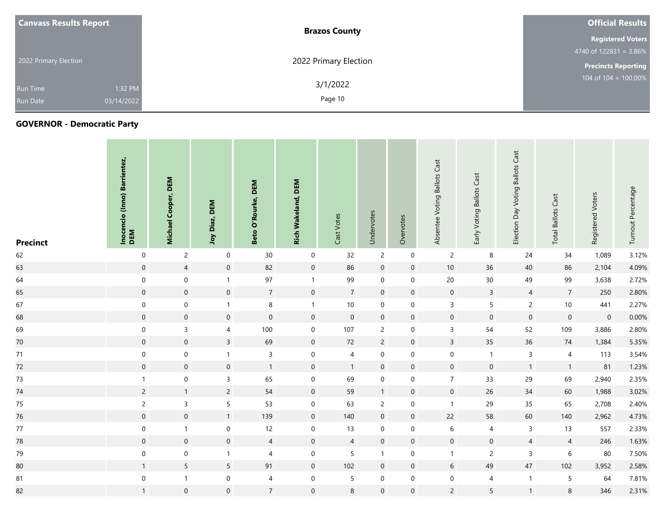| <b>Canvass Results Report</b> |            | <b>Brazos County</b>  | <b>Official Results</b>    |
|-------------------------------|------------|-----------------------|----------------------------|
|                               |            |                       | <b>Registered Voters</b>   |
|                               |            |                       | 4740 of $122831 = 3.86\%$  |
| 2022 Primary Election         |            | 2022 Primary Election | <b>Precincts Reporting</b> |
| <b>Run Time</b>               | 1:32 PM    | 3/1/2022              | 104 of 104 = $100.00\%$    |
| <b>Run Date</b>               | 03/14/2022 | Page 10               |                            |

| <b>Precinct</b> | Inocencio (Inno) Barrientez,<br>DEM | DEM<br>Cooper,<br><b>Michael</b> | <b>DEM</b><br>Joy Diaz, | DEM<br>O'Rourke,<br>Beto | <b>Rich Wakeland, DEM</b> | Cast Votes          | Undervotes       | Overvotes           | Absentee Voting Ballots Cast | Early Voting Ballots Cast | Voting Ballots Cast<br>Election Day | <b>Total Ballots Cast</b> | Registered Voters   | Turnout Percentage |
|-----------------|-------------------------------------|----------------------------------|-------------------------|--------------------------|---------------------------|---------------------|------------------|---------------------|------------------------------|---------------------------|-------------------------------------|---------------------------|---------------------|--------------------|
| 62              | $\mathbf 0$                         | $\overline{2}$                   | $\mathbf 0$             | 30                       | $\mathbf 0$               | 32                  | $\overline{c}$   | $\boldsymbol{0}$    | $\overline{2}$               | 8                         | 24                                  | 34                        | 1,089               | 3.12%              |
| 63              | $\overline{0}$                      | $\overline{4}$                   | $\mathsf{O}\xspace$     | 82                       | $\mathsf{O}\xspace$       | 86                  | $\boldsymbol{0}$ | $\mathbf 0$         | 10                           | 36                        | 40                                  | 86                        | 2,104               | 4.09%              |
| 64              | $\mathsf{O}\xspace$                 | $\mathsf{O}\xspace$              | $\mathbf{1}$            | $97\,$                   | $\mathbf{1}$              | 99                  | $\mathbf 0$      | $\mathbf 0$         | 20                           | 30 <sub>o</sub>           | 49                                  | 99                        | 3,638               | 2.72%              |
| 65              | $\mathbf 0$                         | $\mathsf{O}\xspace$              | $\mathsf{O}\xspace$     | $\overline{7}$           | $\mathbf 0$               | $\overline{7}$      | $\overline{0}$   | $\mathsf{O}\xspace$ | $\overline{0}$               | $\overline{3}$            | $\overline{4}$                      | $\overline{7}$            | 250                 | 2.80%              |
| 67              | $\mathbf 0$                         | $\boldsymbol{0}$                 | $\mathbf{1}$            | $\bf 8$                  | $\mathbf{1}$              | $10\,$              | $\mathbf 0$      | $\mathbf 0$         | $\mathbf{3}$                 | $5\phantom{.0}$           | $\overline{2}$                      | $10$                      | 441                 | 2.27%              |
| 68              | $\overline{0}$                      | $\mathsf{O}\xspace$              | $\overline{0}$          | $\mathsf{O}\xspace$      | $\mathbf 0$               | $\mathsf{O}\xspace$ | $\mathbf 0$      | $\mathbf 0$         | $\overline{0}$               | $\mathsf{O}\xspace$       | $\mathbf 0$                         | $\mathsf{O}\xspace$       | $\mathsf{O}\xspace$ | 0.00%              |
| 69              | $\mathbf 0$                         | $\mathsf{3}$                     | 4                       | 100                      | $\mathbf 0$               | 107                 | $\overline{2}$   | 0                   | 3                            | 54                        | 52                                  | 109                       | 3,886               | 2.80%              |
| $70\,$          | $\mathbf 0$                         | $\mathsf{O}\xspace$              | $\overline{3}$          | 69                       | $\mathsf{O}\xspace$       | 72                  | $\overline{c}$   | $\mathbf 0$         | $\mathbf{3}$                 | 35                        | 36                                  | 74                        | 1,384               | 5.35%              |
| 71              | $\mathbf 0$                         | $\boldsymbol{0}$                 | $\mathbf{1}$            | $\mathsf{3}$             | $\mathbf 0$               | 4                   | $\boldsymbol{0}$ | $\mathbf 0$         | $\mathbf 0$                  | $\mathbf{1}$              | 3                                   | 4                         | 113                 | 3.54%              |
| 72              | $\mathsf{O}\xspace$                 | $\mathsf{O}\xspace$              | $\mathsf{O}\xspace$     | $\overline{1}$           | $\mathsf{O}\xspace$       | $\mathbf{1}$        | $\mathbf 0$      | $\mathsf{O}\xspace$ | $\mathsf{O}\xspace$          | $\mathsf{O}\xspace$       | $\overline{1}$                      | $\mathbf{1}$              | 81                  | 1.23%              |
| $73$            | $\mathbf{1}$                        | $\mathsf{O}\xspace$              | $\mathsf{3}$            | 65                       | $\mathbf 0$               | 69                  | $\boldsymbol{0}$ | $\mathbf 0$         | $\overline{7}$               | 33                        | 29                                  | 69                        | 2,940               | 2.35%              |
| 74              | $\overline{c}$                      | $\mathbf{1}$                     | $\overline{2}$          | 54                       | $\mathsf{O}\xspace$       | 59                  | $\mathbf{1}$     | $\mathbf 0$         | $\mathsf{O}$                 | 26                        | 34                                  | 60                        | 1,988               | 3.02%              |
| 75              | $\overline{c}$                      | $\mathsf{3}$                     | 5                       | 53                       | $\mathsf{O}\xspace$       | 63                  | $\overline{c}$   | $\boldsymbol{0}$    | $\overline{1}$               | 29                        | 35                                  | 65                        | 2,708               | 2.40%              |
| 76              | $\boldsymbol{0}$                    | $\boldsymbol{0}$                 | $\mathbf{1}$            | 139                      | $\boldsymbol{0}$          | 140                 | $\boldsymbol{0}$ | $\mathsf{O}\xspace$ | 22                           | 58                        | 60                                  | 140                       | 2,962               | 4.73%              |
| $77\,$          | $\mathbf 0$                         | $\mathbf{1}$                     | $\boldsymbol{0}$        | 12                       | $\mathbf 0$               | 13                  | $\mathbf 0$      | $\mathbf 0$         | $6\,$                        | $\overline{4}$            | $\mathbf{3}$                        | 13                        | 557                 | 2.33%              |
| 78              | $\mathbf 0$                         | $\mathbf 0$                      | $\overline{0}$          | $\overline{4}$           | $\overline{0}$            | $\overline{4}$      | $\mathbf 0$      | $\mathbf 0$         | $\mathsf{O}\xspace$          | $\mathbf 0$               | $\overline{4}$                      | $\overline{4}$            | 246                 | 1.63%              |
| 79              | $\boldsymbol{0}$                    | $\mathbf 0$                      | $\mathbf{1}$            | $\overline{4}$           | $\mathbf 0$               | $\overline{5}$      | $\mathbf{1}$     | $\mathbf 0$         | $\overline{1}$               | $\overline{2}$            | $\mathsf{3}$                        | $\boldsymbol{6}$          | 80                  | 7.50%              |
| 80              | $\mathbf{1}$                        | 5 <sup>1</sup>                   | $5\overline{)}$         | 91                       | $\mathbf 0$               | 102                 | $\overline{0}$   | $\mathbf 0$         | 6                            | 49                        | 47                                  | 102                       | 3,952               | 2.58%              |
| 81              | $\mathbf 0$                         | $\mathbf{1}$                     | $\boldsymbol{0}$        | $\overline{4}$           | $\boldsymbol{0}$          | 5                   | $\mathbf 0$      | 0                   | 0                            | 4                         | $\mathbf{1}$                        | 5                         | 64                  | 7.81%              |
| 82              | $\mathbf{1}$                        | $\mathsf{O}\xspace$              | $\mathbf 0$             | $\overline{7}$           | $\mathbf 0$               | 8                   | $\mathbf 0$      | $\mathbf 0$         | $\overline{2}$               | 5                         | 1                                   | 8                         | 346                 | 2.31%              |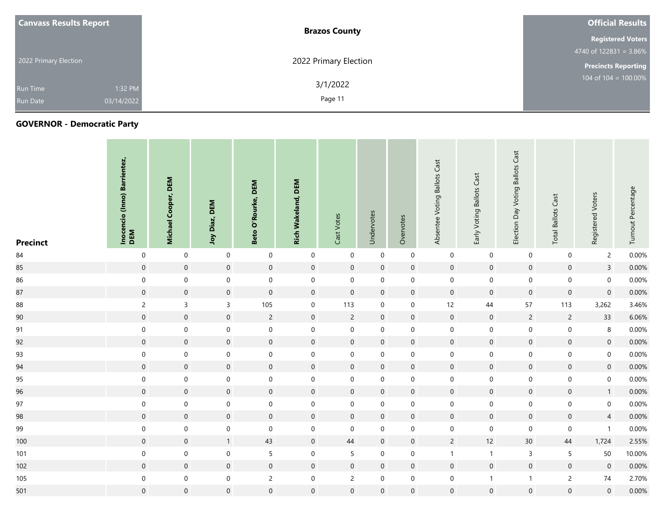| <b>Canvass Results Report</b> |            | <b>Brazos County</b>  | <b>Official Results</b>    |  |  |  |
|-------------------------------|------------|-----------------------|----------------------------|--|--|--|
|                               |            |                       | <b>Registered Voters</b>   |  |  |  |
| 2022 Primary Election         |            |                       | 4740 of $122831 = 3.86\%$  |  |  |  |
|                               |            | 2022 Primary Election | <b>Precincts Reporting</b> |  |  |  |
| <b>Run Time</b>               | 1:32 PM    | 3/1/2022              | $104$ of $104 = 100.00\%$  |  |  |  |
| <b>Run Date</b>               | 03/14/2022 | Page 11               |                            |  |  |  |

| <b>Precinct</b> | Inocencio (Inno) Barrientez,<br>DEM | DEM<br>Cooper,<br><b>Michael</b> | Joy Diaz, DEM       | <b>DEM</b><br>O'Rourke,<br>Beto | <b>Rich Wakeland, DEM</b> | Cast Votes          | Undervotes          | Overvotes           | Absentee Voting Ballots Cast | Early Voting Ballots Cast | Voting Ballots Cast<br>Election Day | <b>Total Ballots Cast</b> | Registered Voters   | Turnout Percentage |
|-----------------|-------------------------------------|----------------------------------|---------------------|---------------------------------|---------------------------|---------------------|---------------------|---------------------|------------------------------|---------------------------|-------------------------------------|---------------------------|---------------------|--------------------|
| 84              | $\boldsymbol{0}$                    | $\boldsymbol{0}$                 | $\mathbf 0$         | $\boldsymbol{0}$                | $\mathbf 0$               | $\mathbf 0$         | $\overline{0}$      | $\pmb{0}$           | $\boldsymbol{0}$             | $\boldsymbol{0}$          | $\mathbf 0$                         | $\pmb{0}$                 | $\overline{2}$      | 0.00%              |
| 85              | $\mathbf 0$                         | $\mathsf{O}\xspace$              | $\overline{0}$      | $\mathbf 0$                     | $\overline{0}$            | $\boldsymbol{0}$    | $\boldsymbol{0}$    | $\mathbf 0$         | $\boldsymbol{0}$             | $\boldsymbol{0}$          | $\mathsf{O}\xspace$                 | $\mathbf 0$               | $\mathbf{3}$        | 0.00%              |
| 86              | $\mathbf 0$                         | $\mathbf 0$                      | $\mathbf 0$         | $\mathbf 0$                     | $\mathbf 0$               | $\mathsf{O}\xspace$ | $\mathsf{O}\xspace$ | $\mathsf{O}\xspace$ | $\mathbf 0$                  | $\mathbf 0$               | $\mathsf{O}\xspace$                 | $\boldsymbol{0}$          | $\mathbf 0$         | 0.00%              |
| 87              | $\mathsf{O}\xspace$                 | $\mathsf{O}\xspace$              | $\mathsf{O}\xspace$ | $\mathsf{O}\xspace$             | $\mathsf{O}\xspace$       | $\mathsf{O}\xspace$ | $\overline{0}$      | $\mathbf 0$         | $\mathsf{O}\xspace$          | $\mathsf{O}\xspace$       | $\mathsf{O}\xspace$                 | $\mathbf 0$               | $\mathsf{O}\xspace$ | 0.00%              |
| 88              | $\overline{c}$                      | $\mathsf{3}$                     | $\mathsf{3}$        | 105                             | $\boldsymbol{0}$          | 113                 | $\mathbf 0$         | 0                   | 12                           | $44\,$                    | 57                                  | 113                       | 3,262               | 3.46%              |
| 90              | $\mathsf{O}\xspace$                 | $\mathsf{O}\xspace$              | $\mathsf{O}\xspace$ | $\overline{c}$                  | $\mathsf{O}\xspace$       | $\overline{c}$      | $\overline{0}$      | $\mathbf 0$         | $\mathbf 0$                  | $\mathsf{O}\xspace$       | $\overline{2}$                      | $\overline{2}$            | 33                  | 6.06%              |
| 91              | $\mathbf 0$                         | $\mathbf 0$                      | $\mathbf 0$         | $\mathbf 0$                     | $\mathbf 0$               | 0                   | $\mathbf 0$         | 0                   | $\mathbf 0$                  | $\mathsf{O}\xspace$       | 0                                   | $\pmb{0}$                 | $\,8\,$             | 0.00%              |
| 92              | $\mathbf 0$                         | $\mathsf{O}\xspace$              | $\mathbf 0$         | $\mathsf{O}\xspace$             | $\mathsf{O}\xspace$       | $\mathsf{O}\xspace$ | $\mathbf 0$         | $\mathbf 0$         | $\mathsf{O}\xspace$          | $\mathsf{O}\xspace$       | $\mathsf{O}\xspace$                 | $\mathbf 0$               | $\mathsf{O}$        | 0.00%              |
| 93              | $\boldsymbol{0}$                    | $\mathbf 0$                      | $\boldsymbol{0}$    | $\boldsymbol{0}$                | $\boldsymbol{0}$          | $\mathbf 0$         | $\mathbf 0$         | 0                   | $\mathbf 0$                  | $\mathsf{O}\xspace$       | 0                                   | $\boldsymbol{0}$          | $\mathbf 0$         | 0.00%              |
| 94              | $\mathbf 0$                         | $\mathsf{O}\xspace$              | $\mathsf{O}\xspace$ | $\mathsf{O}\xspace$             | $\mathsf{O}\xspace$       | $\boldsymbol{0}$    | $\mathbf 0$         | $\mathbf 0$         | $\mathsf{O}\xspace$          | $\mathbf 0$               | $\mathsf{O}\xspace$                 | $\mathbf 0$               | $\mathsf{O}$        | 0.00%              |
| 95              | $\mathbf 0$                         | $\boldsymbol{0}$                 | $\mathbf 0$         | $\boldsymbol{0}$                | $\mathbf 0$               | $\mathbf 0$         | 0                   | 0                   | $\mathbf 0$                  | $\mathsf{O}\xspace$       | 0                                   | $\boldsymbol{0}$          | $\mathsf{O}\xspace$ | 0.00%              |
| 96              | $\mathsf{O}\xspace$                 | $\mathsf{O}\xspace$              | $\mathsf{O}\xspace$ | $\mathsf{O}\xspace$             | $\mathsf{O}\xspace$       | $\mathsf{O}\xspace$ | $\mathbf 0$         | $\mathbf 0$         | $\boldsymbol{0}$             | $\mathsf{O}\xspace$       | $\overline{0}$                      | $\boldsymbol{0}$          | $\overline{1}$      | 0.00%              |
| 97              | $\mathsf{O}\xspace$                 | $\mathbf 0$                      | $\mathsf{O}\xspace$ | $\mathbf 0$                     | $\mathsf{O}\xspace$       | $\mathsf{O}\xspace$ | $\mathbf 0$         | $\boldsymbol{0}$    | $\mathbf 0$                  | $\mathbf 0$               | $\boldsymbol{0}$                    | $\mathbf 0$               | $\mathsf{O}\xspace$ | 0.00%              |
| 98              | $\mathbf 0$                         | $\mathbf 0$                      | $\boldsymbol{0}$    | $\boldsymbol{0}$                | $\boldsymbol{0}$          | $\mathsf{O}\xspace$ | $\boldsymbol{0}$    | $\pmb{0}$           | $\boldsymbol{0}$             | $\mathsf{O}\xspace$       | $\boldsymbol{0}$                    | $\mathbf 0$               | $\overline{4}$      | 0.00%              |
| 99              | $\mathbf 0$                         | $\boldsymbol{0}$                 | $\boldsymbol{0}$    | $\mathbf 0$                     | $\mathbf 0$               | $\mathbf 0$         | 0                   | 0                   | $\boldsymbol{0}$             | $\boldsymbol{0}$          | $\mathbf 0$                         | $\boldsymbol{0}$          | $\mathbf{1}$        | 0.00%              |
| 100             | $\mathbf 0$                         | $\boldsymbol{0}$                 | $\mathbf{1}$        | $43\,$                          | $\mathbf 0$               | 44                  | $\overline{0}$      | $\mathbf 0$         | $\overline{2}$               | 12                        | 30 <sup>°</sup>                     | 44                        | 1,724               | 2.55%              |
| 101             | $\mathbf 0$                         | $\boldsymbol{0}$                 | $\mathbf 0$         | 5                               | $\mathbf 0$               | 5                   | $\mathbf 0$         | 0                   | $\overline{1}$               | $\mathbf{1}$              | $\mathsf{3}$                        | 5                         | $50\,$              | 10.00%             |
| 102             | $\mathbf 0$                         | $\mathsf{O}\xspace$              | $\mathsf{O}\xspace$ | $\mathsf{O}\xspace$             | $\mathsf{O}\xspace$       | $\mathsf{O}\xspace$ | $\overline{0}$      | $\mathbf 0$         | $\mathbf 0$                  | $\mathbf 0$               | $\overline{0}$                      | $\mathsf{O}\xspace$       | $\mathbf 0$         | 0.00%              |
| 105             | $\mathbf 0$                         | $\pmb{0}$                        | $\pmb{0}$           | $\overline{c}$                  | $\mathbf 0$               | $\overline{c}$      | 0                   | 0                   | $\pmb{0}$                    | $\mathbf{1}$              | $\mathbf{1}$                        | $\overline{c}$            | $74\,$              | 2.70%              |
| 501             | $\mathsf{O}\xspace$                 | $\mathsf{O}\xspace$              | $\mathbf 0$         | $\mathsf{O}\xspace$             | $\mathbf 0$               | $\mathbf 0$         | $\mathbf 0$         | $\mathbf 0$         | $\mathbf 0$                  | $\mathsf{O}\xspace$       | $\overline{0}$                      | $\mathbf 0$               | $\mathsf{O}\xspace$ | 0.00%              |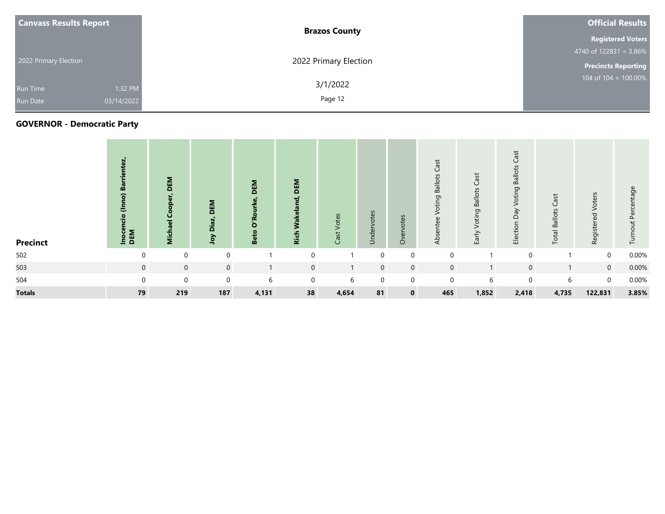| <b>Canvass Results Report</b> |            | <b>Brazos County</b>  | <b>Official Results</b>    |  |  |  |  |
|-------------------------------|------------|-----------------------|----------------------------|--|--|--|--|
|                               |            |                       | <b>Registered Voters</b>   |  |  |  |  |
| 2022 Primary Election         |            |                       | 4740 of $122831 = 3.86\%$  |  |  |  |  |
|                               |            | 2022 Primary Election | <b>Precincts Reporting</b> |  |  |  |  |
| <b>Run Time</b>               | 1:32 PM    | 3/1/2022              | 104 of $104 = 100.00\%$    |  |  |  |  |
| <b>Run Date</b>               | 03/14/2022 | Page 12               |                            |  |  |  |  |

| <b>Precinct</b> | tez,<br>m<br>$\widehat{2}$<br>Ξ<br>.<br>ig<br><b>Inoce</b><br>DEM | DEM<br>Ë.   | DEM<br>Diaz,<br>χοL | DEM<br>ö<br>ஃ | DEM<br><b>Ric</b> | Votes<br>Cast <sup>-</sup> | Undervotes  | Overvotes   | Cast<br><b>Ballots</b><br>פְּ<br>Votir<br>Absentee | Voting Ballots Cast<br>Early | ast<br><b>Ballots</b><br>oting<br>ζé<br>$\Omega$<br>ction<br>읍 | Cast<br><b>Total Ballots</b> | Voters<br>Registered | tage<br>൧<br>$\overline{5}$<br>르 |
|-----------------|-------------------------------------------------------------------|-------------|---------------------|---------------|-------------------|----------------------------|-------------|-------------|----------------------------------------------------|------------------------------|----------------------------------------------------------------|------------------------------|----------------------|----------------------------------|
| 502             | $\mathbf 0$                                                       | $\mathbf 0$ | $\mathbf 0$         |               | $\Omega$          |                            | $\Omega$    | 0           | $\mathbf 0$                                        |                              | 0                                                              |                              | $\mathbf 0$          | 0.00%                            |
| 503             | $\mathbf 0$                                                       | $\mathbf 0$ | $\mathbf 0$         |               | $\mathbf 0$       |                            | $\mathbf 0$ | $\mathbf 0$ | $\mathbf 0$                                        |                              | $\overline{0}$                                                 |                              | $\overline{0}$       | 0.00%                            |
| 504             | $\mathbf 0$                                                       | $\mathbf 0$ | $\mathbf 0$         | 6             | $\mathbf 0$       | 6                          | $\mathbf 0$ | 0           | $\mathbf 0$                                        | 6                            | 0                                                              | 6                            | $\mathbf 0$          | 0.00%                            |
| <b>Totals</b>   | 79                                                                | 219         | 187                 | 4,131         | 38                | 4,654                      | 81          | $\mathbf 0$ | 465                                                | 1,852                        | 2,418                                                          | 4,735                        | 122,831              | 3.85%                            |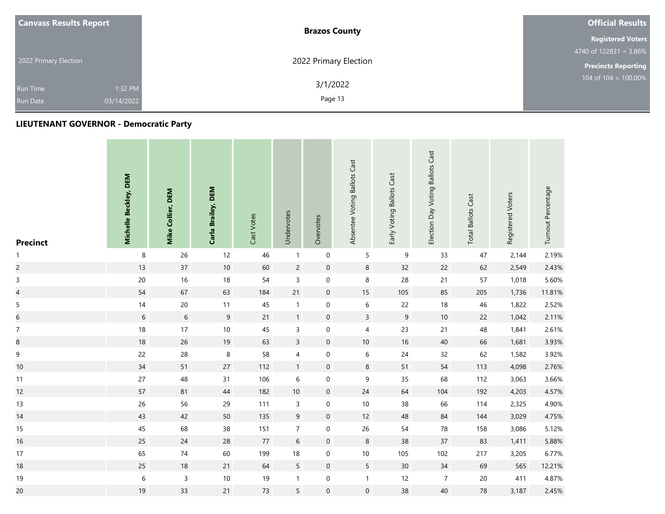| <b>Canvass Results Report</b> | <b>Brazos County</b>  | <b>Official Results</b>    |
|-------------------------------|-----------------------|----------------------------|
|                               |                       | <b>Registered Voters</b>   |
|                               |                       |                            |
| 2022 Primary Election         | 2022 Primary Election | <b>Precincts Reporting</b> |
| 1:32 PM<br><b>Run Time</b>    | 3/1/2022              | 104 of $104 = 100.00\%$    |
| 03/14/2022<br><b>Run Date</b> | Page 13               |                            |

| <b>Precinct</b>          | Michelle Beckley, DEM | Mike Collier, DEM | Carla Brailey, DEM | Cast Votes | Undervotes       | Overvotes           | Absentee Voting Ballots Cast | Early Voting Ballots Cast | Election Day Voting Ballots Cast | <b>Total Ballots Cast</b> | Registered Voters | Turnout Percentage |
|--------------------------|-----------------------|-------------------|--------------------|------------|------------------|---------------------|------------------------------|---------------------------|----------------------------------|---------------------------|-------------------|--------------------|
| $\mathbf{1}$             | $\,8\,$               | 26                | 12                 | 46         | $\mathbf{1}$     | $\mathbf 0$         | 5                            | $\mathsf 9$               | 33                               | 47                        | 2,144             | 2.19%              |
| $\overline{c}$           | 13                    | 37                | $10$               | 60         | $\overline{c}$   | $\boldsymbol{0}$    | 8                            | 32                        | 22                               | 62                        | 2,549             | 2.43%              |
| $\mathsf 3$              | $20\,$                | 16                | $18$               | 54         | $\mathsf 3$      | $\mathbf 0$         | 8                            | 28                        | $21$                             | 57                        | 1,018             | 5.60%              |
| $\overline{\mathcal{L}}$ | 54                    | 67                | 63                 | 184        | 21               | $\boldsymbol{0}$    | $15\,$                       | 105                       | 85                               | 205                       | 1,736             | 11.81%             |
| $\sqrt{5}$               | 14                    | $20\,$            | $11$               | 45         | $\mathbf{1}$     | $\mathbf 0$         | $\,6\,$                      | 22                        | $18\,$                           | 46                        | 1,822             | 2.52%              |
| $\overline{6}$           | $6\,$                 | $\sqrt{6}$        | $\overline{9}$     | 21         | $\mathbf{1}$     | $\boldsymbol{0}$    | $\overline{3}$               | $\overline{9}$            | $10\,$                           | 22                        | 1,042             | 2.11%              |
| $\boldsymbol{7}$         | 18                    | 17                | $10\,$             | 45         | $\mathsf{3}$     | $\mathbf 0$         | $\overline{4}$               | 23                        | 21                               | 48                        | 1,841             | 2.61%              |
| $\bf 8$                  | 18                    | 26                | 19                 | 63         | $\overline{3}$   | $\boldsymbol{0}$    | $10$                         | $16\,$                    | 40                               | 66                        | 1,681             | 3.93%              |
| 9                        | 22                    | 28                | $\,8\,$            | 58         | 4                | $\mathbf 0$         | 6                            | 24                        | 32                               | 62                        | 1,582             | 3.92%              |
| $10$                     | 34                    | 51                | 27                 | 112        | $\mathbf{1}$     | $\mathbf 0$         | $\,8\,$                      | 51                        | 54                               | 113                       | 4,098             | 2.76%              |
| 11                       | $27\,$                | 48                | 31                 | 106        | $\,$ 6 $\,$      | $\boldsymbol{0}$    | 9                            | 35                        | 68                               | 112                       | 3,063             | 3.66%              |
| 12                       | 57                    | 81                | $44$               | 182        | $10\,$           | $\boldsymbol{0}$    | $24$                         | 64                        | $104$                            | 192                       | 4,203             | 4.57%              |
| 13                       | 26                    | 56                | 29                 | 111        | $\mathsf{3}$     | $\boldsymbol{0}$    | $10\,$                       | 38                        | 66                               | 114                       | 2,325             | 4.90%              |
| 14                       | 43                    | 42                | 50                 | 135        | $\boldsymbol{9}$ | $\boldsymbol{0}$    | 12                           | 48                        | 84                               | 144                       | 3,029             | 4.75%              |
| 15                       | 45                    | 68                | 38                 | 151        | $\overline{7}$   | $\mathsf{O}\xspace$ | $26\,$                       | 54                        | ${\bf 78}$                       | 158                       | 3,086             | 5.12%              |
| 16                       | 25                    | 24                | 28                 | $77$       | $\sqrt{6}$       | $\boldsymbol{0}$    | 8                            | 38                        | $37\,$                           | 83                        | 1,411             | 5.88%              |
| 17                       | 65                    | $74$              | 60                 | 199        | $18\,$           | $\mathbf 0$         | $10\,$                       | 105                       | 102                              | 217                       | 3,205             | 6.77%              |
| 18                       | 25                    | $18$              | 21                 | 64         | 5                | $\mathbf 0$         | $5\phantom{.}$               | 30                        | $34$                             | 69                        | 565               | 12.21%             |
| 19                       | $\boldsymbol{6}$      | $\mathsf 3$       | $10\,$             | 19         | $\mathbf{1}$     | $\pmb{0}$           | $\mathbf{1}$                 | 12                        | $\overline{7}$                   | $20\,$                    | 411               | 4.87%              |
| 20                       | 19                    | 33                | 21                 | $73\,$     | 5                | $\mathbf 0$         | $\mathbf 0$                  | 38                        | $40\,$                           | 78                        | 3,187             | 2.45%              |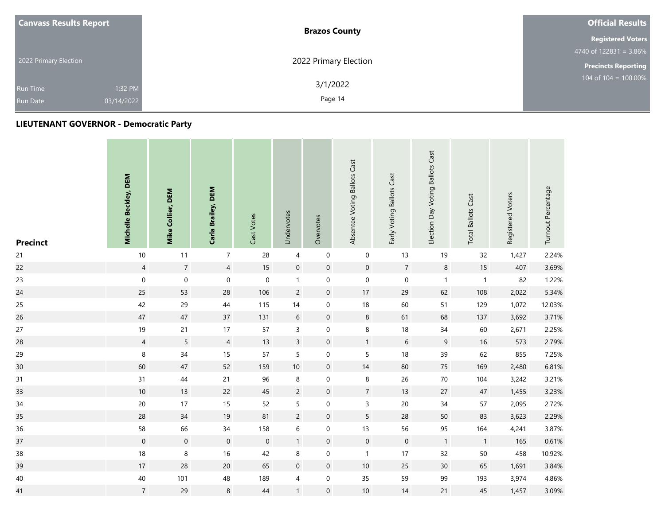| <b>Canvass Results Report</b> | <b>Brazos County</b>  | <b>Official Results</b>                     |
|-------------------------------|-----------------------|---------------------------------------------|
|                               |                       | <b>Registered Voters</b>                    |
|                               |                       |                                             |
| 2022 Primary Election         | 2022 Primary Election | <b>Precincts Reporting</b>                  |
| 1:32 PM<br><b>Run Time</b>    | 3/1/2022              | $104 \overline{\text{ of } 104} = 100.00\%$ |
| 03/14/2022<br><b>Run Date</b> | Page 14               |                                             |

| <b>Precinct</b> | Michelle Beckley, DEM | Mike Collier, DEM   | Carla Brailey, DEM  | Cast Votes          | Undervotes       | Overvotes        | Absentee Voting Ballots Cast | Early Voting Ballots Cast | Election Day Voting Ballots Cast | <b>Total Ballots Cast</b> | Registered Voters | Turnout Percentage |
|-----------------|-----------------------|---------------------|---------------------|---------------------|------------------|------------------|------------------------------|---------------------------|----------------------------------|---------------------------|-------------------|--------------------|
| 21              | $10$                  | 11                  | $\overline{7}$      | 28                  | $\overline{4}$   | $\pmb{0}$        | $\mathbf 0$                  | 13                        | 19                               | 32                        | 1,427             | 2.24%              |
| 22              | $\overline{4}$        | $\overline{7}$      | $\overline{4}$      | $15\,$              | $\boldsymbol{0}$ | $\boldsymbol{0}$ | $\boldsymbol{0}$             | $\overline{7}$            | $\bf 8$                          | 15                        | 407               | 3.69%              |
| 23              | $\pmb{0}$             | $\pmb{0}$           | $\pmb{0}$           | $\mathbf 0$         | $\mathbf{1}$     | $\mathbf 0$      | $\pmb{0}$                    | $\pmb{0}$                 | $\mathbf{1}$                     | $\overline{\mathbf{1}}$   | 82                | 1.22%              |
| 24              | 25                    | 53                  | 28                  | 106                 | $\overline{c}$   | $\mathbf 0$      | 17                           | 29                        | 62                               | 108                       | 2,022             | 5.34%              |
| 25              | 42                    | 29                  | 44                  | 115                 | 14               | $\boldsymbol{0}$ | 18                           | 60                        | 51                               | 129                       | 1,072             | 12.03%             |
| 26              | $47\,$                | $47\,$              | 37                  | 131                 | $\boldsymbol{6}$ | $\boldsymbol{0}$ | $\,8\,$                      | 61                        | 68                               | 137                       | 3,692             | 3.71%              |
| 27              | 19                    | $21$                | 17                  | 57                  | $\mathsf{3}$     | $\mathbf 0$      | $\,8\,$                      | $18\,$                    | $34$                             | 60                        | 2,671             | 2.25%              |
| 28              | $\overline{4}$        | 5                   | $\overline{4}$      | 13                  | $\mathsf{3}$     | $\boldsymbol{0}$ | $\mathbf{1}$                 | $6\phantom{a}$            | 9                                | 16                        | 573               | 2.79%              |
| 29              | $\,8\,$               | 34                  | 15                  | 57                  | 5                | $\mathbf 0$      | 5                            | $18\,$                    | 39                               | 62                        | 855               | 7.25%              |
| 30              | 60                    | $47\,$              | 52                  | 159                 | $10\,$           | $\boldsymbol{0}$ | $14$                         | $80\,$                    | 75                               | 169                       | 2,480             | 6.81%              |
| 31              | 31                    | $44\,$              | 21                  | 96                  | 8                | $\mathbf 0$      | $\,8\,$                      | 26                        | $70\,$                           | 104                       | 3,242             | 3.21%              |
| 33              | $10\,$                | 13                  | 22                  | 45                  | $\overline{2}$   | $\boldsymbol{0}$ | $\overline{7}$               | 13                        | 27                               | $47\,$                    | 1,455             | 3.23%              |
| $34$            | $20\,$                | 17                  | 15                  | 52                  | 5                | $\mathbf 0$      | $\mathsf{3}$                 | $20\,$                    | $34\,$                           | 57                        | 2,095             | 2.72%              |
| 35              | 28                    | 34                  | $19$                | 81                  | $\overline{c}$   | $\mathbf 0$      | $5\overline{)}$              | 28                        | $50\,$                           | 83                        | 3,623             | 2.29%              |
| 36              | 58                    | 66                  | $34$                | 158                 | $\,$ 6 $\,$      | $\boldsymbol{0}$ | 13                           | 56                        | 95                               | 164                       | 4,241             | 3.87%              |
| 37              | $\boldsymbol{0}$      | $\mathsf{O}\xspace$ | $\mathsf{O}\xspace$ | $\mathsf{O}\xspace$ | $\mathbf{1}$     | $\boldsymbol{0}$ | $\mathbf 0$                  | $\mathsf{O}\xspace$       | $\mathbf{1}$                     | $\overline{1}$            | 165               | 0.61%              |
| $38\,$          | 18                    | $\,8\,$             | 16                  | 42                  | 8                | $\mathbf 0$      | $\mathbf{1}$                 | 17                        | 32                               | 50                        | 458               | 10.92%             |
| 39              | $17\,$                | 28                  | $20\,$              | 65                  | $\boldsymbol{0}$ | $\boldsymbol{0}$ | $10\,$                       | 25                        | $30\,$                           | 65                        | 1,691             | 3.84%              |
| 40              | 40                    | 101                 | 48                  | 189                 | $\overline{4}$   | $\mathbf 0$      | 35                           | 59                        | 99                               | 193                       | 3,974             | 4.86%              |
| 41              | $\overline{7}$        | 29                  | 8                   | 44                  | $\mathbf{1}$     | $\boldsymbol{0}$ | $10\,$                       | 14                        | 21                               | 45                        | 1,457             | 3.09%              |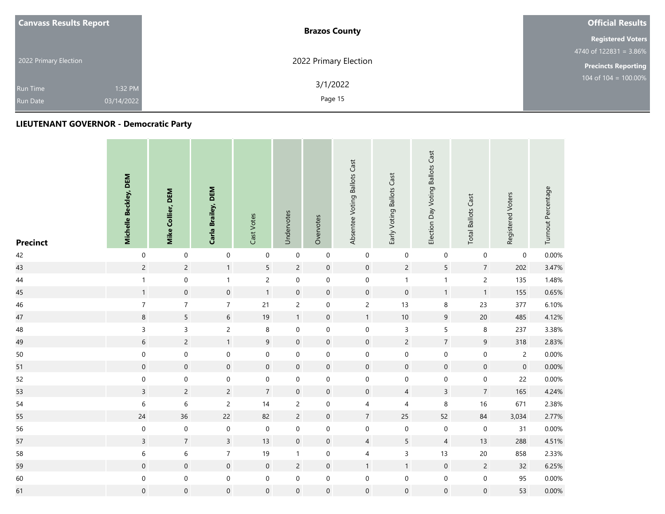| <b>Canvass Results Report</b> | <b>Brazos County</b>  | <b>Official Results</b>                       |
|-------------------------------|-----------------------|-----------------------------------------------|
|                               |                       | <b>Registered Voters</b>                      |
|                               |                       | $4740 \overline{\text{ of } 122831} = 3.86\%$ |
| 2022 Primary Election         | 2022 Primary Election | <b>Precincts Reporting</b>                    |
| 1:32 PM<br><b>Run Time</b>    | 3/1/2022              | 104 of $104 = 100.00\%$                       |
| 03/14/2022<br><b>Run Date</b> | Page 15               |                                               |

| <b>Precinct</b> | Michelle Beckley, DEM | Mike Collier, DEM   | Carla Brailey, DEM  | Cast Votes       | Undervotes          | Overvotes           | Absentee Voting Ballots Cast | Early Voting Ballots Cast | Election Day Voting Ballots Cast | <b>Total Ballots Cast</b> | Registered Voters   | Turnout Percentage |
|-----------------|-----------------------|---------------------|---------------------|------------------|---------------------|---------------------|------------------------------|---------------------------|----------------------------------|---------------------------|---------------------|--------------------|
| 42              | $\boldsymbol{0}$      | $\mathbf 0$         | $\mathbf 0$         | $\mathbf 0$      | $\pmb{0}$           | $\mathbf 0$         | $\pmb{0}$                    | $\pmb{0}$                 | $\boldsymbol{0}$                 | $\boldsymbol{0}$          | 0                   | 0.00%              |
| 43              | $\overline{c}$        | $\overline{2}$      | 1                   | $\sqrt{5}$       | $\overline{c}$      | $\mathbf 0$         | $\mathbf 0$                  | $\overline{c}$            | 5                                | $\overline{7}$            | 202                 | 3.47%              |
| 44              | $\mathbf{1}$          | $\mathbf 0$         | $\mathbf{1}$        | $\sqrt{2}$       | $\mathbf 0$         | $\mathbf 0$         | $\mathbf 0$                  | $\mathbf{1}$              | $\mathbf 1$                      | $\mathsf{2}\,$            | 135                 | 1.48%              |
| 45              | $\mathbf{1}$          | $\pmb{0}$           | $\mathsf{O}\xspace$ | $\mathbf{1}$     | $\pmb{0}$           | $\mathbf 0$         | $\mathbf 0$                  | $\mathbf 0$               | $\mathbf{1}$                     | $\mathbf{1}$              | 155                 | 0.65%              |
| 46              | $\boldsymbol{7}$      | $\boldsymbol{7}$    | $\overline{7}$      | 21               | $\overline{c}$      | $\mathbf 0$         | $\overline{c}$               | $13$                      | $\,$ 8 $\,$                      | 23                        | 377                 | 6.10%              |
| 47              | $\,8\,$               | 5                   | $6\,$               | $19$             | $\mathbf{1}$        | $\mathbf 0$         | $\mathbf{1}$                 | $10\,$                    | $\overline{9}$                   | $20\,$                    | 485                 | 4.12%              |
| 48              | $\overline{3}$        | $\overline{3}$      | $\overline{2}$      | $\,8\,$          | $\mathbf 0$         | $\mathsf{O}\xspace$ | $\mathbf 0$                  | 3                         | 5                                | $\,$ 8 $\,$               | 237                 | 3.38%              |
| 49              | $6\,$                 | $\overline{c}$      | $\mathbf{1}$        | $\overline{9}$   | $\pmb{0}$           | $\mathbf 0$         | $\mathbf 0$                  | $\overline{c}$            | $\overline{7}$                   | $\overline{9}$            | 318                 | 2.83%              |
| $50\,$          | $\mathbf 0$           | $\mathbf 0$         | $\mathbf 0$         | $\mathbf 0$      | $\mathbf 0$         | $\mathbf 0$         | $\mathbf 0$                  | $\mathbf 0$               | $\mathbf 0$                      | $\mbox{O}$                | $\overline{2}$      | 0.00%              |
| 51              | $\mathbf 0$           | $\mathbf 0$         | $\boldsymbol{0}$    | $\mathbf 0$      | $\mathbf 0$         | $\mathbf 0$         | $\mathbf 0$                  | $\mathsf{O}\xspace$       | $\pmb{0}$                        | $\mathbf 0$               | $\mathsf{O}\xspace$ | 0.00%              |
| 52              | $\mathbf 0$           | $\mathbf 0$         | $\boldsymbol{0}$    | $\mathbf 0$      | $\boldsymbol{0}$    | $\mathbf 0$         | $\mathbf 0$                  | $\mathbf 0$               | $\boldsymbol{0}$                 | $\mathbf 0$               | 22                  | 0.00%              |
| 53              | $\overline{3}$        | $\overline{c}$      | $\overline{c}$      | $\boldsymbol{7}$ | $\mathbf 0$         | $\mathsf{O}\xspace$ | $\mathbf 0$                  | $\overline{4}$            | $\overline{\mathbf{3}}$          | $\boldsymbol{7}$          | 165                 | 4.24%              |
| 54              | $\boldsymbol{6}$      | $\,$ 6 $\,$         | $\overline{c}$      | $14$             | $\overline{c}$      | $\mathbf 0$         | $\overline{\mathcal{A}}$     | $\sqrt{4}$                | $\,8\,$                          | 16                        | 671                 | 2.38%              |
| 55              | $24$                  | 36                  | $22\,$              | 82               | $\overline{c}$      | $\mathbf 0$         | $\sqrt{7}$                   | 25                        | 52                               | 84                        | 3,034               | 2.77%              |
| 56              | $\mathbf 0$           | $\mathbf 0$         | $\boldsymbol{0}$    | $\mathbf 0$      | $\boldsymbol{0}$    | $\mathbf 0$         | $\mathbf 0$                  | $\pmb{0}$                 | $\boldsymbol{0}$                 | $\boldsymbol{0}$          | 31                  | 0.00%              |
| 57              | $\overline{3}$        | $\overline{7}$      | $\mathsf{3}$        | 13               | $\mathsf{O}\xspace$ | $\mathbf 0$         | $\overline{4}$               | 5                         | $\overline{4}$                   | 13                        | 288                 | 4.51%              |
| 58              | $\,$ 6 $\,$           | $\,$ 6 $\,$         | $\overline{7}$      | $19$             | $\mathbf{1}$        | $\mathbf 0$         | $\overline{\mathcal{A}}$     | $\mathsf{3}$              | 13                               | 20                        | 858                 | 2.33%              |
| 59              | $\mathbf 0$           | $\mathsf{O}\xspace$ | $\mathsf{O}\xspace$ | $\mathbf 0$      | $\overline{c}$      | $\mathbf 0$         | $\mathbf{1}$                 | $\overline{1}$            | $\mathsf{O}$                     | $\overline{c}$            | 32                  | 6.25%              |
| 60              | $\mathbf 0$           | $\mathbf 0$         | $\boldsymbol{0}$    | $\mathbf 0$      | $\mathbf 0$         | $\mathbf 0$         | $\pmb{0}$                    | $\mathbf 0$               | $\boldsymbol{0}$                 | $\pmb{0}$                 | 95                  | 0.00%              |
| 61              | $\pmb{0}$             | $\mathbf 0$         | $\boldsymbol{0}$    | $\mathbf 0$      | $\mathsf{O}\xspace$ | $\mathbf 0$         | $\mathbf 0$                  | 0                         | $\mathsf{O}\xspace$              | $\mathbf 0$               | 53                  | $0.00\%$           |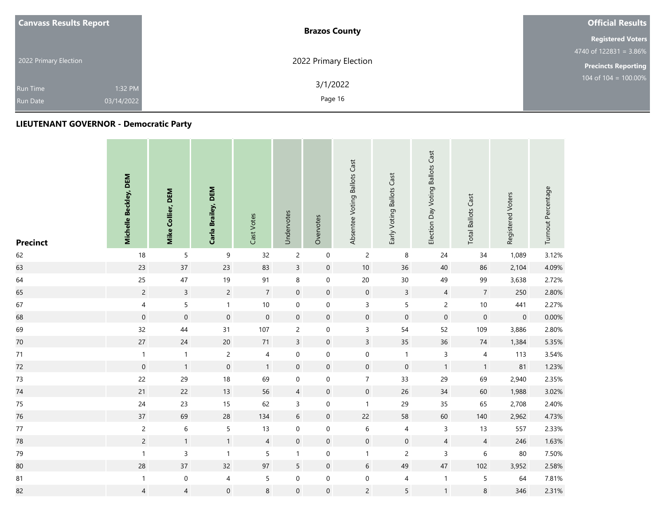| <b>Canvass Results Report</b> |            | <b>Brazos County</b>  | <b>Official Results</b>                     |
|-------------------------------|------------|-----------------------|---------------------------------------------|
|                               |            |                       | <b>Registered Voters</b>                    |
|                               |            |                       | 4740 of $122831 = 3.86\%$                   |
| 2022 Primary Election         |            | 2022 Primary Election | <b>Precincts Reporting</b>                  |
| Run Time                      | 1:32 PM    | 3/1/2022              | $104 \overline{\text{ of } 104} = 100.00\%$ |
| <b>Run Date</b>               | 03/14/2022 | Page 16               |                                             |

| <b>Precinct</b> | Michelle Beckley, DEM | Mike Collier, DEM | Carla Brailey, DEM  | Cast Votes     | Undervotes          | Overvotes           | Absentee Voting Ballots Cast | Early Voting Ballots Cast | Election Day Voting Ballots Cast | <b>Total Ballots Cast</b> | Registered Voters   | Turnout Percentage |
|-----------------|-----------------------|-------------------|---------------------|----------------|---------------------|---------------------|------------------------------|---------------------------|----------------------------------|---------------------------|---------------------|--------------------|
| 62              | 18                    | 5                 | $\boldsymbol{9}$    | 32             | $\overline{c}$      | $\mathbf 0$         | $\overline{c}$               | 8                         | 24                               | 34                        | 1,089               | 3.12%              |
| 63              | 23                    | 37                | 23                  | 83             | $\overline{3}$      | $\mathbf 0$         | $10\,$                       | 36                        | 40                               | 86                        | 2,104               | 4.09%              |
| 64              | 25                    | 47                | 19                  | 91             | 8                   | $\mathbf 0$         | $20\,$                       | $30\,$                    | 49                               | 99                        | 3,638               | 2.72%              |
| 65              | $\overline{c}$        | $\overline{3}$    | $\overline{c}$      | $\overline{7}$ | $\mathbf 0$         | $\mathbf 0$         | $\boldsymbol{0}$             | $\mathsf{3}$              | $\overline{4}$                   | $\overline{7}$            | 250                 | 2.80%              |
| 67              | $\overline{4}$        | $\overline{5}$    | $\mathbf{1}$        | $10\,$         | $\mathbf 0$         | $\mathbf 0$         | $\mathsf{3}$                 | 5                         | $\overline{c}$                   | $10\,$                    | 441                 | 2.27%              |
| 68              | $\mathsf{O}\xspace$   | $\mathbf 0$       | $\mathsf{O}\xspace$ | $\mathbf 0$    | $\mathbf 0$         | $\mathbf 0$         | $\mathbf 0$                  | $\pmb{0}$                 | $\mathbf 0$                      | $\mathbf 0$               | $\mathsf{O}\xspace$ | 0.00%              |
| 69              | 32                    | $44$              | 31                  | 107            | $\overline{c}$      | $\mathbf 0$         | $\mathsf 3$                  | 54                        | 52                               | 109                       | 3,886               | 2.80%              |
| 70              | 27                    | 24                | 20                  | $71$           | $\overline{3}$      | $\mathbf 0$         | $\overline{3}$               | 35                        | 36                               | $74\,$                    | 1,384               | 5.35%              |
| 71              | $\mathbf{1}$          | $\mathbf{1}$      | $\overline{c}$      | $\overline{4}$ | 0                   | $\boldsymbol{0}$    | $\mathbf 0$                  | $\mathbf{1}$              | $\mathsf{3}$                     | 4                         | 113                 | 3.54%              |
| 72              | $\mathbf 0$           | $\mathbf{1}$      | $\pmb{0}$           | $\mathbf{1}$   | $\mathbf 0$         | $\mathbf 0$         | $\boldsymbol{0}$             | $\pmb{0}$                 | $\mathbf{1}$                     | $\mathbf{1}$              | 81                  | 1.23%              |
| 73              | 22                    | 29                | 18                  | 69             | $\mathbf 0$         | $\mathbf 0$         | $\overline{7}$               | 33                        | 29                               | 69                        | 2,940               | 2.35%              |
| 74              | 21                    | 22                | 13                  | 56             | $\overline{4}$      | $\mathbf 0$         | $\boldsymbol{0}$             | 26                        | $34\,$                           | 60                        | 1,988               | 3.02%              |
| 75              | 24                    | 23                | 15                  | 62             | $\mathsf{3}$        | $\mathbf 0$         | $\mathbf{1}$                 | 29                        | 35                               | 65                        | 2,708               | 2.40%              |
| 76              | 37                    | 69                | 28                  | 134            | $\sqrt{6}$          | $\boldsymbol{0}$    | 22                           | 58                        | 60                               | 140                       | 2,962               | 4.73%              |
| $77$            | $\overline{c}$        | $\,$ 6 $\,$       | 5                   | 13             | $\mathbf 0$         | $\mathbf 0$         | $\,$ 6 $\,$                  | $\overline{4}$            | $\mathsf{3}$                     | 13                        | 557                 | 2.33%              |
| 78              | $\overline{c}$        | $\mathbf{1}$      | $\mathbf{1}$        | $\overline{4}$ | $\pmb{0}$           | $\mathbf 0$         | $\mathbf 0$                  | $\boldsymbol{0}$          | $\overline{4}$                   | $\overline{4}$            | 246                 | 1.63%              |
| 79              | $\mathbf{1}$          | $\overline{3}$    | $\mathbf{1}$        | 5              | $\mathbf{1}$        | $\mathbf 0$         | $\mathbf{1}$                 | $\overline{c}$            | $\overline{3}$                   | $\,$ 6 $\,$               | 80                  | 7.50%              |
| 80              | 28                    | 37                | 32                  | 97             | 5                   | $\mathbf 0$         | 6                            | 49                        | $47\,$                           | 102                       | 3,952               | 2.58%              |
| ${\bf 81}$      | $\mathbf{1}$          | $\boldsymbol{0}$  | $\overline{4}$      | $\mathsf S$    | $\mathbf 0$         | $\mathbf 0$         | $\boldsymbol{0}$             | 4                         | $\mathbf{1}$                     | $\sqrt{5}$                | 64                  | 7.81%              |
| 82              | $\overline{4}$        | $\overline{4}$    | $\mathsf{O}\xspace$ | $\,8\,$        | $\mathsf{O}\xspace$ | $\mathsf{O}\xspace$ | $\overline{c}$               | 5                         | $\mathbf{1}$                     | $\,8\,$                   | 346                 | 2.31%              |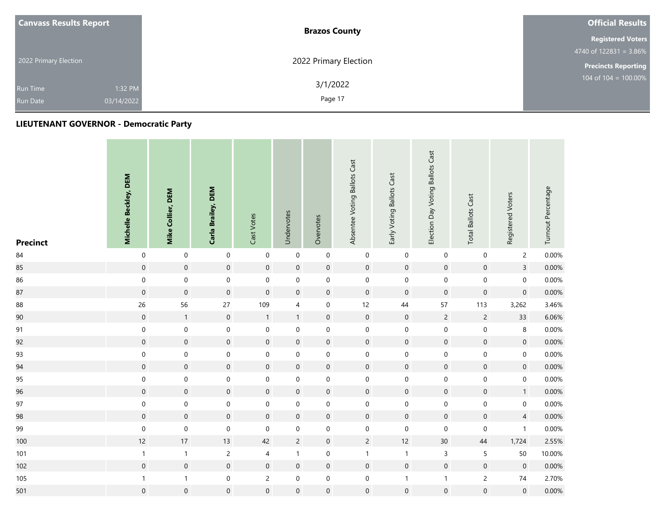| <b>Canvass Results Report</b> | <b>Brazos County</b>  | <b>Official Results</b>    |
|-------------------------------|-----------------------|----------------------------|
|                               |                       | <b>Registered Voters</b>   |
|                               |                       | 4740 of $122831 = 3.86\%$  |
| 2022 Primary Election         | 2022 Primary Election | <b>Precincts Reporting</b> |
| 1:32 PM<br><b>Run Time</b>    | 3/1/2022              | 104 of $104 = 100.00\%$    |
| 03/14/2022<br><b>Run Date</b> | Page 17               |                            |

| <b>Precinct</b> | Michelle Beckley, DEM | Mike Collier, DEM | Carla Brailey, DEM  | Cast Votes     | Undervotes       | Overvotes           | Absentee Voting Ballots Cast | Early Voting Ballots Cast | Election Day Voting Ballots Cast | <b>Total Ballots Cast</b> | Registered Voters   | Turnout Percentage |
|-----------------|-----------------------|-------------------|---------------------|----------------|------------------|---------------------|------------------------------|---------------------------|----------------------------------|---------------------------|---------------------|--------------------|
| 84              | $\mathbf 0$           | $\mathbf 0$       | $\mathbf 0$         | $\mathbf 0$    | $\pmb{0}$        | $\mathbf 0$         | $\mathbf 0$                  | $\mathbf 0$               | $\mathbf 0$                      | $\pmb{0}$                 | $\overline{2}$      | 0.00%              |
| 85              | $\boldsymbol{0}$      | $\mathbf 0$       | $\mathsf{O}\xspace$ | $\mathbf 0$    | $\mathbf 0$      | $\mathbf 0$         | $\mathbf 0$                  | $\mathbf 0$               | $\mathbf 0$                      | $\mathsf{O}\xspace$       | $\overline{3}$      | 0.00%              |
| 86              | $\mathbf 0$           | $\mathbf 0$       | $\boldsymbol{0}$    | $\mathbf 0$    | $\mathbf 0$      | $\mathsf{O}\xspace$ | $\mathbf 0$                  | $\mathbf 0$               | $\mathbf 0$                      | $\mathbf 0$               | $\mathsf{O}\xspace$ | 0.00%              |
| 87              | $\mathbf 0$           | $\mathbf 0$       | $\pmb{0}$           | $\mathbf 0$    | $\mathbf 0$      | $\mathbf 0$         | $\mathbf 0$                  | $\boldsymbol{0}$          | $\mathbf 0$                      | $\mathbf 0$               | $\pmb{0}$           | $0.00\%$           |
| 88              | 26                    | 56                | 27                  | 109            | $\overline{4}$   | $\mathsf{O}\xspace$ | 12                           | $44\,$                    | 57                               | 113                       | 3,262               | 3.46%              |
| 90              | $\boldsymbol{0}$      | $\mathbf{1}$      | $\boldsymbol{0}$    | $\mathbf{1}$   | $\mathbf{1}$     | $\boldsymbol{0}$    | $\mathbf 0$                  | $\boldsymbol{0}$          | $\overline{2}$                   | $\overline{c}$            | 33                  | 6.06%              |
| 91              | $\mathbf 0$           | $\mathbf 0$       | $\boldsymbol{0}$    | $\mathbf 0$    | $\mathbf 0$      | $\mathsf{O}\xspace$ | $\mathbf 0$                  | $\mathbf 0$               | $\mathbf 0$                      | $\mathbf 0$               | 8                   | 0.00%              |
| 92              | $\mathbf 0$           | $\mathbf 0$       | $\mathsf{O}\xspace$ | $\mathbf 0$    | $\mathbf 0$      | $\mathbf 0$         | $\mathbf 0$                  | $\mathbf 0$               | $\mathbf 0$                      | $\mathbf 0$               | $\mathsf{O}\xspace$ | 0.00%              |
| 93              | $\mathbf 0$           | $\mathbf 0$       | $\boldsymbol{0}$    | $\mathbf 0$    | $\mathbf 0$      | $\mathsf{O}\xspace$ | $\mathbf 0$                  | $\mathbf 0$               | $\mathbf 0$                      | $\mathbf 0$               | $\mathsf{O}\xspace$ | 0.00%              |
| 94              | $\boldsymbol{0}$      | $\mathbf 0$       | $\pmb{0}$           | $\mathbf 0$    | $\mathbf 0$      | $\mathbf 0$         | $\mathbf 0$                  | $\boldsymbol{0}$          | $\mathbf 0$                      | $\mathbf 0$               | $\mathbf 0$         | 0.00%              |
| 95              | $\mathbf 0$           | $\mathbf 0$       | 0                   | $\mathbf 0$    | $\pmb{0}$        | $\pmb{0}$           | $\boldsymbol{0}$             | 0                         | $\mathbf 0$                      | 0                         | 0                   | 0.00%              |
| 96              | $\boldsymbol{0}$      | $\mathbf 0$       | $\mathbf 0$         | $\mathbf 0$    | $\mathbf 0$      | $\mathbf 0$         | $\mathbf 0$                  | $\mathbf 0$               | $\mathsf{O}\xspace$              | $\mathbf 0$               | $\mathbf{1}$        | 0.00%              |
| 97              | $\mathbf 0$           | $\boldsymbol{0}$  | $\boldsymbol{0}$    | $\mathbf 0$    | $\mathbf 0$      | $\mathsf{O}\xspace$ | $\mathbf 0$                  | $\mathbf 0$               | $\mathbf 0$                      | $\mathbf 0$               | $\mathsf{O}\xspace$ | 0.00%              |
| 98              | $\mathbf 0$           | $\mathbf 0$       | $\mathsf{O}\xspace$ | $\mathbf 0$    | $\mathbf 0$      | $\mathbf 0$         | $\mathbf 0$                  | $\mathbf 0$               | $\mathbf 0$                      | $\mathsf{O}\xspace$       | $\overline{4}$      | 0.00%              |
| 99              | $\mathbf 0$           | $\mathbf 0$       | $\boldsymbol{0}$    | $\mathbf 0$    | $\mathbf 0$      | $\boldsymbol{0}$    | $\boldsymbol{0}$             | $\mathbf 0$               | $\pmb{0}$                        | $\mathbf 0$               | $\mathbf{1}$        | 0.00%              |
| 100             | 12                    | $17\,$            | 13                  | 42             | $\overline{c}$   | $\boldsymbol{0}$    | $\overline{c}$               | $12$                      | $30\,$                           | $44\,$                    | 1,724               | 2.55%              |
| 101             | $\mathbf{1}$          | $\mathbf{1}$      | $\overline{c}$      | $\overline{4}$ | $\mathbf{1}$     | $\mathsf{O}\xspace$ | $\mathbf{1}$                 | $\mathbf{1}$              | $\mathsf 3$                      | 5                         | 50                  | 10.00%             |
| 102             | $\mathbf 0$           | $\mathbf 0$       | $\mathsf{O}\xspace$ | $\mathbf 0$    | $\mathbf 0$      | $\mathbf 0$         | $\mathbf 0$                  | $\mathbf 0$               | $\mathsf{O}\xspace$              | $\boldsymbol{0}$          | $\pmb{0}$           | 0.00%              |
| 105             | $\mathbf 1$           | $\mathbf{1}$      | $\boldsymbol{0}$    | $\overline{2}$ | $\mathbf 0$      | $\mathsf{O}\xspace$ | $\mathbf 0$                  | $\mathbf{1}$              | $\mathbf{1}$                     | $\overline{c}$            | $74$                | 2.70%              |
| 501             | $\boldsymbol{0}$      | $\mathbf 0$       | $\mathsf{O}\xspace$ | $\mathbf 0$    | $\boldsymbol{0}$ | $\boldsymbol{0}$    | $\mathbf 0$                  | $\boldsymbol{0}$          | $\boldsymbol{0}$                 | $\mathbf 0$               | $\mathbf 0$         | $0.00\%$           |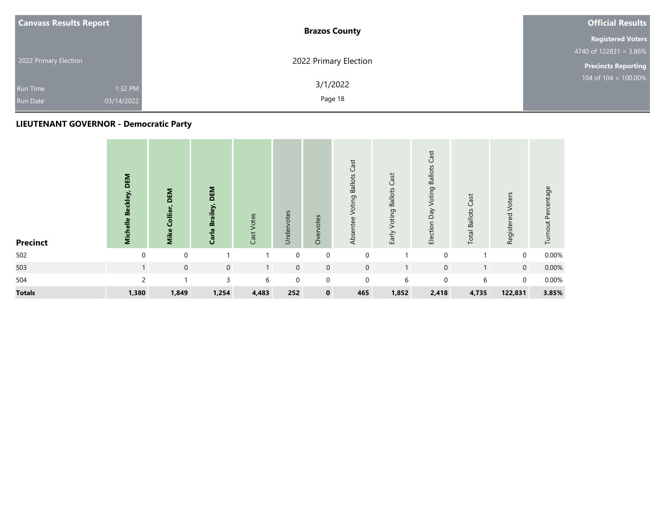| <b>Canvass Results Report</b>                               | <b>Brazos County</b>  | <b>Official Results</b>    |
|-------------------------------------------------------------|-----------------------|----------------------------|
|                                                             |                       | <b>Registered Voters</b>   |
|                                                             |                       | $4740$ of 122831 = 3.86%   |
| 2022 Primary Election                                       | 2022 Primary Election | <b>Precincts Reporting</b> |
| 1:32 PM<br><b>Run Time</b><br>03/14/2022<br><b>Run Date</b> | 3/1/2022<br>Page 18   | 104 of $104 = 100.00\%$    |

| <b>Precinct</b> | DEM<br>Michelle Beckley, | DEM<br>Mike Collier, | DEM<br>Carla Brailey, | Cast Votes   | Undervotes  | otes<br>Overv | <b>Voting Ballots Cast</b><br>Absentee | Early Voting Ballots Cast | Election Day Voting Ballots Cast | <b>Total Ballots Cast</b> | Registered Voters | Turnout Percentage |
|-----------------|--------------------------|----------------------|-----------------------|--------------|-------------|---------------|----------------------------------------|---------------------------|----------------------------------|---------------------------|-------------------|--------------------|
| 502             | $\mathbf 0$              | $\mathbf 0$          |                       |              | $\mathbf 0$ | $\mathbf 0$   | $\mathbf 0$                            |                           | $\Omega$                         |                           | $\mathbf 0$       | 0.00%              |
| 503             | 1                        | $\mathbf 0$          | $\mathbf 0$           | $\mathbf{1}$ | $\mathbf 0$ | $\mathbf 0$   | $\mathbf 0$                            |                           | $\mathbf 0$                      |                           | $\overline{0}$    | 0.00%              |
| 504             | $\mathfrak{p}$           |                      | $\overline{3}$        | 6            | $\mathbf 0$ | $\mathbf 0$   | $\mathbf 0$                            | 6                         | $\Omega$                         | 6                         | $\mathbf 0$       | 0.00%              |
| <b>Totals</b>   | 1,380                    | 1,849                | 1,254                 | 4,483        | 252         | $\mathbf 0$   | 465                                    | 1,852                     | 2,418                            | 4,735                     | 122,831           | 3.85%              |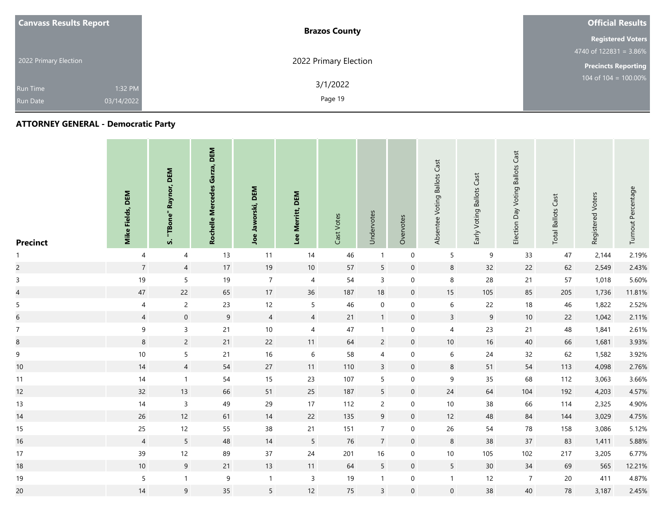| <b>Canvass Results Report</b> |            | <b>Brazos County</b>  | <b>Official Results</b>    |
|-------------------------------|------------|-----------------------|----------------------------|
|                               |            |                       | <b>Registered Voters</b>   |
|                               |            |                       | 4740 of $122831 = 3.86\%$  |
| 2022 Primary Election         |            | 2022 Primary Election | <b>Precincts Reporting</b> |
| Run Time                      | 1:32 PM    | 3/1/2022              | 104 of $104 = 100.00\%$    |
| <b>Run Date</b>               | 03/14/2022 | Page 19               |                            |

| <b>Precinct</b> | Mike Fields, DEM | Raynor, DEM<br>"TBone"<br>n. | DEM<br>Garza,<br>Rochelle Mercedes | DEM<br>Jaworski,<br>Joe | DEM<br>Merritt,<br>Lee | Cast Votes | Undervotes      | Overvotes        | Absentee Voting Ballots Cast | Early Voting Ballots Cast | <b>Ballots Cast</b><br>Election Day Voting | Cast<br><b>Ballots</b><br>Total | Registered Voters | Turnout Percentage |
|-----------------|------------------|------------------------------|------------------------------------|-------------------------|------------------------|------------|-----------------|------------------|------------------------------|---------------------------|--------------------------------------------|---------------------------------|-------------------|--------------------|
| 1               | 4                | 4                            | 13                                 | 11                      | 14                     | 46         | $\mathbf{1}$    | $\boldsymbol{0}$ | 5                            | 9                         | 33                                         | 47                              | 2,144             | 2.19%              |
| $\overline{c}$  | $\overline{7}$   | $\overline{4}$               | $17$                               | 19                      | 10                     | 57         | 5               | $\mathbf 0$      | $\bf 8$                      | 32                        | 22                                         | 62                              | 2,549             | 2.43%              |
| $\overline{3}$  | $19$             | $\overline{5}$               | 19                                 | $\overline{7}$          | $\overline{4}$         | 54         | $\overline{3}$  | $\mathbf 0$      | $\,8\,$                      | 28                        | 21                                         | 57                              | 1,018             | 5.60%              |
| $\overline{a}$  | $47\,$           | 22                           | 65                                 | 17                      | 36                     | 187        | 18              | $\mathbf 0$      | 15                           | 105                       | 85                                         | 205                             | 1,736             | 11.81%             |
| 5               | 4                | $\overline{2}$               | 23                                 | 12                      | $5\overline{)}$        | 46         | $\mathbf 0$     | 0                | 6                            | 22                        | 18                                         | 46                              | 1,822             | 2.52%              |
| $6\,$           | $\overline{4}$   | $\overline{0}$               | 9                                  | $\overline{4}$          | $\overline{4}$         | 21         | $\mathbf{1}$    | $\mathbf 0$      | $\mathsf{3}$                 | 9                         | 10                                         | 22                              | 1,042             | 2.11%              |
| $\overline{7}$  | $\boldsymbol{9}$ | $\mathsf{3}$                 | 21                                 | $10\,$                  | $\overline{4}$         | 47         | $\mathbf{1}$    | $\mathbf 0$      | $\overline{4}$               | 23                        | 21                                         | 48                              | 1,841             | 2.61%              |
| $\bf8$          | 8                | $\overline{2}$               | 21                                 | 22                      | 11                     | 64         | $\overline{2}$  | $\overline{0}$   | 10                           | 16                        | 40                                         | 66                              | 1,681             | 3.93%              |
| $\overline{9}$  | $10\,$           | 5                            | 21                                 | $16\,$                  | 6                      | 58         | $\overline{4}$  | $\mathbf 0$      | $\,6\,$                      | 24                        | 32                                         | 62                              | 1,582             | 3.92%              |
| 10              | 14               | $\overline{4}$               | 54                                 | 27                      | 11                     | 110        | $\mathsf{3}$    | $\mathbf 0$      | $\bf8$                       | 51                        | 54                                         | 113                             | 4,098             | 2.76%              |
| 11              | 14               | $\mathbf{1}$                 | 54                                 | 15                      | 23                     | 107        | 5               | 0                | 9                            | 35                        | 68                                         | 112                             | 3,063             | 3.66%              |
| 12              | 32               | 13                           | 66                                 | 51                      | 25                     | 187        | $5\phantom{.0}$ | $\mathbf 0$      | 24                           | 64                        | 104                                        | 192                             | 4,203             | 4.57%              |
| 13              | 14               | $\overline{3}$               | 49                                 | 29                      | 17                     | 112        | $\overline{2}$  | $\mathbf 0$      | 10                           | 38                        | 66                                         | 114                             | 2,325             | 4.90%              |
| 14              | 26               | 12                           | 61                                 | 14                      | 22                     | 135        | 9               | $\mathbf 0$      | 12                           | 48                        | 84                                         | 144                             | 3,029             | 4.75%              |
| 15              | 25               | 12                           | 55                                 | $38\,$                  | 21                     | 151        | $\overline{7}$  | $\mathbf 0$      | 26                           | 54                        | 78                                         | 158                             | 3,086             | 5.12%              |
| 16              | $\overline{4}$   | $5\phantom{.0}$              | 48                                 | 14                      | $5\phantom{.0}$        | 76         | $\overline{7}$  | $\mathbf 0$      | $\,8\,$                      | 38                        | 37                                         | 83                              | 1,411             | 5.88%              |
| 17              | 39               | 12                           | 89                                 | $37\,$                  | 24                     | 201        | 16              | $\mathbf 0$      | 10                           | 105                       | 102                                        | 217                             | 3,205             | 6.77%              |
| 18              | $10\,$           | 9                            | 21                                 | 13                      | 11                     | 64         | $5\phantom{.0}$ | $\mathbf 0$      | $5\phantom{.0}$              | 30                        | 34                                         | 69                              | 565               | 12.21%             |
| 19              | $\sqrt{5}$       | $\mathbf{1}$                 | $\boldsymbol{9}$                   | $\mathbf{1}$            | $\mathbf{3}$           | 19         | $\mathbf{1}$    | $\mathbf 0$      | $\mathbf{1}$                 | 12                        | $\overline{7}$                             | 20                              | 411               | 4.87%              |
| 20              | 14               | $\overline{9}$               | 35                                 | 5                       | 12                     | 75         | $\mathsf{3}$    | $\mathbf 0$      | $\mathbf 0$                  | 38                        | 40                                         | 78                              | 3,187             | 2.45%              |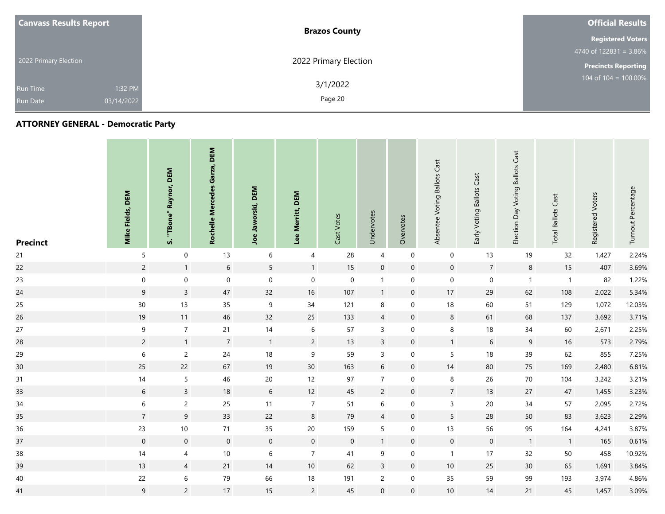| <b>Canvass Results Report</b> | <b>Brazos County</b>  | <b>Official Results</b>    |
|-------------------------------|-----------------------|----------------------------|
|                               |                       | <b>Registered Voters</b>   |
|                               |                       | 4740 of $122831 = 3.86\%$  |
| 2022 Primary Election         | 2022 Primary Election | <b>Precincts Reporting</b> |
| 1:32 PM<br>Run Time           | 3/1/2022              | 104 of $104 = 100.00\%$    |
| 03/14/2022<br><b>Run Date</b> | Page 20               |                            |

| <b>Precinct</b> | Mike Fields, DEM | DEM<br>Raynor,<br>"TBone"<br>n | DEM<br>Garza,<br>Rochelle Mercedes | DEM<br>Jaworski,<br>Joe | DEM<br>Merritt,<br>Lee | Cast Votes       | Undervotes       | Overvotes      | Absentee Voting Ballots Cast | Early Voting Ballots Cast | <b>Ballots Cast</b><br>Election Day Voting | Cast<br><b>Total Ballots</b> | Registered Voters | Turnout Percentage |
|-----------------|------------------|--------------------------------|------------------------------------|-------------------------|------------------------|------------------|------------------|----------------|------------------------------|---------------------------|--------------------------------------------|------------------------------|-------------------|--------------------|
| 21              | 5                | 0                              | 13                                 | 6                       | 4                      | 28               | $\overline{4}$   | $\mathbf 0$    | $\mathbf 0$                  | 13                        | 19                                         | 32                           | 1,427             | 2.24%              |
| 22              | $\overline{2}$   | $\overline{1}$                 | $\sqrt{6}$                         | $5\phantom{.0}$         | $\mathbf{1}$           | 15               | $\boldsymbol{0}$ | $\mathbf 0$    | $\boldsymbol{0}$             | $\overline{7}$            | $8\phantom{1}$                             | 15                           | 407               | 3.69%              |
| 23              | $\pmb{0}$        | $\boldsymbol{0}$               | $\mathbf 0$                        | $\boldsymbol{0}$        | $\mathbf 0$            | $\mathbf 0$      | $\mathbf{1}$     | 0              | $\boldsymbol{0}$             | $\mathbf 0$               | $\mathbf{1}$                               | $\overline{1}$               | 82                | 1.22%              |
| 24              | $9\,$            | $\mathbf{3}$                   | 47                                 | 32                      | 16                     | 107              | $\mathbf{1}$     | $\mathbf 0$    | 17                           | 29                        | 62                                         | 108                          | 2,022             | 5.34%              |
| 25              | $30\,$           | 13                             | 35                                 | 9                       | 34                     | 121              | $\,8\,$          | 0              | 18                           | 60                        | 51                                         | 129                          | 1,072             | 12.03%             |
| 26              | 19               | 11                             | 46                                 | 32                      | 25                     | 133              | $\overline{4}$   | $\mathbf 0$    | 8                            | 61                        | 68                                         | 137                          | 3,692             | 3.71%              |
| $27\,$          | $\boldsymbol{9}$ | $\overline{7}$                 | 21                                 | 14                      | 6                      | 57               | $\overline{3}$   | $\mathbf 0$    | 8                            | 18                        | 34                                         | 60                           | 2,671             | 2.25%              |
| 28              | $\overline{2}$   | $\overline{1}$                 | $\overline{7}$                     | $\overline{1}$          | $\overline{2}$         | 13               | $\overline{3}$   | $\overline{0}$ | $\overline{1}$               | 6                         | 9                                          | 16                           | 573               | 2.79%              |
| 29              | $\,6\,$          | $\overline{c}$                 | 24                                 | 18                      | $9\,$                  | 59               | $\mathsf{3}$     | $\mathbf 0$    | $5\phantom{.0}$              | 18                        | 39                                         | 62                           | 855               | 7.25%              |
| 30 <sub>o</sub> | 25               | 22                             | 67                                 | 19                      | 30 <sup>°</sup>        | 163              | 6                | $\mathbf 0$    | 14                           | 80                        | 75                                         | 169                          | 2,480             | 6.81%              |
| 31              | 14               | $5\phantom{.0}$                | 46                                 | $20\,$                  | 12                     | 97               | $\overline{7}$   | 0              | 8                            | 26                        | 70                                         | 104                          | 3,242             | 3.21%              |
| 33              | 6                | $\overline{3}$                 | 18                                 | $6\,$                   | 12                     | 45               | $\overline{2}$   | $\mathbf 0$    | $\overline{7}$               | 13                        | 27                                         | 47                           | 1,455             | 3.23%              |
| $34$            | $\boldsymbol{6}$ | $\overline{2}$                 | 25                                 | 11                      | $\overline{7}$         | 51               | $\,$ 6 $\,$      | 0              | $\overline{3}$               | 20                        | 34                                         | 57                           | 2,095             | 2.72%              |
| 35              | $\overline{7}$   | 9                              | 33                                 | 22                      | $\,$ 8 $\,$            | 79               | $\overline{4}$   | $\mathbf 0$    | $5\phantom{.0}$              | 28                        | 50                                         | 83                           | 3,623             | 2.29%              |
| 36              | 23               | 10                             | 71                                 | 35                      | 20                     | 159              | 5                | 0              | 13                           | 56                        | 95                                         | 164                          | 4,241             | 3.87%              |
| 37              | $\overline{0}$   | $\boldsymbol{0}$               | $\overline{0}$                     | $\mathbf 0$             | $\overline{0}$         | $\boldsymbol{0}$ | $\mathbf{1}$     | $\mathbf 0$    | $\boldsymbol{0}$             | $\boldsymbol{0}$          | 1                                          | $\overline{1}$               | 165               | 0.61%              |
| $38\,$          | 14               | $\overline{4}$                 | 10                                 | $\sqrt{6}$              | $\overline{7}$         | 41               | 9                | $\mathbf 0$    | $\overline{1}$               | 17                        | 32                                         | 50                           | 458               | 10.92%             |
| 39              | 13               | $\overline{4}$                 | 21                                 | 14                      | 10                     | 62               | $\mathbf{3}$     | $\mathbf 0$    | 10                           | 25                        | 30 <sup>°</sup>                            | 65                           | 1,691             | 3.84%              |
| $40\,$          | 22               | $6\,$                          | 79                                 | 66                      | 18                     | 191              | $\overline{c}$   | $\mathbf 0$    | 35                           | 59                        | 99                                         | 193                          | 3,974             | 4.86%              |
| 41              | 9                | $\overline{c}$                 | 17                                 | 15                      | $\overline{2}$         | 45               | $\mathbf 0$      | $\overline{0}$ | 10                           | 14                        | 21                                         | 45                           | 1,457             | 3.09%              |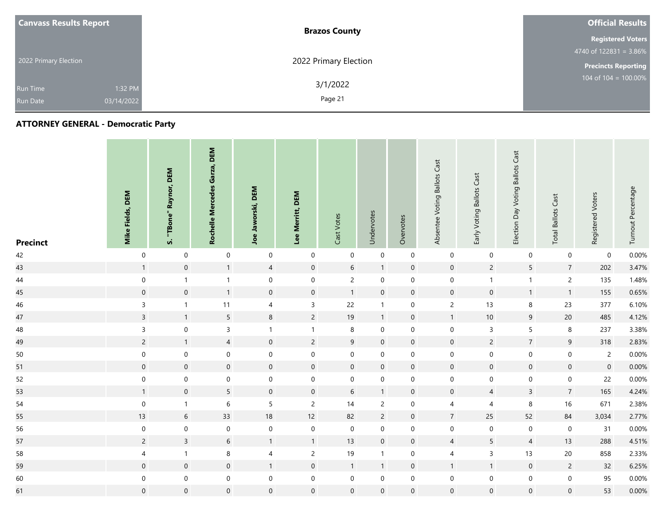| <b>Canvass Results Report</b> | <b>Brazos County</b>  | <b>Official Results</b>    |
|-------------------------------|-----------------------|----------------------------|
|                               |                       | <b>Registered Voters</b>   |
|                               |                       | 4740 of $122831 = 3.86\%$  |
| 2022 Primary Election         | 2022 Primary Election | <b>Precincts Reporting</b> |
| 1:32 PM<br>Run Time           | 3/1/2022              | 104 of $104 = 100.00\%$    |
| 03/14/2022<br><b>Run Date</b> | Page 21               |                            |

| <b>Precinct</b> | Mike Fields, DEM    | Raynor, DEM<br>"TBone"<br><b>vi</b> | DEM<br>Garza,<br>Rochelle Mercedes | DEM<br>Jaworski,<br>Joe | Lee Merritt, DEM    | Cast Votes          | Undervotes       | Overvotes           | Absentee Voting Ballots Cast | Early Voting Ballots Cast | <b>Ballots Cast</b><br>Election Day Voting | <b>Total Ballots Cast</b> | Registered Voters   | Turnout Percentage |
|-----------------|---------------------|-------------------------------------|------------------------------------|-------------------------|---------------------|---------------------|------------------|---------------------|------------------------------|---------------------------|--------------------------------------------|---------------------------|---------------------|--------------------|
| 42              | $\boldsymbol{0}$    | $\boldsymbol{0}$                    | $\mathbf 0$                        | $\boldsymbol{0}$        | $\mathbf 0$         | 0                   | $\boldsymbol{0}$ | $\boldsymbol{0}$    | $\boldsymbol{0}$             | $\boldsymbol{0}$          | $\mathbf 0$                                | $\mathsf{O}\xspace$       | $\mathbf 0$         | 0.00%              |
| 43              | $\mathbf{1}$        | $\mathsf{O}$                        | $\mathbf{1}$                       | $\overline{4}$          | $\mathbf 0$         | $\sqrt{6}$          | $\mathbf{1}$     | $\mathbf 0$         | $\boldsymbol{0}$             | $\overline{c}$            | $5\phantom{.0}$                            | $\boldsymbol{7}$          | 202                 | 3.47%              |
| 44              | $\boldsymbol{0}$    | $\mathbf{1}$                        | $\mathbf{1}$                       | $\boldsymbol{0}$        | $\mathbf 0$         | $\overline{2}$      | $\mathbf 0$      | 0                   | $\boldsymbol{0}$             | $\mathbf{1}$              | $\mathbf{1}$                               | $\overline{c}$            | 135                 | 1.48%              |
| 45              | $\mathbf 0$         | $\boldsymbol{0}$                    | $\overline{1}$                     | $\boldsymbol{0}$        | $\mathsf{O}\xspace$ | $\mathbf{1}$        | $\boldsymbol{0}$ | $\mathbf 0$         | $\boldsymbol{0}$             | $\boldsymbol{0}$          | 1                                          | $\overline{1}$            | 155                 | 0.65%              |
| 46              | $\mathsf{3}$        | $\mathbf{1}$                        | 11                                 | 4                       | $\mathsf{3}$        | 22                  | $\mathbf{1}$     | 0                   | $\overline{c}$               | 13                        | 8                                          | 23                        | 377                 | 6.10%              |
| 47              | $\mathbf{3}$        | $\overline{1}$                      | $5\phantom{.0}$                    | $\,8\,$                 | $\overline{2}$      | 19                  | $\mathbf{1}$     | $\mathbf 0$         | $\mathbf{1}$                 | $10\,$                    | 9                                          | 20                        | 485                 | 4.12%              |
| 48              | $\mathsf{3}$        | $\boldsymbol{0}$                    | $\mathsf{3}$                       | $\mathbf{1}$            | $\mathbf{1}$        | 8                   | $\mathbf 0$      | 0                   | $\,0\,$                      | $\mathsf 3$               | $5\overline{)}$                            | $\,8\,$                   | 237                 | 3.38%              |
| 49              | $\overline{2}$      | $\overline{1}$                      | $\overline{4}$                     | $\mathbf 0$             | $\overline{2}$      | 9                   | $\mathbf 0$      | $\mathbf 0$         | $\mathsf{O}\xspace$          | $\overline{c}$            | $7\overline{ }$                            | $\mathsf 9$               | 318                 | 2.83%              |
| 50              | $\boldsymbol{0}$    | $\mathbf 0$                         | $\boldsymbol{0}$                   | $\mathbf 0$             | $\boldsymbol{0}$    | $\mathbf 0$         | $\boldsymbol{0}$ | 0                   | $\mathbf 0$                  | $\boldsymbol{0}$          | $\mathsf{O}\xspace$                        | $\boldsymbol{0}$          | $\overline{2}$      | 0.00%              |
| 51              | $\mathsf{O}\xspace$ | $\mathsf{O}\xspace$                 | $\mathsf{O}\xspace$                | $\mathsf{O}\xspace$     | $\mathsf{O}\xspace$ | $\mathsf{O}\xspace$ | $\mathbf 0$      | $\mathsf{O}$        | $\mathbf 0$                  | $\mathsf{O}\xspace$       | $\mathsf{O}\xspace$                        | $\mathbf 0$               | $\mathsf{O}\xspace$ | 0.00%              |
| 52              | $\boldsymbol{0}$    | $\boldsymbol{0}$                    | $\mathbf 0$                        | $\boldsymbol{0}$        | $\mathbf 0$         | $\mathbf 0$         | $\boldsymbol{0}$ | 0                   | $\boldsymbol{0}$             | $\mathbf 0$               | $\mathbf 0$                                | $\boldsymbol{0}$          | 22                  | 0.00%              |
| 53              | $\mathbf{1}$        | $\mathsf{O}\xspace$                 | $5\phantom{.0}$                    | $\mathbf 0$             | $\mathsf{O}\xspace$ | $\sqrt{6}$          | $\mathbf{1}$     | $\mathbf 0$         | $\boldsymbol{0}$             | $\overline{4}$            | $\overline{3}$                             | $\overline{7}$            | 165                 | 4.24%              |
| 54              | $\boldsymbol{0}$    | $\overline{1}$                      | $\boldsymbol{6}$                   | $\overline{5}$          | $\overline{2}$      | $14$                | $\overline{2}$   | 0                   | $\overline{4}$               | $\overline{\mathbf{4}}$   | $\bf 8$                                    | 16                        | 671                 | 2.38%              |
| 55              | 13                  | $\sqrt{6}$                          | 33                                 | $18\,$                  | 12                  | 82                  | $\overline{c}$   | $\mathbf 0$         | $\overline{7}$               | 25                        | 52                                         | 84                        | 3,034               | 2.77%              |
| 56              | $\mathbf 0$         | $\mathbf 0$                         | $\mathbf 0$                        | $\boldsymbol{0}$        | $\mathsf{O}\xspace$ | $\boldsymbol{0}$    | $\mathbf 0$      | 0                   | $\boldsymbol{0}$             | $\mathbf 0$               | $\mathsf{O}\xspace$                        | $\pmb{0}$                 | 31                  | 0.00%              |
| 57              | $\overline{c}$      | $\mathbf{3}$                        | $\sqrt{6}$                         | $\mathbf{1}$            | $\mathbf{1}$        | 13                  | $\boldsymbol{0}$ | $\mathbf 0$         | $\overline{4}$               | 5                         | $\overline{4}$                             | 13                        | 288                 | 4.51%              |
| 58              | 4                   | $\mathbf{1}$                        | $\,8\,$                            | 4                       | $\overline{2}$      | 19                  | $\mathbf{1}$     | $\boldsymbol{0}$    | $\overline{4}$               | $\mathsf{3}$              | 13                                         | 20                        | 858                 | 2.33%              |
| 59              | $\mathsf{O}\xspace$ | $\mathsf{O}\xspace$                 | $\mathsf{O}\xspace$                | $\overline{1}$          | $\mathsf{O}\xspace$ | 1                   | $\mathbf{1}$     | $\mathsf{O}\xspace$ | $\mathbf{1}$                 | $\mathbf{1}$              | $\boldsymbol{0}$                           | $\overline{c}$            | 32                  | 6.25%              |
| 60              | $\boldsymbol{0}$    | $\mathbf 0$                         | $\boldsymbol{0}$                   | $\boldsymbol{0}$        | $\mathbf 0$         | $\mathbf 0$         | $\boldsymbol{0}$ | 0                   | $\boldsymbol{0}$             | $\mathbf 0$               | $\mathsf{O}\xspace$                        | $\mathbf 0$               | 95                  | 0.00%              |
| 61              | $\mathbf 0$         | $\mathsf{O}\xspace$                 | $\mathbf 0$                        | $\mathsf{O}\xspace$     | $\mathbf 0$         | $\mathbf 0$         | $\mathbf 0$      | $\mathbf 0$         | $\mathbf 0$                  | $\mathsf{O}\xspace$       | $\mathbf 0$                                | $\mathbf 0$               | 53                  | 0.00%              |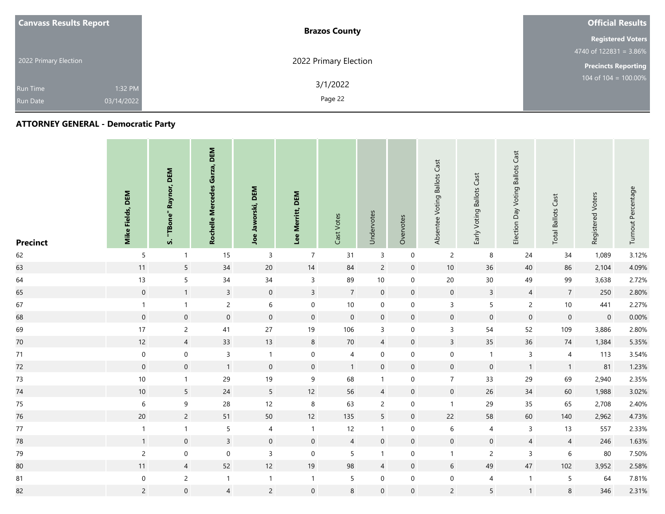| <b>Canvass Results Report</b> | <b>Brazos County</b>  | <b>Official Results</b>    |
|-------------------------------|-----------------------|----------------------------|
|                               |                       | <b>Registered Voters</b>   |
|                               |                       | 4740 of $122831 = 3.86\%$  |
| 2022 Primary Election         | 2022 Primary Election | <b>Precincts Reporting</b> |
| 1:32 PM<br><b>Run Time</b>    | 3/1/2022              | 104 of $104 = 100.00\%$    |
| 03/14/2022<br><b>Run Date</b> | Page 22               |                            |

| <b>Precinct</b> | <b>Mike Fields, DEM</b> | Raynor, DEM<br>"TBone"<br><b>vi</b> | DEM<br>Garza,<br>Rochelle Mercedes | DEM<br>Jaworski,<br>Joe | Lee Merritt, DEM    | Cast Votes     | Undervotes      | Overvotes      | Absentee Voting Ballots Cast | Early Voting Ballots Cast | <b>Ballots Cast</b><br>Election Day Voting | Cast<br><b>Total Ballots</b> | Registered Voters   | Turnout Percentage |
|-----------------|-------------------------|-------------------------------------|------------------------------------|-------------------------|---------------------|----------------|-----------------|----------------|------------------------------|---------------------------|--------------------------------------------|------------------------------|---------------------|--------------------|
| 62              | 5                       | $\mathbf{1}$                        | 15                                 | $\mathsf 3$             | $\overline{7}$      | 31             | $\mathsf 3$     | $\mathbf 0$    | $\overline{c}$               | 8                         | 24                                         | 34                           | 1,089               | 3.12%              |
| 63              | 11                      | 5                                   | 34                                 | $20\,$                  | 14                  | 84             | $\overline{c}$  | $\mathbf 0$    | 10                           | 36                        | 40                                         | 86                           | 2,104               | 4.09%              |
| 64              | 13                      | 5                                   | 34                                 | $34\,$                  | $\mathsf{3}$        | 89             | $10\,$          | $\mathbf 0$    | 20                           | $30\,$                    | 49                                         | 99                           | 3,638               | 2.72%              |
| 65              | $\mathsf{O}\xspace$     | $\mathbf{1}$                        | $\overline{3}$                     | $\boldsymbol{0}$        | $\mathbf{3}$        | $\overline{7}$ | $\mathbf 0$     | $\mathbf 0$    | $\mathbf 0$                  | $\mathbf{3}$              | $\overline{4}$                             | $\overline{7}$               | 250                 | 2.80%              |
| 67              | $\mathbf{1}$            | $\mathbf{1}$                        | $\overline{2}$                     | $6\,$                   | $\mathsf{O}\xspace$ | 10             | $\mathbf 0$     | $\mathbf 0$    | $\overline{3}$               | $\overline{5}$            | $\overline{2}$                             | $10$                         | 441                 | 2.27%              |
| 68              | $\overline{0}$          | $\mathbf 0$                         | $\mathbf 0$                        | $\mathbf 0$             | $\mathbf 0$         | $\mathbf 0$    | $\mathbf 0$     | $\mathbf 0$    | $\boldsymbol{0}$             | $\mathbf 0$               | $\mathbf 0$                                | $\mathbf 0$                  | $\mathsf{O}\xspace$ | 0.00%              |
| 69              | 17                      | $\overline{c}$                      | 41                                 | 27                      | 19                  | 106            | 3               | $\mathbf 0$    | $\mathsf{3}$                 | 54                        | 52                                         | 109                          | 3,886               | 2.80%              |
| 70              | 12                      | $\overline{4}$                      | 33                                 | 13                      | $\bf 8$             | 70             | $\overline{4}$  | $\overline{0}$ | $\mathsf{3}$                 | 35                        | 36                                         | 74                           | 1,384               | 5.35%              |
| 71              | $\mathbf 0$             | $\pmb{0}$                           | $\mathsf{3}$                       | $\mathbf{1}$            | $\pmb{0}$           | 4              | $\pmb{0}$       | 0              | $\boldsymbol{0}$             | $\mathbf{1}$              | 3                                          | 4                            | 113                 | 3.54%              |
| 72              | $\mathsf{O}\xspace$     | $\mathsf{O}\xspace$                 | $\mathbf{1}$                       | $\mathsf{O}\xspace$     | $\mathsf{O}\xspace$ | $\mathbf{1}$   | $\mathbf 0$     | $\mathbf 0$    | $\mathbf 0$                  | $\mathsf{O}\xspace$       | $\mathbf{1}$                               | $\mathbf{1}$                 | 81                  | 1.23%              |
| 73              | $10$                    | $\mathbf{1}$                        | 29                                 | 19                      | 9                   | 68             | $\mathbf{1}$    | 0              | $\overline{7}$               | 33                        | 29                                         | 69                           | 2,940               | 2.35%              |
| 74              | 10                      | $5\phantom{.}$                      | 24                                 | $5\phantom{.0}$         | 12                  | 56             | $\overline{4}$  | $\mathbf 0$    | $\mathbf 0$                  | 26                        | 34                                         | 60                           | 1,988               | 3.02%              |
| $75\,$          | $\boldsymbol{6}$        | 9                                   | 28                                 | 12                      | $\,8\,$             | 63             | $\overline{c}$  | 0              | $\mathbf{1}$                 | 29                        | 35                                         | 65                           | 2,708               | 2.40%              |
| 76              | $20\,$                  | $\overline{c}$                      | 51                                 | $50\,$                  | 12                  | 135            | $5\phantom{.0}$ | $\mathbf 0$    | 22                           | 58                        | 60                                         | 140                          | 2,962               | 4.73%              |
| $77\,$          | $\mathbf{1}$            | $\mathbf{1}$                        | $5\phantom{.0}$                    | $\overline{4}$          | $\mathbf{1}$        | 12             | $\mathbf{1}$    | $\mathbf 0$    | 6                            | 4                         | $\mathbf{3}$                               | 13                           | 557                 | 2.33%              |
| 78              | $\mathbf{1}$            | $\boldsymbol{0}$                    | $\overline{3}$                     | $\boldsymbol{0}$        | $\mathbf 0$         | $\overline{4}$ | $\mathbf 0$     | $\mathbf 0$    | $\mathbf 0$                  | $\boldsymbol{0}$          | $\overline{4}$                             | $\overline{4}$               | 246                 | 1.63%              |
| 79              | $\overline{2}$          | $\boldsymbol{0}$                    | $\mathbf 0$                        | $\mathsf{3}$            | $\mathbf 0$         | 5              | $\mathbf{1}$    | $\mathbf 0$    | $\mathbf{1}$                 | $\overline{c}$            | 3                                          | 6                            | 80                  | 7.50%              |
| 80              | 11                      | $\overline{4}$                      | 52                                 | 12                      | 19                  | 98             | $\overline{4}$  | $\mathbf 0$    | $\sqrt{6}$                   | 49                        | 47                                         | 102                          | 3,952               | 2.58%              |
| 81              | $\overline{0}$          | $\overline{2}$                      | $\mathbf{1}$                       | $\mathbf{1}$            | $\mathbf{1}$        | 5              | $\mathbf 0$     | 0              | $\pmb{0}$                    | 4                         | $\mathbf{1}$                               | 5                            | 64                  | 7.81%              |
| 82              | $\overline{2}$          | $\boldsymbol{0}$                    | $\overline{4}$                     | $\overline{c}$          | $\mathsf{O}\xspace$ | 8              | $\mathbf 0$     | 0              | $\overline{c}$               | 5                         | $\mathbf{1}$                               | $\bf 8$                      | 346                 | 2.31%              |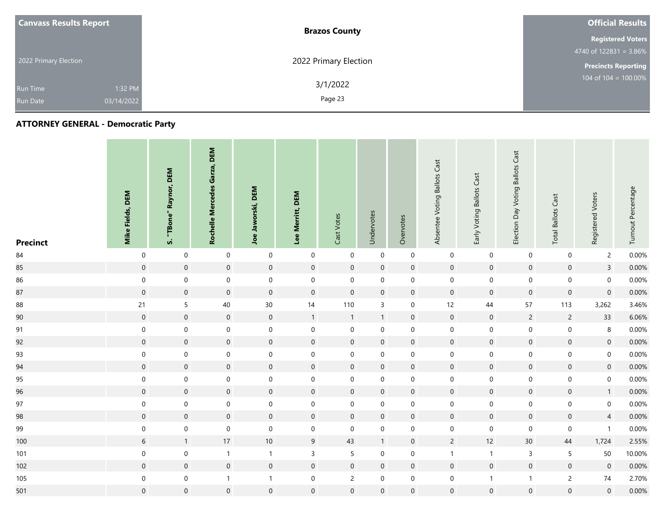| <b>Canvass Results Report</b> | <b>Brazos County</b>  | <b>Official Results</b>    |
|-------------------------------|-----------------------|----------------------------|
|                               |                       | <b>Registered Voters</b>   |
|                               |                       | 4740 of $122831 = 3.86\%$  |
| 2022 Primary Election         | 2022 Primary Election | <b>Precincts Reporting</b> |
| 1:32 PM<br><b>Run Time</b>    | 3/1/2022              | 104 of $104 = 100.00\%$    |
| 03/14/2022<br><b>Run Date</b> | Page 23               |                            |

| <b>Precinct</b> | <b>Mike Fields, DEM</b> | Raynor, DEM<br>"TBone"<br>s. | DEM<br>Garza,<br><b>Rochelle Mercedes</b> | <b>DEM</b><br>Jaworski,<br>Joe | Lee Merritt, DEM    | Cast Votes          | Undervotes       | Overvotes           | Absentee Voting Ballots Cast | Early Voting Ballots Cast | <b>Ballots Cast</b><br>Election Day Voting | <b>Total Ballots Cast</b> | Registered Voters   | Turnout Percentage |
|-----------------|-------------------------|------------------------------|-------------------------------------------|--------------------------------|---------------------|---------------------|------------------|---------------------|------------------------------|---------------------------|--------------------------------------------|---------------------------|---------------------|--------------------|
| $84\,$          | $\overline{0}$          | $\boldsymbol{0}$             | $\mathbf 0$                               | $\mathbf 0$                    | $\boldsymbol{0}$    | $\boldsymbol{0}$    | $\mathbf 0$      | $\mathsf{O}\xspace$ | $\boldsymbol{0}$             | $\boldsymbol{0}$          | $\mathbf 0$                                | $\boldsymbol{0}$          | $\overline{2}$      | 0.00%              |
| 85              | $\mathsf{O}\xspace$     | $\mathsf{O}\xspace$          | $\mathsf{O}\xspace$                       | $\mathsf{O}\xspace$            | $\mathsf{O}\xspace$ | $\boldsymbol{0}$    | $\boldsymbol{0}$ | $\mathbf 0$         | $\mathbf 0$                  | $\mathbf 0$               | $\mathsf{O}\xspace$                        | $\mathbf 0$               | $\overline{3}$      | 0.00%              |
| 86              | $\mathsf{O}\xspace$     | $\mathbf 0$                  | $\mathsf{O}\xspace$                       | $\mathbf 0$                    | $\mathsf{O}\xspace$ | $\boldsymbol{0}$    | $\boldsymbol{0}$ | $\mathbf 0$         | $\boldsymbol{0}$             | $\boldsymbol{0}$          | $\mathsf{O}\xspace$                        | $\mathsf{O}\xspace$       | $\mathsf{O}\xspace$ | 0.00%              |
| 87              | $\mathsf{O}\xspace$     | $\mathsf{O}\xspace$          | $\mathsf{O}\xspace$                       | $\mathsf{O}\xspace$            | $\mathsf{O}\xspace$ | $\boldsymbol{0}$    | $\boldsymbol{0}$ | $\mathbf 0$         | $\mathbf 0$                  | $\mathsf{O}\xspace$       | $\mathsf{O}\xspace$                        | $\mathbf 0$               | $\mathsf{O}\xspace$ | 0.00%              |
| 88              | 21                      | 5                            | 40                                        | $30\,$                         | 14                  | 110                 | $\overline{3}$   | $\mathbf 0$         | 12                           | 44                        | 57                                         | 113                       | 3,262               | 3.46%              |
| 90              | $\overline{0}$          | $\mathbf 0$                  | $\mathbf 0$                               | $\boldsymbol{0}$               | $\mathbf{1}$        | $\mathbf{1}$        | $\mathbf{1}$     | $\mathbf 0$         | $\mathbf 0$                  | $\mathbf 0$               | $\overline{2}$                             | $\overline{c}$            | 33                  | 6.06%              |
| 91              | $\overline{0}$          | $\boldsymbol{0}$             | $\mathbf 0$                               | $\boldsymbol{0}$               | $\boldsymbol{0}$    | $\boldsymbol{0}$    | $\mathbf 0$      | $\mathbf 0$         | $\boldsymbol{0}$             | $\boldsymbol{0}$          | $\mathbf 0$                                | $\mathbf 0$               | $\bf 8$             | 0.00%              |
| 92              | $\overline{0}$          | $\mathsf{O}\xspace$          | $\mathsf{O}\xspace$                       | $\mathsf{O}\xspace$            | $\mathsf{O}\xspace$ | $\mathbf 0$         | $\mathbf 0$      | $\overline{0}$      | $\mathbf 0$                  | $\mathsf{O}\xspace$       | $\mathsf{O}\xspace$                        | $\mathbf 0$               | $\mathbf 0$         | 0.00%              |
| 93              | $\mathbf 0$             | $\boldsymbol{0}$             | $\pmb{0}$                                 | $\boldsymbol{0}$               | $\boldsymbol{0}$    | $\mathbf 0$         | $\mathbf 0$      | 0                   | $\boldsymbol{0}$             | $\boldsymbol{0}$          | $\mathbf 0$                                | $\boldsymbol{0}$          | $\mathbf 0$         | 0.00%              |
| 94              | $\mathsf{O}\xspace$     | $\mathsf{O}\xspace$          | $\mathsf{O}\xspace$                       | $\mathsf{O}\xspace$            | $\mathsf{O}\xspace$ | $\mathbf 0$         | $\mathbf 0$      | $\mathbf 0$         | $\mathbf 0$                  | $\mathbf 0$               | $\mathsf{O}\xspace$                        | $\mathbf 0$               | $\mathsf{O}\xspace$ | 0.00%              |
| 95              | $\mathbf 0$             | $\boldsymbol{0}$             | $\mathbf 0$                               | $\boldsymbol{0}$               | $\boldsymbol{0}$    | 0                   | $\mathbf 0$      | 0                   | $\mathbf 0$                  | $\boldsymbol{0}$          | 0                                          | 0                         | $\mathsf{O}\xspace$ | 0.00%              |
| 96              | $\mathsf{O}\xspace$     | $\mathbf 0$                  | $\mathsf{O}\xspace$                       | $\mathbf 0$                    | $\mathsf{O}\xspace$ | $\mathbf 0$         | $\mathbf 0$      | $\mathbf 0$         | $\mathbf 0$                  | $\mathbf 0$               | $\mathbf 0$                                | $\mathbf 0$               | $\mathbf{1}$        | 0.00%              |
| 97              | $\boldsymbol{0}$        | $\mathsf{O}\xspace$          | $\mathbf 0$                               | $\mathsf{O}\xspace$            | $\mathbf 0$         | $\mathbf 0$         | $\mathbf 0$      | $\mathbf 0$         | $\boldsymbol{0}$             | $\boldsymbol{0}$          | $\mathbf 0$                                | $\boldsymbol{0}$          | $\boldsymbol{0}$    | 0.00%              |
| 98              | $\mathbf 0$             | $\mathbf 0$                  | $\mathsf{O}\xspace$                       | $\mathbf 0$                    | $\mathsf{O}\xspace$ | $\mathsf{O}\xspace$ | $\boldsymbol{0}$ | $\mathbf 0$         | $\mathbf 0$                  | $\mathbf 0$               | $\mathsf{O}\xspace$                        | $\mathbf 0$               | $\overline{4}$      | 0.00%              |
| 99              | $\overline{0}$          | $\mathsf{O}\xspace$          | $\mathsf{O}\xspace$                       | $\mathsf{O}\xspace$            | $\mathbf 0$         | $\mathbf 0$         | $\mathbf 0$      | 0                   | $\pmb{0}$                    | $\boldsymbol{0}$          | $\mathbf 0$                                | $\mathbf 0$               | $\mathbf{1}$        | 0.00%              |
| 100             | $\sqrt{6}$              | $\mathbf{1}$                 | $17$                                      | $10\,$                         | 9                   | 43                  | $\mathbf{1}$     | $\mathbf 0$         | $\overline{c}$               | $12$                      | 30 <sup>°</sup>                            | 44                        | 1,724               | 2.55%              |
| 101             | $\overline{0}$          | $\boldsymbol{0}$             | $\mathbf{1}$                              | $\mathbf{1}$                   | $\overline{3}$      | 5                   | $\mathbf 0$      | 0                   | $\mathbf{1}$                 | $\mathbf{1}$              | $\mathbf{3}$                               | 5                         | 50                  | 10.00%             |
| 102             | $\overline{0}$          | $\mathsf{O}\xspace$          | $\mathsf{O}\xspace$                       | $\mathsf{O}\xspace$            | $\mathsf{O}\xspace$ | $\mathsf{O}\xspace$ | $\mathbf 0$      | $\mathbf 0$         | $\mathbf 0$                  | $\mathbf 0$               | $\mathbf 0$                                | $\boldsymbol{0}$          | $\mathsf{O}\xspace$ | 0.00%              |
| 105             | $\overline{0}$          | $\mathsf{O}\xspace$          | $\mathbf{1}$                              | $\mathbf{1}$                   | $\mathsf{O}\xspace$ | $\overline{c}$      | $\mathbf 0$      | $\mathbf 0$         | $\pmb{0}$                    | $\mathbf{1}$              | $\mathbf{1}$                               | $\overline{c}$            | $74\,$              | 2.70%              |
| 501             | $\mathsf{O}\xspace$     | $\mathbf 0$                  | $\mathsf{O}\xspace$                       | $\boldsymbol{0}$               | $\mathsf{O}\xspace$ | $\boldsymbol{0}$    | $\boldsymbol{0}$ | 0                   | $\mathbf 0$                  | $\boldsymbol{0}$          | $\mathbf 0$                                | $\boldsymbol{0}$          | $\mathsf{O}\xspace$ | 0.00%              |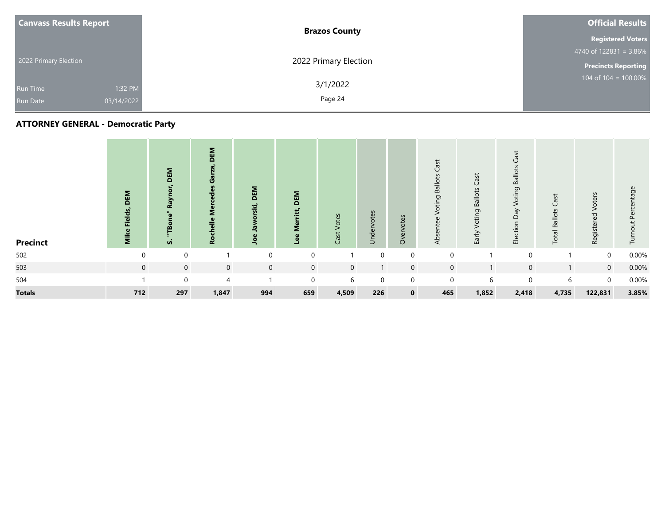| <b>Canvass Results Report</b> | <b>Brazos County</b>  | <b>Official Results</b>    |  |  |  |
|-------------------------------|-----------------------|----------------------------|--|--|--|
|                               |                       | <b>Registered Voters</b>   |  |  |  |
|                               |                       | 4740 of $122831 = 3.86\%$  |  |  |  |
| 2022 Primary Election         | 2022 Primary Election | <b>Precincts Reporting</b> |  |  |  |
| 1:32 PM<br><b>Run Time</b>    | 3/1/2022              | 104 of $104 = 100.00\%$    |  |  |  |
| 03/14/2022<br><b>Run Date</b> | Page 24               |                            |  |  |  |

| <b>Precinct</b> | DEM<br>ίĒ<br>έ | DEM<br><b>る</b><br>œ<br>$\overline{\bullet}$<br>m<br>vi | DEM<br>ಀ<br>ဥ္ | DEM<br>Ë,<br>$\bullet$<br>∍ | DEM<br>ت<br>ω<br>⊐ | Votes<br>Cast <sup>-</sup> | Undervotes   | Overvotes    | Cast<br><b>Ballots</b><br>Voting<br>Absentee | Voting Ballots Cast<br>Early <sup>'</sup> | Cast<br><b>Ballots</b><br>Voting<br>$\delta$<br>$\Omega$<br>Election | Cast<br><b>Total Ballots</b> | Voters<br>Registered | Percentage<br>Turnout |
|-----------------|----------------|---------------------------------------------------------|----------------|-----------------------------|--------------------|----------------------------|--------------|--------------|----------------------------------------------|-------------------------------------------|----------------------------------------------------------------------|------------------------------|----------------------|-----------------------|
| 502             | $\mathbf 0$    | $\boldsymbol{0}$                                        |                | $\mathbf 0$                 | $\mathbf 0$        |                            | $\Omega$     | $\mathbf 0$  | $\Omega$                                     |                                           | $\mathbf 0$                                                          |                              | $\mathbf 0$          | 0.00%                 |
| 503             | $\mathbf 0$    | $\mathbf 0$                                             | $\mathbf 0$    | $\mathbf 0$                 | $\mathbf 0$        | $\overline{0}$             | $\mathbf{I}$ | $\mathbf{0}$ | $\mathbf 0$                                  |                                           | $\mathbf 0$                                                          | 1                            | $\overline{0}$       | 0.00%                 |
| 504             |                | $\mathbf 0$                                             | $\overline{4}$ |                             | $\mathbf 0$        | 6                          | $\mathbf 0$  | $\mathbf 0$  | $\mathbf 0$                                  | 6                                         | $\mathbf 0$                                                          | 6                            | $\mathbf 0$          | 0.00%                 |
| <b>Totals</b>   | 712            | 297                                                     | 1,847          | 994                         | 659                | 4,509                      | 226          | $\mathbf{0}$ | 465                                          | 1,852                                     | 2,418                                                                | 4,735                        | 122,831              | 3.85%                 |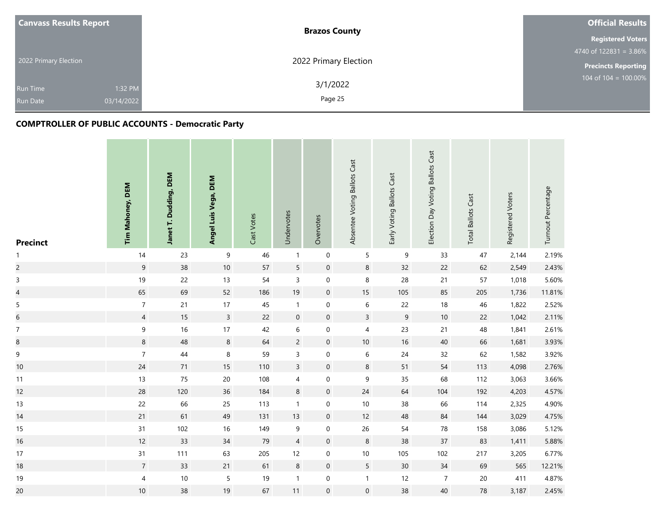| <b>Canvass Results Report</b> | <b>Brazos County</b>  | <b>Official Results</b>    |
|-------------------------------|-----------------------|----------------------------|
|                               |                       | <b>Registered Voters</b>   |
|                               |                       | 4740 of $122831 = 3.86\%$  |
| 2022 Primary Election         | 2022 Primary Election | <b>Precincts Reporting</b> |
| <b>Run Time</b>               | 3/1/2022<br>1:32 PM   | $104$ of $104 = 100.00\%$  |
| 03/14/2022<br><b>Run Date</b> | Page 25               |                            |

| <b>Precinct</b>          | Tim Mahoney, DEM | Janet T. Dudding, DEM | Angel Luis Vega, DEM | Cast Votes | Undervotes       | Overvotes        | Absentee Voting Ballots Cast | Early Voting Ballots Cast | Election Day Voting Ballots Cast | <b>Total Ballots Cast</b> | Registered Voters | Turnout Percentage |
|--------------------------|------------------|-----------------------|----------------------|------------|------------------|------------------|------------------------------|---------------------------|----------------------------------|---------------------------|-------------------|--------------------|
| $\mathbf{1}$             | 14               | 23                    | 9                    | 46         | $\mathbf{1}$     | $\mathbf 0$      | 5                            | $\boldsymbol{9}$          | 33                               | 47                        | 2,144             | 2.19%              |
| $\overline{c}$           | $\mathsf g$      | 38                    | $10$                 | 57         | 5                | $\mathbf 0$      | $\,8\,$                      | 32                        | 22                               | 62                        | 2,549             | 2.43%              |
| $\mathsf 3$              | 19               | 22                    | 13                   | 54         | 3                | $\mathbf 0$      | $\,$ 8 $\,$                  | 28                        | $21$                             | 57                        | 1,018             | 5.60%              |
| $\overline{\mathcal{L}}$ | 65               | 69                    | 52                   | 186        | $19$             | $\mathbf 0$      | $15\,$                       | 105                       | 85                               | 205                       | 1,736             | 11.81%             |
| $\mathsf S$              | $\boldsymbol{7}$ | 21                    | 17                   | $45\,$     | $\mathbf{1}$     | $\mathbf 0$      | $\,$ 6 $\,$                  | 22                        | 18                               | $46\,$                    | 1,822             | 2.52%              |
| $\boldsymbol{6}$         | $\overline{4}$   | 15                    | $\overline{3}$       | 22         | $\pmb{0}$        | $\mathbf 0$      | $\mathsf{3}$                 | $\overline{9}$            | $10\,$                           | 22                        | 1,042             | 2.11%              |
| $\boldsymbol{7}$         | $\boldsymbol{9}$ | 16                    | 17                   | 42         | $\,$ 6 $\,$      | $\mathbf 0$      | $\overline{4}$               | 23                        | 21                               | 48                        | 1,841             | 2.61%              |
| $\bf 8$                  | $\,8\,$          | 48                    | $\bf 8$              | 64         | $\overline{c}$   | $\mathbf 0$      | $10\,$                       | $16\,$                    | $40\,$                           | 66                        | 1,681             | 3.93%              |
| $\boldsymbol{9}$         | $\boldsymbol{7}$ | $44\,$                | 8                    | 59         | $\mathsf{3}$     | $\mathbf 0$      | $\,$ 6 $\,$                  | $24$                      | 32                               | 62                        | 1,582             | 3.92%              |
| $10$                     | 24               | 71                    | 15                   | 110        | $\overline{3}$   | $\mathbf 0$      | $\,8\,$                      | 51                        | 54                               | 113                       | 4,098             | 2.76%              |
| 11                       | 13               | 75                    | $20\,$               | 108        | 4                | $\mathbf 0$      | $\mathsf 9$                  | 35                        | 68                               | 112                       | 3,063             | 3.66%              |
| 12                       | 28               | 120                   | 36                   | 184        | $\bf 8$          | $\mathbf 0$      | $24\,$                       | 64                        | 104                              | 192                       | 4,203             | 4.57%              |
| 13                       | 22               | 66                    | 25                   | 113        | $\mathbf{1}$     | $\mathbf 0$      | $10\,$                       | 38                        | 66                               | 114                       | 2,325             | 4.90%              |
| 14                       | 21               | 61                    | 49                   | 131        | 13               | $\mathbf 0$      | 12                           | 48                        | 84                               | 144                       | 3,029             | 4.75%              |
| 15                       | 31               | 102                   | 16                   | 149        | $\boldsymbol{9}$ | $\mathbf 0$      | $26\,$                       | 54                        | ${\bf 78}$                       | 158                       | 3,086             | 5.12%              |
| 16                       | 12               | 33                    | 34                   | 79         | $\overline{4}$   | $\mathbf 0$      | $\,8\,$                      | 38                        | $37\,$                           | 83                        | 1,411             | 5.88%              |
| 17                       | 31               | 111                   | 63                   | 205        | 12               | $\mathbf 0$      | $10$                         | 105                       | 102                              | 217                       | 3,205             | 6.77%              |
| 18                       | $\overline{7}$   | 33                    | 21                   | 61         | $\bf 8$          | $\boldsymbol{0}$ | $5\phantom{.0}$              | $30\,$                    | $34\,$                           | 69                        | 565               | 12.21%             |
| 19                       | $\sqrt{4}$       | $10\,$                | 5                    | 19         | $\mathbf{1}$     | $\mathbf 0$      | $\mathbf{1}$                 | 12                        | $\overline{7}$                   | $20\,$                    | 411               | 4.87%              |
| 20                       | $10$             | 38                    | 19                   | 67         | 11               | $\mathbf 0$      | $\mathbf 0$                  | 38                        | 40                               | 78                        | 3,187             | 2.45%              |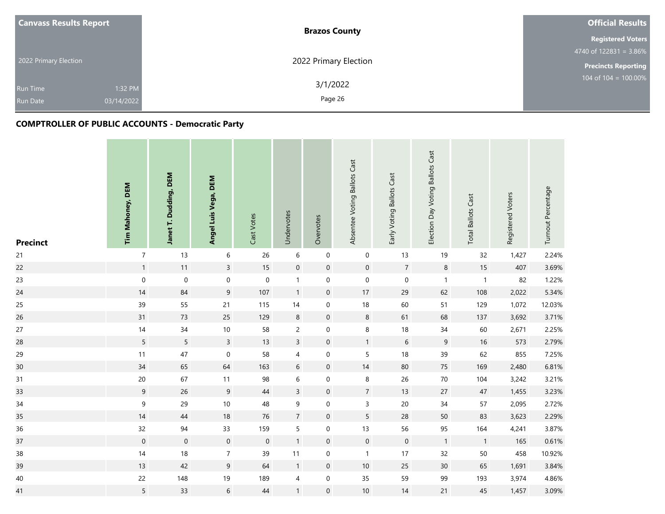| <b>Canvass Results Report</b>      | <b>Brazos County</b>  |                       | <b>Official Results</b>    |
|------------------------------------|-----------------------|-----------------------|----------------------------|
|                                    |                       |                       | <b>Registered Voters</b>   |
|                                    |                       |                       | 4740 of $122831 = 3.86\%$  |
| 2022 Primary Election              |                       | 2022 Primary Election | <b>Precincts Reporting</b> |
| <b>Run Time</b><br><b>Run Date</b> | 1:32 PM<br>03/14/2022 | 3/1/2022<br>Page 26   | $104$ of $104 = 100.00\%$  |
|                                    |                       |                       |                            |

| <b>Precinct</b> | Tim Mahoney, DEM | Janet T. Dudding, DEM | Angel Luis Vega, DEM | Cast Votes  | Undervotes     | Overvotes   | Absentee Voting Ballots Cast | Early Voting Ballots Cast | Election Day Voting Ballots Cast | <b>Total Ballots Cast</b> | Registered Voters | Turnout Percentage |
|-----------------|------------------|-----------------------|----------------------|-------------|----------------|-------------|------------------------------|---------------------------|----------------------------------|---------------------------|-------------------|--------------------|
| 21              | $\overline{7}$   | 13                    | $\,6\,$              | 26          | 6              | $\mathbf 0$ | $\mathbf 0$                  | 13                        | 19                               | 32                        | 1,427             | 2.24%              |
| 22              | $\mathbf{1}$     | 11                    | $\overline{3}$       | $15$        | $\mathbf 0$    | $\mathbf 0$ | $\mathbf 0$                  | $\overline{7}$            | $\,8\,$                          | $15\,$                    | 407               | 3.69%              |
| 23              | $\boldsymbol{0}$ | $\boldsymbol{0}$      | 0                    | $\pmb{0}$   | $\mathbf{1}$   | $\mathbf 0$ | $\boldsymbol{0}$             | $\boldsymbol{0}$          | $\mathbf{1}$                     | $\overline{1}$            | 82                | 1.22%              |
| 24              | 14               | 84                    | $\overline{9}$       | 107         | $\mathbf{1}$   | $\mathbf 0$ | 17                           | 29                        | 62                               | 108                       | 2,022             | 5.34%              |
| 25              | 39               | 55                    | $21$                 | 115         | $14$           | $\mathbf 0$ | $18\,$                       | 60                        | 51                               | 129                       | 1,072             | 12.03%             |
| 26              | 31               | 73                    | 25                   | 129         | 8              | $\mathbf 0$ | $\bf 8$                      | 61                        | 68                               | 137                       | 3,692             | 3.71%              |
| 27              | 14               | 34                    | $10$                 | 58          | $\overline{2}$ | $\mathbf 0$ | $\,8\,$                      | $18\,$                    | 34                               | 60                        | 2,671             | 2.25%              |
| 28              | $5\phantom{.0}$  | $5\phantom{.0}$       | $\overline{3}$       | 13          | $\overline{3}$ | $\mathbf 0$ | $\mathbf{1}$                 | $\,$ 6 $\,$               | $\boldsymbol{9}$                 | $16\,$                    | 573               | 2.79%              |
| 29              | 11               | $47\,$                | $\boldsymbol{0}$     | 58          | $\overline{4}$ | $\mathbf 0$ | $\overline{5}$               | $18\,$                    | 39                               | 62                        | 855               | 7.25%              |
| 30              | 34               | 65                    | 64                   | 163         | $\sqrt{6}$     | $\mathbf 0$ | 14                           | 80                        | 75                               | 169                       | 2,480             | 6.81%              |
| 31              | 20               | 67                    | 11                   | 98          | $\,$ 6 $\,$    | $\mathbf 0$ | $\,8\,$                      | 26                        | $70\,$                           | 104                       | 3,242             | 3.21%              |
| 33              | 9                | 26                    | 9                    | $44\,$      | $\overline{3}$ | $\mathbf 0$ | $\overline{7}$               | 13                        | $27\,$                           | $47\,$                    | 1,455             | 3.23%              |
| $34\,$          | $\boldsymbol{9}$ | 29                    | $10$                 | 48          | 9              | $\mathbf 0$ | $\mathsf{3}$                 | $20\,$                    | 34                               | 57                        | 2,095             | 2.72%              |
| 35              | 14               | 44                    | $18\,$               | 76          | $\overline{7}$ | $\mathbf 0$ | 5                            | 28                        | 50                               | 83                        | 3,623             | 2.29%              |
| 36              | 32               | 94                    | 33                   | 159         | 5              | $\mathbf 0$ | 13                           | 56                        | 95                               | 164                       | 4,241             | 3.87%              |
| 37              | $\boldsymbol{0}$ | $\mathbf 0$           | $\mathsf{O}\xspace$  | $\mathbf 0$ | $\mathbf{1}$   | $\mathbf 0$ | $\mathbf 0$                  | $\boldsymbol{0}$          | $\overline{1}$                   | $\overline{1}$            | 165               | 0.61%              |
| $38\,$          | 14               | $18$                  | $\overline{7}$       | 39          | 11             | $\mathbf 0$ | $\overline{1}$               | 17                        | 32                               | 50                        | 458               | 10.92%             |
| 39              | 13               | 42                    | 9                    | 64          | $\mathbf{1}$   | $\mathbf 0$ | $10\,$                       | 25                        | 30 <sub>o</sub>                  | 65                        | 1,691             | 3.84%              |
| 40              | 22               | 148                   | 19                   | 189         | 4              | $\mathbf 0$ | 35                           | 59                        | 99                               | 193                       | 3,974             | 4.86%              |
| 41              | 5                | 33                    | $6\phantom{.0}$      | $44\,$      | $\mathbf{1}$   | $\mathbf 0$ | 10                           | 14                        | 21                               | 45                        | 1,457             | 3.09%              |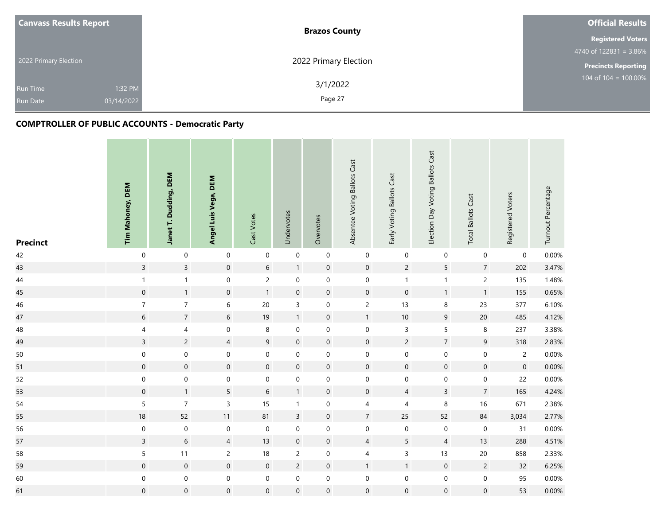| <b>Canvass Results Report</b> | <b>Brazos County</b>  | <b>Official Results</b>    |
|-------------------------------|-----------------------|----------------------------|
|                               |                       | <b>Registered Voters</b>   |
|                               |                       | 4740 of $122831 = 3.86\%$  |
| 2022 Primary Election         | 2022 Primary Election | <b>Precincts Reporting</b> |
| 1:32 PM<br><b>Run Time</b>    | 3/1/2022              | $104$ of $104 = 100.00\%$  |
| 03/14/2022<br><b>Run Date</b> | Page 27               |                            |

| <b>Precinct</b> | Tim Mahoney, DEM | Janet T. Dudding, DEM | Angel Luis Vega, DEM | Cast Votes          | Undervotes          | Overvotes           | Absentee Voting Ballots Cast | Early Voting Ballots Cast | Election Day Voting Ballots Cast | <b>Total Ballots Cast</b> | Registered Voters   | Turnout Percentage |
|-----------------|------------------|-----------------------|----------------------|---------------------|---------------------|---------------------|------------------------------|---------------------------|----------------------------------|---------------------------|---------------------|--------------------|
| 42              | $\mathbf 0$      | $\mathbf 0$           | $\mathbf 0$          | $\boldsymbol{0}$    | $\mathbf 0$         | $\mathbf 0$         | $\pmb{0}$                    | $\pmb{0}$                 | $\mathbf 0$                      | $\mathbf 0$               | $\mathsf{O}\xspace$ | 0.00%              |
| 43              | $\overline{3}$   | $\overline{3}$        | $\mathsf{O}\xspace$  | $\sqrt{6}$          | $\mathbf{1}$        | $\mathbf 0$         | $\mathbf 0$                  | $\overline{c}$            | 5                                | $\sqrt{7}$                | 202                 | 3.47%              |
| 44              | $\mathbf{1}$     | $\mathbf{1}$          | 0                    | $\overline{c}$      | $\mathsf{O}\xspace$ | $\mathbf 0$         | $\boldsymbol{0}$             | $\mathbf{1}$              | $\mathbf{1}$                     | $\overline{c}$            | 135                 | 1.48%              |
| 45              | $\mathbf 0$      | $\mathbf{1}$          | $\boldsymbol{0}$     | $\mathbf{1}$        | $\mathsf{O}\xspace$ | $\mathbf 0$         | $\mathbf 0$                  | $\boldsymbol{0}$          | $\mathbf{1}$                     | $\mathbf{1}$              | 155                 | 0.65%              |
| 46              | $\boldsymbol{7}$ | $\overline{7}$        | $\,$ 6 $\,$          | $20\,$              | $\mathsf{3}$        | $\mathbf 0$         | $\overline{c}$               | 13                        | $\,$ 8 $\,$                      | 23                        | 377                 | 6.10%              |
| 47              | $\,$ 6 $\,$      | $\sqrt{7}$            | $\sqrt{6}$           | $19$                | $\mathbf{1}$        | $\mathbf 0$         | $\mathbf{1}$                 | $10$                      | $\boldsymbol{9}$                 | $20\,$                    | 485                 | 4.12%              |
| 48              | $\pmb{4}$        | $\overline{4}$        | $\mathsf{O}\xspace$  | $\,8\,$             | $\mathsf{O}\xspace$ | $\mathsf{O}\xspace$ | $\mathbf 0$                  | 3                         | 5                                | 8                         | 237                 | 3.38%              |
| 49              | $\overline{3}$   | $\overline{c}$        | $\overline{4}$       | $\boldsymbol{9}$    | $\pmb{0}$           | $\mathbf 0$         | $\mathbf 0$                  | $\overline{c}$            | $\overline{7}$                   | $\boldsymbol{9}$          | 318                 | 2.83%              |
| $50\,$          | $\mathbf 0$      | $\mathbf 0$           | $\boldsymbol{0}$     | $\mathsf{O}\xspace$ | $\mathbf 0$         | $\mathbf 0$         | $\mathbf 0$                  | $\boldsymbol{0}$          | $\mathbf 0$                      | $\pmb{0}$                 | $\overline{c}$      | 0.00%              |
| 51              | $\boldsymbol{0}$ | $\mathbf 0$           | $\mathsf{O}\xspace$  | $\mathbf 0$         | $\pmb{0}$           | $\mathbf 0$         | $\mathsf{O}\xspace$          | $\boldsymbol{0}$          | $\mathbf 0$                      | $\mathbf 0$               | $\mathbf 0$         | 0.00%              |
| 52              | $\mathbf 0$      | $\mathbf 0$           | $\mathbf 0$          | $\mathsf{O}\xspace$ | $\pmb{0}$           | $\mathsf{O}\xspace$ | $\mathbf 0$                  | $\mathsf{O}\xspace$       | $\mathbf 0$                      | $\boldsymbol{0}$          | 22                  | 0.00%              |
| 53              | $\mathbf 0$      | $\mathbf{1}$          | 5                    | $\sqrt{6}$          | $\mathbf{1}$        | $\mathbf 0$         | $\mathbf 0$                  | $\overline{4}$            | $\overline{3}$                   | $\overline{7}$            | 165                 | 4.24%              |
| 54              | $\sqrt{5}$       | $\overline{7}$        | $\mathsf{3}$         | 15                  | $\mathbf{1}$        | $\mathbf 0$         | $\overline{\mathcal{A}}$     | $\overline{4}$            | 8                                | $16$                      | 671                 | 2.38%              |
| 55              | 18               | 52                    | 11                   | 81                  | $\overline{3}$      | $\mathbf 0$         | $\overline{7}$               | 25                        | 52                               | 84                        | 3,034               | 2.77%              |
| 56              | $\pmb{0}$        | $\mathbf 0$           | $\mathsf{O}\xspace$  | $\mathsf{O}\xspace$ | $\boldsymbol{0}$    | $\mathbf 0$         | $\mathbf 0$                  | $\mathbf 0$               | $\boldsymbol{0}$                 | $\boldsymbol{0}$          | 31                  | $0.00\%$           |
| 57              | $\mathsf{3}$     | $\sqrt{6}$            | $\overline{4}$       | 13                  | $\boldsymbol{0}$    | $\mathbf 0$         | $\sqrt{4}$                   | 5                         | $\sqrt{4}$                       | 13                        | 288                 | 4.51%              |
| 58              | $\sf 5$          | 11                    | $\overline{c}$       | $18\,$              | $\overline{c}$      | $\mathbf 0$         | $\overline{4}$               | $\mathsf{3}$              | 13                               | 20                        | 858                 | 2.33%              |
| 59              | $\mathbf 0$      | $\boldsymbol{0}$      | $\pmb{0}$            | $\mathbf 0$         | $\overline{c}$      | $\pmb{0}$           | $\mathbf{1}$                 | $\mathbf{1}$              | $\mathsf{O}$                     | $\overline{c}$            | 32                  | 6.25%              |
| 60              | $\pmb{0}$        | $\mathbf 0$           | $\boldsymbol{0}$     | $\mathsf{O}\xspace$ | $\mathbf 0$         | $\mathbf 0$         | $\mathbf 0$                  | $\boldsymbol{0}$          | $\mathbf 0$                      | $\pmb{0}$                 | 95                  | 0.00%              |
| 61              | $\boldsymbol{0}$ | $\mathbf 0$           | $\boldsymbol{0}$     | $\mathbf 0$         | $\mathsf{O}\xspace$ | $\mathbf 0$         | $\mathbf 0$                  | $\mathsf{O}\xspace$       | $\mathsf{O}\xspace$              | $\mathbf 0$               | 53                  | $0.00\%$           |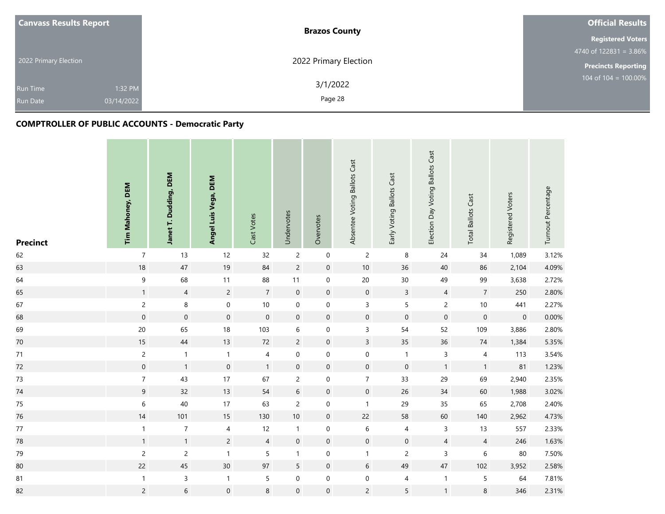| <b>Canvass Results Report</b> |            | <b>Brazos County</b>  | <b>Official Results</b>    |
|-------------------------------|------------|-----------------------|----------------------------|
|                               |            |                       | <b>Registered Voters</b>   |
|                               |            |                       | 4740 of $122831 = 3.86\%$  |
| 2022 Primary Election         |            | 2022 Primary Election | <b>Precincts Reporting</b> |
|                               |            | 3/1/2022              | 104 of $104 = 100.00\%$    |
| <b>Run Time</b>               | 1:32 PM    |                       |                            |
| <b>Run Date</b>               | 03/14/2022 | Page 28               |                            |

| <b>Precinct</b> | Tim Mahoney, DEM | Janet T. Dudding, DEM | Angel Luis Vega, DEM | Cast Votes     | Undervotes     | Overvotes           | Absentee Voting Ballots Cast | Early Voting Ballots Cast | Election Day Voting Ballots Cast | <b>Total Ballots Cast</b> | Registered Voters | Turnout Percentage |
|-----------------|------------------|-----------------------|----------------------|----------------|----------------|---------------------|------------------------------|---------------------------|----------------------------------|---------------------------|-------------------|--------------------|
| 62              | $\boldsymbol{7}$ | 13                    | 12                   | 32             | $\mathbf{2}$   | $\mathbf 0$         | $\overline{c}$               | $\,8\,$                   | 24                               | 34                        | 1,089             | 3.12%              |
| 63              | 18               | 47                    | 19                   | 84             | $\overline{2}$ | $\mathbf 0$         | $10\,$                       | 36                        | $40\,$                           | 86                        | 2,104             | 4.09%              |
| 64              | $\boldsymbol{9}$ | 68                    | 11                   | 88             | 11             | $\mathbf 0$         | 20                           | $30\,$                    | 49                               | 99                        | 3,638             | 2.72%              |
| 65              | $\mathbf{1}$     | $\overline{4}$        | $\overline{c}$       | $\overline{7}$ | $\mathbf 0$    | $\mathbf 0$         | $\mathbf 0$                  | $\mathsf{3}$              | $\overline{4}$                   | $\overline{7}$            | 250               | 2.80%              |
| 67              | $\overline{c}$   | $\,8\,$               | $\boldsymbol{0}$     | $10\,$         | $\mathbf 0$    | $\mathbf 0$         | $\mathsf{3}$                 | 5                         | $\overline{c}$                   | $10\,$                    | 441               | 2.27%              |
| 68              | $\mathbf 0$      | $\mathbf 0$           | $\pmb{0}$            | $\,0\,$        | $\pmb{0}$      | $\mathbf 0$         | $\mathbf 0$                  | $\boldsymbol{0}$          | $\mathbf 0$                      | $\mathbf 0$               | $\mathbf 0$       | 0.00%              |
| 69              | 20               | 65                    | 18                   | 103            | 6              | $\mathbf 0$         | $\mathsf 3$                  | 54                        | 52                               | 109                       | 3,886             | 2.80%              |
| 70              | 15               | 44                    | 13                   | 72             | $\overline{c}$ | $\mathbf 0$         | $\overline{3}$               | 35                        | $36\,$                           | $74$                      | 1,384             | 5.35%              |
| $71$            | $\overline{c}$   | $\mathbf{1}$          | $\mathbf{1}$         | $\overline{4}$ | $\mathbf 0$    | $\mathbf 0$         | $\mathbf 0$                  | $\mathbf{1}$              | $\mathsf 3$                      | $\overline{\mathcal{L}}$  | 113               | 3.54%              |
| 72              | $\mathbf 0$      | $\mathbf{1}$          | $\pmb{0}$            | $\mathbf{1}$   | $\mathbf 0$    | $\mathbf 0$         | $\mathbf 0$                  | $\mathbf 0$               | $\mathbf{1}$                     | $\mathbf{1}$              | 81                | 1.23%              |
| 73              | $\sqrt{7}$       | 43                    | 17                   | 67             | $\overline{c}$ | $\mathbf 0$         | $\overline{7}$               | 33                        | 29                               | 69                        | 2,940             | 2.35%              |
| 74              | 9                | 32                    | 13                   | 54             | $6\phantom{a}$ | $\mathbf 0$         | $\mathbf 0$                  | 26                        | 34                               | 60                        | 1,988             | 3.02%              |
| $75\,$          | $\,$ 6 $\,$      | 40                    | 17                   | 63             | $\overline{c}$ | $\mathbf 0$         | $\mathbf{1}$                 | 29                        | 35                               | 65                        | 2,708             | 2.40%              |
| 76              | 14               | 101                   | 15                   | 130            | $10\,$         | $\mathbf 0$         | 22                           | 58                        | 60                               | 140                       | 2,962             | 4.73%              |
| $77$            | $\mathbf{1}$     | $\boldsymbol{7}$      | $\overline{4}$       | 12             | $\mathbf{1}$   | $\mathbf 0$         | $\,$ 6 $\,$                  | 4                         | $\mathsf{3}$                     | 13                        | 557               | 2.33%              |
| 78              | $\mathbf{1}$     | $\mathbf{1}$          | $\overline{c}$       | $\overline{4}$ | $\mathbf 0$    | $\mathbf 0$         | $\mathbf 0$                  | $\boldsymbol{0}$          | $\overline{4}$                   | $\sqrt{4}$                | 246               | 1.63%              |
| 79              | $\sqrt{2}$       | $\overline{c}$        | $\mathbf{1}$         | 5              | $\mathbf{1}$   | $\mathbf 0$         | $\mathbf{1}$                 | $\mathsf{2}\,$            | $\mathsf{3}$                     | $\boldsymbol{6}$          | $80\,$            | 7.50%              |
| 80              | 22               | 45                    | 30 <sup>°</sup>      | 97             | 5              | $\mathbf 0$         | 6                            | 49                        | $47\,$                           | 102                       | 3,952             | 2.58%              |
| 81              | $\mathbf{1}$     | $\mathsf 3$           | $\mathbf{1}$         | 5              | $\pmb{0}$      | $\mathbf 0$         | $\boldsymbol{0}$             | 4                         | $\mathbf{1}$                     | $\mathsf S$               | 64                | 7.81%              |
| 82              | $\overline{c}$   | $\sqrt{6}$            | $\mathsf{O}\xspace$  | $\,8\,$        | $\mathbf 0$    | $\mathsf{O}\xspace$ | $\overline{c}$               | 5                         | $\mathbf{1}$                     | $\,8\,$                   | 346               | 2.31%              |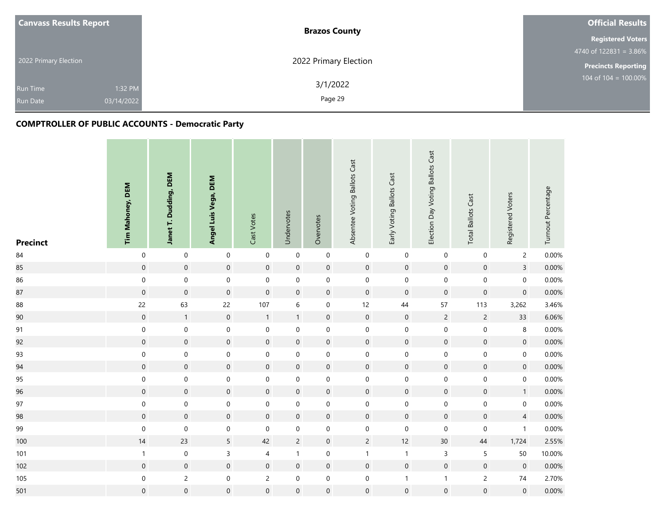| <b>Canvass Results Report</b> | <b>Brazos County</b>  | <b>Official Results</b>    |
|-------------------------------|-----------------------|----------------------------|
|                               |                       | <b>Registered Voters</b>   |
|                               |                       | 4740 of $122831 = 3.86\%$  |
| 2022 Primary Election         | 2022 Primary Election | <b>Precincts Reporting</b> |
| 1:32 PM<br><b>Run Time</b>    | 3/1/2022              | $104$ of $104 = 100.00\%$  |
| 03/14/2022<br><b>Run Date</b> | Page 29               |                            |

| <b>Precinct</b> | Tim Mahoney, DEM | Janet T. Dudding, DEM | Angel Luis Vega, DEM | Cast Votes          | Undervotes          | Overvotes           | Absentee Voting Ballots Cast | Early Voting Ballots Cast | Election Day Voting Ballots Cast | <b>Total Ballots Cast</b> | Registered Voters   | Turnout Percentage |
|-----------------|------------------|-----------------------|----------------------|---------------------|---------------------|---------------------|------------------------------|---------------------------|----------------------------------|---------------------------|---------------------|--------------------|
| 84              | $\boldsymbol{0}$ | $\pmb{0}$             | $\mathbf 0$          | $\boldsymbol{0}$    | $\pmb{0}$           | $\mathbf 0$         | $\mathbf 0$                  | $\mathbf 0$               | $\boldsymbol{0}$                 | $\pmb{0}$                 | $\overline{2}$      | 0.00%              |
| 85              | $\mathbf 0$      | $\boldsymbol{0}$      | $\mathsf{O}\xspace$  | $\mathbf 0$         | $\mathbf 0$         | $\mathbf 0$         | $\mathbf 0$                  | $\mathbf 0$               | $\mathbf 0$                      | $\mbox{O}$                | $\overline{3}$      | 0.00%              |
| 86              | $\boldsymbol{0}$ | $\pmb{0}$             | $\mathbf 0$          | $\mathsf{O}\xspace$ | $\pmb{0}$           | 0                   | $\boldsymbol{0}$             | $\mathbf 0$               | $\boldsymbol{0}$                 | $\mathbf 0$               | $\mathbf 0$         | 0.00%              |
| 87              | $\mathbf 0$      | $\mathsf{O}\xspace$   | $\pmb{0}$            | $\mathbf 0$         | $\mathbf 0$         | $\mathbf 0$         | $\mathbf 0$                  | $\mathbf 0$               | $\mathbf 0$                      | $\mathbf 0$               | $\mathsf{O}\xspace$ | 0.00%              |
| 88              | 22               | 63                    | 22                   | 107                 | $\,$ 6 $\,$         | $\boldsymbol{0}$    | 12                           | 44                        | 57                               | 113                       | 3,262               | 3.46%              |
| 90              | $\mathbf 0$      | $\mathbf{1}$          | $\boldsymbol{0}$     | $\mathbf{1}$        | $\mathbf{1}$        | $\boldsymbol{0}$    | $\mathbf 0$                  | $\mathbf 0$               | $\overline{c}$                   | $\sqrt{2}$                | 33                  | 6.06%              |
| 91              | $\mathbf 0$      | $\mathsf{O}\xspace$   | $\boldsymbol{0}$     | $\mathbf 0$         | $\mathbf 0$         | $\mathbf 0$         | $\pmb{0}$                    | $\mathbf 0$               | $\boldsymbol{0}$                 | $\mbox{O}$                | $\,8\,$             | 0.00%              |
| 92              | $\mathbf 0$      | $\boldsymbol{0}$      | $\pmb{0}$            | $\mathbf 0$         | $\pmb{0}$           | $\mathbf 0$         | $\mathbf 0$                  | $\mathsf{O}\xspace$       | $\mathbf 0$                      | $\mathbf 0$               | $\mathbf 0$         | 0.00%              |
| 93              | $\mathbf 0$      | $\mathbf 0$           | $\boldsymbol{0}$     | $\boldsymbol{0}$    | $\mathbf 0$         | $\mathbf 0$         | $\mbox{O}$                   | $\mathbf 0$               | $\mathbf 0$                      | $\boldsymbol{0}$          | 0                   | 0.00%              |
| 94              | $\mathbf 0$      | $\boldsymbol{0}$      | $\pmb{0}$            | $\mathbf 0$         | $\mathbf 0$         | $\mathbf 0$         | $\mathbf 0$                  | $\mathbf 0$               | $\mathbf 0$                      | $\mathbf 0$               | $\mathbf 0$         | 0.00%              |
| 95              | $\mathbf 0$      | $\mathbf 0$           | $\boldsymbol{0}$     | $\mathbf 0$         | $\mathbf 0$         | $\mathbf 0$         | $\boldsymbol{0}$             | $\mathbf 0$               | $\mathbf 0$                      | $\mbox{O}$                | $\boldsymbol{0}$    | 0.00%              |
| 96              | $\mathbf 0$      | $\boldsymbol{0}$      | $\mathsf{O}\xspace$  | $\mathbf 0$         | $\mathbf 0$         | $\mathbf 0$         | $\mathbf 0$                  | $\mathbf 0$               | $\mathbf 0$                      | $\mathbf 0$               | 1                   | 0.00%              |
| 97              | $\boldsymbol{0}$ | $\mathbf 0$           | 0                    | $\boldsymbol{0}$    | $\mathsf{O}\xspace$ | $\mathsf{O}\xspace$ | $\mbox{O}$                   | $\boldsymbol{0}$          | $\boldsymbol{0}$                 | $\mbox{O}$                | 0                   | 0.00%              |
| 98              | $\mathbf 0$      | $\boldsymbol{0}$      | $\pmb{0}$            | $\mathbf 0$         | $\mathbf 0$         | $\mathbf 0$         | $\mathbf 0$                  | $\mathbf 0$               | $\mathbf 0$                      | $\mathbf 0$               | $\overline{4}$      | 0.00%              |
| 99              | $\mathbf 0$      | $\mathbf 0$           | $\mathbf 0$          | $\mathbf 0$         | $\boldsymbol{0}$    | $\mathsf{O}\xspace$ | $\mathbf 0$                  | $\boldsymbol{0}$          | $\mathbf 0$                      | $\mathbf 0$               | $\mathbf{1}$        | 0.00%              |
| 100             | 14               | 23                    | 5                    | 42                  | $\sqrt{2}$          | $\boldsymbol{0}$    | $\overline{c}$               | 12                        | $30\,$                           | 44                        | 1,724               | 2.55%              |
| 101             | $\mathbf 1$      | $\mathbf 0$           | 3                    | 4                   | $\mathbf{1}$        | $\mathbf 0$         | $\mathbf{1}$                 | $\mathbf{1}$              | $\mathsf{3}$                     | $\sqrt{5}$                | 50                  | 10.00%             |
| 102             | $\mathbf 0$      | $\boldsymbol{0}$      | $\pmb{0}$            | $\boldsymbol{0}$    | $\mathsf{O}\xspace$ | $\mathbf 0$         | $\mathbf 0$                  | $\mathsf{O}\xspace$       | $\mathbf 0$                      | $\mathbf 0$               | $\mathbf 0$         | 0.00%              |
| 105             | $\boldsymbol{0}$ | $\overline{c}$        | $\boldsymbol{0}$     | $\overline{c}$      | $\mathbf 0$         | $\mathbf 0$         | $\mathbf 0$                  | $\mathbf{1}$              | $\mathbf{1}$                     | $\mathsf{2}\,$            | 74                  | 2.70%              |
| 501             | $\mathbf 0$      | $\mathbf 0$           | $\mathsf{O}\xspace$  | $\boldsymbol{0}$    | $\mathbf 0$         | $\boldsymbol{0}$    | $\mathbf 0$                  | $\mathsf{O}\xspace$       | $\mathbf 0$                      | $\mathbf 0$               | $\boldsymbol{0}$    | $0.00\%$           |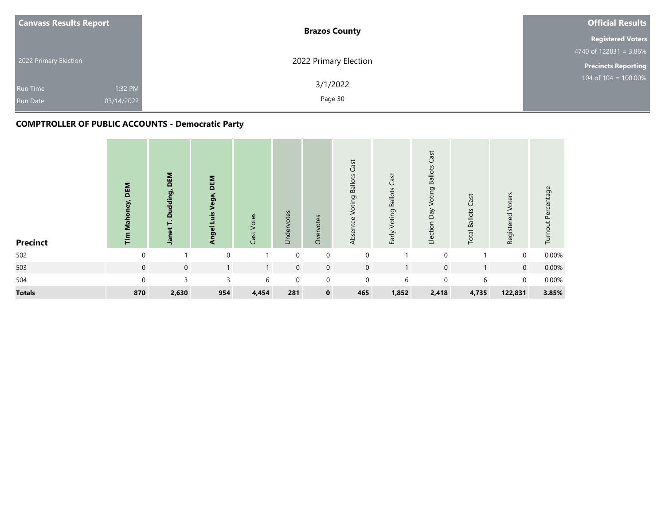| <b>Canvass Results Report</b> |            | <b>Brazos County</b>  | <b>Official Results</b>    |
|-------------------------------|------------|-----------------------|----------------------------|
|                               |            |                       | <b>Registered Voters</b>   |
|                               |            |                       | 4740 of $122831 = 3.86\%$  |
| 2022 Primary Election         |            | 2022 Primary Election | <b>Precincts Reporting</b> |
| <b>Run Time</b>               | 1:32 PM    | 3/1/2022              | 104 of $104 = 100.00\%$    |
| <b>Run Date</b>               | 03/14/2022 | Page 30               |                            |
|                               |            |                       |                            |

| <b>Precinct</b> | DEM<br>ney,<br>Mahor<br>im | DEM<br>Dudding,<br>Janet T. | DEM<br>Angel Luis Vega, | Votes<br>Cast <sup>-</sup> | Undervotes       | otes<br>Over | Cast<br>Voting Ballots<br>Absentee | Cast<br>Early Voting Ballots | <b>Voting Ballots Cast</b><br>Election Day | Cast<br><b>Total Ballots</b> | Voters<br>Registered | Turnout Percentage |
|-----------------|----------------------------|-----------------------------|-------------------------|----------------------------|------------------|--------------|------------------------------------|------------------------------|--------------------------------------------|------------------------------|----------------------|--------------------|
| 502             | $\Omega$                   |                             | $\mathbf 0$             |                            | $\mathbf 0$      | $\mathbf 0$  | $\mathbf 0$                        |                              | $\mathbf 0$                                |                              | $\mathbf 0$          | 0.00%              |
| 503             | $\mathbf 0$                | $\mathbf 0$                 | $\mathbf{1}$            | $\mathbf{1}$               | $\boldsymbol{0}$ | $\mathbf 0$  | $\mathbf 0$                        |                              | $\mathbf 0$                                |                              | $\overline{0}$       | 0.00%              |
| 504             | $\Omega$                   | 3                           | 3                       | 6                          | $\mathbf 0$      | $\mathbf 0$  | $\mathbf{0}$                       | 6                            | $\mathbf{0}$                               | 6                            | $\Omega$             | 0.00%              |
| <b>Totals</b>   | 870                        | 2,630                       | 954                     | 4,454                      | 281              | $\mathbf 0$  | 465                                | 1,852                        | 2,418                                      | 4,735                        | 122,831              | 3.85%              |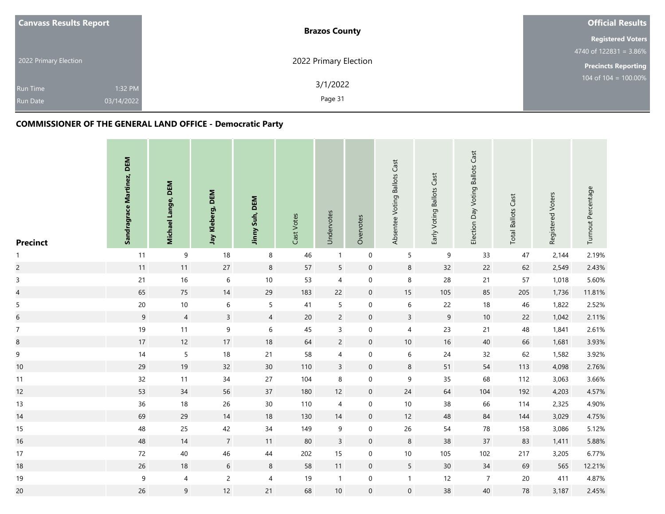| <b>Canvass Results Report</b>                    | <b>Brazos County</b>           | <b>Official Results</b>    |
|--------------------------------------------------|--------------------------------|----------------------------|
|                                                  |                                | <b>Registered Voters</b>   |
|                                                  |                                | 4740 of $122831 = 3.86\%$  |
| 2022 Primary Election                            | 2022 Primary Election          | <b>Precincts Reporting</b> |
| <b>Run Time</b><br>03/14/2022<br><b>Run Date</b> | 3/1/2022<br>1:32 PM<br>Page 31 | 104 of 104 = 100.00%       |

| <b>Precinct</b>          | Sandragrace Martinez, DEM | Michael Lange, DEM | Jay Kleberg, DEM | Jinny Suh, DEM  | Cast Votes | Undervotes     | Overvotes        | Absentee Voting Ballots Cast | Early Voting Ballots Cast | Election Day Voting Ballots Cast | <b>Total Ballots Cast</b> | Registered Voters | Turnout Percentage |
|--------------------------|---------------------------|--------------------|------------------|-----------------|------------|----------------|------------------|------------------------------|---------------------------|----------------------------------|---------------------------|-------------------|--------------------|
| $\mathbf{1}$             | 11                        | 9                  | 18               | $\,8\,$         | 46         | $\mathbf{1}$   | $\mathbf 0$      | $\overline{5}$               | $\mathsf 9$               | 33                               | 47                        | 2,144             | 2.19%              |
| $\overline{c}$           | $11$                      | $11$               | 27               | $\,8\,$         | 57         | 5              | $\mathbf 0$      | $\,8\,$                      | 32                        | 22                               | 62                        | 2,549             | 2.43%              |
| $\mathsf{3}$             | 21                        | 16                 | $\,$ 6 $\,$      | $10\,$          | 53         | $\overline{4}$ | $\mathbf 0$      | $\,8\,$                      | 28                        | 21                               | 57                        | 1,018             | 5.60%              |
| $\overline{\mathcal{L}}$ | 65                        | 75                 | 14               | 29              | 183        | 22             | $\boldsymbol{0}$ | 15                           | 105                       | 85                               | 205                       | 1,736             | 11.81%             |
| $\sqrt{5}$               | 20                        | $10$               | $\boldsymbol{6}$ | $\sqrt{5}$      | 41         | 5              | $\mathbf 0$      | $\,$ 6 $\,$                  | 22                        | $18\,$                           | 46                        | 1,822             | 2.52%              |
| $\overline{6}$           | 9                         | $\overline{4}$     | $\mathsf{3}$     | $\overline{4}$  | $20\,$     | $\overline{c}$ | $\mathbf 0$      | $\mathsf 3$                  | $9\,$                     | $10\,$                           | 22                        | 1,042             | 2.11%              |
| $\boldsymbol{7}$         | $19$                      | 11                 | 9                | $\,$ 6 $\,$     | 45         | $\mathsf{3}$   | $\boldsymbol{0}$ | 4                            | 23                        | 21                               | 48                        | 1,841             | 2.61%              |
| $\bf 8$                  | $17\,$                    | 12                 | 17               | 18              | 64         | $\overline{2}$ | $\mathbf 0$      | $10$                         | 16                        | 40                               | 66                        | 1,681             | 3.93%              |
| $\mathsf 9$              | $14$                      | 5                  | $18\,$           | 21              | 58         | 4              | $\boldsymbol{0}$ | $\,$ 6 $\,$                  | 24                        | 32                               | 62                        | 1,582             | 3.92%              |
| 10                       | 29                        | 19                 | 32               | $30\,$          | 110        | $\mathsf{3}$   | $\mathbf 0$      | $\,8\,$                      | 51                        | 54                               | 113                       | 4,098             | 2.76%              |
| 11                       | 32                        | $11$               | $34\,$           | 27              | 104        | 8              | $\boldsymbol{0}$ | $\mathsf 9$                  | 35                        | 68                               | 112                       | 3,063             | 3.66%              |
| 12                       | 53                        | 34                 | 56               | $37\,$          | 180        | 12             | $\mathbf 0$      | 24                           | 64                        | 104                              | 192                       | 4,203             | 4.57%              |
| 13                       | 36                        | 18                 | 26               | 30 <sub>o</sub> | 110        | $\overline{4}$ | $\mathbf 0$      | 10                           | 38                        | 66                               | 114                       | 2,325             | 4.90%              |
| 14                       | 69                        | 29                 | $14$             | $18\,$          | 130        | 14             | $\mathbf 0$      | 12                           | $48\,$                    | 84                               | 144                       | 3,029             | 4.75%              |
| 15                       | 48                        | 25                 | 42               | $34\,$          | 149        | 9              | $\boldsymbol{0}$ | 26                           | 54                        | ${\bf 78}$                       | 158                       | 3,086             | 5.12%              |
| 16                       | 48                        | $14$               | $\overline{7}$   | 11              | 80         | $\overline{3}$ | $\mathbf 0$      | $\,8\,$                      | 38                        | 37                               | 83                        | 1,411             | 5.88%              |
| 17                       | $72\,$                    | 40                 | 46               | 44              | 202        | 15             | $\mathbf 0$      | 10                           | 105                       | 102                              | 217                       | 3,205             | 6.77%              |
| 18                       | 26                        | $18$               | $6\,$            | $\,8\,$         | 58         | 11             | $\mathbf 0$      | $5\overline{)}$              | 30                        | 34                               | 69                        | 565               | 12.21%             |
| 19                       | $\boldsymbol{9}$          | 4                  | $\overline{2}$   | $\overline{4}$  | 19         | $\mathbf{1}$   | $\boldsymbol{0}$ | $\mathbf{1}$                 | 12                        | $\overline{7}$                   | $20\,$                    | 411               | 4.87%              |
| 20                       | 26                        | $\mathsf 9$        | 12               | 21              | 68         | 10             | $\boldsymbol{0}$ | $\mathbf 0$                  | $38\,$                    | 40                               | 78                        | 3,187             | 2.45%              |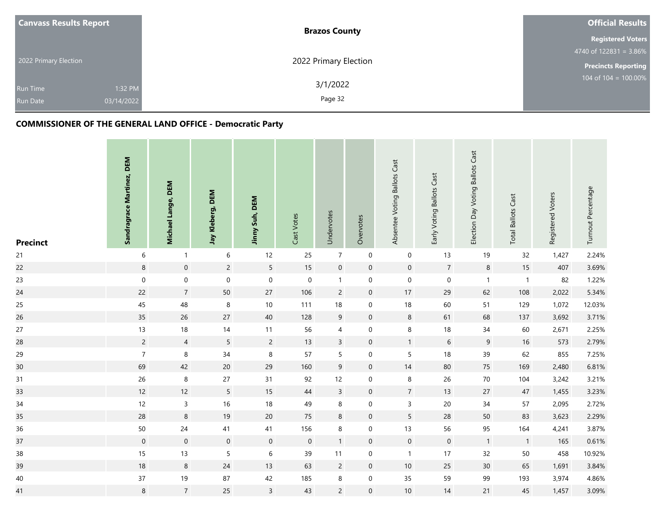| <b>Canvass Results Report</b>                               | <b>Brazos County</b>  | <b>Official Results</b>          |
|-------------------------------------------------------------|-----------------------|----------------------------------|
|                                                             |                       | <b>Registered Voters</b>         |
|                                                             |                       | 4740 of $122831 = 3.86\%$        |
| 2022 Primary Election                                       | 2022 Primary Election | <b>Precincts Reporting</b>       |
| 1:32 PM<br><b>Run Time</b><br>03/14/2022<br><b>Run Date</b> | 3/1/2022<br>Page 32   | $104 \text{ of } 104 = 100.00\%$ |

| <b>Precinct</b> | Sandragrace Martinez, DEM | Michael Lange, DEM | Jay Kleberg, DEM | Jinny Suh, DEM      | Cast Votes       | Undervotes      | Overvotes           | Absentee Voting Ballots Cast | Early Voting Ballots Cast | Election Day Voting Ballots Cast | <b>Total Ballots Cast</b> | Registered Voters | Turnout Percentage |
|-----------------|---------------------------|--------------------|------------------|---------------------|------------------|-----------------|---------------------|------------------------------|---------------------------|----------------------------------|---------------------------|-------------------|--------------------|
| $21$            | 6                         | 1                  | 6                | 12                  | 25               | $\overline{7}$  | $\mathbf 0$         | $\mathbf 0$                  | 13                        | 19                               | 32                        | 1,427             | 2.24%              |
| 22              | $\,8\,$                   | $\mathbf 0$        | $\overline{2}$   | $\overline{5}$      | 15               | $\mathbf 0$     | $\mathbf 0$         | $\mathbf 0$                  | $\overline{7}$            | $\,8\,$                          | $15\,$                    | 407               | 3.69%              |
| 23              | $\mathbf 0$               | $\mathbf 0$        | $\mathbf 0$      | $\pmb{0}$           | $\boldsymbol{0}$ | $\mathbf{1}$    | $\mathbf 0$         | $\boldsymbol{0}$             | $\,0\,$                   | $\mathbf{1}$                     | $\mathbf{1}$              | 82                | 1.22%              |
| 24              | 22                        | $\overline{7}$     | 50               | $27\,$              | 106              | $\overline{c}$  | $\mathbf 0$         | 17                           | 29                        | 62                               | 108                       | 2,022             | 5.34%              |
| 25              | 45                        | 48                 | $\bf 8$          | $10\,$              | 111              | 18              | $\boldsymbol{0}$    | $18\,$                       | 60                        | 51                               | 129                       | 1,072             | 12.03%             |
| 26              | 35                        | 26                 | 27               | $40\,$              | 128              | $9\phantom{.0}$ | $\mathbf 0$         | $\,8\,$                      | 61                        | 68                               | 137                       | 3,692             | 3.71%              |
| 27              | $13$                      | 18                 | $14$             | $11$                | 56               | $\overline{4}$  | $\boldsymbol{0}$    | $\,8\,$                      | 18                        | 34                               | 60                        | 2,671             | 2.25%              |
| 28              | $\overline{2}$            | $\overline{4}$     | $5\phantom{.0}$  | $\overline{c}$      | 13               | $\overline{3}$  | $\mathbf 0$         | $\mathbf{1}$                 | $\sqrt{6}$                | $\mathsf 9$                      | $16\,$                    | 573               | 2.79%              |
| 29              | $\overline{7}$            | 8                  | 34               | $\,8\,$             | 57               | 5               | $\boldsymbol{0}$    | 5                            | 18                        | 39                               | 62                        | 855               | 7.25%              |
| 30              | 69                        | 42                 | 20               | 29                  | 160              | 9               | $\mathsf{O}\xspace$ | 14                           | 80                        | 75                               | 169                       | 2,480             | 6.81%              |
| 31              | 26                        | $\,8\,$            | $27\,$           | 31                  | 92               | 12              | $\mathbf 0$         | $\,8\,$                      | 26                        | $70\,$                           | 104                       | 3,242             | 3.21%              |
| 33              | 12                        | $12$               | $5\phantom{.0}$  | 15                  | 44               | $\overline{3}$  | $\mathbf 0$         | $\overline{7}$               | 13                        | 27                               | 47                        | 1,455             | 3.23%              |
| 34              | 12                        | $\mathsf{3}$       | 16               | $18\,$              | 49               | 8               | $\boldsymbol{0}$    | $\mathsf{3}$                 | $20\,$                    | 34                               | 57                        | 2,095             | 2.72%              |
| 35              | 28                        | $\,8\,$            | $19$             | $20\,$              | 75               | 8               | $\mathbf 0$         | $5\phantom{.0}$              | 28                        | $50\,$                           | 83                        | 3,623             | 2.29%              |
| 36              | $50\,$                    | 24                 | 41               | 41                  | 156              | $\bf 8$         | $\mathbf 0$         | 13                           | 56                        | 95                               | 164                       | 4,241             | 3.87%              |
| 37              | $\mathsf{O}\xspace$       | $\mathbf 0$        | $\mathbf 0$      | $\mathsf{O}\xspace$ | $\mathbf 0$      | $\mathbf{1}$    | $\mathbf 0$         | $\mathbf 0$                  | $\mathbf 0$               | $\overline{1}$                   | $\mathbf{1}$              | 165               | 0.61%              |
| $38\,$          | 15                        | 13                 | 5                | $\,$ 6 $\,$         | 39               | 11              | $\mathbf 0$         | $\mathbf{1}$                 | 17                        | 32                               | $50\,$                    | 458               | 10.92%             |
| 39              | $18\,$                    | $\,8\,$            | $24$             | 13                  | 63               | $\overline{2}$  | $\mathbf 0$         | $10$                         | 25                        | 30                               | 65                        | 1,691             | 3.84%              |
| $40\,$          | 37                        | 19                 | 87               | 42                  | 185              | 8               | $\boldsymbol{0}$    | 35                           | 59                        | 99                               | 193                       | 3,974             | 4.86%              |
| 41              | $\,8\,$                   | $\sqrt{7}$         | 25               | $\overline{3}$      | 43               | $\overline{c}$  | $\mathbf 0$         | $10$                         | 14                        | 21                               | 45                        | 1,457             | 3.09%              |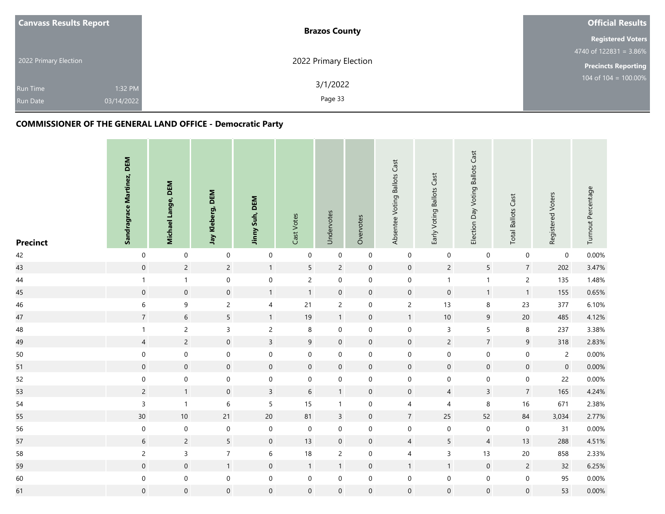| <b>Canvass Results Report</b>                               | <b>Brazos County</b>  | <b>Official Results</b>    |
|-------------------------------------------------------------|-----------------------|----------------------------|
|                                                             |                       | <b>Registered Voters</b>   |
|                                                             |                       | 4740 of $122831 = 3.86\%$  |
| 2022 Primary Election                                       | 2022 Primary Election | <b>Precincts Reporting</b> |
| 1:32 PM<br><b>Run Time</b><br>03/14/2022<br><b>Run Date</b> | 3/1/2022<br>Page 33   | 104 of $104 = 100.00\%$    |

| <b>Precinct</b> | Sandragrace Martinez, DEM | Michael Lange, DEM | Jay Kleberg, DEM    | Jinny Suh, DEM   | Cast Votes          | Undervotes       | Overvotes        | Absentee Voting Ballots Cast | Early Voting Ballots Cast | Election Day Voting Ballots Cast | <b>Total Ballots Cast</b> | Registered Voters | Turnout Percentage |
|-----------------|---------------------------|--------------------|---------------------|------------------|---------------------|------------------|------------------|------------------------------|---------------------------|----------------------------------|---------------------------|-------------------|--------------------|
| 42              | $\pmb{0}$                 | $\boldsymbol{0}$   | $\mathbf 0$         | $\pmb{0}$        | $\mathbf 0$         | $\boldsymbol{0}$ | $\mathbf 0$      | $\boldsymbol{0}$             | $\boldsymbol{0}$          | $\mathbf 0$                      | $\boldsymbol{0}$          | $\mathbf 0$       | 0.00%              |
| 43              | $\mathbf 0$               | $\sqrt{2}$         | $\overline{2}$      | $\mathbf{1}$     | 5                   | $\overline{c}$   | $\mathbf 0$      | $\mathbf 0$                  | $\overline{c}$            | 5                                | $\overline{7}$            | 202               | 3.47%              |
| 44              | $\mathbf{1}$              | $\mathbf{1}$       | $\mathbf 0$         | $\pmb{0}$        | $\overline{c}$      | $\boldsymbol{0}$ | $\mathbf 0$      | $\mathbf 0$                  | $\mathbf{1}$              | $\overline{1}$                   | $\overline{c}$            | 135               | 1.48%              |
| 45              | $\pmb{0}$                 | $\,0\,$            | $\mathbf 0$         | $\mathbf{1}$     | $\mathbf{1}$        | $\boldsymbol{0}$ | $\mathbf 0$      | $\mathbf 0$                  | $\mbox{O}$                | $\mathbf{1}$                     | $\mathbf{1}$              | 155               | 0.65%              |
| $46\,$          | 6                         | 9                  | $\overline{c}$      | $\overline{4}$   | 21                  | $\overline{c}$   | $\boldsymbol{0}$ | $\overline{c}$               | 13                        | $\bf 8$                          | 23                        | 377               | 6.10%              |
| 47              | $\overline{7}$            | $\,$ 6 $\,$        | 5                   | $\mathbf{1}$     | $19$                | 1                | $\boldsymbol{0}$ | $\mathbf{1}$                 | $10\,$                    | $\boldsymbol{9}$                 | $20\,$                    | 485               | 4.12%              |
| 48              | $\mathbf{1}$              | $\mathsf{2}\,$     | $\mathsf{3}$        | $\sqrt{2}$       | 8                   | $\boldsymbol{0}$ | $\boldsymbol{0}$ | $\boldsymbol{0}$             | $\mathsf 3$               | 5                                | $\bf 8$                   | 237               | 3.38%              |
| 49              | $\overline{4}$            | $\overline{c}$     | $\mathsf{O}\xspace$ | $\overline{3}$   | $\overline{9}$      | $\boldsymbol{0}$ | $\mathbf 0$      | $\mathbf 0$                  | $\overline{c}$            | $\overline{7}$                   | $\overline{9}$            | 318               | 2.83%              |
| $50\,$          | $\mathbf 0$               | $\mathbf 0$        | $\mathbf 0$         | $\pmb{0}$        | $\boldsymbol{0}$    | $\boldsymbol{0}$ | $\boldsymbol{0}$ | $\,0\,$                      | $\,0\,$                   | $\mathbf 0$                      | $\mathbf 0$               | $\overline{c}$    | 0.00%              |
| 51              | $\mathsf{O}\xspace$       | $\mathbf 0$        | $\mathsf{O}\xspace$ | $\mathbf 0$      | $\mathbf 0$         | $\mathbf 0$      | $\mathbf 0$      | $\mathbf 0$                  | $\mathbf 0$               | $\mathbf 0$                      | $\mathbf 0$               | $\mathbf 0$       | $0.00\%$           |
| 52              | $\pmb{0}$                 | $\boldsymbol{0}$   | $\mathbf 0$         | $\pmb{0}$        | $\boldsymbol{0}$    | 0                | $\mathbf 0$      | $\boldsymbol{0}$             | $\mathbf 0$               | $\boldsymbol{0}$                 | $\mathbf 0$               | 22                | 0.00%              |
| 53              | $\overline{2}$            | $\mathbf{1}$       | $\mathbf 0$         | $\overline{3}$   | $6\phantom{.0}$     | $\mathbf{1}$     | $\mathbf 0$      | $\mathbf 0$                  | $\overline{4}$            | $\overline{3}$                   | $\overline{7}$            | 165               | 4.24%              |
| 54              | 3                         | $\mathbf{1}$       | $\,$ 6 $\,$         | 5                | 15                  | $\mathbf{1}$     | $\boldsymbol{0}$ | 4                            | $\overline{\mathbf{4}}$   | $\,8\,$                          | $16\,$                    | 671               | 2.38%              |
| 55              | $30\,$                    | $10$               | 21                  | $20\,$           | 81                  | $\overline{3}$   | $\mathbf 0$      | $\boldsymbol{7}$             | 25                        | 52                               | 84                        | 3,034             | 2.77%              |
| 56              | $\boldsymbol{0}$          | $\mathbf 0$        | $\boldsymbol{0}$    | $\boldsymbol{0}$ | $\mathsf{O}\xspace$ | $\boldsymbol{0}$ | $\mathbf 0$      | $\mathbf 0$                  | $\,0\,$                   | $\mathbf 0$                      | $\mathbf 0$               | 31                | 0.00%              |
| 57              | $\sqrt{6}$                | $\overline{c}$     | 5                   | $\mathbf 0$      | 13                  | $\mathbf 0$      | $\boldsymbol{0}$ | $\sqrt{4}$                   | 5                         | $\overline{4}$                   | 13                        | 288               | 4.51%              |
| 58              | $\overline{c}$            | $\mathsf 3$        | $\overline{7}$      | $\,$ 6 $\,$      | 18                  | $\overline{c}$   | $\boldsymbol{0}$ | $\overline{4}$               | $\mathsf 3$               | 13                               | $20\,$                    | 858               | 2.33%              |
| 59              | $\mathsf{O}\xspace$       | $\mathbf 0$        | 1                   | $\mathbf 0$      | $\mathbf{1}$        | $\mathbf{1}$     | $\mathbf 0$      | $\mathbf{1}$                 | $\mathbf{1}$              | $\mathbf 0$                      | $\overline{c}$            | 32                | 6.25%              |
| 60              | $\mathbf 0$               | $\mathbf 0$        | $\boldsymbol{0}$    | $\mathbf 0$      | $\mathsf{O}\xspace$ | $\mathsf{O}$     | $\boldsymbol{0}$ | $\,0\,$                      | $\pmb{0}$                 | $\boldsymbol{0}$                 | $\mathbf 0$               | 95                | 0.00%              |
| 61              | $\pmb{0}$                 | $\mathbf 0$        | $\boldsymbol{0}$    | $\mathbf 0$      | $\mathsf{O}\xspace$ | $\boldsymbol{0}$ | $\boldsymbol{0}$ | $\mathbf 0$                  | $\mbox{O}$                | $\boldsymbol{0}$                 | $\mathbf 0$               | 53                | $0.00\%$           |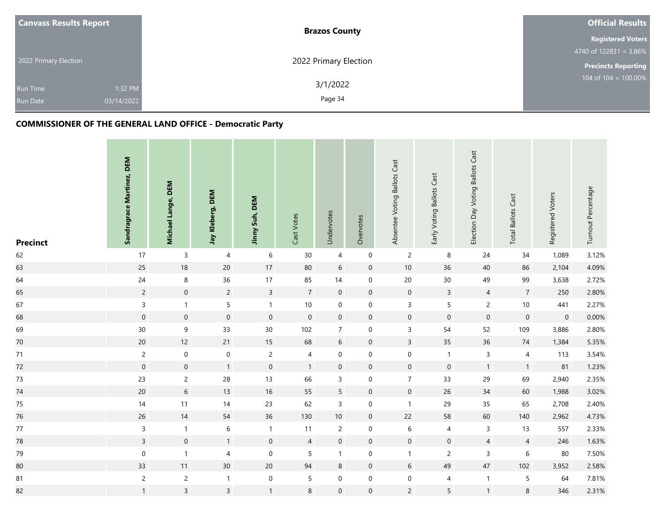| <b>Canvass Results Report</b>                               | <b>Brazos County</b>  | <b>Official Results</b>    |
|-------------------------------------------------------------|-----------------------|----------------------------|
|                                                             |                       | <b>Registered Voters</b>   |
|                                                             |                       | 4740 of $122831 = 3.86\%$  |
| 2022 Primary Election                                       | 2022 Primary Election | <b>Precincts Reporting</b> |
| 1:32 PM<br><b>Run Time</b><br>03/14/2022<br><b>Run Date</b> | 3/1/2022<br>Page 34   | 104 of $104 = 100.00\%$    |

| <b>Precinct</b> | Sandragrace Martinez, DEM | Michael Lange, DEM | Jay Kleberg, DEM | Jinny Suh, DEM   | Cast Votes     | Undervotes      | Overvotes           | Absentee Voting Ballots Cast | Early Voting Ballots Cast | Election Day Voting Ballots Cast | <b>Total Ballots Cast</b> | Registered Voters | Turnout Percentage |
|-----------------|---------------------------|--------------------|------------------|------------------|----------------|-----------------|---------------------|------------------------------|---------------------------|----------------------------------|---------------------------|-------------------|--------------------|
| 62              | $17\,$                    | $\mathsf 3$        | 4                | 6                | 30             | $\overline{4}$  | $\boldsymbol{0}$    | $\overline{2}$               | 8                         | 24                               | $34\,$                    | 1,089             | 3.12%              |
| 63              | $25\,$                    | 18                 | $20\,$           | $17$             | 80             | $6\phantom{.0}$ | $\mathsf{O}\xspace$ | $10$                         | 36                        | 40                               | 86                        | 2,104             | 4.09%              |
| 64              | 24                        | $\,8\,$            | 36               | $17$             | 85             | 14              | $\mathbf 0$         | $20\,$                       | $30\,$                    | 49                               | 99                        | 3,638             | 2.72%              |
| 65              | $\overline{2}$            | $\mathbf 0$        | $\overline{c}$   | $\mathsf{3}$     | $\overline{7}$ | $\mathbf 0$     | $\boldsymbol{0}$    | $\mathsf{O}\xspace$          | $\mathsf{3}$              | $\overline{4}$                   | $\boldsymbol{7}$          | 250               | 2.80%              |
| 67              | $\mathsf{3}$              | $\mathbf{1}$       | 5                | $\mathbf{1}$     | 10             | $\mathbf 0$     | $\pmb{0}$           | $\mathsf 3$                  | $\sf 5$                   | $\overline{c}$                   | $10\,$                    | 441               | 2.27%              |
| 68              | $\mathbf 0$               | $\boldsymbol{0}$   | $\mathbf 0$      | $\boldsymbol{0}$ | $\mathbf 0$    | $\mathbf 0$     | $\mathbf 0$         | $\boldsymbol{0}$             | $\mathbf 0$               | $\mathbf 0$                      | $\mathbf 0$               | $\mathbf 0$       | 0.00%              |
| 69              | $30\,$                    | $\mathsf 9$        | 33               | $30\,$           | 102            | $\overline{7}$  | $\boldsymbol{0}$    | $\overline{3}$               | 54                        | 52                               | 109                       | 3,886             | 2.80%              |
| 70              | $20\,$                    | 12                 | 21               | $15\,$           | 68             | $6\,$           | $\mathsf{O}\xspace$ | $\overline{3}$               | 35                        | 36                               | $74\,$                    | 1,384             | 5.35%              |
| 71              | $\overline{c}$            | $\boldsymbol{0}$   | $\mathbf 0$      | $\overline{c}$   | $\sqrt{4}$     | $\mathbf 0$     | $\mathbf 0$         | $\mathbf 0$                  | $\overline{1}$            | $\mathsf{3}$                     | $\overline{4}$            | 113               | 3.54%              |
| 72              | $\mathsf{O}\xspace$       | $\mathbf 0$        | $\mathbf{1}$     | $\mathbf 0$      | $\mathbf{1}$   | $\mathbf 0$     | $\mathbf 0$         | $\boldsymbol{0}$             | $\mathbf 0$               | $\mathbf{1}$                     | $\mathbf{1}$              | 81                | 1.23%              |
| 73              | 23                        | $\overline{c}$     | 28               | $13$             | 66             | 3               | $\mathbf 0$         | $\overline{7}$               | 33                        | 29                               | 69                        | 2,940             | 2.35%              |
| 74              | $20\,$                    | $\sqrt{6}$         | 13               | $16\,$           | 55             | 5               | $\mathbf 0$         | $\mathbf 0$                  | 26                        | 34                               | 60                        | 1,988             | 3.02%              |
| $75\,$          | $14$                      | 11                 | 14               | 23               | 62             | $\mathsf{3}$    | $\boldsymbol{0}$    | $\mathbf{1}$                 | 29                        | 35                               | 65                        | 2,708             | 2.40%              |
| 76              | $26\,$                    | 14                 | 54               | $36\,$           | 130            | $10\,$          | $\boldsymbol{0}$    | $22$                         | 58                        | 60                               | $140\,$                   | 2,962             | 4.73%              |
| 77              | $\mathsf{3}$              | $\overline{1}$     | $6\,$            | $\mathbf{1}$     | 11             | $\overline{2}$  | $\pmb{0}$           | $\,6\,$                      | 4                         | $\mathbf{3}$                     | 13                        | 557               | 2.33%              |
| 78              | $\mathsf{3}$              | $\mathbf 0$        | 1                | $\mathbf 0$      | $\overline{4}$ | $\mathbf 0$     | $\mathbf 0$         | $\boldsymbol{0}$             | $\mathbf 0$               | $\overline{4}$                   | $\overline{4}$            | 246               | 1.63%              |
| 79              | $\boldsymbol{0}$          | $\mathbf{1}$       | 4                | $\pmb{0}$        | 5              | $\mathbf{1}$    | $\pmb{0}$           | $\mathbf{1}$                 | $\sqrt{2}$                | $\mathsf 3$                      | $\,6\,$                   | 80                | 7.50%              |
| 80              | 33                        | 11                 | 30 <sup>°</sup>  | $20\,$           | 94             | $\bf 8$         | $\mathbf 0$         | $6\,$                        | 49                        | 47                               | 102                       | 3,952             | 2.58%              |
| 81              | $\sqrt{2}$                | $\sqrt{2}$         | $\mathbf{1}$     | $\pmb{0}$        | 5              | $\mathbf 0$     | $\mathbf 0$         | $\mathbf 0$                  | $\overline{\mathbf{4}}$   | $\mathbf{1}$                     | $\sqrt{5}$                | 64                | 7.81%              |
| 82              | $\mathbf{1}$              | $\overline{3}$     | $\mathsf{3}$     | $\mathbf{1}$     | $\bf 8$        | $\mathbf 0$     | $\mathbf 0$         | $\overline{c}$               | 5                         | $\mathbf{1}$                     | $\,8\,$                   | 346               | 2.31%              |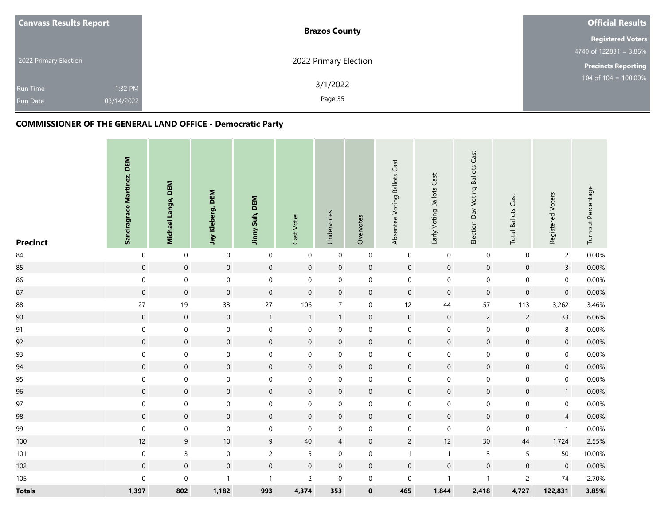| <b>Canvass Results Report</b>                               | <b>Brazos County</b>  | <b>Official Results</b>    |
|-------------------------------------------------------------|-----------------------|----------------------------|
|                                                             |                       | <b>Registered Voters</b>   |
|                                                             |                       | 4740 of $122831 = 3.86\%$  |
| 2022 Primary Election                                       | 2022 Primary Election | <b>Precincts Reporting</b> |
| 1:32 PM<br><b>Run Time</b><br>03/14/2022<br><b>Run Date</b> | 3/1/2022<br>Page 35   | 104 of 104 = 100.00%       |

| <b>Precinct</b> | Sandragrace Martinez, DEM | Michael Lange, DEM  | Jay Kleberg, DEM    | Jinny Suh, DEM | Cast Votes          | Undervotes       | Overvotes        | Absentee Voting Ballots Cast | Early Voting Ballots Cast | Election Day Voting Ballots Cast | <b>Total Ballots Cast</b> | Registered Voters   | Turnout Percentage |
|-----------------|---------------------------|---------------------|---------------------|----------------|---------------------|------------------|------------------|------------------------------|---------------------------|----------------------------------|---------------------------|---------------------|--------------------|
| 84              | $\pmb{0}$                 | $\boldsymbol{0}$    | $\mathsf{O}\xspace$ | $\pmb{0}$      | $\mathbf 0$         | $\boldsymbol{0}$ | $\boldsymbol{0}$ | $\boldsymbol{0}$             | $\boldsymbol{0}$          | $\mathbf 0$                      | $\boldsymbol{0}$          | $\overline{c}$      | 0.00%              |
| 85              | $\mathbf 0$               | $\mathsf{O}\xspace$ | $\mathbf 0$         | $\mathbf 0$    | $\mathbf 0$         | $\mathbf 0$      | $\mathbf 0$      | $\mathbf 0$                  | $\mathbf 0$               | $\mathbf 0$                      | $\mathbf 0$               | $\overline{3}$      | $0.00\%$           |
| 86              | $\boldsymbol{0}$          | $\boldsymbol{0}$    | $\mathbf 0$         | $\mathbf 0$    | $\mathsf{O}\xspace$ | $\boldsymbol{0}$ | $\mathbf 0$      | $\mathbf 0$                  | $\mathbf 0$               | $\mathbf 0$                      | $\mathbf 0$               | $\boldsymbol{0}$    | 0.00%              |
| 87              | $\mathbf 0$               | $\,0\,$             | $\mathbf 0$         | $\mathbf 0$    | $\mathsf{O}\xspace$ | $\boldsymbol{0}$ | $\mathbf 0$      | $\mathbf 0$                  | $\mathbf 0$               | $\mathbf 0$                      | $\mathbf 0$               | $\boldsymbol{0}$    | 0.00%              |
| 88              | 27                        | 19                  | 33                  | $27\,$         | 106                 | $\overline{7}$   | $\boldsymbol{0}$ | 12                           | 44                        | 57                               | 113                       | 3,262               | 3.46%              |
| 90              | $\mathsf{O}$              | $\,0\,$             | $\mathbf 0$         | $\mathbf{1}$   | $\mathbf{1}$        | 1                | $\boldsymbol{0}$ | $\mathbf 0$                  | $\mathbf 0$               | $\overline{c}$                   | $\overline{c}$            | 33                  | 6.06%              |
| 91              | $\mathbf 0$               | $\mathbf 0$         | $\boldsymbol{0}$    | $\mathbf 0$    | $\mathbf 0$         | $\mathsf{O}$     | $\boldsymbol{0}$ | $\boldsymbol{0}$             | $\mathbf 0$               | $\mathbf 0$                      | $\mathbf 0$               | $\,8\,$             | 0.00%              |
| 92              | $\mathsf{O}\xspace$       | $\mathbf 0$         | $\mathsf{O}\xspace$ | $\mathbf 0$    | $\mathsf{O}\xspace$ | $\boldsymbol{0}$ | $\mathbf 0$      | $\mathbf 0$                  | $\mathbf 0$               | $\mathbf 0$                      | $\mathbf 0$               | $\mathbf 0$         | $0.00\%$           |
| 93              | $\mathbf 0$               | $\boldsymbol{0}$    | $\mathbf 0$         | $\pmb{0}$      | $\boldsymbol{0}$    | $\boldsymbol{0}$ | $\boldsymbol{0}$ | $\,0\,$                      | $\,0\,$                   | $\mathbf 0$                      | $\mathbf 0$               | $\pmb{0}$           | 0.00%              |
| 94              | $\mathbf 0$               | $\mathbf 0$         | $\mathsf{O}\xspace$ | $\mathbf 0$    | $\mathsf{O}\xspace$ | $\mathbf 0$      | $\boldsymbol{0}$ | $\mathbf 0$                  | $\mathbf 0$               | $\mathbf 0$                      | $\mathbf 0$               | $\mathbf 0$         | 0.00%              |
| 95              | $\pmb{0}$                 | $\boldsymbol{0}$    | $\mathbf 0$         | $\pmb{0}$      | $\boldsymbol{0}$    | 0                | $\mathbf 0$      | $\boldsymbol{0}$             | $\mathbf 0$               | $\boldsymbol{0}$                 | $\boldsymbol{0}$          | $\mathbf 0$         | 0.00%              |
| 96              | $\pmb{0}$                 | $\mathbf 0$         | $\mathbf 0$         | $\mathbf 0$    | $\mathsf{O}\xspace$ | $\mathbf 0$      | $\mathbf 0$      | $\mathbf 0$                  | $\mathbf 0$               | $\mathbf 0$                      | $\mathbf 0$               | $\mathbf{1}$        | $0.00\%$           |
| 97              | $\boldsymbol{0}$          | $\mathbf 0$         | $\mathbf 0$         | $\mathbf 0$    | $\mathbf 0$         | $\mathbf 0$      | $\boldsymbol{0}$ | $\boldsymbol{0}$             | $\boldsymbol{0}$          | $\mathbf 0$                      | $\mathbf 0$               | $\boldsymbol{0}$    | 0.00%              |
| 98              | $\mathsf{O}\xspace$       | $\mathbf 0$         | $\mathbf 0$         | $\mathbf 0$    | $\mathsf{O}\xspace$ | $\boldsymbol{0}$ | $\mathbf 0$      | $\mathbf 0$                  | $\mathbf 0$               | $\mathbf 0$                      | $\boldsymbol{0}$          | $\overline{4}$      | $0.00\%$           |
| 99              | $\mathbf 0$               | $\mathbf 0$         | $\mathbf 0$         | $\mathbf 0$    | $\boldsymbol{0}$    | $\boldsymbol{0}$ | $\mathbf 0$      | $\boldsymbol{0}$             | $\boldsymbol{0}$          | $\boldsymbol{0}$                 | $\mathbf 0$               | $\mathbf{1}$        | 0.00%              |
| 100             | 12                        | $\mathsf 9$         | $10\,$              | $9\,$          | 40                  | $\overline{4}$   | $\boldsymbol{0}$ | $\overline{2}$               | 12                        | 30 <sup>°</sup>                  | $44\,$                    | 1,724               | 2.55%              |
| 101             | $\boldsymbol{0}$          | $\mathsf 3$         | $\mathbf 0$         | $\overline{c}$ | 5                   | $\boldsymbol{0}$ | $\boldsymbol{0}$ | $\mathbf{1}$                 | $\mathbf{1}$              | $\mathsf 3$                      | $\sqrt{5}$                | 50                  | 10.00%             |
| 102             | $\mathsf{O}\xspace$       | $\mathbf 0$         | $\mathsf{O}\xspace$ | $\mathbf 0$    | $\mathsf{O}\xspace$ | $\boldsymbol{0}$ | $\mathbf 0$      | $\mathbf 0$                  | $\mathbf 0$               | $\mathbf 0$                      | $\mathbf 0$               | $\mathsf{O}\xspace$ | 0.00%              |
| 105             | $\mathsf{O}\xspace$       | $\mathbf 0$         | $\mathbf{1}$        | $\mathbf{1}$   | $\overline{c}$      | $\boldsymbol{0}$ | $\mathbf 0$      | $\boldsymbol{0}$             | $\mathbf{1}$              | $\overline{1}$                   | $\overline{c}$            | 74                  | 2.70%              |
| <b>Totals</b>   | 1,397                     | 802                 | 1,182               | 993            | 4,374               | 353              | $\pmb{0}$        | 465                          | 1,844                     | 2,418                            | 4,727                     | 122,831             | 3.85%              |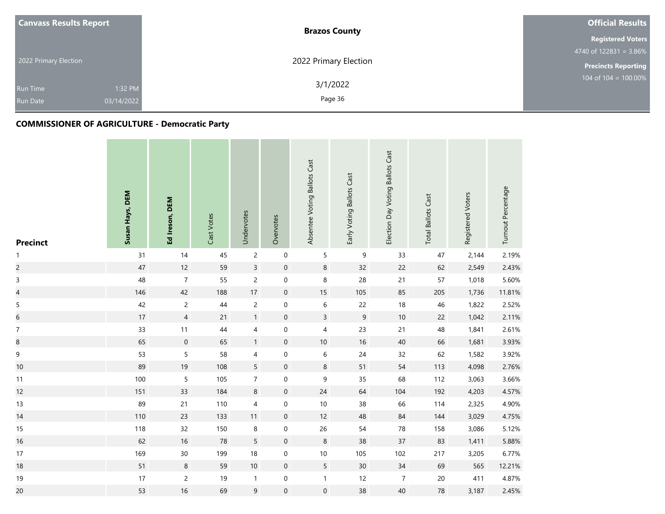| <b>Canvass Results Report</b> |            | <b>Brazos County</b>  | <b>Official Results</b>                     |
|-------------------------------|------------|-----------------------|---------------------------------------------|
|                               |            |                       | <b>Registered Voters</b>                    |
|                               |            |                       | 4740 of $122831 = 3.86\%$                   |
| 2022 Primary Election         |            | 2022 Primary Election | <b>Precincts Reporting</b>                  |
| Run Time                      | 1:32 PM    | 3/1/2022              | $104 \overline{\text{ of } 104} = 100.00\%$ |
| <b>Run Date</b>               | 03/14/2022 | Page 36               |                                             |

# **COMMISSIONER OF AGRICULTURE - Democratic Party**

| <b>Precinct</b>          | Susan Hays, DEM | Ed Ireson, DEM   | Cast Votes | Undervotes               | Overvotes        | Absentee Voting Ballots Cast | Early Voting Ballots Cast | Election Day Voting Ballots Cast | <b>Total Ballots Cast</b> | Registered Voters | Turnout Percentage |
|--------------------------|-----------------|------------------|------------|--------------------------|------------------|------------------------------|---------------------------|----------------------------------|---------------------------|-------------------|--------------------|
| $\mathbf{1}$             | 31              | 14               | 45         | $\overline{c}$           | $\mathbf 0$      | $\sqrt{5}$                   | 9                         | 33                               | 47                        | 2,144             | 2.19%              |
| $\overline{c}$           | 47              | 12               | 59         | $\overline{3}$           | $\pmb{0}$        | $\bf 8$                      | 32                        | 22                               | 62                        | 2,549             | 2.43%              |
| $\overline{3}$           | 48              | $\boldsymbol{7}$ | 55         | $\overline{c}$           | $\pmb{0}$        | $\, 8$                       | 28                        | $21$                             | 57                        | 1,018             | 5.60%              |
| $\overline{\mathcal{L}}$ | 146             | 42               | 188        | 17                       | $\boldsymbol{0}$ | 15                           | 105                       | 85                               | 205                       | 1,736             | 11.81%             |
| 5                        | 42              | $\overline{c}$   | 44         | $\overline{c}$           | $\mathbf 0$      | $\boldsymbol{6}$             | 22                        | 18                               | 46                        | 1,822             | 2.52%              |
| $\overline{6}$           | $17\,$          | $\overline{4}$   | 21         | $\mathbf{1}$             | $\boldsymbol{0}$ | $\overline{3}$               | $\boldsymbol{9}$          | 10                               | 22                        | 1,042             | 2.11%              |
| $\boldsymbol{7}$         | 33              | $11$             | 44         | $\overline{\mathcal{L}}$ | $\mathbf 0$      | $\overline{\mathcal{A}}$     | 23                        | 21                               | 48                        | 1,841             | 2.61%              |
| 8                        | 65              | $\mathbf 0$      | 65         | $\mathbf{1}$             | $\boldsymbol{0}$ | $10$                         | $16\,$                    | 40                               | 66                        | 1,681             | 3.93%              |
| 9                        | 53              | $\sqrt{5}$       | 58         | $\overline{4}$           | $\pmb{0}$        | $\boldsymbol{6}$             | 24                        | 32                               | 62                        | 1,582             | 3.92%              |
| $10$                     | 89              | 19               | 108        | $5\overline{)}$          | $\pmb{0}$        | $\bf 8$                      | 51                        | 54                               | 113                       | 4,098             | 2.76%              |
| 11                       | 100             | $\sqrt{5}$       | 105        | $\boldsymbol{7}$         | $\pmb{0}$        | $\boldsymbol{9}$             | 35                        | 68                               | 112                       | 3,063             | 3.66%              |
| 12                       | 151             | 33               | 184        | $\,8\,$                  | $\pmb{0}$        | $24$                         | 64                        | 104                              | 192                       | 4,203             | 4.57%              |
| 13                       | 89              | $21$             | 110        | $\overline{\mathcal{A}}$ | $\pmb{0}$        | $10$                         | 38                        | 66                               | 114                       | 2,325             | 4.90%              |
| 14                       | 110             | 23               | 133        | 11                       | $\pmb{0}$        | $12$                         | 48                        | 84                               | 144                       | 3,029             | 4.75%              |
| 15                       | 118             | 32               | 150        | $\,8\,$                  | $\mathbf 0$      | 26                           | 54                        | 78                               | 158                       | 3,086             | 5.12%              |
| 16                       | 62              | 16               | 78         | $\sqrt{5}$               | $\boldsymbol{0}$ | $\bf 8$                      | 38                        | 37                               | 83                        | 1,411             | 5.88%              |
| 17                       | 169             | $30\,$           | 199        | 18                       | $\mathbf 0$      | $10$                         | 105                       | 102                              | 217                       | 3,205             | 6.77%              |
| 18                       | 51              | $\bf 8$          | 59         | $10$                     | $\pmb{0}$        | 5                            | $30\,$                    | $34$                             | 69                        | 565               | 12.21%             |
| 19                       | $17$            | $\overline{c}$   | 19         | $\mathbf{1}$             | $\pmb{0}$        | $\mathbf{1}$                 | 12                        | $\overline{7}$                   | $20\,$                    | 411               | 4.87%              |
| 20                       | 53              | 16               | 69         | $\boldsymbol{9}$         | $\boldsymbol{0}$ | $\mathbf 0$                  | 38                        | 40                               | 78                        | 3,187             | 2.45%              |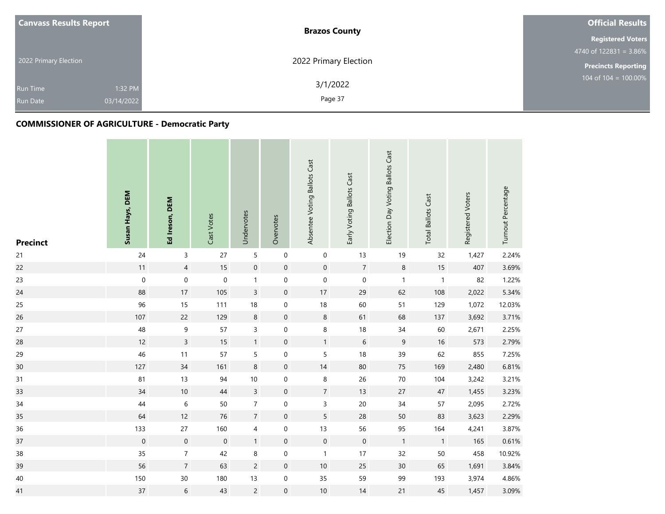| <b>Canvass Results Report</b> | <b>Brazos County</b>  | <b>Official Results</b>                       |  |  |
|-------------------------------|-----------------------|-----------------------------------------------|--|--|
|                               |                       | <b>Registered Voters</b>                      |  |  |
|                               |                       | $4740 \overline{\text{ of } 122831} = 3.86\%$ |  |  |
| 2022 Primary Election         | 2022 Primary Election | <b>Precincts Reporting</b>                    |  |  |
| 1:32 PM<br><b>Run Time</b>    | 3/1/2022              | 104 of $104 = 100.00\%$                       |  |  |
| 03/14/2022<br><b>Run Date</b> | Page 37               |                                               |  |  |

and the con-

| <b>Precinct</b> | Susan Hays, DEM  | Ed Ireson, DEM   | Cast Votes  | Undervotes     | Overvotes           | Absentee Voting Ballots Cast | Early Voting Ballots Cast | Election Day Voting Ballots Cast | <b>Total Ballots Cast</b> | Registered Voters | Turnout Percentage |
|-----------------|------------------|------------------|-------------|----------------|---------------------|------------------------------|---------------------------|----------------------------------|---------------------------|-------------------|--------------------|
| 21              | 24               | $\mathsf 3$      | 27          | 5              | $\boldsymbol{0}$    | $\mathbf 0$                  | 13                        | 19                               | 32                        | 1,427             | 2.24%              |
| 22              | 11               | $\overline{4}$   | 15          | $\mathbf 0$    | $\mathsf{O}\xspace$ | $\mathbf 0$                  | $\overline{7}$            | $\,8\,$                          | 15                        | 407               | 3.69%              |
| 23              | $\boldsymbol{0}$ | $\mathbf 0$      | $\mathbf 0$ | $\mathbf{1}$   | $\boldsymbol{0}$    | $\boldsymbol{0}$             | $\mathbf 0$               | $\mathbf{1}$                     | $\mathbf{1}$              | 82                | 1.22%              |
| 24              | 88               | $17\,$           | 105         | $\overline{3}$ | $\mathbf 0$         | $17\,$                       | 29                        | 62                               | 108                       | 2,022             | 5.34%              |
| 25              | 96               | 15               | 111         | 18             | 0                   | $18\,$                       | 60                        | 51                               | 129                       | 1,072             | 12.03%             |
| 26              | 107              | 22               | 129         | $\,8\,$        | $\boldsymbol{0}$    | $\,8\,$                      | 61                        | 68                               | 137                       | 3,692             | 3.71%              |
| 27              | 48               | 9                | 57          | $\overline{3}$ | $\boldsymbol{0}$    | 8                            | 18                        | 34                               | 60                        | 2,671             | 2.25%              |
| 28              | 12               | $\overline{3}$   | 15          | $\mathbf{1}$   | $\mathbf 0$         | $\mathbf{1}$                 | $\sqrt{6}$                | 9                                | 16                        | 573               | 2.79%              |
| 29              | 46               | 11               | 57          | 5              | $\boldsymbol{0}$    | 5                            | 18                        | 39                               | 62                        | 855               | 7.25%              |
| 30 <sub>o</sub> | 127              | 34               | 161         | $\,8\,$        | $\boldsymbol{0}$    | 14                           | 80                        | 75                               | 169                       | 2,480             | 6.81%              |
| 31              | 81               | 13               | 94          | $10\,$         | $\boldsymbol{0}$    | $\, 8$                       | 26                        | 70                               | 104                       | 3,242             | 3.21%              |
| 33              | 34               | 10               | 44          | $\overline{3}$ | $\mathsf{O}\xspace$ | $\overline{7}$               | 13                        | 27                               | 47                        | 1,455             | 3.23%              |
| 34              | $44\,$           | 6                | 50          | $\overline{7}$ | $\boldsymbol{0}$    | $\mathsf{3}$                 | 20                        | 34                               | 57                        | 2,095             | 2.72%              |
| 35              | 64               | 12               | 76          | $\overline{7}$ | $\boldsymbol{0}$    | 5                            | 28                        | 50                               | 83                        | 3,623             | 2.29%              |
| 36              | 133              | 27               | 160         | $\overline{4}$ | $\mathbf 0$         | 13                           | 56                        | 95                               | 164                       | 4,241             | 3.87%              |
| 37              | $\boldsymbol{0}$ | $\boldsymbol{0}$ | $\mathbf 0$ | $\mathbf{1}$   | $\mathbf 0$         | $\mathbf 0$                  | $\mathbf 0$               | $\mathbf{1}$                     | $\mathbf{1}$              | 165               | 0.61%              |
| 38              | 35               | $\overline{7}$   | 42          | 8              | $\boldsymbol{0}$    | $\mathbf{1}$                 | 17                        | 32                               | 50                        | 458               | 10.92%             |
| 39              | 56               | $\overline{7}$   | 63          | $\overline{c}$ | $\mathbf 0$         | $10\,$                       | 25                        | 30                               | 65                        | 1,691             | 3.84%              |
| 40              | 150              | $30\,$           | 180         | 13             | $\boldsymbol{0}$    | 35                           | 59                        | 99                               | 193                       | 3,974             | 4.86%              |
| 41              | 37               | $\,$ 6 $\,$      | 43          | $\overline{c}$ | $\boldsymbol{0}$    | $10\,$                       | 14                        | 21                               | 45                        | 1,457             | 3.09%              |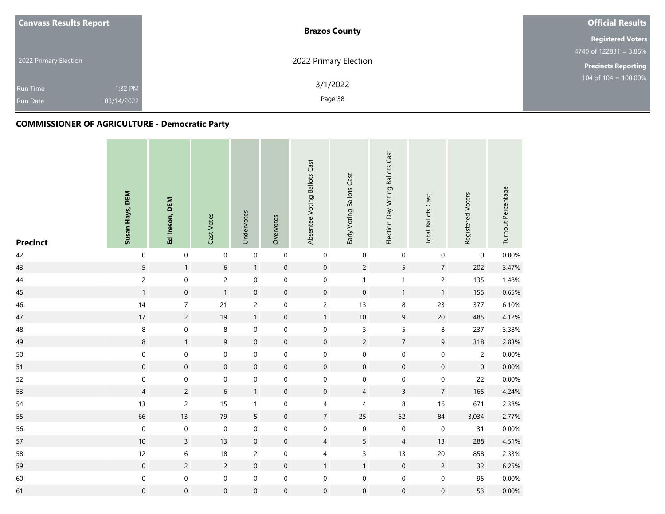| <b>Canvass Results Report</b> | <b>Brazos County</b>  | <b>Official Results</b>    |  |  |
|-------------------------------|-----------------------|----------------------------|--|--|
|                               |                       | <b>Registered Voters</b>   |  |  |
|                               |                       | 4740 of $122831 = 3.86\%$  |  |  |
| 2022 Primary Election         | 2022 Primary Election | <b>Precincts Reporting</b> |  |  |
|                               | 3/1/2022              | 104 of $104 = 100.00\%$    |  |  |
| 1:32 PM<br><b>Run Time</b>    |                       |                            |  |  |
| 03/14/2022<br><b>Run Date</b> | Page 38               |                            |  |  |

| <b>Precinct</b> | Susan Hays, DEM     | Ed Ireson, DEM      | Cast Votes          | Undervotes          | Overvotes           | Absentee Voting Ballots Cast | Early Voting Ballots Cast | Election Day Voting Ballots Cast | <b>Total Ballots Cast</b> | Registered Voters   | Turnout Percentage |
|-----------------|---------------------|---------------------|---------------------|---------------------|---------------------|------------------------------|---------------------------|----------------------------------|---------------------------|---------------------|--------------------|
| 42              | $\mathbf 0$         | $\mathbf 0$         | $\mathsf{O}\xspace$ | $\mathbf 0$         | $\mathsf{O}\xspace$ | $\mathbf 0$                  | $\mathbf 0$               | $\boldsymbol{0}$                 | $\mathbf 0$               | $\boldsymbol{0}$    | 0.00%              |
| 43              | 5                   | $\mathbf{1}$        | $6\phantom{a}$      | $\mathbf{1}$        | $\mathbf 0$         | $\mathsf{O}\xspace$          | $\overline{2}$            | 5                                | $\overline{7}$            | 202                 | 3.47%              |
| 44              | $\overline{c}$      | $\pmb{0}$           | $\overline{c}$      | $\pmb{0}$           | $\mathbf 0$         | $\mathbf 0$                  | $\mathbf{1}$              | $\mathbf{1}$                     | $\overline{c}$            | 135                 | 1.48%              |
| 45              | $\mathbf{1}$        | $\boldsymbol{0}$    | $\mathbf{1}$        | $\mathbf 0$         | $\boldsymbol{0}$    | $\mathsf{O}\xspace$          | $\mathbf 0$               | $\mathbf{1}$                     | $\mathbf{1}$              | 155                 | 0.65%              |
| 46              | 14                  | $\boldsymbol{7}$    | 21                  | $\overline{c}$      | $\boldsymbol{0}$    | $\overline{c}$               | 13                        | 8                                | 23                        | 377                 | 6.10%              |
| 47              | $17\,$              | $\overline{c}$      | 19                  | $\mathbf{1}$        | $\boldsymbol{0}$    | $\mathbf{1}$                 | $10\,$                    | 9                                | $20\,$                    | 485                 | 4.12%              |
| 48              | $\bf 8$             | $\mathbf 0$         | 8                   | $\pmb{0}$           | $\mathsf{O}\xspace$ | $\mathbf 0$                  | $\mathsf 3$               | 5                                | 8                         | 237                 | 3.38%              |
| 49              | $\bf 8$             | $\mathbf{1}$        | 9                   | $\mathbf 0$         | $\boldsymbol{0}$    | $\mathbf 0$                  | $\overline{c}$            | $\overline{7}$                   | 9                         | 318                 | 2.83%              |
| $50\,$          | $\mathbf 0$         | $\boldsymbol{0}$    | 0                   | $\pmb{0}$           | $\boldsymbol{0}$    | $\mathbf 0$                  | $\mathbf 0$               | $\mathsf{O}\xspace$              | $\mathsf{O}\xspace$       | $\overline{c}$      | 0.00%              |
| 51              | $\mathsf{O}\xspace$ | $\mathsf{O}\xspace$ | $\mathsf{O}\xspace$ | $\boldsymbol{0}$    | $\mathbf 0$         | $\mathsf{O}\xspace$          | $\mathbf 0$               | $\mathbf 0$                      | $\boldsymbol{0}$          | $\mathsf{O}\xspace$ | 0.00%              |
| 52              | $\mathbf 0$         | $\mathbf 0$         | 0                   | $\pmb{0}$           | $\boldsymbol{0}$    | $\mathbf 0$                  | $\boldsymbol{0}$          | $\boldsymbol{0}$                 | $\mathbf 0$               | 22                  | 0.00%              |
| 53              | $\overline{4}$      | $\overline{c}$      | $6\phantom{.0}$     | $\mathbf{1}$        | $\mathsf{O}\xspace$ | $\mathbf 0$                  | $\overline{4}$            | $\overline{3}$                   | $\overline{7}$            | 165                 | 4.24%              |
| 54              | $13$                | $\sqrt{2}$          | 15                  | $\mathbf{1}$        | $\pmb{0}$           | 4                            | 4                         | 8                                | $16\,$                    | 671                 | 2.38%              |
| 55              | 66                  | 13                  | 79                  | $\overline{5}$      | $\boldsymbol{0}$    | $\overline{7}$               | 25                        | 52                               | 84                        | 3,034               | 2.77%              |
| 56              | $\mathbf 0$         | $\mathbf 0$         | $\mathbf 0$         | $\mathbf 0$         | $\boldsymbol{0}$    | $\mathbf 0$                  | $\mathbf 0$               | $\boldsymbol{0}$                 | $\mathbf 0$               | 31                  | 0.00%              |
| 57              | $10$                | $\mathsf{3}$        | 13                  | $\boldsymbol{0}$    | $\boldsymbol{0}$    | $\overline{4}$               | 5                         | $\overline{4}$                   | 13                        | 288                 | 4.51%              |
| 58              | 12                  | $\,$ 6 $\,$         | 18                  | $\overline{c}$      | $\mathbf 0$         | $\overline{4}$               | 3                         | 13                               | $20\,$                    | 858                 | 2.33%              |
| 59              | $\boldsymbol{0}$    | $\overline{c}$      | $\overline{c}$      | $\mathbf 0$         | $\mathsf{O}\xspace$ | $\mathbf{1}$                 | $\mathbf{1}$              | $\mathbf 0$                      | $\overline{c}$            | 32                  | 6.25%              |
| 60              | $\boldsymbol{0}$    | $\mathbf 0$         | 0                   | $\mathbf 0$         | $\boldsymbol{0}$    | $\mathbf 0$                  | $\mathbf 0$               | $\mathbf 0$                      | $\boldsymbol{0}$          | 95                  | 0.00%              |
| 61              | $\mathbf 0$         | $\boldsymbol{0}$    | $\mathbf 0$         | $\mathsf{O}\xspace$ | $\boldsymbol{0}$    | $\boldsymbol{0}$             | $\mathsf{O}\xspace$       | $\mathsf{O}\xspace$              | $\mathsf{O}\xspace$       | 53                  | 0.00%              |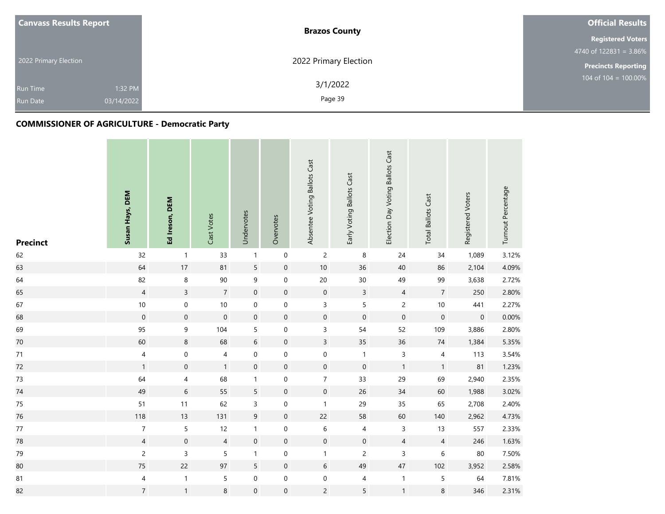| <b>Canvass Results Report</b> | <b>Brazos County</b>  | <b>Official Results</b>    |  |  |
|-------------------------------|-----------------------|----------------------------|--|--|
|                               |                       | <b>Registered Voters</b>   |  |  |
|                               |                       | 4740 of $122831 = 3.86\%$  |  |  |
| 2022 Primary Election         | 2022 Primary Election | <b>Precincts Reporting</b> |  |  |
|                               | 3/1/2022              | 104 of $104 = 100.00\%$    |  |  |
| 1:32 PM<br><b>Run Time</b>    |                       |                            |  |  |
| 03/14/2022<br><b>Run Date</b> | Page 39               |                            |  |  |

| <b>Precinct</b> | Susan Hays, DEM     | Ed Ireson, DEM           | Cast Votes       | Undervotes       | Overvotes           | Absentee Voting Ballots Cast | Early Voting Ballots Cast | Election Day Voting Ballots Cast | <b>Total Ballots Cast</b> | Registered Voters   | Turnout Percentage |
|-----------------|---------------------|--------------------------|------------------|------------------|---------------------|------------------------------|---------------------------|----------------------------------|---------------------------|---------------------|--------------------|
| 62              | 32                  | $\mathbf{1}$             | 33               | $\mathbf{1}$     | $\mathbf 0$         | $\overline{2}$               | 8                         | 24                               | 34                        | 1,089               | 3.12%              |
| 63              | 64                  | $17$                     | 81               | $\overline{5}$   | $\mathsf{O}\xspace$ | $10$                         | 36                        | 40                               | 86                        | 2,104               | 4.09%              |
| 64              | 82                  | $\,8\,$                  | 90               | $\boldsymbol{9}$ | $\boldsymbol{0}$    | 20                           | 30                        | 49                               | 99                        | 3,638               | 2.72%              |
| 65              | $\overline{4}$      | $\overline{3}$           | $\overline{7}$   | $\mathbf 0$      | $\mathbf 0$         | $\mathsf{O}\xspace$          | $\overline{3}$            | $\overline{4}$                   | $\overline{7}$            | 250                 | 2.80%              |
| 67              | $10$                | $\boldsymbol{0}$         | $10\,$           | $\mathbf 0$      | 0                   | 3                            | 5                         | $\overline{c}$                   | $10\,$                    | 441                 | 2.27%              |
| 68              | $\mathsf{O}\xspace$ | $\mathbf 0$              | $\boldsymbol{0}$ | $\mathbf 0$      | $\boldsymbol{0}$    | $\mathsf{O}\xspace$          | $\mathbf 0$               | $\mathbf 0$                      | $\boldsymbol{0}$          | $\mathsf{O}\xspace$ | 0.00%              |
| 69              | 95                  | $\boldsymbol{9}$         | 104              | 5                | $\mathbf 0$         | $\mathsf{3}$                 | 54                        | 52                               | 109                       | 3,886               | 2.80%              |
| 70              | 60                  | 8                        | 68               | $\,$ 6 $\,$      | $\boldsymbol{0}$    | $\overline{3}$               | 35                        | 36                               | 74                        | 1,384               | 5.35%              |
| $71\,$          | $\overline{4}$      | $\boldsymbol{0}$         | $\overline{4}$   | $\mathbf 0$      | $\pmb{0}$           | $\mathbf 0$                  | $\mathbf{1}$              | 3                                | 4                         | 113                 | 3.54%              |
| 72              | $\mathbf{1}$        | $\mathbf 0$              | $\mathbf{1}$     | $\mathbf 0$      | $\mathsf{O}\xspace$ | $\mathbf 0$                  | $\mathsf{O}\xspace$       | $\mathbf{1}$                     | $\mathbf{1}$              | 81                  | 1.23%              |
| 73              | 64                  | $\overline{\mathcal{A}}$ | 68               | $\mathbf{1}$     | $\boldsymbol{0}$    | $\overline{7}$               | 33                        | 29                               | 69                        | 2,940               | 2.35%              |
| $74\,$          | 49                  | $\sqrt{6}$               | 55               | 5                | $\mathsf{O}\xspace$ | $\mathsf{O}\xspace$          | 26                        | 34                               | 60                        | 1,988               | 3.02%              |
| 75              | 51                  | 11                       | 62               | 3                | $\pmb{0}$           | $\mathbf{1}$                 | 29                        | 35                               | 65                        | 2,708               | 2.40%              |
| 76              | 118                 | 13                       | 131              | $\mathsf 9$      | $\boldsymbol{0}$    | $22$                         | 58                        | 60                               | 140                       | 2,962               | 4.73%              |
| $77\,$          | $\overline{7}$      | 5                        | 12               | $\mathbf{1}$     | 0                   | 6                            | 4                         | 3                                | 13                        | 557                 | 2.33%              |
| 78              | $\overline{4}$      | $\boldsymbol{0}$         | $\overline{4}$   | $\boldsymbol{0}$ | $\boldsymbol{0}$    | $\mathbf 0$                  | $\mathbf 0$               | $\overline{4}$                   | $\overline{4}$            | 246                 | 1.63%              |
| 79              | $\overline{c}$      | $\overline{3}$           | 5                | $\mathbf{1}$     | $\pmb{0}$           | $\mathbf{1}$                 | $\overline{c}$            | 3                                | 6                         | 80                  | 7.50%              |
| 80              | $75\,$              | 22                       | 97               | 5                | $\boldsymbol{0}$    | 6                            | 49                        | 47                               | 102                       | 3,952               | 2.58%              |
| 81              | 4                   | $\mathbf{1}$             | 5                | $\boldsymbol{0}$ | $\boldsymbol{0}$    | $\mathbf 0$                  | 4                         | $\mathbf{1}$                     | 5                         | 64                  | 7.81%              |
| 82              | $\overline{7}$      | $\mathbf{1}$             | 8                | $\mathbf 0$      | $\boldsymbol{0}$    | $\overline{c}$               | 5                         | $\mathbf{1}$                     | 8                         | 346                 | 2.31%              |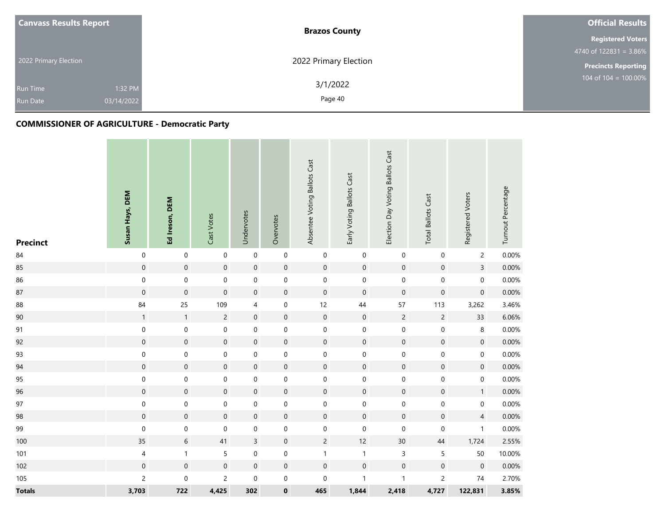| <b>Canvass Results Report</b>                               | <b>Brazos County</b>  | <b>Official Results</b>    |
|-------------------------------------------------------------|-----------------------|----------------------------|
|                                                             |                       | <b>Registered Voters</b>   |
|                                                             |                       | 4740 of $122831 = 3.86\%$  |
| 2022 Primary Election                                       | 2022 Primary Election | <b>Precincts Reporting</b> |
| 1:32 PM<br><b>Run Time</b><br>03/14/2022<br><b>Run Date</b> | 3/1/2022<br>Page 40   | 104 of 104 = $100.00\%$    |

| <b>Precinct</b> | Susan Hays, DEM     | Ed Ireson, DEM   | Cast Votes          | Undervotes          | Overvotes           | Absentee Voting Ballots Cast | Early Voting Ballots Cast | Election Day Voting Ballots Cast | <b>Total Ballots Cast</b> | Registered Voters   | Turnout Percentage |
|-----------------|---------------------|------------------|---------------------|---------------------|---------------------|------------------------------|---------------------------|----------------------------------|---------------------------|---------------------|--------------------|
| $\bf 84$        | $\mathbf 0$         | $\mathbf 0$      | $\pmb{0}$           | $\pmb{0}$           | $\mathbf 0$         | $\pmb{0}$                    | $\boldsymbol{0}$          | $\boldsymbol{0}$                 | $\pmb{0}$                 | $\overline{c}$      | 0.00%              |
| 85              | $\mathsf{O}\xspace$ | $\pmb{0}$        | $\mathsf{O}\xspace$ | $\mathbf 0$         | $\mathsf{O}\xspace$ | $\mathsf{O}\xspace$          | $\mathbf 0$               | $\pmb{0}$                        | $\boldsymbol{0}$          | $\overline{3}$      | 0.00%              |
| 86              | $\mathbf 0$         | $\mathbf 0$      | $\pmb{0}$           | $\mathbf 0$         | $\mathbf 0$         | $\mathbf 0$                  | $\mathbf 0$               | $\mathbf 0$                      | $\mathbf 0$               | $\mathbf 0$         | 0.00%              |
| 87              | $\boldsymbol{0}$    | $\mathbf 0$      | $\boldsymbol{0}$    | $\mathbf 0$         | $\boldsymbol{0}$    | $\pmb{0}$                    | $\mathbf 0$               | $\mathsf{O}\xspace$              | $\boldsymbol{0}$          | $\mathbf 0$         | 0.00%              |
| 88              | 84                  | 25               | 109                 | $\overline{4}$      | $\mathbf 0$         | 12                           | 44                        | 57                               | 113                       | 3,262               | 3.46%              |
| 90              | $\mathbf{1}$        | $\mathbf{1}$     | $\overline{c}$      | $\mathbf 0$         | $\pmb{0}$           | $\mathbf 0$                  | $\mathbf 0$               | $\overline{c}$                   | $\overline{c}$            | 33                  | 6.06%              |
| 91              | $\mathbf 0$         | $\mathbf 0$      | $\boldsymbol{0}$    | $\mathbf 0$         | $\mathbf 0$         | $\mathbf 0$                  | $\boldsymbol{0}$          | 0                                | $\mathbf 0$               | 8                   | 0.00%              |
| 92              | $\mathbf 0$         | $\boldsymbol{0}$ | $\boldsymbol{0}$    | $\mathbf 0$         | $\boldsymbol{0}$    | $\boldsymbol{0}$             | $\mathbf 0$               | $\pmb{0}$                        | $\boldsymbol{0}$          | $\mathsf{O}\xspace$ | 0.00%              |
| 93              | $\mathbf 0$         | $\mathbf 0$      | $\mathbf 0$         | $\boldsymbol{0}$    | $\mathbf 0$         | $\mathbf 0$                  | $\mbox{O}$                | $\pmb{0}$                        | $\mathbf 0$               | 0                   | 0.00%              |
| 94              | $\boldsymbol{0}$    | $\mathbf 0$      | $\mathbf 0$         | $\mathbf 0$         | $\boldsymbol{0}$    | $\mathbf 0$                  | $\boldsymbol{0}$          | $\mathbf 0$                      | $\mathbf 0$               | $\mathbf 0$         | 0.00%              |
| 95              | $\mathbf 0$         | $\mathbf 0$      | $\boldsymbol{0}$    | $\boldsymbol{0}$    | $\mathbf 0$         | $\mathbf 0$                  | $\mathbf 0$               | $\mathsf{O}\xspace$              | $\mathbf 0$               | $\mathsf{O}\xspace$ | 0.00%              |
| 96              | $\mathsf{O}\xspace$ | $\pmb{0}$        | $\mathbf 0$         | $\mathsf{O}\xspace$ | $\pmb{0}$           | $\mathsf{O}\xspace$          | $\mathbf 0$               | $\mathsf{O}\xspace$              | $\boldsymbol{0}$          | $\mathbf{1}$        | 0.00%              |
| 97              | $\pmb{0}$           | $\mathbf 0$      | $\mathbf 0$         | $\mathbf 0$         | $\pmb{0}$           | $\boldsymbol{0}$             | $\mathbf 0$               | $\pmb{0}$                        | $\boldsymbol{0}$          | $\mathbf 0$         | 0.00%              |
| 98              | $\boldsymbol{0}$    | $\boldsymbol{0}$ | $\mathsf{O}\xspace$ | $\mathbf 0$         | $\boldsymbol{0}$    | $\mathbf 0$                  | $\pmb{0}$                 | $\mathsf{O}\xspace$              | $\boldsymbol{0}$          | $\overline{4}$      | 0.00%              |
| 99              | $\pmb{0}$           | $\mathbf 0$      | $\pmb{0}$           | $\mathbf 0$         | $\pmb{0}$           | $\pmb{0}$                    | $\mathbf 0$               | $\mathbf 0$                      | $\pmb{0}$                 | $\mathbf{1}$        | 0.00%              |
| 100             | 35                  | $\,$ 6 $\,$      | 41                  | $\overline{3}$      | $\boldsymbol{0}$    | $\overline{c}$               | 12                        | 30 <sup>°</sup>                  | 44                        | 1,724               | 2.55%              |
| 101             | $\overline{4}$      | $\mathbf{1}$     | 5                   | $\pmb{0}$           | $\mathsf{O}\xspace$ | $\mathbf 1$                  | $\mathbf{1}$              | $\overline{3}$                   | 5                         | 50                  | 10.00%             |
| 102             | $\boldsymbol{0}$    | $\boldsymbol{0}$ | $\boldsymbol{0}$    | $\mathbf 0$         | $\boldsymbol{0}$    | $\mathbf 0$                  | $\mathbf 0$               | $\mathbf 0$                      | $\boldsymbol{0}$          | $\boldsymbol{0}$    | 0.00%              |
| 105             | $\overline{c}$      | $\mathbf 0$      | $\overline{c}$      | $\boldsymbol{0}$    | $\pmb{0}$           | $\pmb{0}$                    | $\mathbf{1}$              | $\mathbf{1}$                     | $\overline{c}$            | $74\,$              | 2.70%              |
| <b>Totals</b>   | 3,703               | 722              | 4,425               | 302                 | $\pmb{0}$           | 465                          | 1,844                     | 2,418                            | 4,727                     | 122,831             | 3.85%              |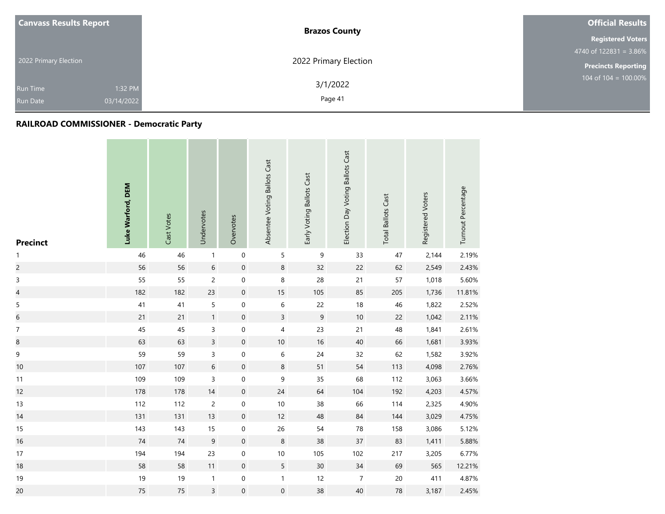| <b>Canvass Results Report</b> |            | <b>Brazos County</b>  | <b>Official Results</b>    |  |  |
|-------------------------------|------------|-----------------------|----------------------------|--|--|
|                               |            |                       | <b>Registered Voters</b>   |  |  |
|                               |            |                       | $4740$ of 122831 = 3.86%   |  |  |
| 2022 Primary Election         |            | 2022 Primary Election | <b>Precincts Reporting</b> |  |  |
| <b>Run Time</b>               | 1:32 PM    | 3/1/2022              | 104 of $104 = 100.00\%$    |  |  |
| <b>Run Date</b>               | 03/14/2022 | Page 41               |                            |  |  |

| <b>Precinct</b>         | Luke Warford, DEM | Cast Votes | Undervotes     | Overvotes           | Absentee Voting Ballots Cast | Early Voting Ballots Cast | Election Day Voting Ballots Cast | <b>Total Ballots Cast</b> | Registered Voters | Turnout Percentage |
|-------------------------|-------------------|------------|----------------|---------------------|------------------------------|---------------------------|----------------------------------|---------------------------|-------------------|--------------------|
| 1                       | 46                | 46         | $\mathbf{1}$   | $\mathbf 0$         | 5                            | 9                         | 33                               | 47                        | 2,144             | 2.19%              |
| $\overline{c}$          | 56                | 56         | 6              | $\mathbf 0$         | 8                            | 32                        | 22                               | 62                        | 2,549             | 2.43%              |
| $\mathsf 3$             | 55                | 55         | $\overline{c}$ | $\mathbf 0$         | $\bf 8$                      | 28                        | 21                               | 57                        | 1,018             | 5.60%              |
| $\overline{\mathbf{4}}$ | 182               | 182        | 23             | $\mathbf 0$         | 15                           | 105                       | 85                               | 205                       | 1,736             | 11.81%             |
| 5                       | 41                | 41         | 5              | $\mathbf 0$         | $\,$ 6 $\,$                  | 22                        | $18$                             | 46                        | 1,822             | 2.52%              |
| $\sqrt{6}$              | 21                | 21         | $\mathbf{1}$   | $\mathbf 0$         | $\overline{3}$               | $\mathsf 9$               | $10\,$                           | 22                        | 1,042             | 2.11%              |
| $\overline{7}$          | 45                | 45         | 3              | $\boldsymbol{0}$    | 4                            | 23                        | 21                               | 48                        | 1,841             | 2.61%              |
| $\bf8$                  | 63                | 63         | $\overline{3}$ | $\mathbf 0$         | 10                           | 16                        | 40                               | 66                        | 1,681             | 3.93%              |
| 9                       | 59                | 59         | 3              | $\boldsymbol{0}$    | $\,$ 6 $\,$                  | 24                        | 32                               | 62                        | 1,582             | 3.92%              |
| 10                      | 107               | 107        | $6\,$          | $\mathbf 0$         | $\,8\,$                      | 51                        | 54                               | 113                       | 4,098             | 2.76%              |
| 11                      | 109               | 109        | 3              | $\mathbf 0$         | $\mathsf 9$                  | 35                        | 68                               | 112                       | 3,063             | 3.66%              |
| 12                      | 178               | 178        | $14$           | $\boldsymbol{0}$    | 24                           | 64                        | 104                              | 192                       | 4,203             | 4.57%              |
| 13                      | 112               | 112        | $\overline{c}$ | $\mathbf 0$         | 10                           | 38                        | 66                               | 114                       | 2,325             | 4.90%              |
| 14                      | 131               | 131        | 13             | $\mathbf 0$         | 12                           | 48                        | 84                               | 144                       | 3,029             | 4.75%              |
| 15                      | 143               | 143        | 15             | $\mathsf{O}\xspace$ | 26                           | 54                        | 78                               | 158                       | 3,086             | 5.12%              |
| 16                      | $74$              | $74$       | $9\,$          | $\mathbf 0$         | 8                            | 38                        | 37                               | 83                        | 1,411             | 5.88%              |
| 17                      | 194               | 194        | 23             | $\mathbf 0$         | $10\,$                       | 105                       | 102                              | 217                       | 3,205             | 6.77%              |
| 18                      | 58                | 58         | 11             | $\mathbf 0$         | 5                            | 30 <sup>°</sup>           | 34                               | 69                        | 565               | 12.21%             |
| $19$                    | 19                | 19         | $\mathbf{1}$   | $\mathsf{O}\xspace$ | $\mathbf{1}$                 | 12                        | $\overline{7}$                   | $20\,$                    | 411               | 4.87%              |
| 20                      | 75                | 75         | 3              | $\boldsymbol{0}$    | $\boldsymbol{0}$             | 38                        | 40                               | 78                        | 3,187             | 2.45%              |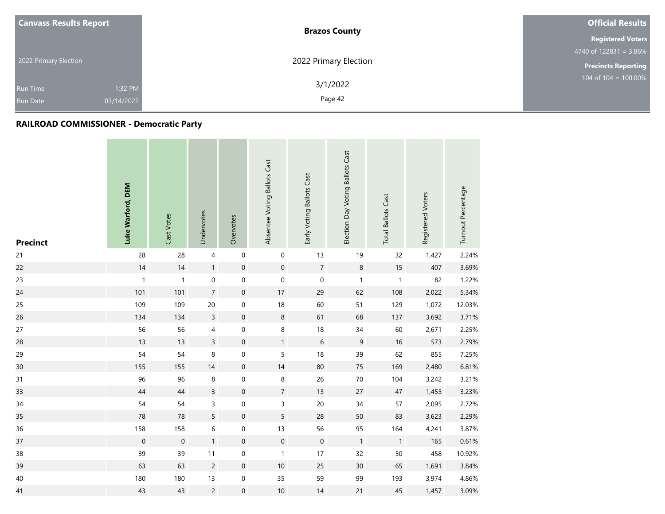| <b>Canvass Results Report</b> |            | <b>Brazos County</b>  | <b>Official Results</b>    |
|-------------------------------|------------|-----------------------|----------------------------|
|                               |            |                       | <b>Registered Voters</b>   |
|                               |            |                       | $4740$ of 122831 = 3.86%   |
| 2022 Primary Election         |            | 2022 Primary Election | <b>Precincts Reporting</b> |
| <b>Run Time</b>               | 1:32 PM    | 3/1/2022              | 104 of $104 = 100.00\%$    |
| <b>Run Date</b>               | 03/14/2022 | Page 42               |                            |

| <b>Precinct</b> | Luke Warford, DEM   | Cast Votes          | Undervotes     | Overvotes           | Absentee Voting Ballots Cast | Early Voting Ballots Cast | Election Day Voting Ballots Cast | <b>Total Ballots Cast</b> | Registered Voters | Turnout Percentage |
|-----------------|---------------------|---------------------|----------------|---------------------|------------------------------|---------------------------|----------------------------------|---------------------------|-------------------|--------------------|
| 21              | 28                  | 28                  | $\overline{4}$ | $\mathbf 0$         | $\mathbf 0$                  | 13                        | 19                               | 32                        | 1,427             | 2.24%              |
| 22              | 14                  | 14                  | $\mathbf{1}$   | $\mathbf 0$         | $\mathbf 0$                  | $\overline{7}$            | $\,8\,$                          | $15\,$                    | 407               | 3.69%              |
| 23              | $\mathbf{1}$        | $\mathbf{1}$        | $\pmb{0}$      | $\mathsf{O}\xspace$ | 0                            | $\pmb{0}$                 | $\mathbf{1}$                     | $\overline{1}$            | 82                | 1.22%              |
| 24              | 101                 | 101                 | $\overline{7}$ | $\mathbf 0$         | $17\,$                       | 29                        | 62                               | 108                       | 2,022             | 5.34%              |
| 25              | 109                 | 109                 | 20             | $\mathbf 0$         | 18                           | 60                        | 51                               | 129                       | 1,072             | 12.03%             |
| 26              | 134                 | 134                 | $\overline{3}$ | $\mathbf 0$         | $\,8\,$                      | 61                        | 68                               | 137                       | 3,692             | 3.71%              |
| 27              | 56                  | 56                  | 4              | $\mathsf{O}\xspace$ | $\bf 8$                      | $18\,$                    | $34\,$                           | 60                        | 2,671             | 2.25%              |
| 28              | 13                  | 13                  | $\overline{3}$ | $\mathbf 0$         | $\mathbf{1}$                 | $\sqrt{6}$                | $\boldsymbol{9}$                 | $16\,$                    | 573               | 2.79%              |
| 29              | 54                  | 54                  | 8              | $\boldsymbol{0}$    | 5                            | 18                        | 39                               | 62                        | 855               | 7.25%              |
| 30              | 155                 | 155                 | 14             | $\mathbf 0$         | 14                           | 80                        | $75\,$                           | 169                       | 2,480             | 6.81%              |
| 31              | 96                  | 96                  | 8              | $\boldsymbol{0}$    | 8                            | 26                        | $70\,$                           | 104                       | 3,242             | 3.21%              |
| 33              | 44                  | 44                  | $\mathsf{3}$   | $\mathbf 0$         | $\overline{7}$               | 13                        | $27\,$                           | $47\,$                    | 1,455             | 3.23%              |
| 34              | 54                  | 54                  | 3              | $\mathbf 0$         | $\overline{3}$               | $20\,$                    | 34                               | 57                        | 2,095             | 2.72%              |
| 35              | 78                  | 78                  | 5              | $\mathbf 0$         | 5                            | 28                        | 50                               | 83                        | 3,623             | 2.29%              |
| 36              | 158                 | 158                 | 6              | $\mathsf{O}\xspace$ | 13                           | 56                        | 95                               | 164                       | 4,241             | 3.87%              |
| 37              | $\mathsf{O}\xspace$ | $\mathsf{O}\xspace$ | $\mathbf{1}$   | $\mathbf 0$         | $\mathbf 0$                  | $\mathbf 0$               | $\overline{1}$                   | $\overline{1}$            | 165               | 0.61%              |
| 38              | 39                  | 39                  | 11             | $\mathsf{O}\xspace$ | $\mathbf{1}$                 | 17                        | 32                               | 50                        | 458               | 10.92%             |
| 39              | 63                  | 63                  | $\overline{2}$ | $\mathbf 0$         | $10\,$                       | 25                        | 30 <sup>°</sup>                  | 65                        | 1,691             | 3.84%              |
| 40              | 180                 | 180                 | $13$           | $\mathsf{O}\xspace$ | 35                           | 59                        | 99                               | 193                       | 3,974             | 4.86%              |
| 41              | 43                  | 43                  | $\overline{c}$ | $\boldsymbol{0}$    | $10$                         | 14                        | 21                               | 45                        | 1,457             | 3.09%              |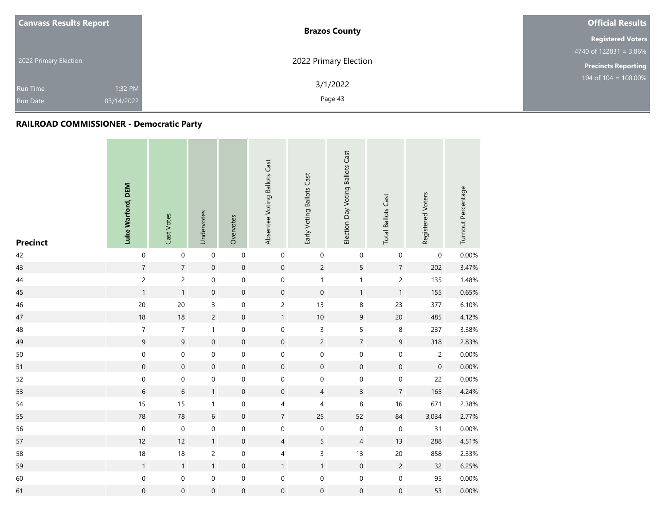| <b>Canvass Results Report</b> |            | <b>Brazos County</b>  | <b>Official Results</b>    |  |  |
|-------------------------------|------------|-----------------------|----------------------------|--|--|
|                               |            |                       | <b>Registered Voters</b>   |  |  |
|                               |            |                       | $4740$ of 122831 = 3.86%   |  |  |
| 2022 Primary Election         |            | 2022 Primary Election | <b>Precincts Reporting</b> |  |  |
| <b>Run Time</b>               | 1:32 PM    | 3/1/2022              | 104 of $104 = 100.00\%$    |  |  |
| <b>Run Date</b>               | 03/14/2022 | Page 43               |                            |  |  |

| <b>Precinct</b> | Luke Warford, DEM | Cast Votes          | Undervotes       | Overvotes           | Absentee Voting Ballots Cast | Early Voting Ballots Cast | Election Day Voting Ballots Cast | <b>Total Ballots Cast</b> | Registered Voters   | Turnout Percentage |
|-----------------|-------------------|---------------------|------------------|---------------------|------------------------------|---------------------------|----------------------------------|---------------------------|---------------------|--------------------|
| 42              | $\mathbf 0$       | $\mathbf 0$         | $\mathbf 0$      | $\mathbf 0$         | $\boldsymbol{0}$             | $\pmb{0}$                 | $\boldsymbol{0}$                 | 0                         | 0                   | 0.00%              |
| 43              | $\sqrt{7}$        | $\overline{7}$      | $\mathbf 0$      | $\mathbf 0$         | $\mathbf 0$                  | $\overline{c}$            | 5                                | $\overline{7}$            | 202                 | 3.47%              |
| 44              | $\mathsf{2}\,$    | $\overline{c}$      | $\mathbf 0$      | $\mathbf 0$         | $\mathbf 0$                  | $\mathbf{1}$              | $\mathbf{1}$                     | $\overline{c}$            | 135                 | 1.48%              |
| 45              | $\mathbf{1}$      | $\mathbf{1}$        | $\boldsymbol{0}$ | $\mathbf 0$         | $\mathbf 0$                  | $\mathbf 0$               | $\mathbf{1}$                     | $\mathbf{1}$              | 155                 | 0.65%              |
| 46              | 20                | 20                  | 3                | $\boldsymbol{0}$    | $\overline{c}$               | 13                        | $\,8\,$                          | 23                        | 377                 | 6.10%              |
| 47              | 18                | 18                  | $\overline{c}$   | $\mathbf 0$         | $\mathbf{1}$                 | $10\,$                    | $\boldsymbol{9}$                 | $20\,$                    | 485                 | 4.12%              |
| 48              | $\overline{7}$    | $\overline{7}$      | $\mathbf{1}$     | $\boldsymbol{0}$    | $\pmb{0}$                    | 3                         | 5                                | 8                         | 237                 | 3.38%              |
| 49              | $\mathsf g$       | $\mathsf g$         | $\boldsymbol{0}$ | $\mathbf 0$         | $\mathbf 0$                  | $\overline{c}$            | $\boldsymbol{7}$                 | $\boldsymbol{9}$          | 318                 | 2.83%              |
| 50              | $\mathbf 0$       | $\mathbf 0$         | 0                | $\mathbf 0$         | $\mathbf 0$                  | $\mathbf 0$               | $\boldsymbol{0}$                 | $\pmb{0}$                 | $\overline{c}$      | 0.00%              |
| 51              | $\mathbf 0$       | $\mathsf{O}\xspace$ | $\boldsymbol{0}$ | $\mathbf 0$         | $\mathbf 0$                  | $\pmb{0}$                 | $\mathbf 0$                      | $\mathbf 0$               | $\mathsf{O}\xspace$ | 0.00%              |
| 52              | $\mathbf 0$       | $\mathbf 0$         | $\boldsymbol{0}$ | $\mathbf 0$         | $\mathbf 0$                  | $\mathbf 0$               | $\mbox{O}$                       | $\boldsymbol{0}$          | 22                  | 0.00%              |
| 53              | $\sqrt{6}$        | $\,$ 6 $\,$         | 1                | $\mathbf 0$         | $\mathbf 0$                  | $\overline{4}$            | $\overline{3}$                   | $\overline{7}$            | 165                 | 4.24%              |
| 54              | 15                | 15                  | $\mathbf{1}$     | $\mathbf 0$         | $\overline{4}$               | $\overline{\mathcal{A}}$  | 8                                | $16\,$                    | 671                 | 2.38%              |
| 55              | 78                | 78                  | $6\,$            | $\mathbf 0$         | $\overline{7}$               | 25                        | 52                               | $\bf 84$                  | 3,034               | 2.77%              |
| 56              | $\pmb{0}$         | $\mathbf 0$         | 0                | $\mathbf 0$         | $\mathbf 0$                  | $\mathbf 0$               | $\boldsymbol{0}$                 | $\mathbf 0$               | 31                  | 0.00%              |
| 57              | 12                | 12                  | $\mathbf{1}$     | $\mathbf 0$         | $\overline{4}$               | 5                         | $\sqrt{4}$                       | 13                        | 288                 | 4.51%              |
| 58              | 18                | 18                  | $\overline{c}$   | $\mathbf 0$         | $\overline{4}$               | 3                         | 13                               | $20\,$                    | 858                 | 2.33%              |
| 59              | $\mathbf{1}$      | $\mathbf{1}$        | $\mathbf{1}$     | $\mathbf 0$         | $\mathbf{1}$                 | $\mathbf{1}$              | $\mathbf 0$                      | $\overline{c}$            | 32                  | 6.25%              |
| 60              | $\mathbf 0$       | $\pmb{0}$           | $\boldsymbol{0}$ | $\mathsf{O}\xspace$ | 0                            | $\mathbf 0$               | $\boldsymbol{0}$                 | $\mathbf 0$               | 95                  | 0.00%              |
| 61              | $\boldsymbol{0}$  | $\mathsf{O}\xspace$ | $\boldsymbol{0}$ | $\mathsf{O}\xspace$ | $\boldsymbol{0}$             | $\boldsymbol{0}$          | $\mbox{O}$                       | $\boldsymbol{0}$          | 53                  | $0.00\%$           |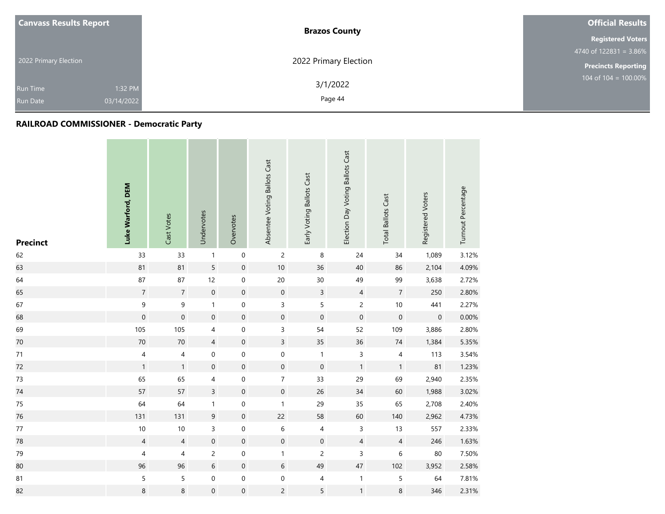| <b>Canvass Results Report</b> |            | <b>Brazos County</b>  | <b>Official Results</b>    |  |  |
|-------------------------------|------------|-----------------------|----------------------------|--|--|
|                               |            |                       | <b>Registered Voters</b>   |  |  |
|                               |            |                       | $4740$ of 122831 = 3.86%   |  |  |
| 2022 Primary Election         |            | 2022 Primary Election | <b>Precincts Reporting</b> |  |  |
| <b>Run Time</b>               | 1:32 PM    | 3/1/2022              | 104 of $104 = 100.00\%$    |  |  |
| <b>Run Date</b>               | 03/14/2022 | Page 44               |                            |  |  |

| <b>Precinct</b> | Luke Warford, DEM        | Cast Votes     | Undervotes       | Overvotes           | Absentee Voting Ballots Cast | Early Voting Ballots Cast | Election Day Voting Ballots Cast | <b>Total Ballots Cast</b> | Registered Voters   | Turnout Percentage |
|-----------------|--------------------------|----------------|------------------|---------------------|------------------------------|---------------------------|----------------------------------|---------------------------|---------------------|--------------------|
| 62              | 33                       | 33             | $\mathbf{1}$     | $\mathbf 0$         | $\overline{c}$               | $\,8\,$                   | 24                               | 34                        | 1,089               | 3.12%              |
| 63              | 81                       | 81             | 5                | $\mathbf 0$         | $10$                         | 36                        | 40                               | 86                        | 2,104               | 4.09%              |
| 64              | 87                       | 87             | 12               | $\mathsf{O}\xspace$ | $20\,$                       | $30\,$                    | 49                               | 99                        | 3,638               | 2.72%              |
| 65              | $\sqrt{7}$               | $\sqrt{7}$     | $\mathbf 0$      | $\mathbf 0$         | $\mathbf 0$                  | $\overline{3}$            | $\overline{4}$                   | $\sqrt{7}$                | 250                 | 2.80%              |
| 67              | $\mathsf g$              | 9              | $\mathbf{1}$     | $\mathbf 0$         | $\overline{3}$               | 5                         | $\overline{c}$                   | $10\,$                    | 441                 | 2.27%              |
| 68              | $\mathbf 0$              | $\mathbf 0$    | $\mathbf 0$      | $\pmb{0}$           | $\mathbf 0$                  | $\pmb{0}$                 | $\mathbf 0$                      | $\mathbf 0$               | $\mathsf{O}\xspace$ | 0.00%              |
| 69              | 105                      | 105            | 4                | $\boldsymbol{0}$    | 3                            | 54                        | 52                               | 109                       | 3,886               | 2.80%              |
| 70              | $70\,$                   | 70             | $\overline{4}$   | $\mathbf 0$         | $\overline{3}$               | 35                        | 36                               | $74$                      | 1,384               | 5.35%              |
| $71$            | $\overline{\mathcal{A}}$ | 4              | 0                | $\boldsymbol{0}$    | $\mathbf 0$                  | $\mathbf{1}$              | 3                                | 4                         | 113                 | 3.54%              |
| 72              | $\mathbf{1}$             | $\mathbf{1}$   | $\boldsymbol{0}$ | $\mathbf 0$         | $\mathbf 0$                  | $\mathbf 0$               | $\mathbf{1}$                     | $\mathbf{1}$              | 81                  | 1.23%              |
| $73$            | 65                       | 65             | 4                | $\boldsymbol{0}$    | $\overline{7}$               | 33                        | 29                               | 69                        | 2,940               | 2.35%              |
| 74              | 57                       | 57             | $\mathsf{3}$     | $\mathbf 0$         | $\mathbf 0$                  | 26                        | $34\,$                           | 60                        | 1,988               | 3.02%              |
| 75              | 64                       | 64             | $\mathbf{1}$     | $\mathbf 0$         | $\mathbf{1}$                 | 29                        | 35                               | 65                        | 2,708               | 2.40%              |
| 76              | 131                      | 131            | $\mathsf 9$      | $\mathbf 0$         | 22                           | 58                        | 60                               | 140                       | 2,962               | 4.73%              |
| $77\,$          | $10$                     | 10             | 3                | $\mathbf 0$         | $\,$ 6 $\,$                  | $\overline{4}$            | $\mathsf 3$                      | $13$                      | 557                 | 2.33%              |
| 78              | $\overline{4}$           | $\overline{4}$ | 0                | $\mathbf 0$         | $\mathbf 0$                  | $\mathbf 0$               | $\overline{4}$                   | $\overline{4}$            | 246                 | 1.63%              |
| 79              | 4                        | 4              | $\overline{c}$   | $\mathbf 0$         | $\mathbf{1}$                 | $\overline{c}$            | 3                                | 6                         | 80                  | 7.50%              |
| 80              | 96                       | 96             | $\sqrt{6}$       | $\mathbf 0$         | $\sqrt{6}$                   | 49                        | $47\,$                           | 102                       | 3,952               | 2.58%              |
| 81              | $\sqrt{5}$               | 5              | 0                | $\mathsf{O}\xspace$ | 0                            | $\overline{4}$            | $\mathbf{1}$                     | 5                         | 64                  | 7.81%              |
| 82              | $\,$ 8 $\,$              | 8              | $\boldsymbol{0}$ | $\boldsymbol{0}$    | $\overline{c}$               | 5                         | $\mathbf{1}$                     | 8                         | 346                 | 2.31%              |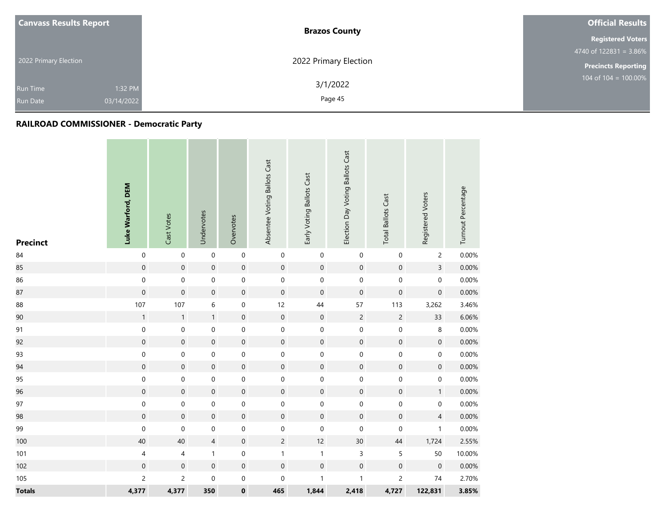| <b>Canvass Results Report</b> |            | <b>Brazos County</b>  | <b>Official Results</b>    |  |
|-------------------------------|------------|-----------------------|----------------------------|--|
|                               |            |                       | <b>Registered Voters</b>   |  |
|                               |            |                       | $4740$ of 122831 = 3.86%   |  |
| 2022 Primary Election         |            | 2022 Primary Election | <b>Precincts Reporting</b> |  |
| <b>Run Time</b>               | 1:32 PM    | 3/1/2022              | 104 of $104 = 100.00\%$    |  |
| <b>Run Date</b>               | 03/14/2022 | Page 45               |                            |  |

| <b>Precinct</b> | Luke Warford, DEM        | Cast Votes          | Undervotes          | Overvotes           | Absentee Voting Ballots Cast | Early Voting Ballots Cast | Election Day Voting Ballots Cast | <b>Total Ballots Cast</b> | Registered Voters   | Turnout Percentage |
|-----------------|--------------------------|---------------------|---------------------|---------------------|------------------------------|---------------------------|----------------------------------|---------------------------|---------------------|--------------------|
| 84              | $\mathbf 0$              | $\mathbf 0$         | $\pmb{0}$           | $\mathbf 0$         | $\boldsymbol{0}$             | $\pmb{0}$                 | $\boldsymbol{0}$                 | 0                         | $\overline{c}$      | 0.00%              |
| 85              | $\mathbf 0$              | $\mathsf{O}\xspace$ | $\boldsymbol{0}$    | $\mathbf 0$         | $\mathbf 0$                  | $\mathbf 0$               | $\,0\,$                          | $\mathbf 0$               | $\mathsf{3}$        | 0.00%              |
| 86              | $\pmb{0}$                | $\mathbf 0$         | $\mathsf{O}\xspace$ | $\mathbf 0$         | $\mathsf{O}\xspace$          | $\mathbf 0$               | $\mbox{O}$                       | $\pmb{0}$                 | $\boldsymbol{0}$    | 0.00%              |
| 87              | $\pmb{0}$                | $\mathbf 0$         | $\boldsymbol{0}$    | $\mathbf 0$         | $\mathbf 0$                  | $\pmb{0}$                 | $\,0\,$                          | $\boldsymbol{0}$          | $\mathsf{O}\xspace$ | 0.00%              |
| 88              | 107                      | 107                 | 6                   | $\mathbf 0$         | 12                           | 44                        | 57                               | 113                       | 3,262               | 3.46%              |
| 90              | $\mathbf{1}$             | $\mathbf{1}$        | $\mathbf{1}$        | $\mathbf 0$         | $\mathbf 0$                  | $\mathbf 0$               | $\sqrt{2}$                       | $\overline{c}$            | 33                  | 6.06%              |
| 91              | $\mathbf 0$              | $\pmb{0}$           | 0                   | $\mathbf 0$         | $\mathbf 0$                  | $\mathbf 0$               | $\boldsymbol{0}$                 | $\pmb{0}$                 | 8                   | 0.00%              |
| 92              | $\mathbf 0$              | $\mathbf 0$         | $\boldsymbol{0}$    | $\mathbf 0$         | $\mathbf 0$                  | $\mathbf 0$               | $\mathbf 0$                      | $\mathbf 0$               | $\mathsf{O}\xspace$ | 0.00%              |
| 93              | $\boldsymbol{0}$         | 0                   | 0                   | $\boldsymbol{0}$    | $\mathbf 0$                  | $\boldsymbol{0}$          | $\boldsymbol{0}$                 | 0                         | $\boldsymbol{0}$    | 0.00%              |
| 94              | $\mathbf 0$              | $\mathbf 0$         | $\boldsymbol{0}$    | $\mathbf 0$         | $\mathbf 0$                  | $\mathbf 0$               | $\,0\,$                          | $\mathbf 0$               | $\pmb{0}$           | 0.00%              |
| 95              | $\mathbf 0$              | 0                   | 0                   | $\pmb{0}$           | $\mathbf 0$                  | $\mathbf 0$               | $\boldsymbol{0}$                 | 0                         | $\boldsymbol{0}$    | 0.00%              |
| 96              | $\mathbf 0$              | $\mathbf 0$         | $\boldsymbol{0}$    | $\mathsf{O}\xspace$ | $\mathbf 0$                  | $\mathbf 0$               | $\mathbf 0$                      | $\mathbf 0$               | $\mathbf{1}$        | 0.00%              |
| 97              | $\mathbf 0$              | $\mathbf 0$         | $\boldsymbol{0}$    | $\mathbf 0$         | $\mathbf 0$                  | $\mathbf 0$               | $\boldsymbol{0}$                 | $\boldsymbol{0}$          | $\mathsf{O}\xspace$ | 0.00%              |
| 98              | $\mathbf 0$              | $\mathbf 0$         | $\mathbf 0$         | $\mathsf{O}\xspace$ | $\mathbf 0$                  | $\mathbf 0$               | $\mathbf 0$                      | $\mathbf 0$               | $\overline{4}$      | 0.00%              |
| 99              | $\boldsymbol{0}$         | $\mathbf 0$         | 0                   | $\mathbf 0$         | 0                            | $\mathbf 0$               | $\boldsymbol{0}$                 | 0                         | $\mathbf{1}$        | 0.00%              |
| 100             | 40                       | 40                  | $\overline{4}$      | $\mathbf 0$         | $\overline{2}$               | 12                        | $30\,$                           | 44                        | 1,724               | 2.55%              |
| 101             | $\overline{\mathcal{A}}$ | $\overline{4}$      | $\mathbf{1}$        | $\boldsymbol{0}$    | $\mathbf{1}$                 | $\mathbf{1}$              | $\mathsf 3$                      | 5                         | 50                  | 10.00%             |
| 102             | $\mathbf 0$              | $\mathsf{O}\xspace$ | $\boldsymbol{0}$    | $\mathbf 0$         | $\boldsymbol{0}$             | $\mathbf 0$               | $\boldsymbol{0}$                 | $\mathbf 0$               | $\boldsymbol{0}$    | 0.00%              |
| 105             | $\overline{c}$           | $\overline{c}$      | $\mathsf{O}\xspace$ | $\mathbf 0$         | $\mathbf 0$                  | $\mathbf{1}$              | $\mathbf{1}$                     | $\overline{c}$            | $74\,$              | 2.70%              |
| <b>Totals</b>   | 4,377                    | 4,377               | 350                 | $\pmb{0}$           | 465                          | 1,844                     | 2,418                            | 4,727                     | 122,831             | 3.85%              |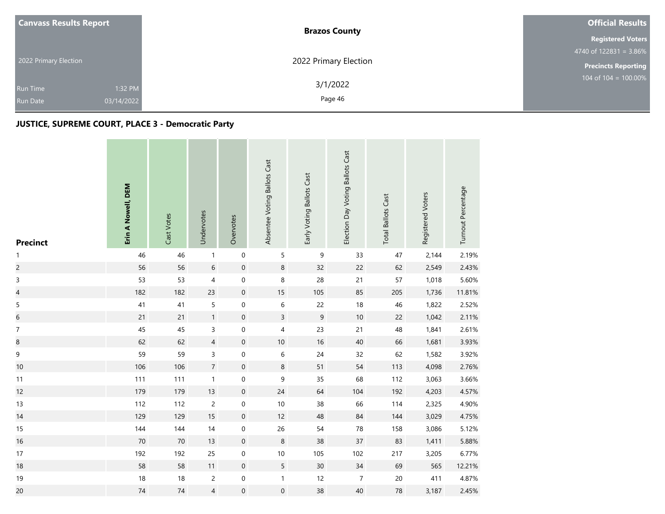| <b>Canvass Results Report</b> |            | <b>Brazos County</b>  | <b>Official Results</b>                     |  |  |
|-------------------------------|------------|-----------------------|---------------------------------------------|--|--|
|                               |            |                       | <b>Registered Voters</b>                    |  |  |
|                               |            |                       | $4740$ of 122831 = 3.86%                    |  |  |
| 2022 Primary Election         |            | 2022 Primary Election | <b>Precincts Reporting</b>                  |  |  |
| <b>Run Time</b>               | 1:32 PM    | 3/1/2022              | $104 \overline{\text{ of } 104} = 100.00\%$ |  |  |
| <b>Run Date</b>               | 03/14/2022 | Page 46               |                                             |  |  |

and the company of the com-

| <b>Precinct</b>          | Erin A Nowell, DEM | Cast Votes | Undervotes     | Overvotes        | Absentee Voting Ballots Cast | Early Voting Ballots Cast | Election Day Voting Ballots Cast | <b>Total Ballots Cast</b> | Registered Voters | Turnout Percentage |
|--------------------------|--------------------|------------|----------------|------------------|------------------------------|---------------------------|----------------------------------|---------------------------|-------------------|--------------------|
| $\mathbf{1}$             | 46                 | 46         | $\mathbf{1}$   | $\mathbf 0$      | 5                            | $\mathsf 9$               | 33                               | 47                        | 2,144             | 2.19%              |
| $\overline{c}$           | 56                 | 56         | $\,$ 6 $\,$    | $\mathbf 0$      | 8                            | 32                        | 22                               | 62                        | 2,549             | 2.43%              |
| $\mathsf{3}$             | 53                 | 53         | $\overline{4}$ | $\,0\,$          | 8                            | 28                        | $21$                             | 57                        | 1,018             | 5.60%              |
| $\overline{\mathcal{L}}$ | 182                | 182        | 23             | $\mathbf 0$      | 15                           | 105                       | 85                               | 205                       | 1,736             | 11.81%             |
| $\mathsf S$              | 41                 | 41         | 5              | 0                | 6                            | 22                        | $18\,$                           | 46                        | 1,822             | 2.52%              |
| $\,$ 6 $\,$              | 21                 | 21         | $\mathbf{1}$   | $\boldsymbol{0}$ | $\overline{3}$               | $9\,$                     | $10$                             | 22                        | 1,042             | 2.11%              |
| $\boldsymbol{7}$         | 45                 | 45         | 3              | $\pmb{0}$        | 4                            | 23                        | 21                               | 48                        | 1,841             | 2.61%              |
| 8                        | 62                 | 62         | $\overline{4}$ | $\boldsymbol{0}$ | $10$                         | 16                        | 40                               | 66                        | 1,681             | 3.93%              |
| $\mathsf 9$              | 59                 | 59         | 3              | $\mathbf 0$      | $\,$ 6 $\,$                  | 24                        | 32                               | 62                        | 1,582             | 3.92%              |
| 10                       | 106                | 106        | $\overline{7}$ | $\boldsymbol{0}$ | 8                            | 51                        | 54                               | 113                       | 4,098             | 2.76%              |
| 11                       | 111                | 111        | $\mathbf{1}$   | $\,0\,$          | 9                            | 35                        | 68                               | 112                       | 3,063             | 3.66%              |
| 12                       | 179                | 179        | 13             | $\,0\,$          | 24                           | 64                        | 104                              | 192                       | 4,203             | 4.57%              |
| 13                       | 112                | 112        | $\overline{c}$ | 0                | $10$                         | 38                        | 66                               | 114                       | 2,325             | 4.90%              |
| 14                       | 129                | 129        | $15$           | $\mathbf 0$      | 12                           | 48                        | 84                               | 144                       | 3,029             | 4.75%              |
| 15                       | 144                | 144        | $14$           | $\boldsymbol{0}$ | 26                           | 54                        | 78                               | 158                       | 3,086             | 5.12%              |
| 16                       | $70\,$             | 70         | 13             | $\boldsymbol{0}$ | 8                            | 38                        | 37                               | 83                        | 1,411             | 5.88%              |
| 17                       | 192                | 192        | 25             | $\pmb{0}$        | $10$                         | 105                       | 102                              | 217                       | 3,205             | 6.77%              |
| 18                       | 58                 | 58         | 11             | $\mathbf 0$      | 5                            | 30                        | 34                               | 69                        | 565               | 12.21%             |
| 19                       | 18                 | 18         | $\overline{c}$ | $\pmb{0}$        | $\mathbf{1}$                 | 12                        | $\overline{7}$                   | $20\,$                    | 411               | 4.87%              |
| 20                       | 74                 | 74         | $\overline{4}$ | $\pmb{0}$        | $\mathsf{O}\xspace$          | 38                        | 40                               | ${\bf 78}$                | 3,187             | 2.45%              |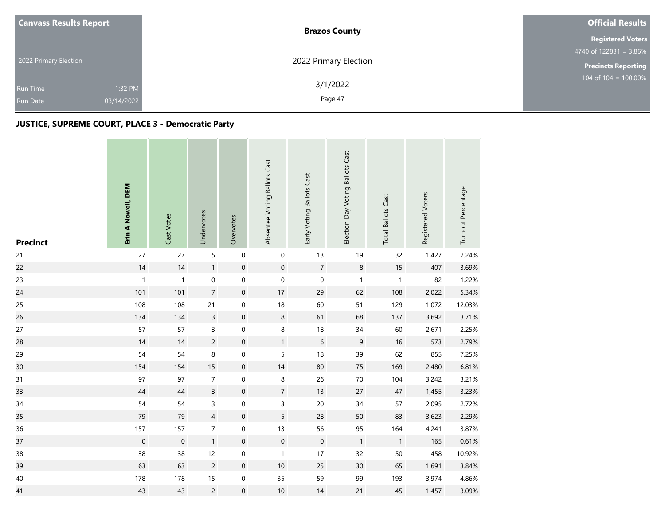|  | <b>Canvass Results Report</b>                               | <b>Brazos County</b>  | <b>Official Results</b>    |  |  |
|--|-------------------------------------------------------------|-----------------------|----------------------------|--|--|
|  |                                                             |                       | <b>Registered Voters</b>   |  |  |
|  |                                                             |                       | 4740 of $122831 = 3.86\%$  |  |  |
|  | 2022 Primary Election                                       | 2022 Primary Election | <b>Precincts Reporting</b> |  |  |
|  | 1:32 PM<br><b>Run Time</b><br>03/14/2022<br><b>Run Date</b> | 3/1/2022<br>Page 47   | 104 of $104 = 100.00\%$    |  |  |
|  |                                                             |                       |                            |  |  |

| <b>Precinct</b> | Erin A Nowell, DEM  | Cast Votes   | Undervotes       | Overvotes           | Absentee Voting Ballots Cast | Early Voting Ballots Cast | Election Day Voting Ballots Cast | <b>Total Ballots Cast</b> | Registered Voters | Turnout Percentage |
|-----------------|---------------------|--------------|------------------|---------------------|------------------------------|---------------------------|----------------------------------|---------------------------|-------------------|--------------------|
| 21              | 27                  | 27           | 5                | $\boldsymbol{0}$    | 0                            | 13                        | 19                               | 32                        | 1,427             | 2.24%              |
| 22              | 14                  | 14           | 1                | $\boldsymbol{0}$    | $\mathsf{O}\xspace$          | $\overline{7}$            | $\,8\,$                          | $15\,$                    | 407               | 3.69%              |
| 23              | $\mathbf{1}$        | $\mathbf{1}$ | 0                | $\pmb{0}$           | $\boldsymbol{0}$             | $\mathbf 0$               | $\mathbf{1}$                     | $\mathbf{1}$              | 82                | 1.22%              |
| 24              | 101                 | 101          | $\overline{7}$   | $\boldsymbol{0}$    | $17$                         | 29                        | 62                               | 108                       | 2,022             | 5.34%              |
| 25              | 108                 | 108          | 21               | $\mathbf 0$         | 18                           | 60                        | 51                               | 129                       | 1,072             | 12.03%             |
| 26              | 134                 | 134          | $\overline{3}$   | $\boldsymbol{0}$    | $\,8\,$                      | 61                        | 68                               | 137                       | 3,692             | 3.71%              |
| 27              | 57                  | 57           | 3                | $\mathbf 0$         | 8                            | 18                        | 34                               | 60                        | 2,671             | 2.25%              |
| 28              | 14                  | 14           | $\overline{c}$   | $\boldsymbol{0}$    | $\mathbf{1}$                 | $\sqrt{6}$                | $\boldsymbol{9}$                 | 16                        | 573               | 2.79%              |
| 29              | 54                  | 54           | 8                | $\pmb{0}$           | 5                            | 18                        | 39                               | 62                        | 855               | 7.25%              |
| 30              | 154                 | 154          | 15               | $\boldsymbol{0}$    | 14                           | 80                        | 75                               | 169                       | 2,480             | 6.81%              |
| 31              | 97                  | 97           | $\boldsymbol{7}$ | $\boldsymbol{0}$    | 8                            | 26                        | $70\,$                           | 104                       | 3,242             | 3.21%              |
| 33              | 44                  | 44           | $\overline{3}$   | $\mathbf 0$         | $\overline{7}$               | 13                        | 27                               | $47\,$                    | 1,455             | 3.23%              |
| 34              | 54                  | 54           | 3                | $\boldsymbol{0}$    | 3                            | $20\,$                    | 34                               | 57                        | 2,095             | 2.72%              |
| 35              | 79                  | 79           | $\overline{4}$   | $\mathbf 0$         | 5                            | 28                        | 50                               | 83                        | 3,623             | 2.29%              |
| 36              | 157                 | 157          | $\overline{7}$   | 0                   | 13                           | 56                        | 95                               | 164                       | 4,241             | 3.87%              |
| 37              | $\mathsf{O}\xspace$ | $\mathbf 0$  | 1                | $\boldsymbol{0}$    | $\mathsf{O}\xspace$          | $\mathbf 0$               | $\mathbf{1}$                     | $\mathbf{1}$              | 165               | 0.61%              |
| 38              | 38                  | 38           | 12               | $\boldsymbol{0}$    | $\mathbf{1}$                 | 17                        | 32                               | $50\,$                    | 458               | 10.92%             |
| 39              | 63                  | 63           | $\overline{c}$   | $\boldsymbol{0}$    | 10                           | 25                        | 30                               | 65                        | 1,691             | 3.84%              |
| 40              | 178                 | 178          | 15               | $\mathsf{O}\xspace$ | 35                           | 59                        | 99                               | 193                       | 3,974             | 4.86%              |
| 41              | 43                  | 43           | $\overline{c}$   | $\boldsymbol{0}$    | $10$                         | 14                        | 21                               | 45                        | 1,457             | 3.09%              |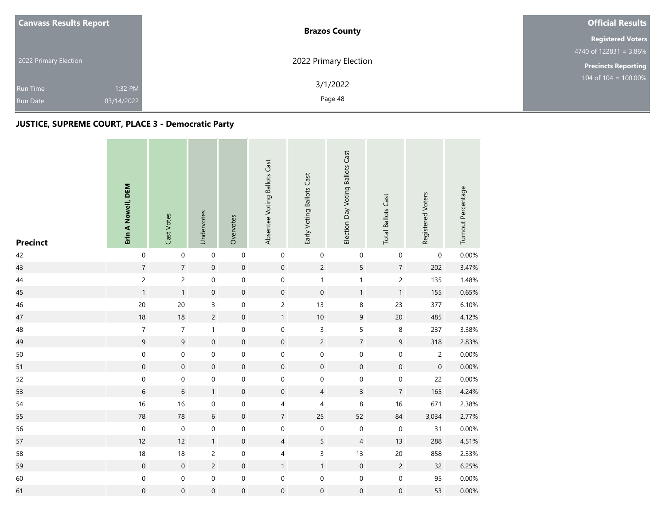|  | <b>Canvass Results Report</b> | <b>Brazos County</b>  | <b>Official Results</b>    |  |  |
|--|-------------------------------|-----------------------|----------------------------|--|--|
|  |                               |                       | <b>Registered Voters</b>   |  |  |
|  |                               |                       | 4740 of $122831 = 3.86\%$  |  |  |
|  | 2022 Primary Election         | 2022 Primary Election | <b>Precincts Reporting</b> |  |  |
|  | 1:32 PM<br><b>Run Time</b>    | 3/1/2022              | 104 of $104 = 100.00\%$    |  |  |
|  | 03/14/2022<br><b>Run Date</b> | Page 48               |                            |  |  |

| <b>Precinct</b> | Erin A Nowell, DEM | Cast Votes       | Undervotes          | Overvotes        | Absentee Voting Ballots Cast | Early Voting Ballots Cast | Election Day Voting Ballots Cast | <b>Total Ballots Cast</b> | Registered Voters   | Turnout Percentage |
|-----------------|--------------------|------------------|---------------------|------------------|------------------------------|---------------------------|----------------------------------|---------------------------|---------------------|--------------------|
| 42              | $\mathbf 0$        | $\mathbf 0$      | $\mathbf 0$         | $\boldsymbol{0}$ | $\boldsymbol{0}$             | $\boldsymbol{0}$          | $\pmb{0}$                        | 0                         | 0                   | 0.00%              |
| 43              | $\sqrt{7}$         | $\overline{7}$   | $\mathbf 0$         | $\mathbf 0$      | $\mathbf 0$                  | $\overline{c}$            | 5                                | $\sqrt{7}$                | 202                 | 3.47%              |
| 44              | $\overline{c}$     | $\overline{c}$   | 0                   | $\mathbf 0$      | 0                            | $\mathbf{1}$              | $\mathbf{1}$                     | $\overline{c}$            | 135                 | 1.48%              |
| 45              | $\mathbf{1}$       | $\mathbf{1}$     | $\boldsymbol{0}$    | $\mathbf 0$      | $\boldsymbol{0}$             | $\boldsymbol{0}$          | $\mathbf{1}$                     | $\mathbf{1}$              | 155                 | 0.65%              |
| 46              | $20\,$             | 20               | 3                   | $\boldsymbol{0}$ | $\overline{c}$               | 13                        | $\, 8$                           | 23                        | 377                 | 6.10%              |
| 47              | 18                 | 18               | $\overline{c}$      | $\mathbf 0$      | $\mathbf{1}$                 | $10\,$                    | $\boldsymbol{9}$                 | $20\,$                    | 485                 | 4.12%              |
| 48              | $\boldsymbol{7}$   | $\overline{7}$   | $\mathbf{1}$        | $\mbox{O}$       | $\mathsf{O}\xspace$          | 3                         | 5                                | $\,8\,$                   | 237                 | 3.38%              |
| 49              | $\mathsf g$        | $\overline{9}$   | $\mathsf{O}\xspace$ | $\mathbf 0$      | $\mathbf 0$                  | $\overline{c}$            | $\sqrt{7}$                       | $\boldsymbol{9}$          | 318                 | 2.83%              |
| 50              | $\mathbf 0$        | $\mathbf 0$      | $\boldsymbol{0}$    | $\mbox{O}$       | $\mathbf 0$                  | $\mathbf 0$               | $\boldsymbol{0}$                 | $\pmb{0}$                 | $\overline{c}$      | 0.00%              |
| 51              | $\mathbf 0$        | $\mathbf 0$      | $\boldsymbol{0}$    | $\mathbf 0$      | $\boldsymbol{0}$             | $\mathsf{O}\xspace$       | $\boldsymbol{0}$                 | $\mathbf 0$               | $\mathsf{O}\xspace$ | 0.00%              |
| 52              | $\mathbf 0$        | $\mathbf 0$      | $\boldsymbol{0}$    | $\mathbf 0$      | $\boldsymbol{0}$             | $\mathbf 0$               | $\pmb{0}$                        | $\mathbf 0$               | 22                  | 0.00%              |
| 53              | $\,$ 6 $\,$        | $\,$ 6 $\,$      | $\mathbf{1}$        | $\mathbf 0$      | $\mathbf 0$                  | $\overline{4}$            | $\overline{3}$                   | $\overline{7}$            | 165                 | 4.24%              |
| 54              | 16                 | 16               | 0                   | $\boldsymbol{0}$ | 4                            | $\overline{4}$            | 8                                | 16                        | 671                 | 2.38%              |
| 55              | 78                 | 78               | $6\phantom{a}$      | $\mathbf 0$      | $\overline{7}$               | 25                        | 52                               | 84                        | 3,034               | 2.77%              |
| 56              | $\boldsymbol{0}$   | $\mathbf 0$      | 0                   | $\boldsymbol{0}$ | $\mathbf 0$                  | $\boldsymbol{0}$          | $\pmb{0}$                        | $\pmb{0}$                 | 31                  | 0.00%              |
| 57              | 12                 | 12               | $\mathbf{1}$        | $\mathbf 0$      | $\overline{4}$               | $5\overline{)}$           | $\overline{4}$                   | 13                        | 288                 | 4.51%              |
| 58              | $18\,$             | 18               | $\overline{c}$      | $\mbox{O}$       | 4                            | 3                         | 13                               | $20\,$                    | 858                 | 2.33%              |
| 59              | $\mathbf 0$        | $\mathbf 0$      | $\overline{c}$      | $\mathbf 0$      | $\mathbf{1}$                 | $\mathbf{1}$              | $\mathbf 0$                      | $\sqrt{2}$                | 32                  | 6.25%              |
| 60              | $\mathbf 0$        | 0                | $\boldsymbol{0}$    | $\mathbf 0$      | $\boldsymbol{0}$             | $\boldsymbol{0}$          | $\boldsymbol{0}$                 | $\mathbf 0$               | 95                  | 0.00%              |
| 61              | $\pmb{0}$          | $\boldsymbol{0}$ | $\boldsymbol{0}$    | $\mathbf 0$      | 0                            | $\mathbf 0$               | $\boldsymbol{0}$                 | $\mathbf 0$               | 53                  | $0.00\%$           |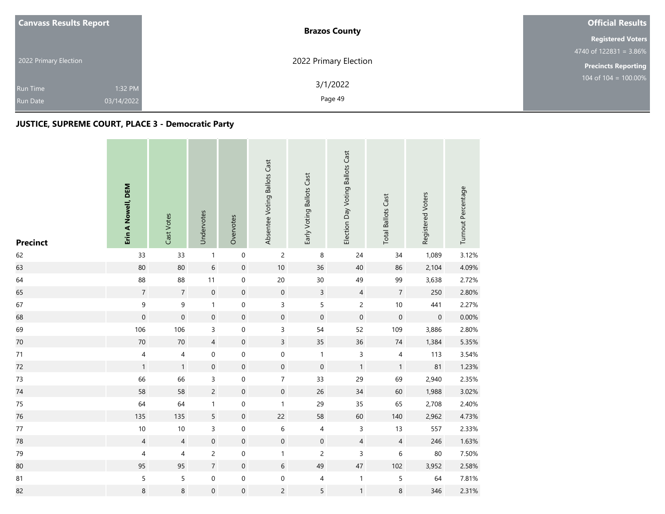| <b>Canvass Results Report</b> |            | <b>Brazos County</b>  | <b>Official Results</b>                     |
|-------------------------------|------------|-----------------------|---------------------------------------------|
|                               |            |                       | <b>Registered Voters</b>                    |
| 2022 Primary Election         |            |                       | $4740$ of 122831 = 3.86%                    |
|                               |            | 2022 Primary Election | <b>Precincts Reporting</b>                  |
| <b>Run Time</b>               | 1:32 PM    | 3/1/2022              | $104 \overline{\text{ of } 104} = 100.00\%$ |
| <b>Run Date</b>               | 03/14/2022 | Page 49               |                                             |

and the company of the com-

| <b>Precinct</b> | Erin A Nowell, DEM       | Cast Votes          | Undervotes          | Overvotes           | Absentee Voting Ballots Cast | Early Voting Ballots Cast | Election Day Voting Ballots Cast | <b>Total Ballots Cast</b> | Registered Voters   | Turnout Percentage |
|-----------------|--------------------------|---------------------|---------------------|---------------------|------------------------------|---------------------------|----------------------------------|---------------------------|---------------------|--------------------|
| 62              | 33                       | 33                  | $\mathbf{1}$        | $\,0\,$             | $\overline{c}$               | $\,$ 8 $\,$               | $24$                             | $34$                      | 1,089               | 3.12%              |
| 63              | 80                       | 80                  | $\sqrt{6}$          | $\mathbf 0$         | $10$                         | 36                        | 40                               | 86                        | 2,104               | 4.09%              |
| 64              | 88                       | 88                  | 11                  | $\mathbf 0$         | $20\,$                       | $30\,$                    | 49                               | 99                        | 3,638               | 2.72%              |
| 65              | $\overline{7}$           | $\overline{7}$      | $\boldsymbol{0}$    | $\mathbf 0$         | $\mathbf 0$                  | $\mathbf{3}$              | $\overline{4}$                   | $\sqrt{7}$                | 250                 | 2.80%              |
| 67              | $\mathsf 9$              | 9                   | $\mathbf{1}$        | $\boldsymbol{0}$    | 3                            | 5                         | $\overline{c}$                   | $10$                      | 441                 | 2.27%              |
| 68              | $\mathbf{0}$             | $\mathsf{O}\xspace$ | $\mathbf 0$         | $\mathbf 0$         | $\mathbf 0$                  | $\mathbf 0$               | $\mathbf 0$                      | $\mathbf 0$               | $\mathsf{O}\xspace$ | 0.00%              |
| 69              | 106                      | 106                 | 3                   | $\mbox{O}$          | 3                            | 54                        | 52                               | 109                       | 3,886               | 2.80%              |
| 70              | 70                       | $70\,$              | $\overline{4}$      | $\mathbf 0$         | $\overline{3}$               | 35                        | 36                               | $74\,$                    | 1,384               | 5.35%              |
| $71$            | $\overline{\mathcal{A}}$ | $\sqrt{4}$          | $\boldsymbol{0}$    | $\mbox{O}$          | $\mathbf 0$                  | $\mathbf{1}$              | $\overline{3}$                   | $\pmb{4}$                 | 113                 | 3.54%              |
| 72              | $\mathbf{1}$             | $\mathbf{1}$        | $\boldsymbol{0}$    | $\mathbf 0$         | $\boldsymbol{0}$             | $\mathbf 0$               | $\mathbf{1}$                     | $\mathbf{1}$              | 81                  | 1.23%              |
| $73$            | 66                       | 66                  | 3                   | $\mbox{O}$          | $\overline{7}$               | 33                        | 29                               | 69                        | 2,940               | 2.35%              |
| 74              | 58                       | 58                  | $\overline{2}$      | $\mathsf{O}\xspace$ | $\mathbf 0$                  | 26                        | 34                               | 60                        | 1,988               | 3.02%              |
| 75              | 64                       | 64                  | $\mathbf{1}$        | $\boldsymbol{0}$    | $\mathbf{1}$                 | 29                        | 35                               | 65                        | 2,708               | 2.40%              |
| 76              | 135                      | 135                 | 5                   | $\mathbf 0$         | 22                           | 58                        | 60                               | 140                       | 2,962               | 4.73%              |
| $77\,$          | $10$                     | 10                  | 3                   | $\mathbf 0$         | 6                            | 4                         | 3                                | 13                        | 557                 | 2.33%              |
| 78              | $\overline{4}$           | $\overline{4}$      | $\mathsf{O}\xspace$ | $\boldsymbol{0}$    | $\mathbf 0$                  | $\mathbf 0$               | $\overline{4}$                   | $\overline{4}$            | 246                 | 1.63%              |
| 79              | $\overline{\mathcal{A}}$ | 4                   | $\overline{c}$      | $\boldsymbol{0}$    | $\mathbf{1}$                 | $\overline{c}$            | 3                                | 6                         | 80                  | 7.50%              |
| 80              | 95                       | 95                  | $\overline{7}$      | $\boldsymbol{0}$    | $6\,$                        | 49                        | $47\,$                           | 102                       | 3,952               | 2.58%              |
| 81              | $\sqrt{5}$               | 5                   | 0                   | $\mathbf 0$         | 0                            | 4                         | $\mathbf{1}$                     | 5                         | 64                  | 7.81%              |
| 82              | $\,$ 8 $\,$              | 8                   | $\boldsymbol{0}$    | $\mbox{O}$          | $\overline{c}$               | 5                         | $\mathbf{1}$                     | 8                         | 346                 | 2.31%              |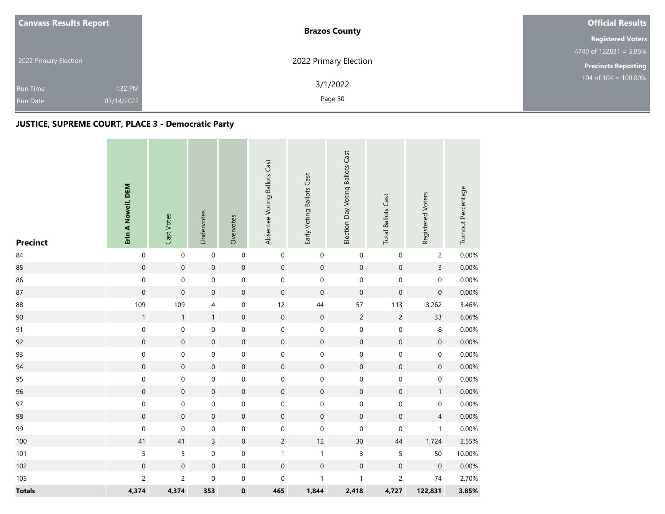| <b>Canvass Results Report</b>                               | <b>Brazos County</b>  | <b>Official Results</b>    |  |  |
|-------------------------------------------------------------|-----------------------|----------------------------|--|--|
|                                                             |                       | <b>Registered Voters</b>   |  |  |
|                                                             |                       | 4740 of $122831 = 3.86\%$  |  |  |
| 2022 Primary Election                                       | 2022 Primary Election | <b>Precincts Reporting</b> |  |  |
| 1:32 PM<br><b>Run Time</b><br>03/14/2022<br><b>Run Date</b> | 3/1/2022<br>Page 50   | 104 of $104 = 100.00\%$    |  |  |
|                                                             |                       |                            |  |  |

| <b>Precinct</b> | Erin A Nowell, DEM | Cast Votes          | Undervotes          | Overvotes           | Absentee Voting Ballots Cast | Early Voting Ballots Cast | Election Day Voting Ballots Cast | <b>Total Ballots Cast</b> | Registered Voters   | Turnout Percentage |
|-----------------|--------------------|---------------------|---------------------|---------------------|------------------------------|---------------------------|----------------------------------|---------------------------|---------------------|--------------------|
| $\bf 84$        | $\mathbf 0$        | $\mathsf{O}\xspace$ | $\mathbf 0$         | $\mathsf{O}\xspace$ | $\mathbf 0$                  | $\mathbf 0$               | $\mathbf 0$                      | $\mathbf 0$               | $\overline{c}$      | 0.00%              |
| 85              | $\mathbf 0$        | $\mathbf 0$         | $\mathbf 0$         | $\mathsf{O}\xspace$ | $\mathbf 0$                  | $\mathbf 0$               | $\mathbf 0$                      | $\mathbf 0$               | $\overline{3}$      | 0.00%              |
| 86              | $\mathbf 0$        | $\mathbf 0$         | $\mathsf{O}\xspace$ | $\mathbf 0$         | $\mathbf 0$                  | $\mathbf 0$               | $\pmb{0}$                        | $\boldsymbol{0}$          | $\mathsf{O}\xspace$ | 0.00%              |
| 87              | $\mathbf{0}$       | $\mathbf 0$         | $\boldsymbol{0}$    | $\mathbf 0$         | $\mathbf 0$                  | $\boldsymbol{0}$          | $\boldsymbol{0}$                 | $\boldsymbol{0}$          | $\mathsf{O}\xspace$ | 0.00%              |
| 88              | 109                | 109                 | 4                   | $\boldsymbol{0}$    | 12                           | 44                        | 57                               | 113                       | 3,262               | 3.46%              |
| 90              | $\mathbf 1$        | $\mathbf{1}$        | $\mathbf{1}$        | $\mathbf 0$         | $\mathbf 0$                  | $\mathbf 0$               | $\sqrt{2}$                       | $\overline{c}$            | 33                  | 6.06%              |
| 91              | $\mathbf 0$        | $\mathbf 0$         | 0                   | $\mathbf 0$         | $\mathbf 0$                  | $\pmb{0}$                 | $\mathbf 0$                      | $\mathbf 0$               | 8                   | 0.00%              |
| 92              | $\mathbf 0$        | $\mathbf 0$         | $\mathbf 0$         | $\mathbf 0$         | $\mathsf{O}\xspace$          | $\mathbf 0$               | $\mathbf 0$                      | $\boldsymbol{0}$          | $\mathsf{O}\xspace$ | 0.00%              |
| 93              | $\mathbf 0$        | $\mathsf{O}\xspace$ | $\mathbf 0$         | $\mathbf 0$         | $\mathbf 0$                  | $\mathbf 0$               | $\mathbf 0$                      | $\mathbf 0$               | $\boldsymbol{0}$    | 0.00%              |
| 94              | $\mathbf 0$        | $\mathbf 0$         | $\boldsymbol{0}$    | $\mathbf 0$         | $\mathsf{O}\xspace$          | $\mathbf 0$               | $\mathbf 0$                      | $\mathbf 0$               | $\mathsf{O}\xspace$ | 0.00%              |
| 95              | $\mathbf 0$        | 0                   | $\mathsf{O}\xspace$ | $\mathbf 0$         | 0                            | $\pmb{0}$                 | $\pmb{0}$                        | $\pmb{0}$                 | $\mathsf{O}\xspace$ | 0.00%              |
| 96              | $\mathbf 0$        | $\mathbf 0$         | $\mathbf 0$         | $\mathbf 0$         | $\mathsf{O}\xspace$          | $\mathbf 0$               | $\boldsymbol{0}$                 | $\mathbf 0$               | $\mathbf{1}$        | 0.00%              |
| 97              | $\mathbf 0$        | $\pmb{0}$           | $\boldsymbol{0}$    | $\mathbf 0$         | $\mathbf 0$                  | $\mathbf 0$               | $\mathsf 0$                      | $\mathbf 0$               | $\mathbf 0$         | 0.00%              |
| 98              | $\mathbf 0$        | $\mathbf 0$         | $\mathbf 0$         | $\mathbf 0$         | $\mathsf{O}\xspace$          | $\mathbf 0$               | $\mathbf 0$                      | $\boldsymbol{0}$          | $\overline{4}$      | 0.00%              |
| 99              | $\boldsymbol{0}$   | $\mathbf 0$         | 0                   | $\boldsymbol{0}$    | 0                            | $\boldsymbol{0}$          | $\pmb{0}$                        | $\pmb{0}$                 | $\mathbf{1}$        | 0.00%              |
| 100             | 41                 | 41                  | $\overline{3}$      | $\mathbf 0$         | $\overline{2}$               | 12                        | $30\,$                           | $44$                      | 1,724               | 2.55%              |
| 101             | 5                  | 5                   | $\mathbf 0$         | $\mathbf 0$         | $\mathbf{1}$                 | $\mathbf{1}$              | 3                                | 5                         | 50                  | 10.00%             |
| 102             | $\mathbf 0$        | $\mathbf 0$         | $\mathbf 0$         | $\mathbf 0$         | $\mathbf 0$                  | $\mathbf 0$               | $\mathbf 0$                      | $\pmb{0}$                 | $\mathbf 0$         | 0.00%              |
| 105             | $\overline{c}$     | $\overline{c}$      | $\pmb{0}$           | $\mathbf 0$         | $\boldsymbol{0}$             | $\mathbf{1}$              | $\mathbf{1}$                     | $\overline{c}$            | 74                  | 2.70%              |
| <b>Totals</b>   | 4,374              | 4,374               | 353                 | $\pmb{0}$           | 465                          | 1,844                     | 2,418                            | 4,727                     | 122,831             | 3.85%              |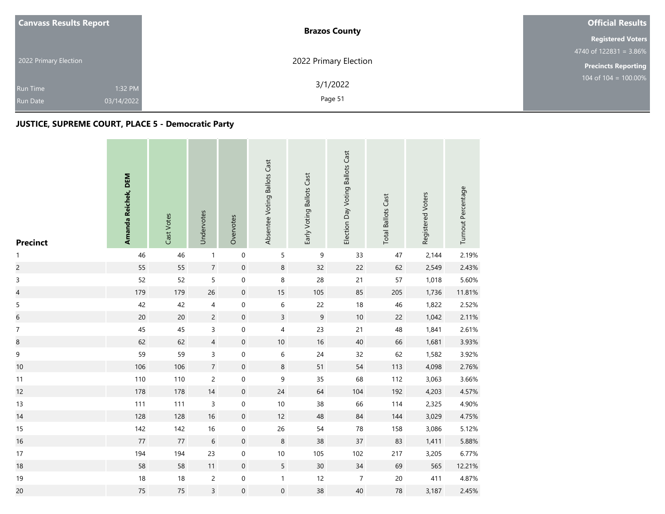| <b>Canvass Results Report</b> |            | <b>Brazos County</b>  | <b>Official Results</b>                     |
|-------------------------------|------------|-----------------------|---------------------------------------------|
|                               |            |                       | <b>Registered Voters</b>                    |
| 2022 Primary Election         |            |                       | $4740$ of 122831 = 3.86%                    |
|                               |            | 2022 Primary Election | <b>Precincts Reporting</b>                  |
| <b>Run Time</b>               | 1:32 PM    | 3/1/2022              | $104 \overline{\text{ of } 104} = 100.00\%$ |
| <b>Run Date</b>               | 03/14/2022 | Page 51               |                                             |

and the company of

| <b>Precinct</b>  | Amanda Reichek, DEM | Cast Votes | Undervotes     | Overvotes           | Absentee Voting Ballots Cast | Early Voting Ballots Cast | Election Day Voting Ballots Cast | <b>Total Ballots Cast</b> | Registered Voters | Turnout Percentage |
|------------------|---------------------|------------|----------------|---------------------|------------------------------|---------------------------|----------------------------------|---------------------------|-------------------|--------------------|
| $\mathbf{1}$     | 46                  | 46         | $\mathbf{1}$   | $\boldsymbol{0}$    | 5                            | $\mathsf 9$               | 33                               | 47                        | 2,144             | 2.19%              |
| $\overline{c}$   | 55                  | 55         | $\overline{7}$ | $\mathsf{O}\xspace$ | 8                            | 32                        | 22                               | 62                        | 2,549             | 2.43%              |
| 3                | 52                  | 52         | 5              | $\mathbf 0$         | 8                            | 28                        | 21                               | 57                        | 1,018             | 5.60%              |
| $\overline{4}$   | 179                 | 179        | 26             | $\mathbf 0$         | 15                           | 105                       | 85                               | 205                       | 1,736             | 11.81%             |
| $\sqrt{5}$       | 42                  | 42         | 4              | $\boldsymbol{0}$    | 6                            | 22                        | $18$                             | 46                        | 1,822             | 2.52%              |
| $\,$ 6 $\,$      | 20                  | 20         | $\overline{c}$ | $\boldsymbol{0}$    | $\overline{3}$               | $\overline{9}$            | $10\,$                           | 22                        | 1,042             | 2.11%              |
| $\boldsymbol{7}$ | 45                  | 45         | 3              | $\mathbf 0$         | 4                            | 23                        | 21                               | 48                        | 1,841             | 2.61%              |
| $\boldsymbol{8}$ | 62                  | 62         | $\overline{4}$ | $\boldsymbol{0}$    | $10$                         | 16                        | 40                               | 66                        | 1,681             | 3.93%              |
| $\mathsf 9$      | 59                  | 59         | 3              | $\mbox{O}$          | $\,$ 6 $\,$                  | 24                        | 32                               | 62                        | 1,582             | 3.92%              |
| 10               | 106                 | 106        | $\overline{7}$ | $\boldsymbol{0}$    | 8                            | 51                        | 54                               | 113                       | 4,098             | 2.76%              |
| $11$             | 110                 | 110        | $\overline{c}$ | $\mathbf 0$         | 9                            | 35                        | 68                               | 112                       | 3,063             | 3.66%              |
| 12               | 178                 | 178        | $14$           | $\mathsf{O}\xspace$ | 24                           | 64                        | 104                              | 192                       | 4,203             | 4.57%              |
| 13               | 111                 | 111        | 3              | $\boldsymbol{0}$    | 10                           | 38                        | 66                               | 114                       | 2,325             | 4.90%              |
| 14               | 128                 | 128        | 16             | $\boldsymbol{0}$    | 12                           | 48                        | 84                               | 144                       | 3,029             | 4.75%              |
| 15               | 142                 | 142        | $16\,$         | $\boldsymbol{0}$    | 26                           | 54                        | ${\bf 78}$                       | 158                       | 3,086             | 5.12%              |
| 16               | $77\,$              | $77$       | $\,$ 6 $\,$    | $\boldsymbol{0}$    | 8                            | 38                        | 37                               | 83                        | 1,411             | 5.88%              |
| 17               | 194                 | 194        | 23             | $\mathbf 0$         | $10$                         | 105                       | 102                              | 217                       | 3,205             | 6.77%              |
| 18               | 58                  | 58         | 11             | $\boldsymbol{0}$    | 5                            | 30                        | 34                               | 69                        | 565               | 12.21%             |
| 19               | 18                  | 18         | $\overline{c}$ | $\mathbf 0$         | $\mathbf{1}$                 | 12                        | $\overline{7}$                   | $20\,$                    | 411               | 4.87%              |
| 20               | 75                  | 75         | $\overline{3}$ | $\mathbf 0$         | $\mathsf{O}\xspace$          | 38                        | $40\,$                           | ${\bf 78}$                | 3,187             | 2.45%              |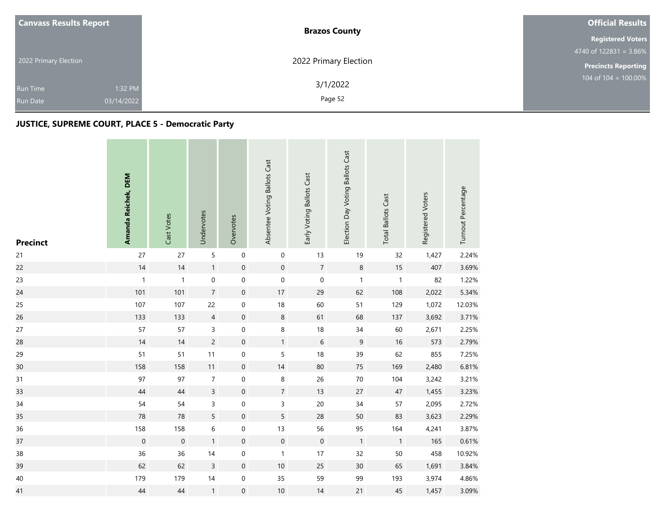| <b>Canvass Results Report</b> |            | <b>Brazos County</b>  | <b>Official Results</b>                     |
|-------------------------------|------------|-----------------------|---------------------------------------------|
|                               |            |                       | <b>Registered Voters</b>                    |
| 2022 Primary Election         |            |                       | $4740$ of 122831 = 3.86%                    |
|                               |            | 2022 Primary Election | <b>Precincts Reporting</b>                  |
| <b>Run Time</b>               | 1:32 PM    | 3/1/2022              | $104 \overline{\text{ of } 104} = 100.00\%$ |
| <b>Run Date</b>               | 03/14/2022 | Page 52               |                                             |

and the company of

| <b>Precinct</b> | Amanda Reichek, DEM | Cast Votes   | Undervotes       | Overvotes        | Absentee Voting Ballots Cast | Early Voting Ballots Cast | Election Day Voting Ballots Cast | <b>Total Ballots Cast</b> | Registered Voters | Turnout Percentage |
|-----------------|---------------------|--------------|------------------|------------------|------------------------------|---------------------------|----------------------------------|---------------------------|-------------------|--------------------|
| 21              | 27                  | 27           | 5                | $\boldsymbol{0}$ | $\pmb{0}$                    | 13                        | 19                               | 32                        | 1,427             | 2.24%              |
| 22              | 14                  | 14           | 1                | $\mathbf 0$      | $\mathsf{O}\xspace$          | $\overline{7}$            | $\,8\,$                          | $15$                      | 407               | 3.69%              |
| 23              | $\mathbf{1}$        | $\mathbf{1}$ | $\boldsymbol{0}$ | $\mathbf 0$      | $\mathsf{O}\xspace$          | $\mathbf 0$               | $\mathbf{1}$                     | $\mathbf{1}$              | 82                | 1.22%              |
| 24              | 101                 | 101          | $\overline{7}$   | $\mathbf 0$      | 17                           | 29                        | 62                               | 108                       | 2,022             | 5.34%              |
| 25              | 107                 | 107          | 22               | $\boldsymbol{0}$ | 18                           | 60                        | 51                               | 129                       | 1,072             | 12.03%             |
| 26              | 133                 | 133          | $\overline{4}$   | $\mathbf 0$      | $\,8\,$                      | 61                        | 68                               | 137                       | 3,692             | 3.71%              |
| 27              | 57                  | 57           | $\mathsf{3}$     | $\boldsymbol{0}$ | 8                            | 18                        | 34                               | 60                        | 2,671             | 2.25%              |
| 28              | 14                  | 14           | $\overline{c}$   | $\mathbf 0$      | $\mathbf{1}$                 | $\sqrt{6}$                | 9                                | 16                        | 573               | 2.79%              |
| 29              | 51                  | 51           | 11               | $\mbox{O}$       | 5                            | 18                        | 39                               | 62                        | 855               | 7.25%              |
| 30              | 158                 | 158          | 11               | $\boldsymbol{0}$ | 14                           | 80                        | 75                               | 169                       | 2,480             | 6.81%              |
| 31              | 97                  | 97           | $\overline{7}$   | $\mbox{O}$       | 8                            | 26                        | $70\,$                           | 104                       | 3,242             | 3.21%              |
| 33              | 44                  | $44$         | $\overline{3}$   | $\mathbf 0$      | $\overline{7}$               | 13                        | 27                               | $47\,$                    | 1,455             | 3.23%              |
| 34              | 54                  | 54           | 3                | $\pmb{0}$        | 3                            | 20                        | 34                               | 57                        | 2,095             | 2.72%              |
| 35              | 78                  | 78           | 5                | $\mathbf 0$      | 5                            | 28                        | 50                               | 83                        | 3,623             | 2.29%              |
| 36              | 158                 | 158          | 6                | $\mathbf 0$      | 13                           | 56                        | 95                               | 164                       | 4,241             | 3.87%              |
| 37              | $\mathbf 0$         | $\mathbf 0$  | $\mathbf{1}$     | $\boldsymbol{0}$ | $\boldsymbol{0}$             | $\mathbf 0$               | $\mathbf{1}$                     | $\mathbf{1}$              | 165               | 0.61%              |
| 38              | 36                  | 36           | 14               | $\boldsymbol{0}$ | $\mathbf{1}$                 | 17                        | 32                               | 50                        | 458               | 10.92%             |
| 39              | 62                  | 62           | 3                | $\boldsymbol{0}$ | 10                           | 25                        | 30                               | 65                        | 1,691             | 3.84%              |
| $40\,$          | 179                 | 179          | $14$             | $\boldsymbol{0}$ | 35                           | 59                        | 99                               | 193                       | 3,974             | 4.86%              |
| 41              | 44                  | 44           | $\mathbf{1}$     | $\mbox{O}$       | $10$                         | 14                        | 21                               | 45                        | 1,457             | 3.09%              |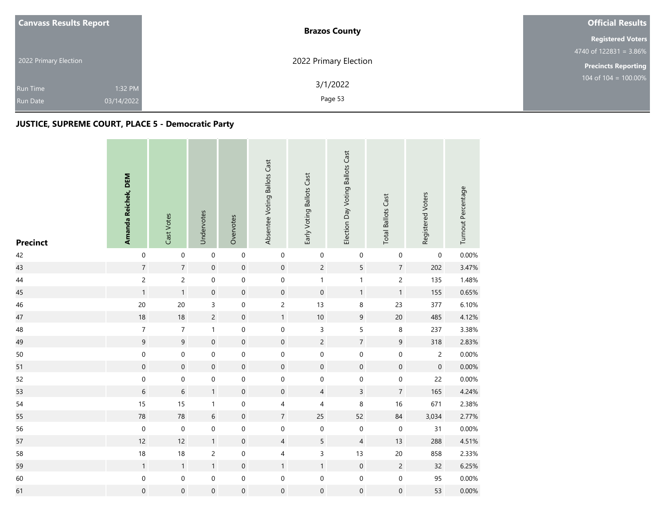| <b>Canvass Results Report</b> | <b>Brazos County</b>  | <b>Official Results</b>    |  |
|-------------------------------|-----------------------|----------------------------|--|
|                               |                       | <b>Registered Voters</b>   |  |
|                               |                       | 4740 of $122831 = 3.86\%$  |  |
| 2022 Primary Election         | 2022 Primary Election | <b>Precincts Reporting</b> |  |
| 1:32 PM<br><b>Run Time</b>    | 3/1/2022              | 104 of $104 = 100.00\%$    |  |
| 03/14/2022<br><b>Run Date</b> | Page 53               |                            |  |

| <b>Precinct</b> | Amanda Reichek, DEM | Cast Votes       | Undervotes          | Overvotes           | Absentee Voting Ballots Cast | Early Voting Ballots Cast | Election Day Voting Ballots Cast | <b>Total Ballots Cast</b> | Registered Voters | Turnout Percentage |
|-----------------|---------------------|------------------|---------------------|---------------------|------------------------------|---------------------------|----------------------------------|---------------------------|-------------------|--------------------|
| 42              | $\boldsymbol{0}$    | $\mathbf 0$      | $\mathbf 0$         | $\mathbf 0$         | $\boldsymbol{0}$             | $\boldsymbol{0}$          | $\boldsymbol{0}$                 | $\pmb{0}$                 | 0                 | 0.00%              |
| 43              | $\sqrt{7}$          | $\overline{7}$   | $\mathsf{O}\xspace$ | $\mathbf 0$         | $\mathbf 0$                  | $\overline{c}$            | 5                                | $\sqrt{7}$                | 202               | 3.47%              |
| $44\,$          | $\overline{c}$      | $\overline{c}$   | 0                   | $\mathbf 0$         | $\mathbf 0$                  | $\mathbf{1}$              | $\mathbf{1}$                     | $\overline{c}$            | 135               | 1.48%              |
| 45              | $\mathbf{1}$        | $\mathbf{1}$     | $\mathsf{O}\xspace$ | $\mathbf 0$         | $\boldsymbol{0}$             | $\boldsymbol{0}$          | $\mathbf{1}$                     | $\mathbf{1}$              | 155               | 0.65%              |
| 46              | 20                  | 20               | 3                   | $\mathbf 0$         | $\overline{c}$               | 13                        | $\,8\,$                          | 23                        | 377               | 6.10%              |
| 47              | $18\,$              | 18               | $\sqrt{2}$          | $\mathbf 0$         | $\mathbf{1}$                 | $10\,$                    | $\mathsf 9$                      | $20\,$                    | 485               | 4.12%              |
| 48              | $\boldsymbol{7}$    | $\overline{7}$   | $\mathbf{1}$        | $\mathbf 0$         | $\mathsf{O}\xspace$          | $\mathsf 3$               | 5                                | $\,8\,$                   | 237               | 3.38%              |
| 49              | $\mathsf 9$         | $\overline{9}$   | $\mathbf 0$         | $\mathbf 0$         | $\mathbf 0$                  | $\overline{c}$            | $\sqrt{7}$                       | $\boldsymbol{9}$          | 318               | 2.83%              |
| 50              | $\mathbf 0$         | $\mathbf 0$      | $\mathbf 0$         | $\mathbf 0$         | $\mathbf 0$                  | $\mathbf 0$               | $\boldsymbol{0}$                 | $\mathbf 0$               | $\overline{c}$    | 0.00%              |
| 51              | $\mathbf 0$         | $\mathbf 0$      | $\mathsf{O}\xspace$ | $\mathbf 0$         | $\boldsymbol{0}$             | $\boldsymbol{0}$          | $\boldsymbol{0}$                 | $\mathbf 0$               | $\boldsymbol{0}$  | 0.00%              |
| 52              | $\pmb{0}$           | $\mathbf 0$      | $\mathbf 0$         | $\mathbf 0$         | $\mathbf 0$                  | $\mathbf 0$               | $\boldsymbol{0}$                 | $\mathbf 0$               | 22                | 0.00%              |
| 53              | $\,$ 6 $\,$         | $\,$ 6 $\,$      | $\mathbf{1}$        | $\mathbf 0$         | $\mathbf 0$                  | $\overline{4}$            | $\overline{3}$                   | $\overline{7}$            | 165               | 4.24%              |
| 54              | 15                  | 15               | $\mathbf{1}$        | $\boldsymbol{0}$    | 4                            | 4                         | $\,8\,$                          | 16                        | 671               | 2.38%              |
| 55              | ${\bf 78}$          | 78               | 6                   | $\mathbf 0$         | $\overline{7}$               | 25                        | 52                               | 84                        | 3,034             | 2.77%              |
| 56              | $\boldsymbol{0}$    | $\pmb{0}$        | 0                   | $\pmb{0}$           | $\mathbf 0$                  | $\boldsymbol{0}$          | $\boldsymbol{0}$                 | $\pmb{0}$                 | 31                | 0.00%              |
| 57              | 12                  | 12               | $\mathbf{1}$        | $\mathbf 0$         | $\overline{4}$               | 5                         | $\sqrt{4}$                       | 13                        | 288               | 4.51%              |
| 58              | $18\,$              | $18\,$           | $\overline{c}$      | $\mathbf 0$         | 4                            | $\overline{3}$            | 13                               | $20\,$                    | 858               | 2.33%              |
| 59              | $\mathbf{1}$        | $\mathbf{1}$     | $\mathbf{1}$        | $\mathbf 0$         | $\mathbf{1}$                 | $\mathbf{1}$              | $\mathbf 0$                      | $\overline{c}$            | 32                | 6.25%              |
| 60              | $\mathbf 0$         | $\boldsymbol{0}$ | $\mathbf 0$         | $\mathsf{O}\xspace$ | $\boldsymbol{0}$             | $\pmb{0}$                 | $\pmb{0}$                        | $\mathbf 0$               | 95                | 0.00%              |
| 61              | $\boldsymbol{0}$    | $\boldsymbol{0}$ | $\mathsf{O}\xspace$ | $\pmb{0}$           | $\boldsymbol{0}$             | $\boldsymbol{0}$          | $\mathbf 0$                      | $\mathbf 0$               | 53                | $0.00\%$           |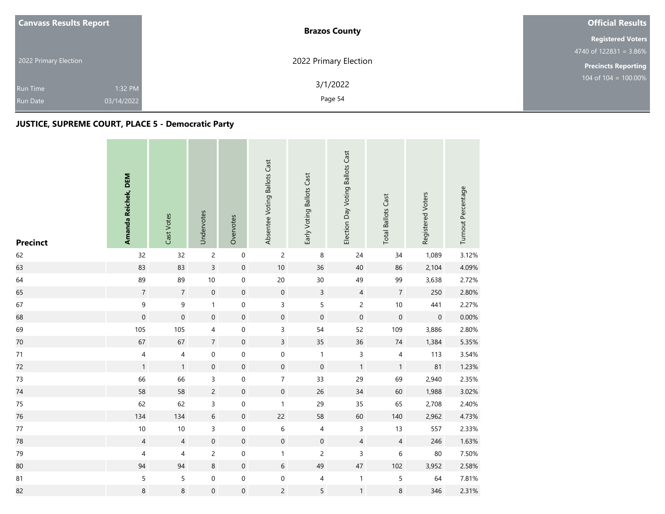| <b>Canvass Results Report</b> |            | <b>Brazos County</b>  | <b>Official Results</b>                     |
|-------------------------------|------------|-----------------------|---------------------------------------------|
|                               |            |                       | <b>Registered Voters</b>                    |
| 2022 Primary Election         |            |                       | $4740$ of 122831 = 3.86%                    |
|                               |            | 2022 Primary Election | <b>Precincts Reporting</b>                  |
| <b>Run Time</b>               | 1:32 PM    | 3/1/2022              | $104 \overline{\text{ of } 104} = 100.00\%$ |
| <b>Run Date</b>               | 03/14/2022 | Page 54               |                                             |

and the company of

| <b>Precinct</b> | Amanda Reichek, DEM | Cast Votes               | Undervotes       | Overvotes           | Absentee Voting Ballots Cast | Early Voting Ballots Cast | Election Day Voting Ballots Cast | <b>Total Ballots Cast</b> | Registered Voters | Turnout Percentage |
|-----------------|---------------------|--------------------------|------------------|---------------------|------------------------------|---------------------------|----------------------------------|---------------------------|-------------------|--------------------|
| 62              | 32                  | 32                       | $\overline{c}$   | $\mathbf 0$         | $\overline{c}$               | $\, 8$                    | 24                               | 34                        | 1,089             | 3.12%              |
| 63              | 83                  | 83                       | $\overline{3}$   | $\mathbf 0$         | $10\,$                       | 36                        | 40                               | 86                        | 2,104             | 4.09%              |
| 64              | 89                  | 89                       | $10\,$           | $\mathbf 0$         | $20\,$                       | $30\,$                    | 49                               | 99                        | 3,638             | 2.72%              |
| 65              | $\overline{7}$      | $\overline{7}$           | $\mathbf 0$      | $\mathbf 0$         | $\mathsf{O}\xspace$          | $\mathbf{3}$              | $\overline{4}$                   | $\overline{7}$            | 250               | 2.80%              |
| 67              | $\mathsf 9$         | 9                        | 1                | $\boldsymbol{0}$    | 3                            | 5                         | $\overline{c}$                   | $10\,$                    | 441               | 2.27%              |
| 68              | $\pmb{0}$           | $\mathbf 0$              | $\mathbf 0$      | $\mathbf 0$         | $\mathbf 0$                  | $\mathbf 0$               | $\boldsymbol{0}$                 | $\mathbf 0$               | $\mathbf 0$       | 0.00%              |
| 69              | 105                 | 105                      | 4                | $\mathbf 0$         | 3                            | 54                        | 52                               | 109                       | 3,886             | 2.80%              |
| 70              | 67                  | 67                       | $\overline{7}$   | $\mathbf 0$         | $\overline{3}$               | 35                        | 36                               | $74\,$                    | 1,384             | 5.35%              |
| 71              | $\sqrt{4}$          | $\overline{\mathcal{L}}$ | $\mathbf 0$      | $\mathbf 0$         | $\mathbf 0$                  | $\mathbf{1}$              | $\overline{3}$                   | $\sqrt{4}$                | 113               | 3.54%              |
| 72              | $\mathbf{1}$        | $\mathbf{1}$             | $\boldsymbol{0}$ | $\mathbf 0$         | $\mathsf{O}\xspace$          | $\mathbf 0$               | $\mathbf{1}$                     | $\mathbf{1}$              | 81                | 1.23%              |
| $73$            | 66                  | 66                       | 3                | $\mathbf 0$         | $\overline{7}$               | 33                        | 29                               | 69                        | 2,940             | 2.35%              |
| $74\,$          | 58                  | 58                       | $\overline{c}$   | $\mathbf 0$         | $\mathsf{O}\xspace$          | $26\,$                    | 34                               | 60                        | 1,988             | 3.02%              |
| 75              | 62                  | 62                       | 3                | $\boldsymbol{0}$    | $\mathbf{1}$                 | 29                        | 35                               | 65                        | 2,708             | 2.40%              |
| 76              | 134                 | 134                      | 6                | $\mathbf 0$         | 22                           | 58                        | 60                               | 140                       | 2,962             | 4.73%              |
| $77\,$          | $10$                | 10                       | 3                | $\mathbf 0$         | 6                            | 4                         | 3                                | 13                        | 557               | 2.33%              |
| 78              | $\overline{4}$      | $\overline{4}$           | $\mathbf 0$      | $\mathbf 0$         | $\mathbf 0$                  | $\boldsymbol{0}$          | $\overline{4}$                   | $\overline{4}$            | 246               | 1.63%              |
| 79              | 4                   | 4                        | $\overline{c}$   | $\mathbf 0$         | $\mathbf{1}$                 | $\overline{c}$            | 3                                | 6                         | 80                | 7.50%              |
| 80              | 94                  | 94                       | 8                | $\mathbf 0$         | 6                            | 49                        | $47\,$                           | 102                       | 3,952             | 2.58%              |
| 81              | 5                   | 5                        | $\boldsymbol{0}$ | $\mathsf{O}\xspace$ | 0                            | 4                         | $\mathbf{1}$                     | $\mathsf S$               | 64                | 7.81%              |
| 82              | $\,8\,$             | $\,8\,$                  | $\boldsymbol{0}$ | $\mathsf{O}\xspace$ | $\overline{c}$               | 5                         | $\mathbf{1}$                     | 8                         | 346               | 2.31%              |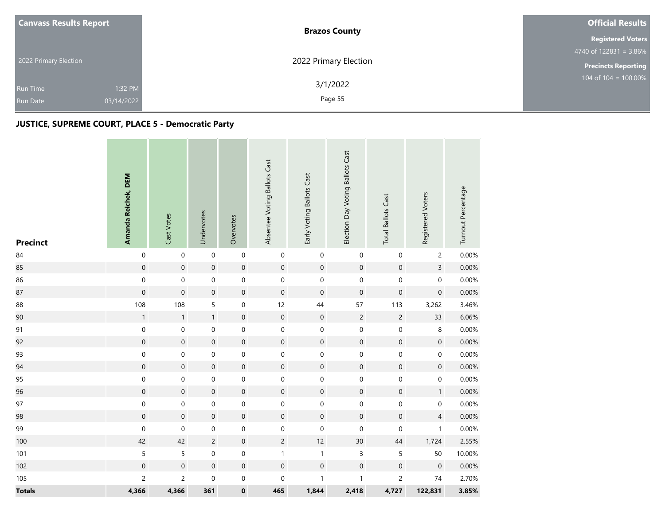|  | <b>Canvass Results Report</b>                               | <b>Brazos County</b>  | <b>Official Results</b>    |  |  |
|--|-------------------------------------------------------------|-----------------------|----------------------------|--|--|
|  |                                                             |                       | <b>Registered Voters</b>   |  |  |
|  |                                                             |                       | 4740 of $122831 = 3.86\%$  |  |  |
|  | 2022 Primary Election                                       | 2022 Primary Election | <b>Precincts Reporting</b> |  |  |
|  | 1:32 PM<br><b>Run Time</b><br>03/14/2022<br><b>Run Date</b> | 3/1/2022<br>Page 55   | 104 of $104 = 100.00\%$    |  |  |
|  |                                                             |                       |                            |  |  |

| <b>Precinct</b> | Amanda Reichek, DEM | Cast Votes          | Undervotes       | Overvotes        | Absentee Voting Ballots Cast | Early Voting Ballots Cast | Election Day Voting Ballots Cast | <b>Total Ballots Cast</b> | Registered Voters   | Turnout Percentage |
|-----------------|---------------------|---------------------|------------------|------------------|------------------------------|---------------------------|----------------------------------|---------------------------|---------------------|--------------------|
| 84              | $\boldsymbol{0}$    | $\mathbf 0$         | $\mathbf 0$      | $\mathbf 0$      | $\boldsymbol{0}$             | $\mathbf 0$               | $\boldsymbol{0}$                 | $\mathbf 0$               | $\overline{c}$      | 0.00%              |
| 85              | $\mathbf 0$         | $\mathbf 0$         | $\mathbf 0$      | $\mathbf 0$      | $\mathbf 0$                  | $\mathbf 0$               | $\mathbf 0$                      | $\boldsymbol{0}$          | $\overline{3}$      | 0.00%              |
| 86              | $\pmb{0}$           | $\mathbf 0$         | $\boldsymbol{0}$ | $\mathbf 0$      | $\mathbf 0$                  | $\mathbf 0$               | $\mathbf 0$                      | $\mathbf 0$               | $\mathsf{O}\xspace$ | 0.00%              |
| 87              | $\mathbf 0$         | $\mathsf{O}\xspace$ | $\mathbf 0$      | $\mathbf 0$      | $\mathbf 0$                  | $\mathbf 0$               | $\mathbf 0$                      | $\boldsymbol{0}$          | $\mathsf{O}\xspace$ | 0.00%              |
| 88              | 108                 | 108                 | 5                | $\boldsymbol{0}$ | 12                           | 44                        | 57                               | 113                       | 3,262               | 3.46%              |
| 90              | $\mathbf{1}$        | $\mathbf{1}$        | $\mathbf{1}$     | $\mathbf 0$      | $\mathbf 0$                  | $\mathbf 0$               | $\sqrt{2}$                       | $\overline{c}$            | 33                  | 6.06%              |
| 91              | $\pmb{0}$           | $\mathbf 0$         | $\boldsymbol{0}$ | $\mbox{O}$       | $\mathbf 0$                  | $\boldsymbol{0}$          | $\mathbf 0$                      | $\pmb{0}$                 | 8                   | 0.00%              |
| 92              | $\pmb{0}$           | $\mathsf{O}\xspace$ | $\mathbf 0$      | $\mathbf 0$      | $\mathbf 0$                  | $\mathbf 0$               | $\mathbf 0$                      | $\boldsymbol{0}$          | $\boldsymbol{0}$    | 0.00%              |
| 93              | $\mathbf 0$         | 0                   | 0                | $\mbox{O}$       | $\boldsymbol{0}$             | $\pmb{0}$                 | $\mathbf 0$                      | 0                         | $\boldsymbol{0}$    | 0.00%              |
| 94              | $\pmb{0}$           | $\boldsymbol{0}$    | $\boldsymbol{0}$ | $\mathbf 0$      | $\mathbf 0$                  | $\mathbf 0$               | $\mathbf 0$                      | $\mathbf 0$               | $\boldsymbol{0}$    | 0.00%              |
| 95              | $\pmb{0}$           | $\mathbf 0$         | 0                | $\mathbf 0$      | $\mathbf 0$                  | $\mathbf 0$               | $\mathbf 0$                      | $\pmb{0}$                 | $\boldsymbol{0}$    | 0.00%              |
| 96              | $\boldsymbol{0}$    | $\mathbf 0$         | $\mathbf 0$      | $\mathbf 0$      | $\mathbf 0$                  | $\mathbf 0$               | $\mathbf 0$                      | $\boldsymbol{0}$          | $\mathbf{1}$        | 0.00%              |
| 97              | $\boldsymbol{0}$    | $\mathsf{O}\xspace$ | $\boldsymbol{0}$ | $\mbox{O}$       | $\pmb{0}$                    | $\pmb{0}$                 | $\mathbf 0$                      | $\pmb{0}$                 | $\mathbf 0$         | 0.00%              |
| 98              | $\boldsymbol{0}$    | $\mathsf{O}\xspace$ | $\mathbf 0$      | $\mathbf 0$      | $\mathbf 0$                  | $\mathbf 0$               | $\mathbf 0$                      | $\mathbf 0$               | $\overline{4}$      | 0.00%              |
| 99              | $\boldsymbol{0}$    | 0                   | 0                | $\mbox{O}$       | $\boldsymbol{0}$             | $\mathbf 0$               | $\pmb{0}$                        | $\pmb{0}$                 | $\mathbf{1}$        | 0.00%              |
| 100             | 42                  | 42                  | $\overline{2}$   | $\mathbf 0$      | $\overline{2}$               | 12                        | $30\,$                           | 44                        | 1,724               | 2.55%              |
| 101             | 5                   | 5                   | $\boldsymbol{0}$ | $\mbox{O}$       | $\mathbf{1}$                 | $\mathbf{1}$              | $\mathsf 3$                      | 5                         | 50                  | 10.00%             |
| 102             | $\boldsymbol{0}$    | $\mathsf{O}\xspace$ | $\mathbf 0$      | $\mathbf 0$      | $\mathbf 0$                  | $\mathbf 0$               | $\mathbf 0$                      | $\mathbf 0$               | $\mathbf 0$         | 0.00%              |
| 105             | $\sqrt{2}$          | $\overline{c}$      | $\boldsymbol{0}$ | $\mathbf 0$      | $\boldsymbol{0}$             | $\mathbf{1}$              | $\mathbf{1}$                     | $\overline{c}$            | 74                  | 2.70%              |
| <b>Totals</b>   | 4,366               | 4,366               | 361              | $\pmb{0}$        | 465                          | 1,844                     | 2,418                            | 4,727                     | 122,831             | 3.85%              |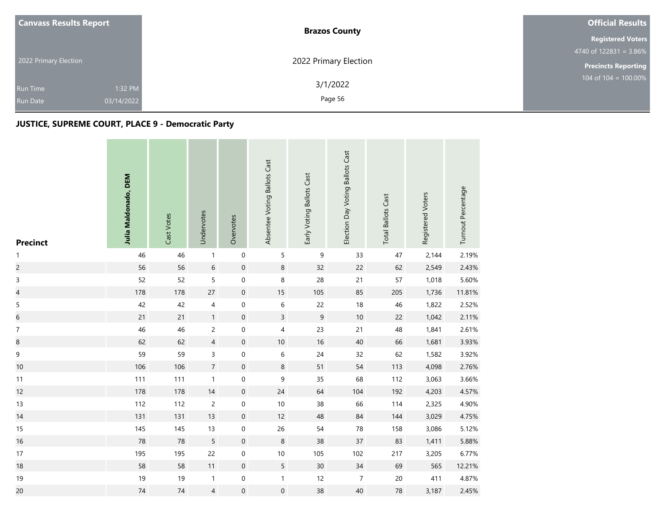| <b>Canvass Results Report</b> | <b>Brazos County</b>  | <b>Official Results</b>    |
|-------------------------------|-----------------------|----------------------------|
|                               |                       | <b>Registered Voters</b>   |
|                               |                       | 4740 of $122831 = 3.86\%$  |
| 2022 Primary Election         | 2022 Primary Election | <b>Precincts Reporting</b> |
| 1:32 PM<br><b>Run Time</b>    | 3/1/2022              | 104 of $104 = 100.00\%$    |
| 03/14/2022<br><b>Run Date</b> | Page 56               |                            |

| <b>Precinct</b>  | Julia Maldonado, DEM | Cast Votes | Undervotes       | Overvotes           | Absentee Voting Ballots Cast | Early Voting Ballots Cast | Election Day Voting Ballots Cast | <b>Total Ballots Cast</b> | Registered Voters | Turnout Percentage |
|------------------|----------------------|------------|------------------|---------------------|------------------------------|---------------------------|----------------------------------|---------------------------|-------------------|--------------------|
| $\mathbf{1}$     | 46                   | 46         | $\mathbf{1}$     | $\mathbf 0$         | 5                            | $\boldsymbol{9}$          | 33                               | 47                        | 2,144             | 2.19%              |
| $\overline{c}$   | 56                   | 56         | $\boldsymbol{6}$ | $\mathbf 0$         | $\bf 8$                      | 32                        | 22                               | 62                        | 2,549             | 2.43%              |
| 3                | 52                   | 52         | 5                | $\mathbf 0$         | $\bf 8$                      | 28                        | 21                               | 57                        | 1,018             | 5.60%              |
| $\overline{4}$   | 178                  | 178        | $27\,$           | $\boldsymbol{0}$    | 15                           | 105                       | 85                               | 205                       | 1,736             | 11.81%             |
| $\mathsf S$      | 42                   | 42         | 4                | $\boldsymbol{0}$    | 6                            | 22                        | $18\,$                           | 46                        | 1,822             | 2.52%              |
| $\sqrt{6}$       | 21                   | 21         | 1                | $\boldsymbol{0}$    | $\overline{3}$               | $\mathsf 9$               | $10$                             | 22                        | 1,042             | 2.11%              |
| $\boldsymbol{7}$ | 46                   | 46         | $\overline{c}$   | $\mathsf{O}\xspace$ | 4                            | 23                        | 21                               | $\sqrt{48}$               | 1,841             | 2.61%              |
| $\boldsymbol{8}$ | 62                   | 62         | $\overline{4}$   | $\mathbf 0$         | $10\,$                       | 16                        | 40                               | 66                        | 1,681             | 3.93%              |
| 9                | 59                   | 59         | 3                | $\mathbf 0$         | $\,$ 6 $\,$                  | $24$                      | 32                               | 62                        | 1,582             | 3.92%              |
| 10               | 106                  | 106        | $\overline{7}$   | $\mathbf 0$         | $\,8\,$                      | 51                        | 54                               | 113                       | 4,098             | 2.76%              |
| 11               | 111                  | 111        | $\mathbf{1}$     | $\mathbf 0$         | 9                            | 35                        | 68                               | 112                       | 3,063             | 3.66%              |
| 12               | 178                  | 178        | $14$             | $\mathbf 0$         | 24                           | 64                        | 104                              | 192                       | 4,203             | 4.57%              |
| 13               | 112                  | 112        | $\overline{c}$   | $\boldsymbol{0}$    | 10                           | 38                        | 66                               | 114                       | 2,325             | 4.90%              |
| 14               | 131                  | 131        | 13               | $\mathbf 0$         | 12                           | 48                        | $\rm 84$                         | 144                       | 3,029             | 4.75%              |
| 15               | 145                  | 145        | 13               | $\mathbf 0$         | 26                           | 54                        | 78                               | 158                       | 3,086             | 5.12%              |
| 16               | 78                   | 78         | 5                | $\boldsymbol{0}$    | 8                            | 38                        | 37                               | 83                        | 1,411             | 5.88%              |
| 17               | 195                  | 195        | 22               | $\mathbf 0$         | $10\,$                       | 105                       | 102                              | 217                       | 3,205             | 6.77%              |
| 18               | 58                   | 58         | 11               | $\mathbf 0$         | 5                            | 30                        | 34                               | 69                        | 565               | 12.21%             |
| $19$             | 19                   | 19         | $\mathbf{1}$     | $\mathbf 0$         | $\mathbf{1}$                 | 12                        | $\overline{7}$                   | $20\,$                    | 411               | 4.87%              |
| 20               | 74                   | $74$       | $\overline{4}$   | $\mathsf{O}\xspace$ | $\mathsf{O}\xspace$          | 38                        | 40                               | ${\bf 78}$                | 3,187             | 2.45%              |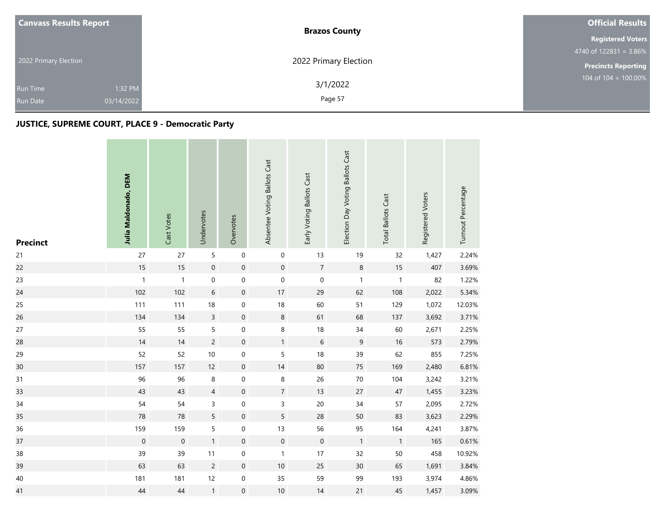| <b>Canvass Results Report</b> |            | <b>Brazos County</b>  | <b>Official Results</b>                     |
|-------------------------------|------------|-----------------------|---------------------------------------------|
|                               |            |                       | <b>Registered Voters</b>                    |
|                               |            |                       | $4740$ of 122831 = 3.86%                    |
| 2022 Primary Election         |            | 2022 Primary Election | <b>Precincts Reporting</b>                  |
| <b>Run Time</b>               | 1:32 PM    | 3/1/2022              | $104 \overline{\text{ of } 104} = 100.00\%$ |
| <b>Run Date</b>               | 03/14/2022 | Page 57               |                                             |

the company's company's

| <b>Precinct</b> | Julia Maldonado, DEM | Cast Votes   | Undervotes          | Overvotes        | Absentee Voting Ballots Cast | Early Voting Ballots Cast | Election Day Voting Ballots Cast | <b>Total Ballots Cast</b> | Registered Voters | Turnout Percentage |
|-----------------|----------------------|--------------|---------------------|------------------|------------------------------|---------------------------|----------------------------------|---------------------------|-------------------|--------------------|
| 21              | 27                   | 27           | 5                   | $\boldsymbol{0}$ | $\pmb{0}$                    | 13                        | 19                               | 32                        | 1,427             | 2.24%              |
| 22              | 15                   | 15           | $\mathsf{O}\xspace$ | $\mathbf 0$      | $\mathsf{O}\xspace$          | $\overline{7}$            | $\, 8$                           | $15$                      | 407               | 3.69%              |
| 23              | $\mathbf{1}$         | $\mathbf{1}$ | 0                   | $\mathbf 0$      | $\mathsf{O}\xspace$          | $\mathbf 0$               | $\mathbf{1}$                     | $\mathbf{1}$              | 82                | 1.22%              |
| 24              | 102                  | 102          | 6                   | $\mathbf 0$      | 17                           | 29                        | 62                               | 108                       | 2,022             | 5.34%              |
| 25              | 111                  | 111          | $18\,$              | $\boldsymbol{0}$ | 18                           | 60                        | 51                               | 129                       | 1,072             | 12.03%             |
| 26              | 134                  | 134          | $\overline{3}$      | $\mathbf 0$      | $\,8\,$                      | 61                        | 68                               | 137                       | 3,692             | 3.71%              |
| 27              | 55                   | 55           | 5                   | $\boldsymbol{0}$ | 8                            | 18                        | 34                               | 60                        | 2,671             | 2.25%              |
| 28              | 14                   | 14           | $\overline{c}$      | $\mathbf 0$      | $\mathbf{1}$                 | $\sqrt{6}$                | 9                                | 16                        | 573               | 2.79%              |
| 29              | 52                   | 52           | $10\,$              | $\mbox{O}$       | 5                            | 18                        | 39                               | 62                        | 855               | 7.25%              |
| 30              | 157                  | 157          | 12                  | $\boldsymbol{0}$ | 14                           | 80                        | 75                               | 169                       | 2,480             | 6.81%              |
| 31              | 96                   | 96           | 8                   | $\mbox{O}$       | 8                            | 26                        | $70\,$                           | 104                       | 3,242             | 3.21%              |
| 33              | 43                   | 43           | $\overline{4}$      | $\mathbf 0$      | $\overline{7}$               | 13                        | 27                               | $47\,$                    | 1,455             | 3.23%              |
| 34              | 54                   | 54           | 3                   | $\pmb{0}$        | 3                            | 20                        | 34                               | 57                        | 2,095             | 2.72%              |
| 35              | 78                   | 78           | 5                   | $\mathbf 0$      | 5                            | 28                        | 50                               | 83                        | 3,623             | 2.29%              |
| 36              | 159                  | 159          | 5                   | $\mathbf 0$      | 13                           | 56                        | 95                               | 164                       | 4,241             | 3.87%              |
| 37              | $\mathbf 0$          | $\mathbf 0$  | 1                   | $\boldsymbol{0}$ | $\boldsymbol{0}$             | $\mathbf 0$               | $\mathbf{1}$                     | $\mathbf{1}$              | 165               | 0.61%              |
| 38              | 39                   | 39           | 11                  | $\boldsymbol{0}$ | $\mathbf{1}$                 | 17                        | 32                               | 50                        | 458               | 10.92%             |
| 39              | 63                   | 63           | $\overline{c}$      | $\boldsymbol{0}$ | 10                           | 25                        | 30                               | 65                        | 1,691             | 3.84%              |
| $40\,$          | 181                  | 181          | 12                  | $\boldsymbol{0}$ | 35                           | 59                        | 99                               | 193                       | 3,974             | 4.86%              |
| 41              | 44                   | 44           | $\mathbf{1}$        | $\mbox{O}$       | $10$                         | 14                        | 21                               | 45                        | 1,457             | 3.09%              |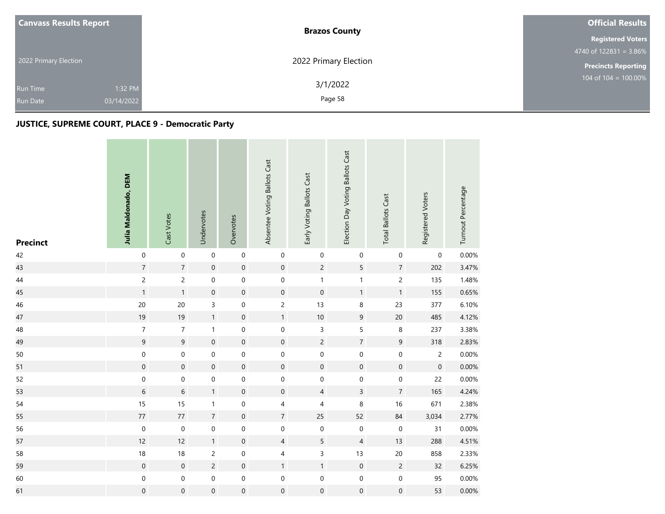| <b>Canvass Results Report</b> |            | <b>Brazos County</b>  | <b>Official Results</b>          |  |  |
|-------------------------------|------------|-----------------------|----------------------------------|--|--|
|                               |            |                       | <b>Registered Voters</b>         |  |  |
|                               |            |                       | $4740$ of 122831 = 3.86%         |  |  |
| 2022 Primary Election         |            | 2022 Primary Election | <b>Precincts Reporting</b>       |  |  |
| <b>Run Time</b>               | 1:32 PM    | 3/1/2022              | $104 \text{ of } 104 = 100.00\%$ |  |  |
| <b>Run Date</b>               | 03/14/2022 | Page 58               |                                  |  |  |

the company of the company

| <b>Precinct</b> | Julia Maldonado, DEM | Cast Votes          | Undervotes          | Overvotes        | Absentee Voting Ballots Cast | Early Voting Ballots Cast | Election Day Voting Ballots Cast | <b>Total Ballots Cast</b> | Registered Voters | Turnout Percentage |
|-----------------|----------------------|---------------------|---------------------|------------------|------------------------------|---------------------------|----------------------------------|---------------------------|-------------------|--------------------|
| 42              | $\mathbf 0$          | $\mathsf{O}\xspace$ | $\mathbf 0$         | $\mathbf 0$      | $\mbox{O}$                   | $\pmb{0}$                 | $\boldsymbol{0}$                 | $\mathbf 0$               | $\mathbf 0$       | 0.00%              |
| 43              | $\sqrt{7}$           | $\overline{7}$      | $\mathbf 0$         | $\mathbf 0$      | $\mathbf 0$                  | $\overline{c}$            | $\sqrt{5}$                       | $7\overline{ }$           | 202               | 3.47%              |
| 44              | $\overline{c}$       | $\overline{c}$      | 0                   | $\mathbf 0$      | $\mathbf 0$                  | $\mathbf{1}$              | $\mathbf{1}$                     | $\overline{c}$            | 135               | 1.48%              |
| 45              | $\mathbf{1}$         | $\mathbf{1}$        | $\mathsf{O}\xspace$ | $\mathbf 0$      | $\mathsf{O}\xspace$          | $\mathsf{O}\xspace$       | $\mathbf{1}$                     | $\mathbf{1}$              | 155               | 0.65%              |
| 46              | $20\,$               | 20                  | 3                   | $\boldsymbol{0}$ | $\overline{c}$               | 13                        | $\,8\,$                          | 23                        | 377               | 6.10%              |
| 47              | 19                   | 19                  | $\mathbf{1}$        | $\mathbf 0$      | $\mathbf{1}$                 | 10                        | $9\,$                            | $20\,$                    | 485               | 4.12%              |
| 48              | $\boldsymbol{7}$     | $\boldsymbol{7}$    | $\mathbf{1}$        | $\mbox{O}$       | $\mathbf 0$                  | 3                         | 5                                | $\,8\,$                   | 237               | 3.38%              |
| 49              | $\mathsf 9$          | $\overline{9}$      | $\boldsymbol{0}$    | $\mathbf 0$      | $\mathbf 0$                  | $\overline{c}$            | $\sqrt{7}$                       | $\boldsymbol{9}$          | 318               | 2.83%              |
| 50              | $\mathbf 0$          | $\mathsf{O}\xspace$ | $\boldsymbol{0}$    | $\mbox{O}$       | $\mathsf{O}\xspace$          | $\mathbf 0$               | $\pmb{0}$                        | $\pmb{0}$                 | $\overline{c}$    | 0.00%              |
| 51              | $\mathbf 0$          | $\mathbf 0$         | $\boldsymbol{0}$    | $\mathbf 0$      | $\boldsymbol{0}$             | $\mathsf{O}\xspace$       | $\boldsymbol{0}$                 | $\mathbf 0$               | $\boldsymbol{0}$  | 0.00%              |
| 52              | $\mathbf 0$          | 0                   | 0                   | $\mbox{O}$       | $\boldsymbol{0}$             | $\boldsymbol{0}$          | $\pmb{0}$                        | $\boldsymbol{0}$          | 22                | 0.00%              |
| 53              | $\,$ 6 $\,$          | $\,$ 6 $\,$         | 1                   | $\mathbf 0$      | $\mathbf 0$                  | $\overline{4}$            | $\overline{3}$                   | $\overline{7}$            | 165               | 4.24%              |
| 54              | 15                   | 15                  | $\mathbf{1}$        | $\mbox{O}$       | $\overline{4}$               | $\overline{4}$            | 8                                | $16\,$                    | 671               | 2.38%              |
| 55              | $77 \,$              | $77\,$              | $\sqrt{7}$          | $\mathbf 0$      | $\overline{7}$               | 25                        | 52                               | 84                        | 3,034             | 2.77%              |
| 56              | $\boldsymbol{0}$     | $\mathbf 0$         | 0                   | $\boldsymbol{0}$ | $\mathbf 0$                  | $\mathbf 0$               | $\pmb{0}$                        | $\mathbf 0$               | 31                | 0.00%              |
| 57              | 12                   | 12                  | $\mathbf{1}$        | $\mathbf 0$      | $\overline{4}$               | $\overline{5}$            | $\overline{4}$                   | 13                        | 288               | 4.51%              |
| 58              | $18\,$               | 18                  | $\overline{c}$      | $\boldsymbol{0}$ | $\overline{4}$               | 3                         | 13                               | $20\,$                    | 858               | 2.33%              |
| 59              | $\mathbf 0$          | $\mathbf 0$         | $\overline{c}$      | $\mathbf 0$      | $\mathbf{1}$                 | $\mathbf{1}$              | $\mathbf 0$                      | $\sqrt{2}$                | 32                | 6.25%              |
| 60              | $\mathbf 0$          | 0                   | $\boldsymbol{0}$    | $\mathbf 0$      | $\boldsymbol{0}$             | $\boldsymbol{0}$          | $\boldsymbol{0}$                 | $\mathbf 0$               | 95                | 0.00%              |
| 61              | $\pmb{0}$            | $\boldsymbol{0}$    | $\boldsymbol{0}$    | $\mathbf 0$      | 0                            | $\mathbf 0$               | $\boldsymbol{0}$                 | $\mathbf 0$               | 53                | $0.00\%$           |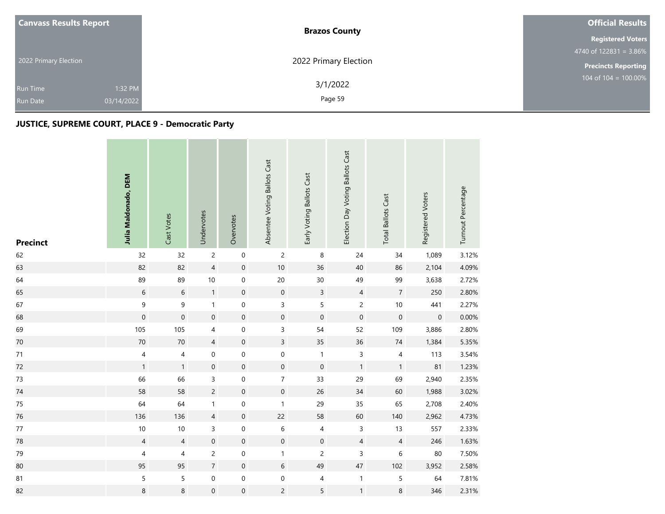| <b>Canvass Results Report</b> |            | <b>Brazos County</b>  | <b>Official Results</b>          |  |  |
|-------------------------------|------------|-----------------------|----------------------------------|--|--|
|                               |            |                       | <b>Registered Voters</b>         |  |  |
|                               |            |                       | $4740$ of 122831 = 3.86%         |  |  |
| 2022 Primary Election         |            | 2022 Primary Election | <b>Precincts Reporting</b>       |  |  |
| <b>Run Time</b>               | 1:32 PM    | 3/1/2022              | $104 \text{ of } 104 = 100.00\%$ |  |  |
| <b>Run Date</b>               | 03/14/2022 | Page 59               |                                  |  |  |

the company of the company

| <b>Precinct</b> | Julia Maldonado, DEM | Cast Votes          | Undervotes       | Overvotes           | Absentee Voting Ballots Cast | Early Voting Ballots Cast | Election Day Voting Ballots Cast | <b>Total Ballots Cast</b> | Registered Voters | Turnout Percentage |
|-----------------|----------------------|---------------------|------------------|---------------------|------------------------------|---------------------------|----------------------------------|---------------------------|-------------------|--------------------|
| 62              | 32                   | 32                  | $\overline{c}$   | $\mathbf 0$         | $\overline{c}$               | $\,8\,$                   | 24                               | 34                        | 1,089             | 3.12%              |
| 63              | 82                   | 82                  | $\overline{4}$   | $\mathsf{O}\xspace$ | $10\,$                       | 36                        | 40                               | 86                        | 2,104             | 4.09%              |
| 64              | 89                   | 89                  | $10\,$           | 0                   | $20\,$                       | 30                        | 49                               | 99                        | 3,638             | 2.72%              |
| 65              | $\,$ 6 $\,$          | $6\phantom{a}$      | $\mathbf{1}$     | $\mathsf{O}\xspace$ | $\mathsf{O}\xspace$          | $\overline{3}$            | $\overline{4}$                   | $\sqrt{7}$                | 250               | 2.80%              |
| 67              | $\mathsf 9$          | 9                   | $\mathbf{1}$     | $\boldsymbol{0}$    | 3                            | 5                         | $\overline{c}$                   | $10$                      | 441               | 2.27%              |
| 68              | $\mathsf{O}\xspace$  | $\mathsf{O}\xspace$ | $\mathbf 0$      | $\mathbf 0$         | $\mathbf 0$                  | $\mathbf 0$               | $\mathbf 0$                      | $\mathbf 0$               | $\boldsymbol{0}$  | 0.00%              |
| 69              | 105                  | 105                 | 4                | $\mbox{O}$          | 3                            | 54                        | 52                               | 109                       | 3,886             | 2.80%              |
| $70\,$          | 70                   | $70\,$              | $\overline{4}$   | $\boldsymbol{0}$    | $\overline{3}$               | 35                        | 36                               | $74\,$                    | 1,384             | 5.35%              |
| 71              | $\sqrt{4}$           | $\sqrt{4}$          | $\boldsymbol{0}$ | $\mbox{O}$          | $\mathsf{O}\xspace$          | $\mathbf{1}$              | 3                                | $\overline{\mathbf{4}}$   | 113               | 3.54%              |
| 72              | $\mathbf{1}$         | $\mathbf{1}$        | $\boldsymbol{0}$ | $\mathbf 0$         | $\mathbf 0$                  | $\mathbf 0$               | $\mathbf{1}$                     | $\mathbf{1}$              | 81                | 1.23%              |
| 73              | 66                   | 66                  | 3                | $\boldsymbol{0}$    | $\overline{7}$               | 33                        | 29                               | 69                        | 2,940             | 2.35%              |
| 74              | 58                   | 58                  | $\overline{c}$   | $\mathbf 0$         | $\mathbf 0$                  | 26                        | 34                               | 60                        | 1,988             | 3.02%              |
| $75\,$          | 64                   | 64                  | $\mathbf{1}$     | $\boldsymbol{0}$    | $\mathbf{1}$                 | 29                        | 35                               | 65                        | 2,708             | 2.40%              |
| 76              | 136                  | 136                 | $\overline{4}$   | $\mathbf 0$         | 22                           | 58                        | 60                               | 140                       | 2,962             | 4.73%              |
| $77\,$          | $10$                 | 10                  | 3                | $\mathbf 0$         | $\,$ 6 $\,$                  | 4                         | 3                                | 13                        | 557               | 2.33%              |
| 78              | $\overline{4}$       | $\overline{4}$      | $\boldsymbol{0}$ | $\boldsymbol{0}$    | $\mathsf{O}\xspace$          | $\mathbf 0$               | $\sqrt{4}$                       | $\overline{4}$            | 246               | 1.63%              |
| 79              | $\overline{4}$       | 4                   | $\overline{c}$   | $\boldsymbol{0}$    | 1                            | 2                         | 3                                | 6                         | 80                | 7.50%              |
| 80              | 95                   | 95                  | $\overline{7}$   | $\boldsymbol{0}$    | $6\phantom{.0}$              | 49                        | $47\,$                           | 102                       | 3,952             | 2.58%              |
| 81              | $\sf 5$              | 5                   | 0                | $\mathbf 0$         | 0                            | 4                         | $\mathbf{1}$                     | $\mathsf S$               | 64                | 7.81%              |
| 82              | $\,$ 8 $\,$          | 8                   | $\boldsymbol{0}$ | $\boldsymbol{0}$    | $\overline{c}$               | 5                         | $\mathbf{1}$                     | 8                         | 346               | 2.31%              |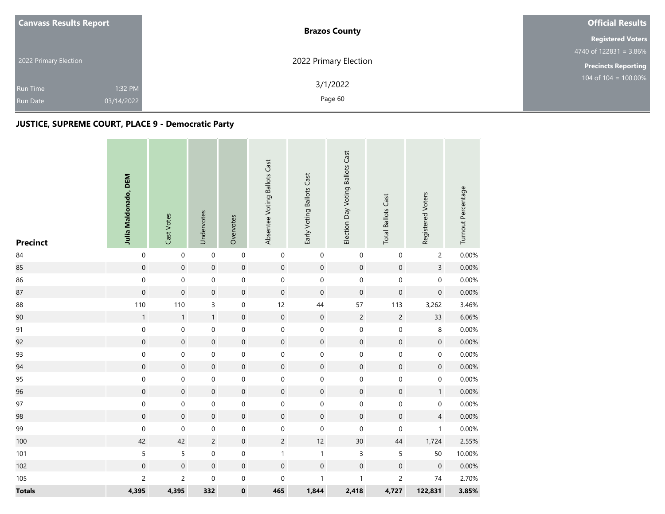| <b>Canvass Results Report</b> |            | <b>Brazos County</b>  | <b>Official Results</b>    |  |  |
|-------------------------------|------------|-----------------------|----------------------------|--|--|
|                               |            |                       | <b>Registered Voters</b>   |  |  |
|                               |            |                       | 4740 of $122831 = 3.86\%$  |  |  |
| 2022 Primary Election         |            | 2022 Primary Election | <b>Precincts Reporting</b> |  |  |
| <b>Run Time</b>               | 1:32 PM    | 3/1/2022              | 104 of $104 = 100.00\%$    |  |  |
| <b>Run Date</b>               | 03/14/2022 | Page 60               |                            |  |  |

| <b>Precinct</b> | Julia Maldonado, DEM | Cast Votes          | Undervotes       | Overvotes        | Absentee Voting Ballots Cast | Early Voting Ballots Cast | Election Day Voting Ballots Cast | <b>Total Ballots Cast</b> | Registered Voters   | Turnout Percentage |
|-----------------|----------------------|---------------------|------------------|------------------|------------------------------|---------------------------|----------------------------------|---------------------------|---------------------|--------------------|
| 84              | $\boldsymbol{0}$     | $\mathbf 0$         | $\mathbf 0$      | $\,0\,$          | $\pmb{0}$                    | $\mathbf 0$               | $\pmb{0}$                        | $\mathbf 0$               | $\overline{c}$      | 0.00%              |
| 85              | $\mathbf 0$          | $\mathbf 0$         | $\boldsymbol{0}$ | $\mathbf 0$      | $\mathbf 0$                  | $\mathbf 0$               | $\mathsf{O}\xspace$              | $\mathbf 0$               | $\overline{3}$      | 0.00%              |
| 86              | $\mathbf 0$          | $\mathsf{O}\xspace$ | $\boldsymbol{0}$ | $\mathbf 0$      | $\mathsf{O}\xspace$          | $\mathbf 0$               | $\pmb{0}$                        | $\mathbf 0$               | $\mathsf{O}\xspace$ | 0.00%              |
| 87              | $\pmb{0}$            | $\mathsf{O}\xspace$ | $\boldsymbol{0}$ | $\mathbf 0$      | $\mathsf{O}\xspace$          | $\mathbf 0$               | $\boldsymbol{0}$                 | $\boldsymbol{0}$          | $\mathsf{O}\xspace$ | 0.00%              |
| 88              | 110                  | 110                 | 3                | $\boldsymbol{0}$ | 12                           | 44                        | 57                               | 113                       | 3,262               | 3.46%              |
| 90              | $\mathbf{1}$         | $\mathbf{1}$        | $\mathbf{1}$     | $\mathbf 0$      | $\mathbf 0$                  | $\mathbf 0$               | $\overline{c}$                   | $\overline{c}$            | 33                  | 6.06%              |
| 91              | $\mathbf 0$          | $\mathbf 0$         | 0                | $\mbox{O}$       | 0                            | $\pmb{0}$                 | $\mathsf 0$                      | $\mathbf 0$               | 8                   | 0.00%              |
| 92              | $\mathbf 0$          | $\mathbf 0$         | $\mathbf 0$      | $\mathbf 0$      | $\mathsf{O}\xspace$          | $\mathbf 0$               | $\pmb{0}$                        | $\mathbf 0$               | $\mathbf 0$         | 0.00%              |
| 93              | $\mathbf 0$          | $\mathsf{O}\xspace$ | 0                | $\mbox{O}$       | $\mathbf 0$                  | $\mathbf 0$               | $\pmb{0}$                        | $\mathbf 0$               | $\boldsymbol{0}$    | 0.00%              |
| 94              | $\mathbf 0$          | $\boldsymbol{0}$    | $\boldsymbol{0}$ | $\mathbf 0$      | $\boldsymbol{0}$             | $\mathbf 0$               | $\mathbf 0$                      | $\mathbf 0$               | $\mathsf{O}\xspace$ | 0.00%              |
| 95              | $\mathbf 0$          | $\mathsf{O}\xspace$ | 0                | $\mbox{O}$       | $\mathbf 0$                  | $\mathbf 0$               | $\pmb{0}$                        | $\mathbf 0$               | $\mathsf{O}\xspace$ | 0.00%              |
| 96              | $\mathbf 0$          | $\mathbf 0$         | $\boldsymbol{0}$ | $\mathbf 0$      | $\mathbf 0$                  | $\mathbf 0$               | $\mathbf 0$                      | $\mathbf 0$               | $\mathbf{1}$        | 0.00%              |
| 97              | $\mathbf 0$          | $\mathsf{O}\xspace$ | 0                | $\,0\,$          | $\mathsf{O}\xspace$          | $\mathbf 0$               | $\pmb{0}$                        | $\mathbf 0$               | $\mathbf 0$         | 0.00%              |
| 98              | $\pmb{0}$            | $\mathsf{O}\xspace$ | $\boldsymbol{0}$ | $\mathbf 0$      | $\mathsf{O}\xspace$          | $\mathsf{O}\xspace$       | $\mathbf 0$                      | $\boldsymbol{0}$          | $\overline{4}$      | 0.00%              |
| 99              | $\pmb{0}$            | 0                   | 0                | $\boldsymbol{0}$ | 0                            | $\mathsf 0$               | $\boldsymbol{0}$                 | $\mathbf 0$               | $\mathbf{1}$        | 0.00%              |
| 100             | 42                   | 42                  | $\overline{c}$   | $\mathbf 0$      | $\overline{2}$               | 12                        | $30\,$                           | $44\,$                    | 1,724               | 2.55%              |
| 101             | $\sqrt{5}$           | 5                   | $\boldsymbol{0}$ | $\mbox{O}$       | $\mathbf{1}$                 | $\mathbf{1}$              | 3                                | 5                         | 50                  | 10.00%             |
| 102             | $\mathbf 0$          | $\mathsf{O}\xspace$ | $\boldsymbol{0}$ | $\mathbf 0$      | $\mathbf 0$                  | $\mathbf 0$               | $\mathbf 0$                      | $\boldsymbol{0}$          | $\mathbf 0$         | 0.00%              |
| 105             | $\overline{c}$       | $\overline{c}$      | 0                | $\boldsymbol{0}$ | 0                            | $\mathbf{1}$              | $\mathbf{1}$                     | $\overline{c}$            | 74                  | 2.70%              |
| <b>Totals</b>   | 4,395                | 4,395               | 332              | $\pmb{0}$        | 465                          | 1,844                     | 2,418                            | 4,727                     | 122,831             | 3.85%              |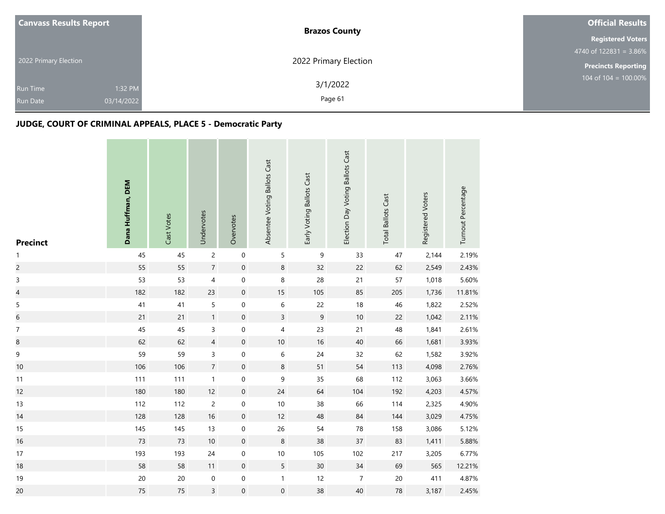| <b>Canvass Results Report</b> | <b>Brazos County</b>  | <b>Official Results</b>    |
|-------------------------------|-----------------------|----------------------------|
|                               |                       | <b>Registered Voters</b>   |
|                               |                       | 4740 of $122831 = 3.86\%$  |
| 2022 Primary Election         | 2022 Primary Election | <b>Precincts Reporting</b> |
|                               | 3/1/2022              | 104 of 104 = $100.00\%$    |
| 1:32 PM<br><b>Run Time</b>    |                       |                            |
| 03/14/2022<br><b>Run Date</b> | Page 61               |                            |

| <b>Precinct</b>          | Dana Huffman, DEM | Cast Votes | Undervotes          | Overvotes           | Absentee Voting Ballots Cast | Early Voting Ballots Cast | Election Day Voting Ballots Cast | <b>Total Ballots Cast</b> | Registered Voters | Turnout Percentage |
|--------------------------|-------------------|------------|---------------------|---------------------|------------------------------|---------------------------|----------------------------------|---------------------------|-------------------|--------------------|
| $\mathbf{1}$             | 45                | 45         | $\overline{c}$      | $\mathbf 0$         | 5                            | $\mathsf 9$               | 33                               | 47                        | 2,144             | 2.19%              |
| $\overline{c}$           | 55                | 55         | $\overline{7}$      | $\mathbf 0$         | 8                            | 32                        | 22                               | 62                        | 2,549             | 2.43%              |
| $\mathsf 3$              | 53                | 53         | $\overline{4}$      | $\pmb{0}$           | 8                            | 28                        | 21                               | 57                        | 1,018             | 5.60%              |
| $\overline{\mathcal{L}}$ | 182               | 182        | 23                  | $\mathbf 0$         | 15                           | 105                       | 85                               | 205                       | 1,736             | 11.81%             |
| $\sqrt{5}$               | 41                | 41         | 5                   | 0                   | $\,$ 6 $\,$                  | 22                        | $18\,$                           | 46                        | 1,822             | 2.52%              |
| $\boldsymbol{6}$         | 21                | 21         | 1                   | $\boldsymbol{0}$    | $\overline{3}$               | $\mathsf 9$               | $10\,$                           | 22                        | 1,042             | 2.11%              |
| $\boldsymbol{7}$         | 45                | 45         | 3                   | $\pmb{0}$           | 4                            | 23                        | 21                               | 48                        | 1,841             | 2.61%              |
| $\bf 8$                  | 62                | 62         | $\overline{4}$      | $\mathbf 0$         | $10$                         | 16                        | $40\,$                           | 66                        | 1,681             | 3.93%              |
| $\mathsf 9$              | 59                | 59         | 3                   | $\pmb{0}$           | $\,$ 6 $\,$                  | 24                        | 32                               | 62                        | 1,582             | 3.92%              |
| 10                       | 106               | 106        | $\overline{7}$      | $\mathbf 0$         | 8                            | 51                        | 54                               | 113                       | 4,098             | 2.76%              |
| 11                       | 111               | 111        | $\mathbf{1}$        | $\mathsf{O}\xspace$ | 9                            | 35                        | 68                               | 112                       | 3,063             | 3.66%              |
| 12                       | 180               | 180        | 12                  | $\mathbf 0$         | 24                           | 64                        | 104                              | 192                       | 4,203             | 4.57%              |
| 13                       | 112               | 112        | $\overline{c}$      | $\mathsf{O}\xspace$ | $10$                         | 38                        | 66                               | 114                       | 2,325             | 4.90%              |
| 14                       | 128               | 128        | 16                  | $\mathbf 0$         | 12                           | 48                        | 84                               | 144                       | 3,029             | 4.75%              |
| 15                       | 145               | 145        | 13                  | $\boldsymbol{0}$    | 26                           | 54                        | ${\bf 78}$                       | 158                       | 3,086             | 5.12%              |
| 16                       | 73                | 73         | $10$                | $\boldsymbol{0}$    | $\bf 8$                      | 38                        | 37                               | 83                        | 1,411             | 5.88%              |
| 17                       | 193               | 193        | 24                  | $\,0\,$             | $10$                         | 105                       | 102                              | 217                       | 3,205             | 6.77%              |
| 18                       | 58                | 58         | 11                  | $\mathbf 0$         | 5                            | 30 <sup>°</sup>           | $34\,$                           | 69                        | 565               | 12.21%             |
| 19                       | $20\,$            | $20\,$     | $\mathsf{O}\xspace$ | $\mathsf{O}\xspace$ | $\mathbf{1}$                 | 12                        | $\sqrt{7}$                       | $20\,$                    | 411               | 4.87%              |
| 20                       | 75                | 75         | $\mathsf{3}$        | $\mathsf{O}\xspace$ | $\boldsymbol{0}$             | 38                        | $40\,$                           | 78                        | 3,187             | 2.45%              |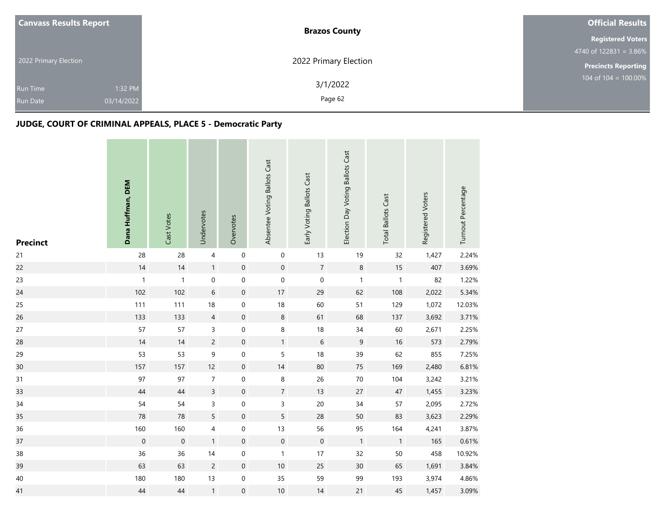| <b>Canvass Results Report</b> | <b>Brazos County</b>  | <b>Official Results</b>    |
|-------------------------------|-----------------------|----------------------------|
|                               |                       | <b>Registered Voters</b>   |
|                               |                       | 4740 of $122831 = 3.86\%$  |
| 2022 Primary Election         | 2022 Primary Election | <b>Precincts Reporting</b> |
|                               | 3/1/2022              | 104 of 104 = $100.00\%$    |
| 1:32 PM<br><b>Run Time</b>    |                       |                            |
| 03/14/2022<br><b>Run Date</b> | Page 62               |                            |

| <b>Precinct</b> | Dana Huffman, DEM | Cast Votes       | Undervotes     | Overvotes           | Absentee Voting Ballots Cast | Early Voting Ballots Cast | Election Day Voting Ballots Cast | <b>Total Ballots Cast</b> | Registered Voters | Turnout Percentage |
|-----------------|-------------------|------------------|----------------|---------------------|------------------------------|---------------------------|----------------------------------|---------------------------|-------------------|--------------------|
| 21              | 28                | 28               | $\overline{4}$ | $\mathbf 0$         | $\boldsymbol{0}$             | 13                        | 19                               | 32                        | 1,427             | 2.24%              |
| 22              | 14                | $14$             | $\mathbf{1}$   | $\mathbf 0$         | $\mathbf 0$                  | $\sqrt{7}$                | $\,8\,$                          | $15\,$                    | 407               | 3.69%              |
| 23              | $\mathbf{1}$      | $\mathbf{1}$     | $\pmb{0}$      | $\mathbf 0$         | $\mathsf{O}\xspace$          | $\mathbf 0$               | $\mathbf{1}$                     | $\mathbf{1}$              | 82                | 1.22%              |
| 24              | 102               | 102              | $\,$ 6 $\,$    | $\mathbf 0$         | $17\,$                       | 29                        | 62                               | 108                       | 2,022             | 5.34%              |
| 25              | 111               | 111              | 18             | $\boldsymbol{0}$    | $18\,$                       | 60                        | 51                               | 129                       | 1,072             | 12.03%             |
| 26              | 133               | 133              | $\overline{4}$ | $\mathbf 0$         | $\bf 8$                      | 61                        | 68                               | 137                       | 3,692             | 3.71%              |
| 27              | 57                | 57               | 3              | 0                   | 8                            | 18                        | 34                               | 60                        | 2,671             | 2.25%              |
| 28              | 14                | 14               | $\overline{c}$ | $\mathbf 0$         | $\mathbf{1}$                 | $\,$ 6 $\,$               | $\mathsf 9$                      | 16                        | 573               | 2.79%              |
| 29              | 53                | 53               | 9              | $\mathbf 0$         | 5                            | 18                        | 39                               | 62                        | 855               | 7.25%              |
| 30              | 157               | 157              | 12             | $\boldsymbol{0}$    | 14                           | 80                        | 75                               | 169                       | 2,480             | 6.81%              |
| 31              | 97                | 97               | $\overline{7}$ | $\boldsymbol{0}$    | $\,8\,$                      | 26                        | 70                               | 104                       | 3,242             | 3.21%              |
| 33              | $44\,$            | $44\,$           | $\overline{3}$ | $\boldsymbol{0}$    | $\overline{7}$               | 13                        | 27                               | $47\,$                    | 1,455             | 3.23%              |
| 34              | 54                | 54               | 3              | 0                   | 3                            | 20                        | 34                               | 57                        | 2,095             | 2.72%              |
| 35              | 78                | 78               | 5              | $\mathbf 0$         | 5                            | 28                        | 50                               | 83                        | 3,623             | 2.29%              |
| 36              | 160               | 160              | 4              | $\boldsymbol{0}$    | 13                           | 56                        | 95                               | 164                       | 4,241             | 3.87%              |
| 37              | $\mathbf 0$       | $\boldsymbol{0}$ | $\mathbf{1}$   | $\mathbf 0$         | $\boldsymbol{0}$             | $\boldsymbol{0}$          | $\mathbf{1}$                     | $\mathbf{1}$              | 165               | 0.61%              |
| 38              | 36                | 36               | 14             | $\boldsymbol{0}$    | $\mathbf{1}$                 | 17                        | 32                               | 50                        | 458               | 10.92%             |
| 39              | 63                | 63               | $\overline{c}$ | $\,0\,$             | $10$                         | 25                        | 30 <sup>°</sup>                  | 65                        | 1,691             | 3.84%              |
| 40              | 180               | 180              | 13             | $\mathsf{O}\xspace$ | 35                           | 59                        | 99                               | 193                       | 3,974             | 4.86%              |
| 41              | $44\,$            | $44$             | $\mathbf{1}$   | $\boldsymbol{0}$    | $10$                         | 14                        | 21                               | 45                        | 1,457             | 3.09%              |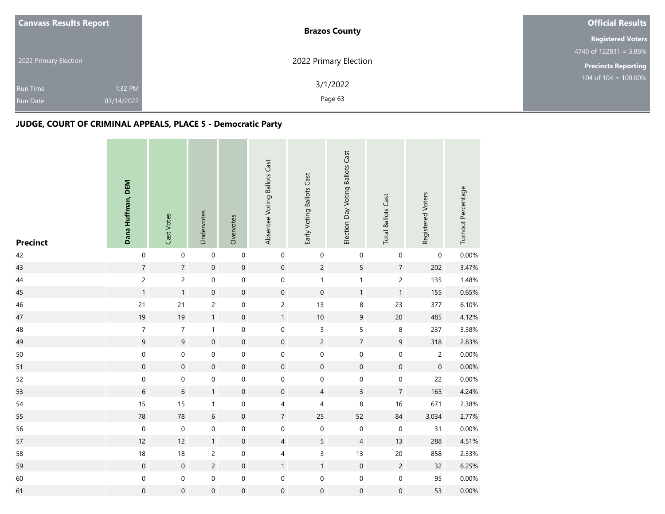|  | <b>Canvass Results Report</b> | <b>Brazos County</b>  | <b>Official Results</b>    |
|--|-------------------------------|-----------------------|----------------------------|
|  |                               |                       | <b>Registered Voters</b>   |
|  |                               |                       | 4740 of $122831 = 3.86\%$  |
|  | 2022 Primary Election         | 2022 Primary Election | <b>Precincts Reporting</b> |
|  | 1:32 PM<br><b>Run Time</b>    | 3/1/2022              | 104 of 104 = $100.00\%$    |
|  | 03/14/2022<br><b>Run Date</b> | Page 63               |                            |

| <b>Precinct</b> | Dana Huffman, DEM | Cast Votes          | Undervotes       | Overvotes        | Absentee Voting Ballots Cast | Early Voting Ballots Cast | Election Day Voting Ballots Cast | <b>Total Ballots Cast</b> | Registered Voters   | Turnout Percentage |
|-----------------|-------------------|---------------------|------------------|------------------|------------------------------|---------------------------|----------------------------------|---------------------------|---------------------|--------------------|
| 42              | $\boldsymbol{0}$  | $\mathbf 0$         | $\mbox{O}$       | $\boldsymbol{0}$ | 0                            | 0                         | $\boldsymbol{0}$                 | $\boldsymbol{0}$          | 0                   | 0.00%              |
| 43              | $\overline{7}$    | $\overline{7}$      | $\mathbf 0$      | $\mathbf 0$      | $\mathbf 0$                  | $\overline{c}$            | 5                                | $\overline{7}$            | 202                 | 3.47%              |
| 44              | $\overline{c}$    | $\overline{c}$      | $\mathbf 0$      | $\,0\,$          | 0                            | $\mathbf{1}$              | $\mathbf{1}$                     | $\overline{c}$            | 135                 | 1.48%              |
| 45              | $\mathbf{1}$      | $\mathbf{1}$        | $\mathbf 0$      | $\mathbf 0$      | $\mathbf 0$                  | $\boldsymbol{0}$          | $\mathbf{1}$                     | $\mathbf{1}$              | 155                 | 0.65%              |
| 46              | 21                | 21                  | $\overline{c}$   | $\mathbf 0$      | $\overline{c}$               | 13                        | $\,$ 8 $\,$                      | 23                        | 377                 | 6.10%              |
| 47              | 19                | 19                  | $\mathbf{1}$     | $\mathbf 0$      | $\mathbf{1}$                 | $10\,$                    | $\boldsymbol{9}$                 | 20                        | 485                 | 4.12%              |
| 48              | $\boldsymbol{7}$  | $\overline{7}$      | $\mathbf{1}$     | $\,0\,$          | $\pmb{0}$                    | 3                         | 5                                | $\,$ 8 $\,$               | 237                 | 3.38%              |
| 49              | $\boldsymbol{9}$  | 9                   | $\mathbf 0$      | $\boldsymbol{0}$ | $\boldsymbol{0}$             | $\overline{c}$            | $\boldsymbol{7}$                 | 9                         | 318                 | 2.83%              |
| 50              | $\boldsymbol{0}$  | 0                   | $\mbox{O}$       | $\boldsymbol{0}$ | 0                            | $\mathsf 0$               | $\mathbf 0$                      | $\boldsymbol{0}$          | $\overline{c}$      | 0.00%              |
| 51              | $\mathbf 0$       | $\mathsf{O}\xspace$ | $\mathbf 0$      | $\mathbf 0$      | $\mathsf{O}\xspace$          | $\mathbf 0$               | $\mathbf 0$                      | $\mathbf 0$               | $\mathsf{O}\xspace$ | 0.00%              |
| 52              | $\mbox{O}$        | 0                   | $\mbox{O}$       | $\boldsymbol{0}$ | 0                            | $\mathbf 0$               | $\mbox{O}$                       | $\boldsymbol{0}$          | 22                  | $0.00\%$           |
| 53              | $\sqrt{6}$        | $\sqrt{6}$          | $\mathbf{1}$     | $\boldsymbol{0}$ | $\mathsf{O}\xspace$          | 4                         | $\mathsf{3}$                     | $\overline{7}$            | 165                 | 4.24%              |
| 54              | 15                | 15                  | $\mathbf{1}$     | $\boldsymbol{0}$ | 4                            | 4                         | $\,8\,$                          | 16                        | 671                 | 2.38%              |
| 55              | ${\bf 78}$        | $78\,$              | $\,$ 6 $\,$      | $\mathbf 0$      | $\overline{7}$               | 25                        | 52                               | 84                        | 3,034               | 2.77%              |
| 56              | $\boldsymbol{0}$  | $\mathbf 0$         | $\boldsymbol{0}$ | $\boldsymbol{0}$ | 0                            | 0                         | $\pmb{0}$                        | $\boldsymbol{0}$          | 31                  | 0.00%              |
| 57              | 12                | 12                  | $\mathbf{1}$     | $\mathbf 0$      | $\overline{4}$               | 5                         | $\overline{4}$                   | 13                        | 288                 | 4.51%              |
| 58              | 18                | 18                  | $\overline{c}$   | $\boldsymbol{0}$ | 4                            | 3                         | 13                               | 20                        | 858                 | 2.33%              |
| 59              | $\mathbf 0$       | $\,0\,$             | $\sqrt{2}$       | $\mathbf 0$      | $\mathbf{1}$                 | $\mathbf{1}$              | $\boldsymbol{0}$                 | $\sqrt{2}$                | 32                  | 6.25%              |
| 60              | $\boldsymbol{0}$  | 0                   | $\mbox{O}$       | $\,0\,$          | 0                            | $\boldsymbol{0}$          | $\mathbf 0$                      | $\pmb{0}$                 | 95                  | 0.00%              |
| 61              | $\boldsymbol{0}$  | $\boldsymbol{0}$    | $\mbox{O}$       | $\mathbf 0$      | $\boldsymbol{0}$             | $\boldsymbol{0}$          | $\mathbf 0$                      | $\boldsymbol{0}$          | 53                  | 0.00%              |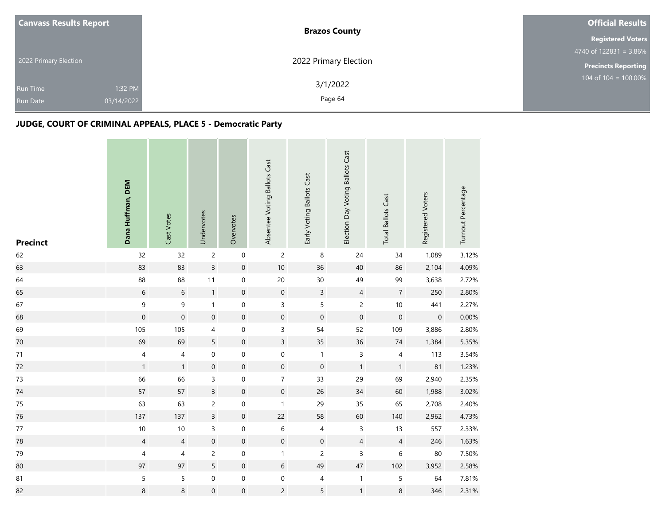| <b>Canvass Results Report</b> | <b>Brazos County</b>  | <b>Official Results</b>    |
|-------------------------------|-----------------------|----------------------------|
|                               |                       | <b>Registered Voters</b>   |
|                               |                       | 4740 of $122831 = 3.86\%$  |
| 2022 Primary Election         | 2022 Primary Election | <b>Precincts Reporting</b> |
| 1:32 PM                       | 3/1/2022              | 104 of 104 = $100.00\%$    |
| <b>Run Time</b>               |                       |                            |
| 03/14/2022<br><b>Run Date</b> | Page 64               |                            |

| <b>Precinct</b> | Dana Huffman, DEM | Cast Votes          | Undervotes          | Overvotes        | Absentee Voting Ballots Cast | Early Voting Ballots Cast | Election Day Voting Ballots Cast | <b>Total Ballots Cast</b> | Registered Voters | Turnout Percentage |
|-----------------|-------------------|---------------------|---------------------|------------------|------------------------------|---------------------------|----------------------------------|---------------------------|-------------------|--------------------|
| 62              | 32                | 32                  | $\overline{c}$      | $\,0\,$          | $\overline{c}$               | $\,8\,$                   | 24                               | 34                        | 1,089             | 3.12%              |
| 63              | 83                | 83                  | $\mathsf{3}$        | $\mathbf 0$      | $10\,$                       | 36                        | $40\,$                           | 86                        | 2,104             | 4.09%              |
| 64              | 88                | 88                  | 11                  | $\boldsymbol{0}$ | $20\,$                       | 30                        | 49                               | 99                        | 3,638             | 2.72%              |
| 65              | $\sqrt{6}$        | $\,$ 6 $\,$         | $\mathbf{1}$        | $\mathbf 0$      | $\mathbf 0$                  | $\overline{3}$            | $\sqrt{4}$                       | $\sqrt{7}$                | 250               | 2.80%              |
| 67              | $\boldsymbol{9}$  | 9                   | $\mathbf{1}$        | $\mathbf 0$      | 3                            | 5                         | $\overline{c}$                   | $10\,$                    | 441               | 2.27%              |
| 68              | $\mathbf 0$       | $\mathsf{O}\xspace$ | $\mathbf 0$         | $\mathbf 0$      | $\boldsymbol{0}$             | $\mathbf 0$               | $\mathbf 0$                      | $\mathbf 0$               | $\boldsymbol{0}$  | 0.00%              |
| 69              | 105               | 105                 | $\overline{4}$      | $\boldsymbol{0}$ | 3                            | 54                        | 52                               | 109                       | 3,886             | 2.80%              |
| 70              | 69                | 69                  | 5                   | $\mathbf 0$      | $\overline{3}$               | 35                        | 36                               | $74\,$                    | 1,384             | 5.35%              |
| $71\,$          | 4                 | 4                   | $\boldsymbol{0}$    | $\mathbf 0$      | $\mathbf 0$                  | $\mathbf{1}$              | $\mathsf{3}$                     | $\overline{4}$            | 113               | 3.54%              |
| 72              | $\mathbf{1}$      | $\mathbf{1}$        | $\mathbf 0$         | $\mathbf 0$      | $\boldsymbol{0}$             | $\mathbf 0$               | $\mathbf{1}$                     | $\mathbf{1}$              | 81                | 1.23%              |
| 73              | 66                | 66                  | 3                   | $\,0\,$          | $\overline{7}$               | 33                        | 29                               | 69                        | 2,940             | 2.35%              |
| 74              | 57                | 57                  | $\overline{3}$      | $\,0\,$          | $\mathbf 0$                  | 26                        | 34                               | 60                        | 1,988             | 3.02%              |
| 75              | 63                | 63                  | $\overline{2}$      | $\mathbf 0$      | $\mathbf{1}$                 | 29                        | 35                               | 65                        | 2,708             | 2.40%              |
| 76              | 137               | 137                 | $\overline{3}$      | $\mathbf 0$      | 22                           | 58                        | 60                               | 140                       | 2,962             | 4.73%              |
| $77\,$          | $10$              | 10                  | 3                   | $\pmb{0}$        | $\,$ 6 $\,$                  | 4                         | $\mathsf 3$                      | 13                        | 557               | 2.33%              |
| 78              | $\sqrt{4}$        | $\overline{4}$      | $\mathbf 0$         | $\mathbf 0$      | $\boldsymbol{0}$             | $\boldsymbol{0}$          | $\overline{4}$                   | $\overline{4}$            | 246               | 1.63%              |
| 79              | 4                 | 4                   | $\overline{c}$      | $\boldsymbol{0}$ | $\mathbf{1}$                 | $\overline{c}$            | $\mathsf 3$                      | 6                         | 80                | 7.50%              |
| 80              | 97                | 97                  | 5                   | $\,0\,$          | $\boldsymbol{6}$             | 49                        | 47                               | 102                       | 3,952             | 2.58%              |
| 81              | $\mathsf S$       | 5                   | $\mathsf{O}\xspace$ | $\,0\,$          | $\boldsymbol{0}$             | 4                         | $\mathbf{1}$                     | $\sqrt{5}$                | 64                | 7.81%              |
| 82              | 8                 | 8                   | $\mathbf 0$         | $\mathbf 0$      | $\overline{c}$               | 5                         | $\mathbf{1}$                     | $\bf 8$                   | 346               | 2.31%              |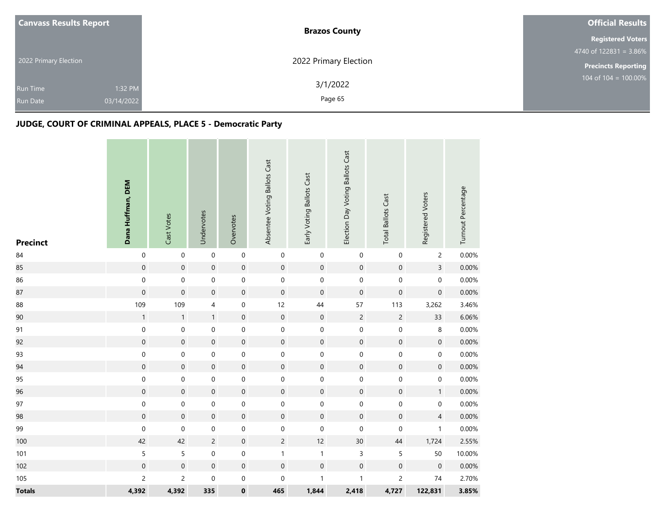|  | <b>Canvass Results Report</b> | <b>Brazos County</b>  | <b>Official Results</b>    |  |
|--|-------------------------------|-----------------------|----------------------------|--|
|  |                               |                       | <b>Registered Voters</b>   |  |
|  |                               |                       | 4740 of $122831 = 3.86\%$  |  |
|  | 2022 Primary Election         | 2022 Primary Election | <b>Precincts Reporting</b> |  |
|  | 1:32 PM<br><b>Run Time</b>    | 3/1/2022              | 104 of 104 = $100.00\%$    |  |
|  | 03/14/2022<br><b>Run Date</b> | Page 65               |                            |  |
|  |                               |                       |                            |  |

| <b>Precinct</b> | Dana Huffman, DEM   | Cast Votes          | Undervotes       | Overvotes        | Absentee Voting Ballots Cast | Early Voting Ballots Cast | Election Day Voting Ballots Cast | <b>Total Ballots Cast</b> | Registered Voters | Turnout Percentage |
|-----------------|---------------------|---------------------|------------------|------------------|------------------------------|---------------------------|----------------------------------|---------------------------|-------------------|--------------------|
| $\bf 84$        | $\pmb{0}$           | $\mathsf{O}\xspace$ | $\mbox{O}$       | $\,0\,$          | $\mathbf 0$                  | $\pmb{0}$                 | $\boldsymbol{0}$                 | $\pmb{0}$                 | $\overline{c}$    | 0.00%              |
| 85              | $\mathbf 0$         | $\mathsf{O}\xspace$ | $\mathbf 0$      | $\mathbf 0$      | $\boldsymbol{0}$             | $\mathbf 0$               | $\mathbf 0$                      | $\mathbf 0$               | $\overline{3}$    | 0.00%              |
| 86              | $\boldsymbol{0}$    | $\mathbf 0$         | $\mbox{O}$       | $\boldsymbol{0}$ | $\mathbf 0$                  | $\mathbf 0$               | $\pmb{0}$                        | $\mathbf 0$               | $\mathbf 0$       | 0.00%              |
| 87              | $\mathbf 0$         | $\mathsf{O}\xspace$ | $\mathbf 0$      | $\mathbf 0$      | $\mathbf 0$                  | $\mathbf 0$               | $\mathbf 0$                      | $\boldsymbol{0}$          | $\boldsymbol{0}$  | 0.00%              |
| 88              | 109                 | 109                 | 4                | $\boldsymbol{0}$ | 12                           | 44                        | 57                               | 113                       | 3,262             | 3.46%              |
| 90              | $\mathbf 1$         | $\mathbf{1}$        | $\mathbf{1}$     | $\mathbf 0$      | $\mathbf 0$                  | $\mathbf 0$               | $\sqrt{2}$                       | $\sqrt{2}$                | 33                | 6.06%              |
| 91              | $\boldsymbol{0}$    | 0                   | $\pmb{0}$        | $\boldsymbol{0}$ | $\boldsymbol{0}$             | $\boldsymbol{0}$          | $\mathbf 0$                      | $\mathbf 0$               | 8                 | 0.00%              |
| 92              | $\boldsymbol{0}$    | $\mathbf 0$         | $\mathbf 0$      | $\mathbf 0$      | $\mathbf 0$                  | $\mathbf 0$               | $\mathbf 0$                      | $\mathbf 0$               | $\boldsymbol{0}$  | 0.00%              |
| 93              | $\boldsymbol{0}$    | 0                   | $\boldsymbol{0}$ | $\mathbf 0$      | $\boldsymbol{0}$             | $\pmb{0}$                 | $\boldsymbol{0}$                 | $\pmb{0}$                 | $\boldsymbol{0}$  | 0.00%              |
| 94              | $\mathbf 0$         | $\mathbf 0$         | $\mathbf 0$      | $\mathbf 0$      | $\mathbf 0$                  | $\mathbf 0$               | $\mathbf 0$                      | $\mathbf 0$               | $\boldsymbol{0}$  | 0.00%              |
| 95              | $\,0\,$             | $\mathbf 0$         | $\boldsymbol{0}$ | $\mathbf 0$      | $\mathbf 0$                  | $\mathbf 0$               | $\boldsymbol{0}$                 | $\mathbf 0$               | $\boldsymbol{0}$  | 0.00%              |
| 96              | $\mathsf{O}\xspace$ | $\mathbf 0$         | $\mathbf 0$      | $\mathbf 0$      | $\boldsymbol{0}$             | $\mathbf 0$               | $\mathbf 0$                      | $\mathsf{O}\xspace$       | 1                 | 0.00%              |
| 97              | $\boldsymbol{0}$    | 0                   | 0                | $\boldsymbol{0}$ | $\boldsymbol{0}$             | $\boldsymbol{0}$          | $\boldsymbol{0}$                 | $\pmb{0}$                 | 0                 | 0.00%              |
| 98              | $\mathbf 0$         | $\boldsymbol{0}$    | $\boldsymbol{0}$ | $\mathbf 0$      | $\mathbf 0$                  | $\mathbf 0$               | $\mathbf 0$                      | $\boldsymbol{0}$          | $\overline{4}$    | 0.00%              |
| 99              | $\pmb{0}$           | $\mathbf 0$         | $\boldsymbol{0}$ | $\mathbf 0$      | $\boldsymbol{0}$             | $\mathbf 0$               | $\boldsymbol{0}$                 | $\boldsymbol{0}$          | $\mathbf{1}$      | 0.00%              |
| 100             | 42                  | 42                  | $\sqrt{2}$       | $\mathbf 0$      | $\overline{c}$               | 12                        | $30\,$                           | $44\,$                    | 1,724             | 2.55%              |
| 101             | $\mathsf S$         | 5                   | $\pmb{0}$        | $\boldsymbol{0}$ | $\mathbf{1}$                 | $\mathbf{1}$              | $\mathsf 3$                      | $\mathsf S$               | 50                | 10.00%             |
| 102             | $\mathbf 0$         | $\boldsymbol{0}$    | $\mathbf 0$      | $\mathbf 0$      | $\mathbf 0$                  | $\boldsymbol{0}$          | $\mathbf 0$                      | $\boldsymbol{0}$          | $\boldsymbol{0}$  | 0.00%              |
| 105             | $\overline{c}$      | $\overline{c}$      | $\boldsymbol{0}$ | $\boldsymbol{0}$ | $\boldsymbol{0}$             | $\mathbf{1}$              | $\mathbf{1}$                     | $\overline{c}$            | $74\,$            | 2.70%              |
| <b>Totals</b>   | 4,392               | 4,392               | 335              | $\pmb{0}$        | 465                          | 1,844                     | 2,418                            | 4,727                     | 122,831           | 3.85%              |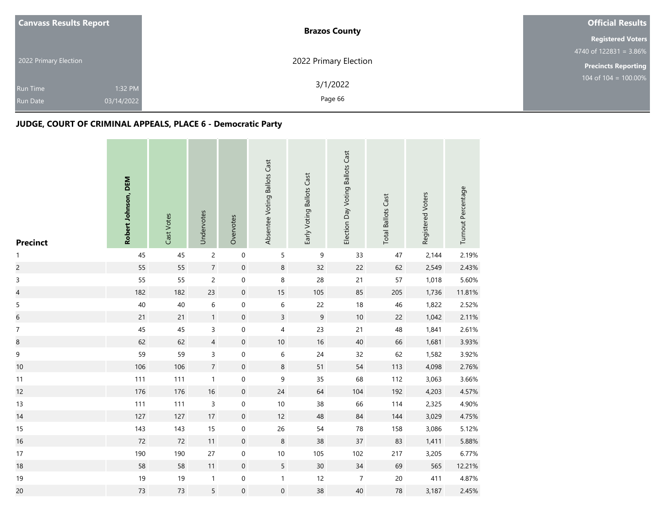| <b>Canvass Results Report</b> | <b>Brazos County</b>  | <b>Official Results</b>    |
|-------------------------------|-----------------------|----------------------------|
|                               |                       | <b>Registered Voters</b>   |
|                               |                       | 4740 of $122831 = 3.86\%$  |
| 2022 Primary Election         | 2022 Primary Election | <b>Precincts Reporting</b> |
|                               | 3/1/2022              | 104 of 104 = $100.00\%$    |
| 1:32 PM<br><b>Run Time</b>    |                       |                            |
| 03/14/2022<br><b>Run Date</b> | Page 66               |                            |

| <b>Precinct</b>          | Robert Johnson, DEM | Cast Votes | Undervotes     | Overvotes           | Absentee Voting Ballots Cast | Early Voting Ballots Cast | Election Day Voting Ballots Cast | <b>Total Ballots Cast</b> | Registered Voters | Turnout Percentage |
|--------------------------|---------------------|------------|----------------|---------------------|------------------------------|---------------------------|----------------------------------|---------------------------|-------------------|--------------------|
| $\mathbf{1}$             | 45                  | 45         | $\overline{c}$ | $\mathbf 0$         | 5                            | $\mathsf 9$               | 33                               | 47                        | 2,144             | 2.19%              |
| $\overline{c}$           | 55                  | 55         | $\overline{7}$ | $\mathbf 0$         | 8                            | 32                        | 22                               | 62                        | 2,549             | 2.43%              |
| $\mathsf 3$              | 55                  | 55         | $\overline{2}$ | $\pmb{0}$           | 8                            | 28                        | 21                               | 57                        | 1,018             | 5.60%              |
| $\overline{\mathcal{L}}$ | 182                 | 182        | 23             | $\mathbf 0$         | 15                           | 105                       | 85                               | 205                       | 1,736             | 11.81%             |
| $\sqrt{5}$               | $40\,$              | 40         | 6              | $\mathsf{O}\xspace$ | $\,$ 6 $\,$                  | 22                        | $18\,$                           | 46                        | 1,822             | 2.52%              |
| $\boldsymbol{6}$         | 21                  | 21         | $\mathbf{1}$   | $\boldsymbol{0}$    | $\mathsf{3}$                 | $\mathsf 9$               | $10\,$                           | 22                        | 1,042             | 2.11%              |
| $\boldsymbol{7}$         | 45                  | 45         | 3              | $\pmb{0}$           | 4                            | 23                        | 21                               | 48                        | 1,841             | 2.61%              |
| $\bf 8$                  | 62                  | 62         | $\overline{4}$ | $\mathbf 0$         | $10$                         | 16                        | $40\,$                           | 66                        | 1,681             | 3.93%              |
| $\mathsf 9$              | 59                  | 59         | 3              | $\,0\,$             | $\,$ 6 $\,$                  | 24                        | 32                               | 62                        | 1,582             | 3.92%              |
| 10                       | 106                 | 106        | $\overline{7}$ | $\mathbf 0$         | 8                            | 51                        | 54                               | 113                       | 4,098             | 2.76%              |
| 11                       | 111                 | 111        | $\mathbf{1}$   | $\mathsf{O}\xspace$ | 9                            | 35                        | 68                               | 112                       | 3,063             | 3.66%              |
| 12                       | 176                 | 176        | 16             | $\mathbf 0$         | 24                           | 64                        | 104                              | 192                       | 4,203             | 4.57%              |
| 13                       | 111                 | 111        | 3              | $\mathsf{O}\xspace$ | $10$                         | 38                        | 66                               | 114                       | 2,325             | 4.90%              |
| 14                       | 127                 | 127        | 17             | $\mathbf 0$         | 12                           | 48                        | 84                               | 144                       | 3,029             | 4.75%              |
| 15                       | 143                 | 143        | 15             | $\boldsymbol{0}$    | 26                           | 54                        | ${\bf 78}$                       | 158                       | 3,086             | 5.12%              |
| 16                       | 72                  | 72         | 11             | $\boldsymbol{0}$    | $\,8\,$                      | 38                        | 37                               | 83                        | 1,411             | 5.88%              |
| 17                       | 190                 | 190        | $27\,$         | $\,0\,$             | $10$                         | 105                       | 102                              | 217                       | 3,205             | 6.77%              |
| 18                       | 58                  | 58         | 11             | $\mathbf 0$         | 5                            | 30 <sup>°</sup>           | $34\,$                           | 69                        | 565               | 12.21%             |
| 19                       | $19$                | 19         | $\mathbf{1}$   | $\mathsf{O}\xspace$ | $\mathbf{1}$                 | 12                        | $\sqrt{7}$                       | $20\,$                    | 411               | 4.87%              |
| 20                       | 73                  | 73         | 5              | $\pmb{0}$           | $\boldsymbol{0}$             | 38                        | $40\,$                           | 78                        | 3,187             | 2.45%              |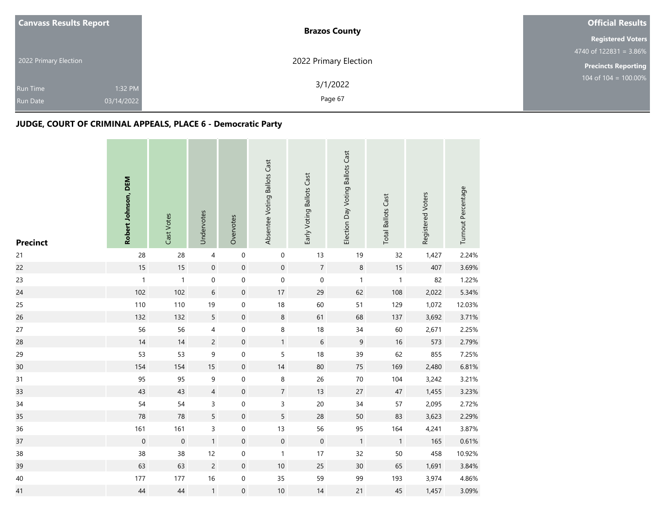| <b>Canvass Results Report</b> | <b>Brazos County</b>  | <b>Official Results</b>    |
|-------------------------------|-----------------------|----------------------------|
|                               |                       | <b>Registered Voters</b>   |
|                               |                       | 4740 of $122831 = 3.86\%$  |
| 2022 Primary Election         | 2022 Primary Election | <b>Precincts Reporting</b> |
|                               | 3/1/2022              | 104 of 104 = $100.00\%$    |
| 1:32 PM<br><b>Run Time</b>    |                       |                            |
| 03/14/2022<br><b>Run Date</b> | Page 67               |                            |

| <b>Precinct</b> | Robert Johnson, DEM | Cast Votes   | Undervotes     | Overvotes           | Absentee Voting Ballots Cast | Early Voting Ballots Cast | Election Day Voting Ballots Cast | <b>Total Ballots Cast</b> | Registered Voters | Turnout Percentage |
|-----------------|---------------------|--------------|----------------|---------------------|------------------------------|---------------------------|----------------------------------|---------------------------|-------------------|--------------------|
| 21              | 28                  | 28           | $\overline{4}$ | $\,0\,$             | $\boldsymbol{0}$             | 13                        | 19                               | 32                        | 1,427             | 2.24%              |
| 22              | 15                  | 15           | $\mathbf 0$    | $\mathbf 0$         | $\boldsymbol{0}$             | $\overline{7}$            | $\,8\,$                          | $15\,$                    | 407               | 3.69%              |
| 23              | $\mathbf{1}$        | $\mathbf{1}$ | $\mathbf 0$    | $\boldsymbol{0}$    | $\mathsf{O}\xspace$          | $\mathbf 0$               | $\mathbf{1}$                     | $\mathbf{1}$              | 82                | 1.22%              |
| 24              | 102                 | 102          | $\,$ 6 $\,$    | $\,0\,$             | 17                           | 29                        | 62                               | 108                       | 2,022             | 5.34%              |
| 25              | 110                 | 110          | 19             | $\mathbf 0$         | 18                           | 60                        | 51                               | 129                       | 1,072             | 12.03%             |
| 26              | 132                 | 132          | $\overline{5}$ | $\mathbf 0$         | $\,8\,$                      | 61                        | 68                               | 137                       | 3,692             | 3.71%              |
| 27              | 56                  | 56           | 4              | $\boldsymbol{0}$    | $\bf 8$                      | 18                        | 34                               | 60                        | 2,671             | 2.25%              |
| 28              | 14                  | 14           | $\overline{c}$ | $\mathbf 0$         | $\mathbf{1}$                 | $\,$ 6 $\,$               | $\mathsf 9$                      | 16                        | 573               | 2.79%              |
| 29              | 53                  | 53           | $\mathsf 9$    | $\mathbf 0$         | 5                            | 18                        | 39                               | 62                        | 855               | 7.25%              |
| 30              | 154                 | 154          | 15             | $\mathsf{O}\xspace$ | 14                           | 80                        | 75                               | 169                       | 2,480             | 6.81%              |
| 31              | 95                  | 95           | 9              | $\,0\,$             | $\,8\,$                      | 26                        | 70                               | 104                       | 3,242             | 3.21%              |
| 33              | 43                  | 43           | $\overline{4}$ | $\,0\,$             | $\overline{7}$               | 13                        | 27                               | $47\,$                    | 1,455             | 3.23%              |
| 34              | 54                  | 54           | 3              | $\mathbf 0$         | 3                            | 20                        | 34                               | 57                        | 2,095             | 2.72%              |
| 35              | 78                  | 78           | 5              | $\mathbf 0$         | 5                            | 28                        | 50                               | 83                        | 3,623             | 2.29%              |
| 36              | 161                 | 161          | 3              | $\pmb{0}$           | 13                           | 56                        | 95                               | 164                       | 4,241             | 3.87%              |
| 37              | $\boldsymbol{0}$    | $\mathbf 0$  | $\mathbf{1}$   | $\mathbf 0$         | $\boldsymbol{0}$             | $\boldsymbol{0}$          | $\mathbf{1}$                     | $\mathbf{1}$              | 165               | 0.61%              |
| 38              | 38                  | 38           | 12             | $\boldsymbol{0}$    | $\mathbf{1}$                 | 17                        | 32                               | 50                        | 458               | 10.92%             |
| 39              | 63                  | 63           | $\overline{c}$ | $\,0\,$             | $10$                         | 25                        | 30                               | 65                        | 1,691             | 3.84%              |
| 40              | 177                 | 177          | 16             | $\,0\,$             | 35                           | 59                        | 99                               | 193                       | 3,974             | 4.86%              |
| 41              | 44                  | 44           | $\mathbf{1}$   | $\mathbf 0$         | 10                           | 14                        | 21                               | 45                        | 1,457             | 3.09%              |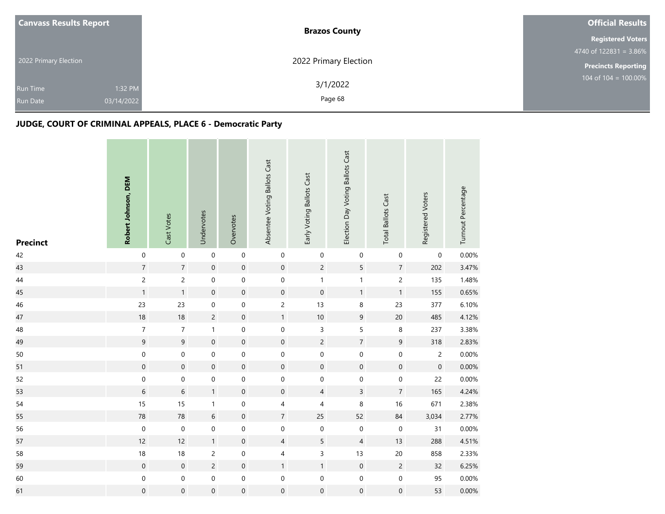| <b>Canvass Results Report</b>      |                       | <b>Brazos County</b>  | <b>Official Results</b>    |
|------------------------------------|-----------------------|-----------------------|----------------------------|
|                                    |                       |                       | <b>Registered Voters</b>   |
|                                    |                       |                       | 4740 of $122831 = 3.86\%$  |
| 2022 Primary Election              |                       | 2022 Primary Election | <b>Precincts Reporting</b> |
| <b>Run Time</b><br><b>Run Date</b> | 1:32 PM<br>03/14/2022 | 3/1/2022<br>Page 68   | 104 of $104 = 100.00\%$    |
|                                    |                       |                       |                            |

| <b>Precinct</b> | Robert Johnson, DEM | Cast Votes               | Undervotes          | Overvotes        | Absentee Voting Ballots Cast | Early Voting Ballots Cast | Election Day Voting Ballots Cast | <b>Total Ballots Cast</b> | Registered Voters   | Turnout Percentage |
|-----------------|---------------------|--------------------------|---------------------|------------------|------------------------------|---------------------------|----------------------------------|---------------------------|---------------------|--------------------|
| 42              | $\boldsymbol{0}$    | $\mathbf 0$              | $\boldsymbol{0}$    | $\boldsymbol{0}$ | $\pmb{0}$                    | 0                         | $\boldsymbol{0}$                 | $\boldsymbol{0}$          | 0                   | 0.00%              |
| 43              | $\sqrt{7}$          | $\overline{7}$           | $\mathbf 0$         | $\mathbf 0$      | $\mathbf 0$                  | $\overline{c}$            | 5                                | $\overline{7}$            | 202                 | 3.47%              |
| $44\,$          | $\overline{c}$      | $\overline{c}$           | $\mathsf{O}\xspace$ | $\,0\,$          | $\boldsymbol{0}$             | $\mathbf{1}$              | $\mathbf{1}$                     | $\overline{c}$            | 135                 | 1.48%              |
| 45              | $\mathbf{1}$        | $\mathbf{1}$             | $\mbox{O}$          | $\mathbf 0$      | $\mathbf 0$                  | $\mathbf 0$               | $\mathbf{1}$                     | $\mathbf{1}$              | 155                 | 0.65%              |
| 46              | 23                  | 23                       | 0                   | $\mathbf 0$      | $\overline{c}$               | 13                        | $\,8\,$                          | 23                        | 377                 | 6.10%              |
| 47              | $18\,$              | 18                       | $\overline{c}$      | $\mathbf 0$      | $\mathbf{1}$                 | $10\,$                    | $\boldsymbol{9}$                 | $20$                      | 485                 | 4.12%              |
| 48              | $\boldsymbol{7}$    | $\overline{\mathcal{I}}$ | $\mathbf{1}$        | $\,0\,$          | $\mathbf 0$                  | 3                         | 5                                | $\, 8$                    | 237                 | 3.38%              |
| 49              | $\boldsymbol{9}$    | $9\,$                    | $\boldsymbol{0}$    | $\mathbf 0$      | $\mathbf 0$                  | $\overline{c}$            | $\boldsymbol{7}$                 | 9                         | 318                 | 2.83%              |
| 50              | $\boldsymbol{0}$    | $\boldsymbol{0}$         | $\boldsymbol{0}$    | $\boldsymbol{0}$ | $\boldsymbol{0}$             | $\mathbf 0$               | $\boldsymbol{0}$                 | $\mathbf 0$               | $\overline{c}$      | 0.00%              |
| 51              | $\mathbf 0$         | $\mathbf 0$              | $\boldsymbol{0}$    | $\mathbf 0$      | $\mathbf 0$                  | $\mathbf 0$               | $\mathbf 0$                      | $\mathbf 0$               | $\mathsf{O}\xspace$ | 0.00%              |
| 52              | $\mbox{O}$          | $\mathbf 0$              | $\boldsymbol{0}$    | $\boldsymbol{0}$ | $\mathbf 0$                  | $\boldsymbol{0}$          | $\boldsymbol{0}$                 | $\boldsymbol{0}$          | 22                  | $0.00\%$           |
| 53              | $\,6\,$             | $\sqrt{6}$               | $\mathbf{1}$        | $\mathbf 0$      | $\boldsymbol{0}$             | 4                         | $\overline{3}$                   | $\overline{7}$            | 165                 | 4.24%              |
| 54              | 15                  | 15                       | $\mathbf{1}$        | $\boldsymbol{0}$ | 4                            | 4                         | 8                                | 16                        | 671                 | 2.38%              |
| 55              | ${\bf 78}$          | 78                       | $\,$ 6 $\,$         | $\mathbf 0$      | $\overline{7}$               | 25                        | 52                               | 84                        | 3,034               | 2.77%              |
| 56              | $\boldsymbol{0}$    | $\pmb{0}$                | 0                   | $\pmb{0}$        | $\boldsymbol{0}$             | 0                         | $\boldsymbol{0}$                 | $\boldsymbol{0}$          | 31                  | 0.00%              |
| 57              | 12                  | 12                       | $\mathbf{1}$        | $\mathbf 0$      | 4                            | 5                         | $\overline{\mathcal{A}}$         | 13                        | 288                 | 4.51%              |
| 58              | $18$                | 18                       | $\overline{c}$      | $\boldsymbol{0}$ | 4                            | 3                         | 13                               | 20                        | 858                 | 2.33%              |
| 59              | $\mathbf 0$         | $\mathbf 0$              | $\overline{c}$      | $\mathbf 0$      | $\mathbf{1}$                 | $\mathbf{1}$              | $\mathbf 0$                      | $\sqrt{2}$                | 32                  | 6.25%              |
| 60              | $\pmb{0}$           | 0                        | $\mathbf 0$         | $\boldsymbol{0}$ | $\mathbf 0$                  | $\boldsymbol{0}$          | $\boldsymbol{0}$                 | $\pmb{0}$                 | 95                  | 0.00%              |
| 61              | $\mathbf 0$         | $\boldsymbol{0}$         | $\mathbf 0$         | $\mbox{O}$       | 0                            | $\mathbf 0$               | $\mathbf 0$                      | $\mathbf 0$               | 53                  | 0.00%              |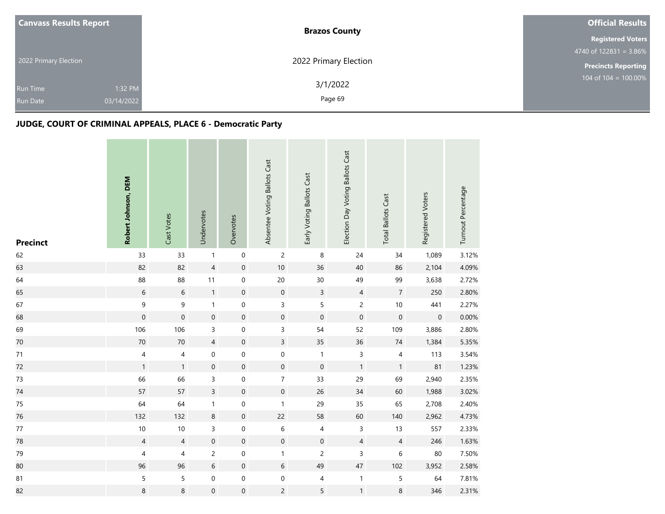| <b>Canvass Results Report</b> | <b>Brazos County</b>  | <b>Official Results</b>    |
|-------------------------------|-----------------------|----------------------------|
|                               |                       | <b>Registered Voters</b>   |
|                               |                       | 4740 of $122831 = 3.86\%$  |
| 2022 Primary Election         | 2022 Primary Election | <b>Precincts Reporting</b> |
|                               | 3/1/2022              | 104 of 104 = $100.00\%$    |
| 1:32 PM<br><b>Run Time</b>    |                       |                            |
| 03/14/2022<br><b>Run Date</b> | Page 69               |                            |

| <b>Precinct</b> | Robert Johnson, DEM | Cast Votes     | Undervotes          | Overvotes           | Absentee Voting Ballots Cast | Early Voting Ballots Cast | Election Day Voting Ballots Cast | <b>Total Ballots Cast</b> | Registered Voters   | Turnout Percentage |
|-----------------|---------------------|----------------|---------------------|---------------------|------------------------------|---------------------------|----------------------------------|---------------------------|---------------------|--------------------|
| 62              | 33                  | 33             | $\mathbf{1}$        | $\mathbf 0$         | $\overline{c}$               | $\,8\,$                   | 24                               | 34                        | 1,089               | 3.12%              |
| 63              | 82                  | 82             | $\overline{4}$      | $\mathbf 0$         | $10\,$                       | 36                        | $40\,$                           | 86                        | 2,104               | 4.09%              |
| 64              | 88                  | 88             | 11                  | $\mathbf 0$         | $20\,$                       | 30                        | 49                               | 99                        | 3,638               | 2.72%              |
| 65              | $\sqrt{6}$          | $\,$ 6 $\,$    | $\mathbf{1}$        | $\mathbf 0$         | $\mathbf 0$                  | $\mathsf{3}$              | $\overline{4}$                   | $\sqrt{7}$                | 250                 | 2.80%              |
| 67              | $\mathsf 9$         | 9              | $\mathbf{1}$        | $\mathsf{O}\xspace$ | 3                            | 5                         | $\overline{c}$                   | $10\,$                    | 441                 | 2.27%              |
| 68              | $\mathbf 0$         | $\mathbf 0$    | $\mathbf 0$         | $\mathbf 0$         | $\mathbf 0$                  | $\mathbf 0$               | $\mathbf 0$                      | $\mathbf 0$               | $\mathsf{O}\xspace$ | 0.00%              |
| 69              | 106                 | 106            | 3                   | 0                   | 3                            | 54                        | 52                               | 109                       | 3,886               | 2.80%              |
| $70\,$          | $70\,$              | $70\,$         | $\overline{4}$      | $\mathbf 0$         | $\overline{3}$               | 35                        | 36                               | $74\,$                    | 1,384               | 5.35%              |
| $71\,$          | 4                   | $\overline{4}$ | 0                   | $\boldsymbol{0}$    | $\mathbf 0$                  | $\mathbf{1}$              | $\mathsf{3}$                     | $\overline{4}$            | 113                 | 3.54%              |
| 72              | $\mathbf{1}$        | $\mathbf{1}$   | $\mathsf{O}\xspace$ | $\mathbf 0$         | $\mathbf 0$                  | $\mathbf 0$               | $\mathbf{1}$                     | $\mathbf{1}$              | 81                  | 1.23%              |
| 73              | 66                  | 66             | 3                   | $\mathbf 0$         | $\overline{7}$               | 33                        | 29                               | 69                        | 2,940               | 2.35%              |
| 74              | 57                  | 57             | $\overline{3}$      | $\mathbf 0$         | $\mathsf{O}\xspace$          | 26                        | 34                               | 60                        | 1,988               | 3.02%              |
| 75              | 64                  | 64             | $\mathbf{1}$        | 0                   | $\mathbf{1}$                 | 29                        | 35                               | 65                        | 2,708               | 2.40%              |
| 76              | 132                 | 132            | $\,8\,$             | $\mathbf 0$         | 22                           | 58                        | 60                               | 140                       | 2,962               | 4.73%              |
| $77\,$          | $10\,$              | $10$           | 3                   | $\boldsymbol{0}$    | $\,6\,$                      | 4                         | 3                                | 13                        | 557                 | 2.33%              |
| 78              | $\overline{4}$      | $\overline{4}$ | $\mathbf 0$         | $\mathbf 0$         | $\boldsymbol{0}$             | $\boldsymbol{0}$          | $\overline{4}$                   | $\overline{4}$            | 246                 | 1.63%              |
| 79              | 4                   | 4              | $\overline{c}$      | $\mathbf 0$         | $\mathbf{1}$                 | $\overline{c}$            | 3                                | 6                         | $80\,$              | 7.50%              |
| 80              | 96                  | 96             | 6                   | $\mathbf 0$         | 6                            | 49                        | $47\,$                           | 102                       | 3,952               | 2.58%              |
| 81              | 5                   | 5              | 0                   | $\mathbf 0$         | $\mathsf{O}\xspace$          | 4                         | $\mathbf{1}$                     | $\mathsf S$               | 64                  | 7.81%              |
| 82              | $\,8\,$             | $\,8\,$        | $\mathsf{O}\xspace$ | $\mathbf 0$         | $\overline{c}$               | 5                         | $\mathbf{1}$                     | $\bf 8$                   | 346                 | 2.31%              |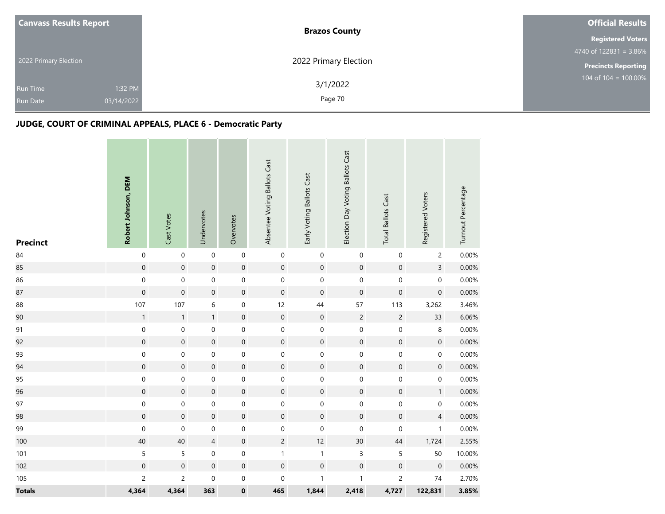|  | <b>Canvass Results Report</b> | <b>Brazos County</b>  | <b>Official Results</b>    |
|--|-------------------------------|-----------------------|----------------------------|
|  |                               |                       | <b>Registered Voters</b>   |
|  |                               |                       | 4740 of $122831 = 3.86\%$  |
|  | 2022 Primary Election         | 2022 Primary Election | <b>Precincts Reporting</b> |
|  | 1:32 PM<br><b>Run Time</b>    | 3/1/2022              | $104$ of $104 = 100.00\%$  |
|  | 03/14/2022<br><b>Run Date</b> | Page 70               |                            |

| <b>Precinct</b> | Robert Johnson, DEM | Cast Votes          | Undervotes       | Overvotes        | Absentee Voting Ballots Cast | Early Voting Ballots Cast | Election Day Voting Ballots Cast | <b>Total Ballots Cast</b> | Registered Voters | Turnout Percentage |
|-----------------|---------------------|---------------------|------------------|------------------|------------------------------|---------------------------|----------------------------------|---------------------------|-------------------|--------------------|
| 84              | $\boldsymbol{0}$    | $\mathbf 0$         | $\mbox{O}$       | $\,0\,$          | $\boldsymbol{0}$             | $\boldsymbol{0}$          | $\boldsymbol{0}$                 | $\pmb{0}$                 | $\overline{c}$    | 0.00%              |
| 85              | $\mathbf 0$         | $\mathsf{O}\xspace$ | $\mathbf 0$      | $\mathbf 0$      | $\boldsymbol{0}$             | $\mathbf 0$               | $\mathbf 0$                      | $\mathbf 0$               | $\overline{3}$    | 0.00%              |
| 86              | $\boldsymbol{0}$    | $\mathbf 0$         | $\boldsymbol{0}$ | $\boldsymbol{0}$ | $\mathbf 0$                  | $\mathbf 0$               | $\boldsymbol{0}$                 | $\mathbf 0$               | $\mathbf 0$       | 0.00%              |
| 87              | $\boldsymbol{0}$    | $\mathsf{O}\xspace$ | $\mathbf 0$      | $\mathbf 0$      | $\mathbf 0$                  | $\boldsymbol{0}$          | $\mathbf 0$                      | $\mathbf 0$               | $\boldsymbol{0}$  | 0.00%              |
| 88              | 107                 | 107                 | 6                | $\boldsymbol{0}$ | 12                           | 44                        | 57                               | 113                       | 3,262             | 3.46%              |
| 90              | $\mathbf 1$         | $\mathbf{1}$        | $\mathbf{1}$     | $\mathbf 0$      | $\mathbf 0$                  | $\mathbf 0$               | $\sqrt{2}$                       | $\sqrt{2}$                | 33                | 6.06%              |
| 91              | $\boldsymbol{0}$    | $\mathbf 0$         | $\pmb{0}$        | $\boldsymbol{0}$ | $\boldsymbol{0}$             | $\boldsymbol{0}$          | $\boldsymbol{0}$                 | $\mathbf 0$               | 8                 | 0.00%              |
| 92              | $\boldsymbol{0}$    | $\mathbf 0$         | $\mathbf 0$      | $\mathbf 0$      | $\mathbf 0$                  | $\mathbf 0$               | $\mathbf 0$                      | $\mathbf 0$               | $\boldsymbol{0}$  | 0.00%              |
| 93              | $\boldsymbol{0}$    | 0                   | $\boldsymbol{0}$ | $\boldsymbol{0}$ | $\boldsymbol{0}$             | $\mathbf 0$               | $\boldsymbol{0}$                 | $\mathbf 0$               | $\boldsymbol{0}$  | 0.00%              |
| 94              | $\boldsymbol{0}$    | $\boldsymbol{0}$    | $\mathbf 0$      | $\mathbf 0$      | $\mathbf 0$                  | $\mathbf 0$               | $\mathbf 0$                      | $\mathsf{O}\xspace$       | $\boldsymbol{0}$  | 0.00%              |
| 95              | $\mathbf 0$         | $\mathbf 0$         | $\mathbf 0$      | $\,0\,$          | $\mathbf 0$                  | $\mathbf 0$               | $\pmb{0}$                        | $\mathbf 0$               | $\boldsymbol{0}$  | 0.00%              |
| 96              | $\mathbf 0$         | $\mathsf{O}\xspace$ | $\mathbf 0$      | $\mathbf 0$      | $\boldsymbol{0}$             | $\boldsymbol{0}$          | $\mathbf 0$                      | $\mathbf 0$               | $\mathbf{1}$      | 0.00%              |
| 97              | $\boldsymbol{0}$    | 0                   | $\pmb{0}$        | $\boldsymbol{0}$ | $\mathbf 0$                  | $\boldsymbol{0}$          | $\mathbf 0$                      | $\pmb{0}$                 | 0                 | 0.00%              |
| 98              | $\mathbf 0$         | $\mathsf{O}\xspace$ | $\mathbf 0$      | $\mathbf 0$      | $\mathbf 0$                  | $\mathbf 0$               | $\mathbf 0$                      | $\mathbf 0$               | $\overline{4}$    | 0.00%              |
| 99              | $\boldsymbol{0}$    | 0                   | $\boldsymbol{0}$ | $\mathbf 0$      | $\boldsymbol{0}$             | $\boldsymbol{0}$          | $\boldsymbol{0}$                 | $\boldsymbol{0}$          | $\mathbf{1}$      | 0.00%              |
| 100             | 40                  | 40                  | $\overline{4}$   | $\mathbf 0$      | $\overline{2}$               | 12                        | 30                               | 44                        | 1,724             | 2.55%              |
| 101             | 5                   | 5                   | $\mbox{O}$       | $\mbox{O}$       | $\mathbf{1}$                 | $\mathbf{1}$              | $\mathsf 3$                      | $\mathsf S$               | 50                | 10.00%             |
| 102             | $\mathbf 0$         | $\mathbf 0$         | $\mathbf 0$      | $\mathbf 0$      | $\mathbf 0$                  | $\mathbf 0$               | $\mathbf 0$                      | $\boldsymbol{0}$          | $\boldsymbol{0}$  | 0.00%              |
| 105             | $\overline{c}$      | 2                   | $\boldsymbol{0}$ | $\boldsymbol{0}$ | 0                            | $\mathbf{1}$              | $\mathbf{1}$                     | $\overline{c}$            | $74\,$            | 2.70%              |
| <b>Totals</b>   | 4,364               | 4,364               | 363              | $\pmb{0}$        | 465                          | 1,844                     | 2,418                            | 4,727                     | 122,831           | 3.85%              |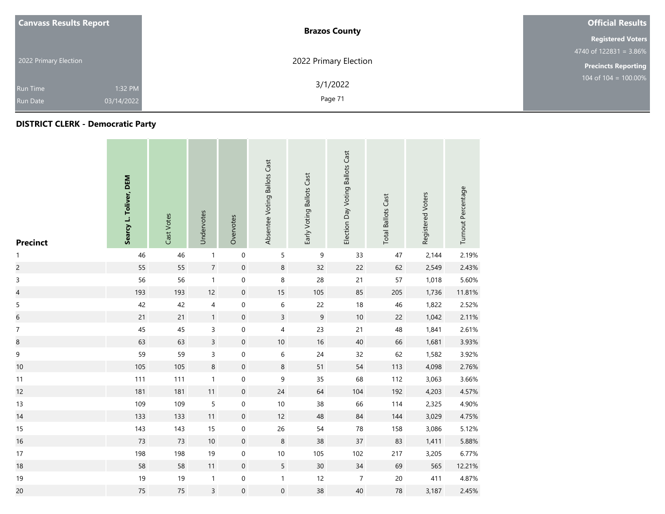| <b>Canvass Results Report</b> |            | <b>Brazos County</b>  | <b>Official Results</b>            |  |
|-------------------------------|------------|-----------------------|------------------------------------|--|
|                               |            |                       | <b>Registered Voters</b>           |  |
|                               |            |                       | $4740 \text{ of } 122831 = 3.86\%$ |  |
| 2022 Primary Election         |            | 2022 Primary Election | <b>Precincts Reporting</b>         |  |
| Run Time                      | 1:32 PM    | 3/1/2022              | 104 of 104 = $100.00\%$            |  |
| <b>Run Date</b>               | 03/14/2022 | Page 71               |                                    |  |

## **DISTRICT CLERK - Democratic Party**

| <b>Precinct</b>          | Searcy L. Toliver, DEM | Cast Votes | Undervotes     | Overvotes           | Absentee Voting Ballots Cast | Early Voting Ballots Cast | Election Day Voting Ballots Cast | <b>Total Ballots Cast</b> | Registered Voters | Turnout Percentage |
|--------------------------|------------------------|------------|----------------|---------------------|------------------------------|---------------------------|----------------------------------|---------------------------|-------------------|--------------------|
| $\mathbf{1}$             | 46                     | 46         | $\mathbf{1}$   | $\mathbf 0$         | 5                            | 9                         | 33                               | 47                        | 2,144             | 2.19%              |
| $\overline{c}$           | 55                     | 55         | $\sqrt{7}$     | $\mathbf 0$         | 8                            | 32                        | 22                               | 62                        | 2,549             | 2.43%              |
| $\mathsf 3$              | 56                     | 56         | $\mathbf{1}$   | $\mathbf 0$         | $\,$ 8 $\,$                  | 28                        | 21                               | 57                        | 1,018             | 5.60%              |
| $\overline{\mathcal{L}}$ | 193                    | 193        | 12             | $\mathbf 0$         | 15                           | 105                       | 85                               | 205                       | 1,736             | 11.81%             |
| 5                        | 42                     | 42         | 4              | $\mathbf 0$         | 6                            | 22                        | 18                               | 46                        | 1,822             | 2.52%              |
| $\boldsymbol{6}$         | 21                     | 21         | $\mathbf{1}$   | $\mathbf 0$         | $\overline{3}$               | $\mathsf 9$               | $10\,$                           | 22                        | 1,042             | 2.11%              |
| $\overline{7}$           | 45                     | 45         | 3              | $\mathbf 0$         | 4                            | 23                        | 21                               | 48                        | 1,841             | 2.61%              |
| $\bf 8$                  | 63                     | 63         | $\overline{3}$ | $\mathbf 0$         | $10\,$                       | $16\,$                    | $40\,$                           | 66                        | 1,681             | 3.93%              |
| 9                        | 59                     | 59         | 3              | $\boldsymbol{0}$    | 6                            | 24                        | 32                               | 62                        | 1,582             | 3.92%              |
| 10                       | 105                    | 105        | 8              | $\mathbf 0$         | $\bf 8$                      | 51                        | 54                               | 113                       | 4,098             | 2.76%              |
| 11                       | 111                    | 111        | $\mathbf{1}$   | $\mathbf 0$         | $\mathsf 9$                  | 35                        | 68                               | 112                       | 3,063             | 3.66%              |
| 12                       | 181                    | 181        | 11             | $\mathsf{O}\xspace$ | 24                           | 64                        | 104                              | 192                       | 4,203             | 4.57%              |
| 13                       | 109                    | 109        | 5              | $\mathbf 0$         | $10$                         | 38                        | 66                               | 114                       | 2,325             | 4.90%              |
| 14                       | 133                    | 133        | 11             | $\mathbf 0$         | 12                           | 48                        | 84                               | 144                       | 3,029             | 4.75%              |
| 15                       | 143                    | 143        | 15             | $\mathbf 0$         | 26                           | 54                        | 78                               | 158                       | 3,086             | 5.12%              |
| 16                       | 73                     | 73         | 10             | $\mathsf{O}\xspace$ | $\,8\,$                      | 38                        | 37                               | 83                        | 1,411             | 5.88%              |
| 17                       | 198                    | 198        | 19             | $\boldsymbol{0}$    | $10\,$                       | 105                       | 102                              | 217                       | 3,205             | 6.77%              |
| 18                       | 58                     | 58         | 11             | $\mathbf 0$         | 5                            | 30                        | $34$                             | 69                        | 565               | 12.21%             |
| 19                       | 19                     | 19         | $\mathbf{1}$   | $\mathbf 0$         | $\mathbf{1}$                 | 12                        | $\overline{7}$                   | $20\,$                    | 411               | 4.87%              |
| 20                       | 75                     | 75         | 3              | $\boldsymbol{0}$    | 0                            | 38                        | 40                               | 78                        | 3,187             | 2.45%              |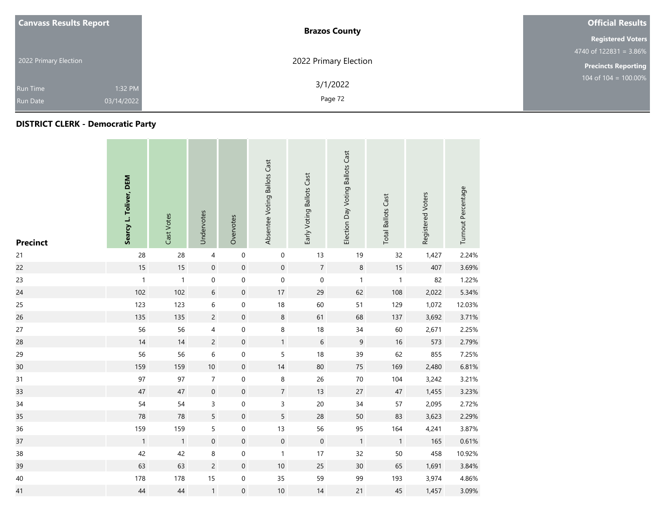|                       | <b>Canvass Results Report</b> | <b>Brazos County</b>  | <b>Official Results</b>    |  |
|-----------------------|-------------------------------|-----------------------|----------------------------|--|
|                       |                               |                       | <b>Registered Voters</b>   |  |
|                       |                               |                       | 4740 of $122831 = 3.86\%$  |  |
| 2022 Primary Election |                               | 2022 Primary Election | <b>Precincts Reporting</b> |  |
| Run Time              | 1:32 PM                       | 3/1/2022              | 104 of $104 = 100.00\%$    |  |
| <b>Run Date</b>       | 03/14/2022                    | Page 72               |                            |  |

## **DISTRICT CLERK - Democratic Party**

| <b>Precinct</b> | Searcy L. Toliver, DEM | Cast Votes   | Undervotes          | Overvotes           | Absentee Voting Ballots Cast | Early Voting Ballots Cast | Election Day Voting Ballots Cast | <b>Total Ballots Cast</b> | Registered Voters | Turnout Percentage |
|-----------------|------------------------|--------------|---------------------|---------------------|------------------------------|---------------------------|----------------------------------|---------------------------|-------------------|--------------------|
| 21              | 28                     | 28           | 4                   | $\mathbf 0$         | $\pmb{0}$                    | 13                        | $19$                             | 32                        | 1,427             | 2.24%              |
| 22              | 15                     | $15$         | $\mathbf 0$         | $\mathsf{O}\xspace$ | $\mathsf{O}\xspace$          | $\sqrt{7}$                | $\, 8$                           | $15\,$                    | 407               | 3.69%              |
| 23              | $\mathbf{1}$           | $\mathbf{1}$ | $\mathbf 0$         | $\mathbf 0$         | $\mathbf 0$                  | $\mathbf 0$               | $\mathbf{1}$                     | $\mathbf{1}$              | 82                | 1.22%              |
| 24              | 102                    | 102          | $6\,$               | $\mathsf{O}\xspace$ | $17\,$                       | 29                        | 62                               | 108                       | 2,022             | 5.34%              |
| 25              | 123                    | 123          | 6                   | $\mathbf 0$         | $18$                         | 60                        | 51                               | 129                       | 1,072             | 12.03%             |
| 26              | 135                    | 135          | $\overline{c}$      | $\mathsf{O}\xspace$ | $\,8\,$                      | 61                        | 68                               | 137                       | 3,692             | 3.71%              |
| 27              | 56                     | 56           | 4                   | $\mathbf 0$         | 8                            | $18\,$                    | $34\,$                           | 60                        | 2,671             | 2.25%              |
| 28              | 14                     | 14           | $\overline{c}$      | $\mathsf{O}\xspace$ | $\mathbf{1}$                 | $\sqrt{6}$                | 9                                | $16\,$                    | 573               | 2.79%              |
| 29              | 56                     | 56           | 6                   | $\mathbf 0$         | 5                            | 18                        | 39                               | 62                        | 855               | 7.25%              |
| 30              | 159                    | 159          | $10\,$              | $\mathbf 0$         | $14$                         | 80                        | $75\,$                           | 169                       | 2,480             | 6.81%              |
| 31              | 97                     | 97           | $\overline{7}$      | $\mathbf 0$         | 8                            | 26                        | $70\,$                           | 104                       | 3,242             | 3.21%              |
| 33              | 47                     | 47           | $\mathbf 0$         | $\mathsf{O}\xspace$ | $\overline{7}$               | 13                        | 27                               | $47\,$                    | 1,455             | 3.23%              |
| 34              | 54                     | 54           | 3                   | $\mathbf 0$         | 3                            | $20\,$                    | $34\,$                           | 57                        | 2,095             | 2.72%              |
| 35              | ${\bf 78}$             | 78           | 5                   | $\mathsf{O}\xspace$ | 5                            | 28                        | 50                               | 83                        | 3,623             | 2.29%              |
| 36              | 159                    | 159          | 5                   | $\mathsf{O}\xspace$ | 13                           | 56                        | 95                               | 164                       | 4,241             | 3.87%              |
| 37              | $\mathbf{1}$           | $\mathbf{1}$ | $\mathsf{O}\xspace$ | $\mathsf{O}\xspace$ | $\mathbf 0$                  | $\mathbf 0$               | $\overline{1}$                   | $\overline{1}$            | 165               | 0.61%              |
| 38              | 42                     | 42           | 8                   | $\mathsf{O}\xspace$ | $\mathbf{1}$                 | 17                        | 32                               | $50\,$                    | 458               | 10.92%             |
| 39              | 63                     | 63           | $\overline{c}$      | $\mathsf{O}\xspace$ | $10$                         | 25                        | $30\,$                           | 65                        | 1,691             | 3.84%              |
| 40              | 178                    | 178          | 15                  | $\boldsymbol{0}$    | 35                           | 59                        | 99                               | 193                       | 3,974             | 4.86%              |
| 41              | $44$                   | 44           | $\mathbf{1}$        | $\boldsymbol{0}$    | $10$                         | 14                        | 21                               | 45                        | 1,457             | 3.09%              |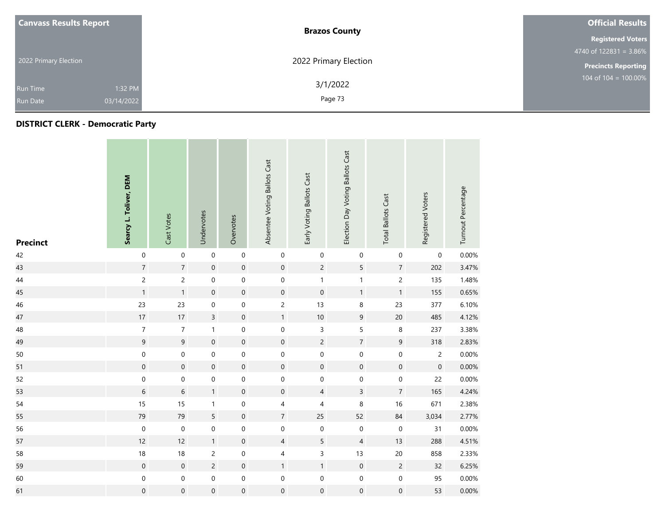| <b>Canvass Results Report</b> | <b>Brazos County</b>  | <b>Official Results</b>    |
|-------------------------------|-----------------------|----------------------------|
|                               |                       | <b>Registered Voters</b>   |
|                               |                       | 4740 of $122831 = 3.86\%$  |
| 2022 Primary Election         | 2022 Primary Election | <b>Precincts Reporting</b> |
| 1:32 PM<br><b>Run Time</b>    | 3/1/2022              | 104 of $104 = 100.00\%$    |
| 03/14/2022<br><b>Run Date</b> | Page 73               |                            |

## **DISTRICT CLERK - Democratic Party**

| <b>Precinct</b> | Searcy L. Toliver, DEM | Cast Votes          | Undervotes          | Overvotes           | Absentee Voting Ballots Cast | Early Voting Ballots Cast | Election Day Voting Ballots Cast | <b>Total Ballots Cast</b> | Registered Voters   | Turnout Percentage |
|-----------------|------------------------|---------------------|---------------------|---------------------|------------------------------|---------------------------|----------------------------------|---------------------------|---------------------|--------------------|
| 42              | $\mathbf 0$            | $\mathbf 0$         | $\mathbf 0$         | $\mathbf 0$         | 0                            | $\boldsymbol{0}$          | 0                                | $\boldsymbol{0}$          | 0                   | 0.00%              |
| 43              | $\overline{7}$         | $\overline{7}$      | $\pmb{0}$           | $\mathsf{O}\xspace$ | $\mathsf{O}\xspace$          | $\overline{c}$            | 5                                | $\sqrt{7}$                | 202                 | 3.47%              |
| 44              | $\mathsf{2}\,$         | $\overline{c}$      | 0                   | $\boldsymbol{0}$    | 0                            | 1                         | $\mathbf{1}$                     | $\overline{c}$            | 135                 | 1.48%              |
| 45              | $\mathbf{1}$           | $\mathbf{1}$        | $\boldsymbol{0}$    | $\mathbf 0$         | $\mathsf{O}\xspace$          | $\mathbf 0$               | $\mathbf{1}$                     | $\mathbf{1}$              | 155                 | 0.65%              |
| 46              | 23                     | 23                  | 0                   | $\boldsymbol{0}$    | $\overline{c}$               | 13                        | 8                                | 23                        | 377                 | 6.10%              |
| 47              | 17                     | 17                  | $\overline{3}$      | $\boldsymbol{0}$    | $\mathbf{1}$                 | $10$                      | 9                                | $20\,$                    | 485                 | 4.12%              |
| 48              | $\boldsymbol{7}$       | $\boldsymbol{7}$    | $\mathbf{1}$        | $\mathbf 0$         | $\mathbf 0$                  | 3                         | 5                                | $\bf 8$                   | 237                 | 3.38%              |
| 49              | $\mathsf 9$            | 9                   | $\mathbf 0$         | $\mathbf 0$         | $\mathsf{O}\xspace$          | $\overline{c}$            | $\overline{7}$                   | $9\,$                     | 318                 | 2.83%              |
| 50              | $\mathbf 0$            | $\mathsf{O}\xspace$ | $\boldsymbol{0}$    | $\boldsymbol{0}$    | $\mathsf{O}\xspace$          | $\mathbf 0$               | $\pmb{0}$                        | $\pmb{0}$                 | $\overline{2}$      | 0.00%              |
| 51              | $\mathbf 0$            | $\mathsf{O}\xspace$ | $\mathsf{O}\xspace$ | $\mathsf{O}\xspace$ | $\mathbf 0$                  | $\mathsf{O}\xspace$       | $\mathbf 0$                      | $\mathbf 0$               | $\mathsf{O}\xspace$ | 0.00%              |
| 52              | $\mathbf 0$            | $\mathbf 0$         | $\boldsymbol{0}$    | $\boldsymbol{0}$    | $\mathsf{O}\xspace$          | $\boldsymbol{0}$          | $\mathsf 0$                      | $\mathbf 0$               | 22                  | 0.00%              |
| 53              | $\,6\,$                | $6\phantom{a}$      | $\mathbf{1}$        | $\mathbf 0$         | $\mathsf{O}\xspace$          | $\overline{4}$            | $\mathsf{3}$                     | $\sqrt{7}$                | 165                 | 4.24%              |
| 54              | 15                     | 15                  | $\mathbf{1}$        | $\boldsymbol{0}$    | 4                            | 4                         | $\,8\,$                          | 16                        | 671                 | 2.38%              |
| 55              | 79                     | 79                  | 5                   | $\boldsymbol{0}$    | $\sqrt{7}$                   | 25                        | 52                               | 84                        | 3,034               | 2.77%              |
| 56              | $\boldsymbol{0}$       | $\mathbf 0$         | $\boldsymbol{0}$    | $\pmb{0}$           | 0                            | $\pmb{0}$                 | $\boldsymbol{0}$                 | $\pmb{0}$                 | 31                  | 0.00%              |
| 57              | 12                     | 12                  | 1                   | $\mathbf 0$         | $\overline{4}$               | 5                         | $\overline{4}$                   | $13$                      | 288                 | 4.51%              |
| 58              | 18                     | 18                  | $\overline{c}$      | $\boldsymbol{0}$    | 4                            | 3                         | 13                               | $20\,$                    | 858                 | 2.33%              |
| 59              | $\mathbf 0$            | $\mathbf 0$         | $\overline{c}$      | $\mathbf 0$         | $\mathbf{1}$                 | $\mathbf{1}$              | $\mathbf 0$                      | $\overline{c}$            | 32                  | 6.25%              |
| 60              | $\mathbf 0$            | 0                   | $\boldsymbol{0}$    | $\mathbf 0$         | 0                            | $\mathbf 0$               | $\pmb{0}$                        | $\mathbf 0$               | 95                  | 0.00%              |
| 61              | $\mathbf 0$            | $\mathbf 0$         | $\boldsymbol{0}$    | $\mbox{O}$          | $\mathbf 0$                  | $\mathbf 0$               | $\boldsymbol{0}$                 | 0                         | 53                  | 0.00%              |

and the control of the con-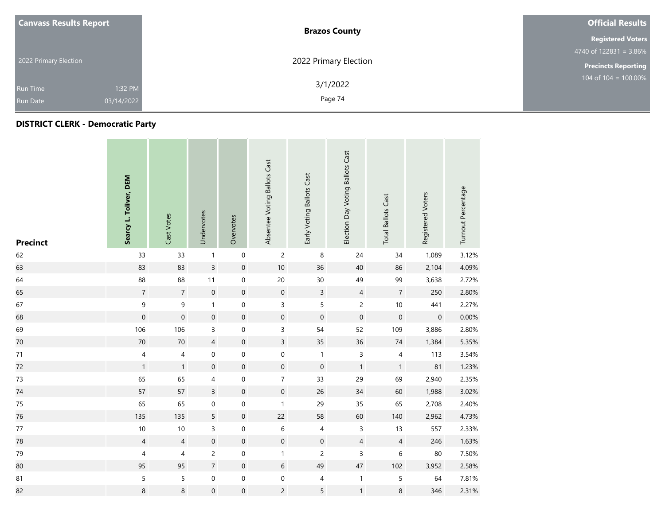| <b>Canvass Results Report</b> |         | <b>Brazos County</b>  | <b>Official Results</b>            |
|-------------------------------|---------|-----------------------|------------------------------------|
|                               |         |                       | <b>Registered Voters</b>           |
|                               |         |                       | $4740 \text{ of } 122831 = 3.86\%$ |
| 2022 Primary Election         |         | 2022 Primary Election | <b>Precincts Reporting</b>         |
| Run Time                      | 1:32 PM | 3/1/2022              | $104$ of 104 = 100.00%             |
| 03/14/2022<br><b>Run Date</b> |         | Page 74               |                                    |

## **DISTRICT CLERK - Democratic Party**

| <b>Precinct</b> | Searcy L. Toliver, DEM   | Cast Votes     | Undervotes          | Overvotes           | Absentee Voting Ballots Cast | Early Voting Ballots Cast | Election Day Voting Ballots Cast | <b>Total Ballots Cast</b> | Registered Voters   | Turnout Percentage |
|-----------------|--------------------------|----------------|---------------------|---------------------|------------------------------|---------------------------|----------------------------------|---------------------------|---------------------|--------------------|
| 62              | 33                       | 33             | $\mathbf{1}$        | $\pmb{0}$           | $\overline{c}$               | 8                         | 24                               | 34                        | 1,089               | 3.12%              |
| 63              | 83                       | 83             | $\mathsf{3}$        | $\mathbf 0$         | $10\,$                       | 36                        | 40                               | 86                        | 2,104               | 4.09%              |
| 64              | 88                       | 88             | 11                  | $\pmb{0}$           | 20                           | $30\,$                    | 49                               | 99                        | 3,638               | 2.72%              |
| 65              | $\overline{7}$           | $\overline{7}$ | $\mathsf{O}\xspace$ | $\mathbf 0$         | $\mathbf 0$                  | $\overline{3}$            | $\overline{4}$                   | $\sqrt{7}$                | 250                 | 2.80%              |
| 67              | $\mathsf 9$              | 9              | $\mathbf{1}$        | $\mbox{O}$          | 3                            | 5                         | $\overline{c}$                   | $10$                      | 441                 | 2.27%              |
| 68              | $\pmb{0}$                | $\mathbf 0$    | $\boldsymbol{0}$    | $\mathbf 0$         | $\mathsf{O}\xspace$          | $\mathbf 0$               | $\mathbf 0$                      | $\mathbf 0$               | $\mathsf{O}\xspace$ | 0.00%              |
| 69              | 106                      | 106            | 3                   | $\mathbf 0$         | 3                            | 54                        | 52                               | 109                       | 3,886               | 2.80%              |
| 70              | $70\,$                   | $70\,$         | $\overline{4}$      | $\mathbf 0$         | $\overline{3}$               | 35                        | 36                               | $74$                      | 1,384               | 5.35%              |
| 71              | $\overline{\mathcal{A}}$ | 4              | 0                   | $\boldsymbol{0}$    | 0                            | $\mathbf{1}$              | $\mathsf 3$                      | 4                         | 113                 | 3.54%              |
| 72              | $\mathbf{1}$             | $\mathbf{1}$   | $\mathsf{O}\xspace$ | $\boldsymbol{0}$    | $\mathsf{O}\xspace$          | $\mathbf 0$               | $\mathbf{1}$                     | $\mathbf{1}$              | 81                  | 1.23%              |
| 73              | 65                       | 65             | 4                   | $\mathbf 0$         | $\overline{7}$               | 33                        | 29                               | 69                        | 2,940               | 2.35%              |
| $74\,$          | 57                       | 57             | $\overline{3}$      | $\mathbf 0$         | $\mathsf{O}\xspace$          | $26\,$                    | $34\,$                           | 60                        | 1,988               | 3.02%              |
| 75              | 65                       | 65             | 0                   | $\mbox{O}$          | $\mathbf{1}$                 | 29                        | 35                               | 65                        | 2,708               | 2.40%              |
| 76              | 135                      | 135            | 5                   | $\boldsymbol{0}$    | 22                           | 58                        | 60                               | 140                       | 2,962               | 4.73%              |
| $77\,$          | $10\,$                   | 10             | 3                   | $\mbox{O}$          | $\,6$                        | 4                         | $\mathsf{3}$                     | 13                        | 557                 | 2.33%              |
| 78              | $\overline{4}$           | $\overline{4}$ | $\boldsymbol{0}$    | $\mathbf 0$         | $\mathsf{O}\xspace$          | $\mathbf 0$               | $\overline{4}$                   | $\overline{4}$            | 246                 | 1.63%              |
| 79              | 4                        | 4              | $\overline{c}$      | $\mathbf 0$         | $\mathbf{1}$                 | $\overline{c}$            | 3                                | 6                         | 80                  | 7.50%              |
| 80              | 95                       | 95             | $\overline{7}$      | $\mathsf{O}\xspace$ | $6\phantom{.0}$              | 49                        | $47\,$                           | 102                       | 3,952               | 2.58%              |
| 81              | 5                        | 5              | $\boldsymbol{0}$    | $\mathbf 0$         | $\boldsymbol{0}$             | $\overline{\mathcal{A}}$  | $\mathbf{1}$                     | 5                         | 64                  | 7.81%              |
| 82              | $\bf 8$                  | $\bf 8$        | $\boldsymbol{0}$    | $\boldsymbol{0}$    | $\overline{c}$               | 5                         | $\mathbf{1}$                     | 8                         | 346                 | 2.31%              |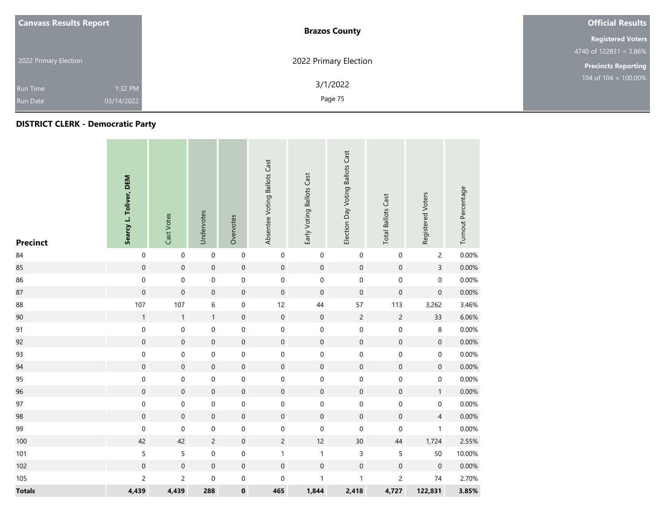| <b>Canvass Results Report</b> | <b>Brazos County</b>  | <b>Official Results</b>    |
|-------------------------------|-----------------------|----------------------------|
|                               |                       | <b>Registered Voters</b>   |
|                               |                       | $4740$ of 122831 = 3.86%   |
| 2022 Primary Election         | 2022 Primary Election | <b>Precincts Reporting</b> |
| 1:32 PM<br>Run Time           | 3/1/2022              | 104 of $104 = 100.00\%$    |
| 03/14/2022<br><b>Run Date</b> | Page 75               |                            |

## **DISTRICT CLERK - Democratic Party**

| <b>Precinct</b> | Searcy L. Toliver, DEM | Cast Votes          | Undervotes          | Overvotes           | Absentee Voting Ballots Cast | Early Voting Ballots Cast | Election Day Voting Ballots Cast | <b>Total Ballots Cast</b> | Registered Voters   | Turnout Percentage |
|-----------------|------------------------|---------------------|---------------------|---------------------|------------------------------|---------------------------|----------------------------------|---------------------------|---------------------|--------------------|
| 84              | $\pmb{0}$              | $\mathbf 0$         | $\mathbf 0$         | $\mathbf 0$         | $\mathbf 0$                  | $\pmb{0}$                 | $\mathbf 0$                      | $\pmb{0}$                 | $\overline{c}$      | 0.00%              |
| 85              | $\mathbf 0$            | $\mathsf{O}\xspace$ | $\mathbf 0$         | $\mathsf{O}\xspace$ | $\mathsf{O}\xspace$          | $\mathbf 0$               | $\mathbf 0$                      | $\mathbf 0$               | $\overline{3}$      | 0.00%              |
| 86              | $\boldsymbol{0}$       | $\mathbf 0$         | $\mathbf 0$         | $\mathbf 0$         | $\boldsymbol{0}$             | $\mathbf 0$               | $\mathbf 0$                      | $\mathbf 0$               | $\mathbf 0$         | 0.00%              |
| 87              | $\pmb{0}$              | $\mathsf{O}\xspace$ | $\mathsf{O}\xspace$ | $\mathsf{O}\xspace$ | $\boldsymbol{0}$             | $\boldsymbol{0}$          | $\mathbf 0$                      | $\boldsymbol{0}$          | $\mathsf{O}\xspace$ | 0.00%              |
| 88              | 107                    | 107                 | 6                   | $\mathbf 0$         | 12                           | 44                        | 57                               | 113                       | 3,262               | 3.46%              |
| 90              | $\mathbf{1}$           | $\mathbf{1}$        | $\mathbf{1}$        | $\mathsf{O}\xspace$ | $\mathbf 0$                  | $\mathbf 0$               | $\sqrt{2}$                       | $\overline{c}$            | 33                  | 6.06%              |
| 91              | $\mathbf 0$            | 0                   | $\mathbf 0$         | 0                   | 0                            | $\pmb{0}$                 | $\mathbf 0$                      | $\mathbf 0$               | $\bf 8$             | 0.00%              |
| 92              | $\mathbf 0$            | $\boldsymbol{0}$    | $\mathbf 0$         | $\mathbf 0$         | $\mathbf 0$                  | $\boldsymbol{0}$          | $\mathbf 0$                      | $\mathbf 0$               | $\mathbf 0$         | 0.00%              |
| 93              | $\pmb{0}$              | $\mathbf 0$         | $\mathsf{O}\xspace$ | $\mathbf 0$         | $\mathbf 0$                  | $\pmb{0}$                 | $\mathbf 0$                      | $\mathbf 0$               | $\mathsf{O}\xspace$ | 0.00%              |
| 94              | $\mathbf 0$            | $\mathbf 0$         | $\mathbf 0$         | $\mathbf 0$         | $\mathbf 0$                  | $\mathbf 0$               | $\mathbf 0$                      | $\mathbf 0$               | $\mathbf 0$         | 0.00%              |
| 95              | $\pmb{0}$              | $\mathbf 0$         | $\mathbf 0$         | $\mathbf 0$         | $\boldsymbol{0}$             | $\mathbf 0$               | $\mathbf 0$                      | $\mathbf 0$               | $\mathsf{O}\xspace$ | 0.00%              |
| 96              | $\mathbf 0$            | $\mathsf{O}\xspace$ | $\mathsf{O}\xspace$ | $\mathsf{O}\xspace$ | $\mathsf{O}\xspace$          | $\mathbf 0$               | $\mathbf 0$                      | $\mathbf 0$               | $\mathbf{1}$        | 0.00%              |
| 97              | $\mathbf 0$            | 0                   | $\mathbf 0$         | $\mathbf 0$         | $\mathsf{O}\xspace$          | $\mathbf 0$               | $\mathbf 0$                      | $\mathbf 0$               | $\mathbf 0$         | 0.00%              |
| 98              | $\mathbf 0$            | $\boldsymbol{0}$    | $\mathbf 0$         | $\mathbf 0$         | $\mathsf{O}\xspace$          | $\mathbf 0$               | $\mathbf 0$                      | $\mathbf 0$               | $\overline{4}$      | 0.00%              |
| 99              | $\pmb{0}$              | $\mathbf 0$         | 0                   | $\boldsymbol{0}$    | 0                            | $\mathbf 0$               | $\boldsymbol{0}$                 | $\mathbf 0$               | $\mathbf{1}$        | 0.00%              |
| 100             | 42                     | 42                  | $\overline{c}$      | $\mathsf{O}\xspace$ | $\overline{c}$               | 12                        | $30\,$                           | $44\,$                    | 1,724               | 2.55%              |
| 101             | 5                      | 5                   | $\mathbf 0$         | $\boldsymbol{0}$    | $\mathbf{1}$                 | $\mathbf{1}$              | $\mathsf 3$                      | 5                         | 50                  | 10.00%             |
| 102             | $\mathbf 0$            | $\boldsymbol{0}$    | $\mathbf 0$         | $\mathbf 0$         | $\boldsymbol{0}$             | $\mathbf 0$               | $\mathbf 0$                      | $\mathbf 0$               | $\mathbf 0$         | 0.00%              |
| 105             | $\overline{c}$         | $\overline{c}$      | $\pmb{0}$           | $\mathbf 0$         | 0                            | $\mathbf{1}$              | $\mathbf{1}$                     | $\overline{c}$            | $74\,$              | 2.70%              |
| <b>Totals</b>   | 4,439                  | 4,439               | 288                 | $\pmb{0}$           | 465                          | 1,844                     | 2,418                            | 4,727                     | 122,831             | 3.85%              |

and the state of the con-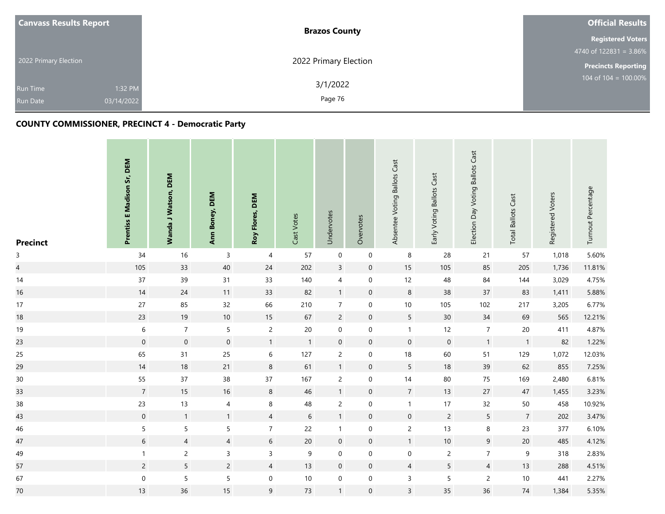| <b>Canvass Results Report</b> |                       | <b>Brazos County</b>  | <b>Official Results</b>    |
|-------------------------------|-----------------------|-----------------------|----------------------------|
|                               |                       |                       | <b>Registered Voters</b>   |
|                               |                       |                       | 4740 of 122831 = $3.86\%$  |
| 2022 Primary Election         |                       | 2022 Primary Election | <b>Precincts Reporting</b> |
| Run Time<br><b>Run Date</b>   | 1:32 PM<br>03/14/2022 | 3/1/2022<br>Page 76   | 104 of $104 = 100.00\%$    |
|                               |                       |                       |                            |

# **COUNTY COMMISSIONER, PRECINCT 4 - Democratic Party**

| <b>Precinct</b>         | Prentiss E Madison Sr, DEM | Wanda J Watson, DEM | Ann Boney, DEM      | Roy Flores, DEM  | Cast Votes   | Undervotes       | Overvotes           | Absentee Voting Ballots Cast | Early Voting Ballots Cast | Election Day Voting Ballots Cast | <b>Total Ballots Cast</b> | Registered Voters | Turnout Percentage |
|-------------------------|----------------------------|---------------------|---------------------|------------------|--------------|------------------|---------------------|------------------------------|---------------------------|----------------------------------|---------------------------|-------------------|--------------------|
| $\mathsf{3}$            | 34                         | 16                  | 3                   | 4                | 57           | $\mathbf 0$      | $\mathbf 0$         | 8                            | 28                        | 21                               | 57                        | 1,018             | 5.60%              |
| $\overline{\mathbf{4}}$ | 105                        | 33                  | $40\,$              | $24\,$           | 202          | $\mathsf{3}$     | $\mathbf 0$         | 15                           | 105                       | 85                               | 205                       | 1,736             | 11.81%             |
| 14                      | 37                         | 39                  | 31                  | 33               | 140          | $\overline{4}$   | $\boldsymbol{0}$    | 12                           | 48                        | 84                               | 144                       | 3,029             | 4.75%              |
| 16                      | $14$                       | 24                  | 11                  | 33               | 82           | $\mathbf{1}$     | $\mathsf{O}\xspace$ | $\,8\,$                      | 38                        | 37                               | 83                        | 1,411             | 5.88%              |
| 17                      | 27                         | 85                  | 32                  | 66               | 210          | $\overline{7}$   | $\mathbf 0$         | $10$                         | 105                       | 102                              | 217                       | 3,205             | 6.77%              |
| 18                      | 23                         | 19                  | $10\,$              | 15               | 67           | $\overline{2}$   | $\boldsymbol{0}$    | $\sqrt{5}$                   | 30 <sup>°</sup>           | 34                               | 69                        | 565               | 12.21%             |
| 19                      | $\boldsymbol{6}$           | $\overline{7}$      | $\sqrt{5}$          | $\overline{c}$   | $20\,$       | $\boldsymbol{0}$ | $\boldsymbol{0}$    | $\mathbf{1}$                 | 12                        | $\overline{7}$                   | $20\,$                    | 411               | 4.87%              |
| 23                      | $\mathbf 0$                | $\mathbf 0$         | $\mathsf{O}\xspace$ | $\mathbf{1}$     | $\mathbf{1}$ | $\mathbf 0$      | $\mathsf{O}\xspace$ | $\mathbf 0$                  | $\mathsf{O}\xspace$       | $\mathbf{1}$                     | $\mathbf{1}$              | 82                | 1.22%              |
| 25                      | 65                         | 31                  | 25                  | $\,$ 6 $\,$      | 127          | $\overline{c}$   | $\mathbf 0$         | 18                           | 60                        | 51                               | 129                       | 1,072             | 12.03%             |
| 29                      | 14                         | 18                  | 21                  | $\bf 8$          | 61           | $\mathbf{1}$     | $\mathbf 0$         | $\overline{5}$               | 18                        | 39                               | 62                        | 855               | 7.25%              |
| $30\,$                  | 55                         | 37                  | 38                  | 37               | 167          | $\overline{c}$   | $\pmb{0}$           | 14                           | 80                        | 75                               | 169                       | 2,480             | 6.81%              |
| 33                      | $\overline{7}$             | 15                  | 16                  | $\bf 8$          | 46           | $\mathbf{1}$     | $\mathbf 0$         | $\overline{7}$               | 13                        | 27                               | $47\,$                    | 1,455             | 3.23%              |
| $38\,$                  | 23                         | 13                  | $\overline{4}$      | $\bf 8$          | 48           | $\overline{c}$   | $\boldsymbol{0}$    | $\mathbf{1}$                 | $17$                      | 32                               | 50                        | 458               | 10.92%             |
| 43                      | $\mathbf 0$                | $\mathbf{1}$        | $\mathbf{1}$        | $\overline{4}$   | $6\,$        | $\mathbf{1}$     | $\mathbf 0$         | $\mathbf 0$                  | $\overline{c}$            | $\overline{5}$                   | $\overline{7}$            | 202               | 3.47%              |
| 46                      | $\sqrt{5}$                 | $\mathsf S$         | 5                   | $\boldsymbol{7}$ | 22           | $\mathbf{1}$     | $\mathbf 0$         | $\overline{c}$               | 13                        | $\bf 8$                          | 23                        | 377               | 6.10%              |
| 47                      | $\sqrt{6}$                 | $\overline{4}$      | $\overline{4}$      | $6\,$            | 20           | $\mathbf 0$      | $\mathbf 0$         | $\mathbf{1}$                 | $10\,$                    | $9\,$                            | 20                        | 485               | 4.12%              |
| 49                      | $\mathbf{1}$               | $\mathsf{2}\,$      | 3                   | $\mathsf{3}$     | 9            | $\mathbf 0$      | $\pmb{0}$           | $\boldsymbol{0}$             | $\overline{c}$            | $\overline{7}$                   | 9                         | 318               | 2.83%              |
| 57                      | $\overline{2}$             | 5                   | $\overline{2}$      | $\overline{4}$   | 13           | $\mathbf 0$      | $\mathsf{O}\xspace$ | $\sqrt{4}$                   | 5                         | $\overline{4}$                   | 13                        | 288               | 4.51%              |
| 67                      | $\mathbf 0$                | $\mathsf S$         | 5                   | $\mathbf 0$      | $10$         | $\mathbf 0$      | $\boldsymbol{0}$    | $\overline{3}$               | 5                         | $\mathsf{2}\,$                   | $10\,$                    | 441               | 2.27%              |
| $70\,$                  | 13                         | 36                  | 15                  | $\mathsf 9$      | 73           | $\mathbf{1}$     | $\boldsymbol{0}$    | $\mathsf 3$                  | 35                        | 36                               | $74$                      | 1,384             | 5.35%              |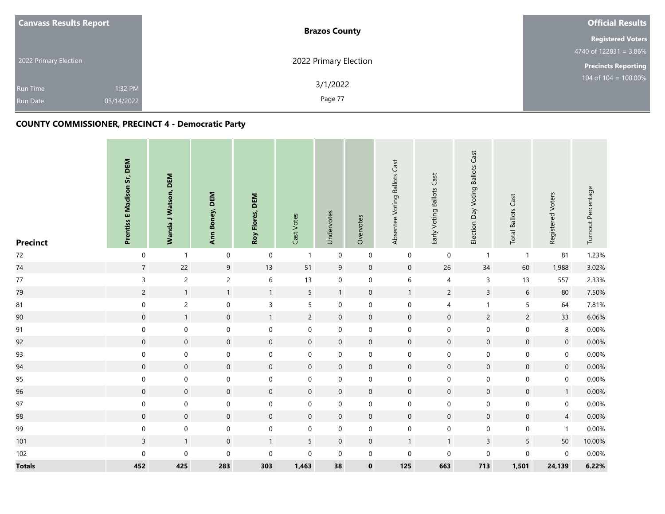| <b>Canvass Results Report</b> |            | <b>Brazos County</b>  | <b>Official Results</b>    |
|-------------------------------|------------|-----------------------|----------------------------|
|                               |            |                       | <b>Registered Voters</b>   |
|                               |            |                       | 4740 of $122831 = 3.86\%$  |
| 2022 Primary Election         |            | 2022 Primary Election | <b>Precincts Reporting</b> |
| <b>Run Time</b>               | 1:32 PM    | 3/1/2022              | 104 of 104 = 100.00%       |
| <b>Run Date</b>               | 03/14/2022 | Page 77               |                            |

# **COUNTY COMMISSIONER, PRECINCT 4 - Democratic Party**

| <b>Precinct</b> | Prentiss E Madison Sr, DEM | Wanda J Watson, DEM | Ann Boney, DEM      | Roy Flores, DEM     | Cast Votes          | Undervotes          | Overvotes           | Absentee Voting Ballots Cast | Early Voting Ballots Cast | Election Day Voting Ballots Cast | <b>Total Ballots Cast</b> | Registered Voters | Turnout Percentage |
|-----------------|----------------------------|---------------------|---------------------|---------------------|---------------------|---------------------|---------------------|------------------------------|---------------------------|----------------------------------|---------------------------|-------------------|--------------------|
| 72              | $\boldsymbol{0}$           | $\mathbf{1}$        | $\mathbf 0$         | $\boldsymbol{0}$    | $\mathbf{1}$        | $\mathbf 0$         | $\mathbf 0$         | $\mathbf 0$                  | $\boldsymbol{0}$          | $\mathbf{1}$                     | $\mathbf{1}$              | 81                | 1.23%              |
| $74\,$          | $\sqrt{7}$                 | 22                  | 9                   | $13$                | 51                  | 9                   | $\mathbf 0$         | $\mathbf 0$                  | 26                        | 34                               | 60                        | 1,988             | 3.02%              |
| $77\,$          | $\mathsf{3}$               | $\overline{c}$      | $\overline{c}$      | $\,$ 6 $\,$         | 13                  | 0                   | $\mathbf 0$         | $\,$ 6                       | $\overline{4}$            | $\mathsf{3}$                     | 13                        | 557               | 2.33%              |
| 79              | $\overline{c}$             | $\mathbf{1}$        | $\mathbf{1}$        | $\mathbf{1}$        | $5\phantom{a}$      | $\mathbf{1}$        | $\mathbf 0$         | $\mathbf{1}$                 | $\overline{c}$            | $\overline{3}$                   | $6\,$                     | 80                | 7.50%              |
| 81              | $\pmb{0}$                  | $\overline{c}$      | $\boldsymbol{0}$    | $\mathsf 3$         | 5                   | $\mathbf 0$         | $\pmb{0}$           | $\boldsymbol{0}$             | 4                         | $\mathbf{1}$                     | $\sqrt{5}$                | 64                | 7.81%              |
| $90\,$          | $\mathsf{O}\xspace$        | $\mathbf{1}$        | $\mathsf{O}\xspace$ | $\mathbf{1}$        | $\overline{2}$      | $\mathsf{O}\xspace$ | $\mathbf 0$         | $\mathbf 0$                  | $\mathbf 0$               | $\overline{c}$                   | $\overline{c}$            | 33                | 6.06%              |
| 91              | $\boldsymbol{0}$           | $\pmb{0}$           | $\boldsymbol{0}$    | $\mathbf 0$         | $\pmb{0}$           | 0                   | $\boldsymbol{0}$    | $\boldsymbol{0}$             | $\pmb{0}$                 | $\pmb{0}$                        | $\pmb{0}$                 | 8                 | 0.00%              |
| 92              | $\pmb{0}$                  | $\mathbf 0$         | $\pmb{0}$           | $\pmb{0}$           | $\mathbf 0$         | $\boldsymbol{0}$    | $\mathbf 0$         | $\mathbf 0$                  | $\mathbf 0$               | $\mathbf 0$                      | $\pmb{0}$                 | $\pmb{0}$         | 0.00%              |
| 93              | $\mathbf 0$                | $\pmb{0}$           | $\boldsymbol{0}$    | $\mathbf 0$         | $\pmb{0}$           | $\mathbf 0$         | $\mathbf 0$         | $\boldsymbol{0}$             | $\boldsymbol{0}$          | $\mathbf 0$                      | $\mathbf 0$               | $\boldsymbol{0}$  | 0.00%              |
| 94              | $\mathsf{O}\xspace$        | $\mathsf{O}\xspace$ | $\mathbf 0$         | $\pmb{0}$           | $\mathbf 0$         | $\mathbf 0$         | $\mathbf 0$         | $\mathbf 0$                  | $\mathbf 0$               | $\mathbf 0$                      | $\mathsf{O}\xspace$       | $\mathbf 0$       | $0.00\%$           |
| 95              | $\mathbf 0$                | $\mathbf 0$         | 0                   | $\mathbf 0$         | $\mathbf 0$         | $\mathbf 0$         | $\mathbf 0$         | $\boldsymbol{0}$             | $\boldsymbol{0}$          | $\mathbf 0$                      | $\mathbf 0$               | $\mathbf 0$       | 0.00%              |
| 96              | $\mathsf{O}\xspace$        | $\mathbf 0$         | $\mathsf{O}\xspace$ | $\mathbf 0$         | $\mathsf{O}\xspace$ | $\mathbf 0$         | $\mathbf 0$         | $\mathbf 0$                  | $\mathbf 0$               | $\mathbf 0$                      | $\mathsf{O}\xspace$       | $\mathbf{1}$      | $0.00\%$           |
| $97\,$          | $\boldsymbol{0}$           | $\mathbf 0$         | 0                   | $\mathbf 0$         | $\pmb{0}$           | $\mathbf 0$         | $\boldsymbol{0}$    | $\boldsymbol{0}$             | $\boldsymbol{0}$          | $\mathbf 0$                      | $\boldsymbol{0}$          | $\boldsymbol{0}$  | 0.00%              |
| 98              | $\mathbf 0$                | $\mathsf{O}\xspace$ | $\mathbf 0$         | $\mathsf{O}\xspace$ | $\mathbf 0$         | $\mathbf 0$         | $\mathsf{O}\xspace$ | $\mathsf{O}\xspace$          | $\mathsf{O}\xspace$       | $\mathbf 0$                      | $\mathsf{O}\xspace$       | $\overline{4}$    | $0.00\%$           |
| 99              | $\boldsymbol{0}$           | $\mathbf 0$         | $\boldsymbol{0}$    | $\mathbf 0$         | $\pmb{0}$           | $\mathbf 0$         | $\mathbf 0$         | $\boldsymbol{0}$             | $\mathbf 0$               | $\mathbf 0$                      | $\boldsymbol{0}$          | $\mathbf{1}$      | 0.00%              |
| 101             | $\overline{3}$             | $\mathbf{1}$        | $\mathsf{O}\xspace$ | $\mathbf{1}$        | $5\phantom{a}$      | $\mathbf 0$         | $\mathbf 0$         | $\mathbf{1}$                 | $\mathbf{1}$              | $\overline{3}$                   | $\overline{5}$            | 50                | 10.00%             |
| 102             | $\mathbf 0$                | $\mathsf{O}\xspace$ | $\mathbf 0$         | $\mathbf 0$         | $\mathbf 0$         | $\mathbf 0$         | $\mathbf 0$         | $\boldsymbol{0}$             | $\mathbf 0$               | $\mathbf 0$                      | $\mathbf 0$               | $\mathbf 0$       | 0.00%              |
| <b>Totals</b>   | 452                        | 425                 | 283                 | 303                 | 1,463               | 38                  | $\pmb{0}$           | 125                          | 663                       | 713                              | 1,501                     | 24,139            | 6.22%              |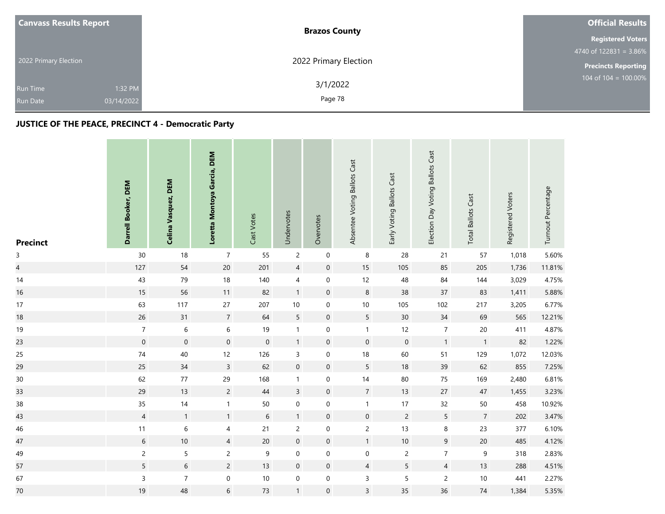| <b>Canvass Results Report</b> | <b>Brazos County</b>  | <b>Official Results</b>    |
|-------------------------------|-----------------------|----------------------------|
|                               |                       | <b>Registered Voters</b>   |
|                               |                       | 4740 of $122831 = 3.86\%$  |
| 2022 Primary Election         | 2022 Primary Election | <b>Precincts Reporting</b> |
| 1:32 PM<br><b>Run Time</b>    | 3/1/2022              | 104 of $104 = 100.00\%$    |
| 03/14/2022<br><b>Run Date</b> | Page 78               |                            |

# **JUSTICE OF THE PEACE, PRECINCT 4 - Democratic Party**

| <b>Precinct</b>          | Darrell Booker, DEM | Celina Vasquez, DEM | Loretta Montoya Garcia, DEM | Cast Votes       | Undervotes       | Overvotes           | Absentee Voting Ballots Cast | Early Voting Ballots Cast | Election Day Voting Ballots Cast | <b>Total Ballots Cast</b> | Registered Voters | Turnout Percentage |
|--------------------------|---------------------|---------------------|-----------------------------|------------------|------------------|---------------------|------------------------------|---------------------------|----------------------------------|---------------------------|-------------------|--------------------|
| $\mathsf{3}$             | 30                  | 18                  | $\overline{7}$              | 55               | $\overline{c}$   | $\mathbf 0$         | 8                            | 28                        | 21                               | 57                        | 1,018             | 5.60%              |
| $\overline{\mathcal{L}}$ | 127                 | 54                  | $20\,$                      | 201              | $\overline{4}$   | $\mathbf 0$         | 15                           | 105                       | 85                               | 205                       | 1,736             | 11.81%             |
| 14                       | 43                  | 79                  | $18\,$                      | 140              | 4                | $\mathbf 0$         | 12                           | 48                        | 84                               | 144                       | 3,029             | 4.75%              |
| 16                       | 15                  | 56                  | $11$                        | 82               | $\mathbf{1}$     | $\mathbf 0$         | $\,8\,$                      | $38\,$                    | 37                               | 83                        | 1,411             | 5.88%              |
| 17                       | 63                  | 117                 | 27                          | 207              | $10\,$           | $\boldsymbol{0}$    | $10\,$                       | 105                       | 102                              | 217                       | 3,205             | 6.77%              |
| 18                       | 26                  | 31                  | $\overline{7}$              | 64               | 5                | $\boldsymbol{0}$    | $5\phantom{.0}$              | 30 <sup>°</sup>           | $34\,$                           | 69                        | 565               | 12.21%             |
| 19                       | $\boldsymbol{7}$    | $\,$ 6 $\,$         | $\,$ 6 $\,$                 | 19               | $\mathbf{1}$     | $\mathbf 0$         | $\mathbf{1}$                 | 12                        | $\boldsymbol{7}$                 | $20\,$                    | 411               | 4.87%              |
| 23                       | $\mathbf 0$         | $\mathbf 0$         | $\boldsymbol{0}$            | $\mathbf 0$      | $\mathbf{1}$     | $\mathbf 0$         | $\mathbf 0$                  | $\mathbf 0$               | $\mathbf{1}$                     | $\overline{1}$            | 82                | 1.22%              |
| 25                       | $74\,$              | 40                  | 12                          | 126              | 3                | $\mathbf 0$         | $18$                         | 60                        | 51                               | 129                       | 1,072             | 12.03%             |
| 29                       | 25                  | 34                  | $\overline{3}$              | 62               | $\mathbf 0$      | $\mathbf 0$         | $5\overline{)}$              | $18\,$                    | 39                               | 62                        | 855               | 7.25%              |
| $30\,$                   | 62                  | $77\,$              | 29                          | 168              | $\mathbf{1}$     | $\mathsf{O}\xspace$ | $14$                         | $80\,$                    | 75                               | 169                       | 2,480             | 6.81%              |
| 33                       | 29                  | 13                  | $\overline{2}$              | $44$             | $\overline{3}$   | $\mathbf 0$         | $\overline{7}$               | 13                        | 27                               | 47                        | 1,455             | 3.23%              |
| $38\,$                   | 35                  | 14                  | $\mathbf{1}$                | 50               | $\boldsymbol{0}$ | $\mathbf 0$         | $\mathbf{1}$                 | 17                        | 32                               | $50\,$                    | 458               | 10.92%             |
| 43                       | $\sqrt{4}$          | $\mathbf{1}$        | $\mathbf{1}$                | $\sqrt{6}$       | $\mathbf{1}$     | $\mathbf 0$         | $\mathsf{O}\xspace$          | $\overline{c}$            | $5\phantom{a}$                   | $\sqrt{7}$                | 202               | 3.47%              |
| 46                       | 11                  | $\,6\,$             | 4                           | $21$             | $\overline{c}$   | $\mathbf 0$         | $\overline{c}$               | 13                        | $\bf 8$                          | 23                        | 377               | 6.10%              |
| 47                       | $\sqrt{6}$          | $10\,$              | $\overline{4}$              | $20\,$           | $\mathbf 0$      | $\boldsymbol{0}$    | $\mathbf{1}$                 | $10\,$                    | $\boldsymbol{9}$                 | $20\,$                    | 485               | 4.12%              |
| 49                       | $\overline{c}$      | 5                   | $\overline{c}$              | $\boldsymbol{9}$ | $\boldsymbol{0}$ | $\mathbf 0$         | $\,0\,$                      | $\overline{c}$            | $\overline{7}$                   | $\mathsf 9$               | 318               | 2.83%              |
| 57                       | $\sqrt{5}$          | $\sqrt{6}$          | $\overline{c}$              | 13               | $\mathbf 0$      | $\mathbf 0$         | $\overline{4}$               | 5                         | $\overline{4}$                   | $13$                      | 288               | 4.51%              |
| 67                       | $\mathsf 3$         | $\overline{7}$      | 0                           | $10\,$           | $\mathbf 0$      | $\mathbf 0$         | $\mathsf{3}$                 | 5                         | $\overline{c}$                   | $10$                      | 441               | 2.27%              |
| 70                       | 19                  | 48                  | 6                           | 73               | $\mathbf{1}$     | $\mathsf{O}\xspace$ | $\overline{3}$               | 35                        | 36                               | $74$                      | 1,384             | 5.35%              |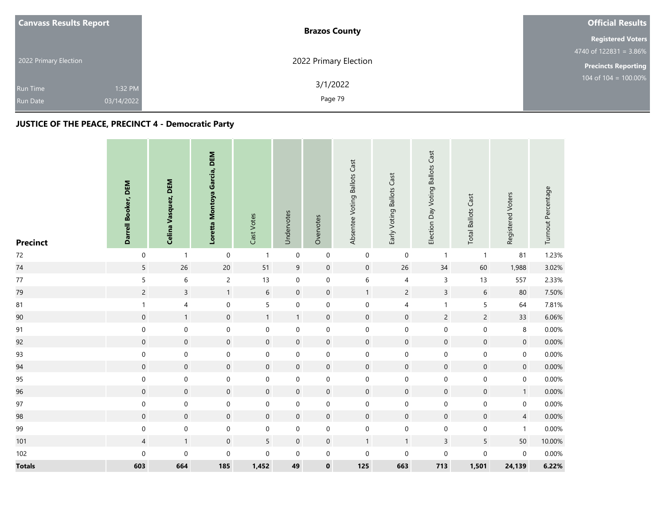| <b>Canvass Results Report</b> | <b>Brazos County</b>  | <b>Official Results</b>    |  |  |
|-------------------------------|-----------------------|----------------------------|--|--|
|                               |                       | <b>Registered Voters</b>   |  |  |
|                               |                       | 4740 of $122831 = 3.86\%$  |  |  |
| 2022 Primary Election         | 2022 Primary Election | <b>Precincts Reporting</b> |  |  |
| 1:32 PM<br><b>Run Time</b>    | 3/1/2022              | $104$ of $104 = 100.00\%$  |  |  |
| 03/14/2022<br><b>Run Date</b> | Page 79               |                            |  |  |

# **JUSTICE OF THE PEACE, PRECINCT 4 - Democratic Party**

| <b>Precinct</b> | Darrell Booker, DEM | Celina Vasquez, DEM | Loretta Montoya Garcia, DEM | Cast Votes          | Undervotes          | Overvotes           | Absentee Voting Ballots Cast | Early Voting Ballots Cast | Election Day Voting Ballots Cast | <b>Total Ballots Cast</b> | Registered Voters | Turnout Percentage |
|-----------------|---------------------|---------------------|-----------------------------|---------------------|---------------------|---------------------|------------------------------|---------------------------|----------------------------------|---------------------------|-------------------|--------------------|
| $72\,$          | $\mathbf 0$         | $\mathbf{1}$        | $\pmb{0}$                   | $\mathbf{1}$        | $\pmb{0}$           | $\mathsf{O}\xspace$ | $\mathbf 0$                  | $\mathbf 0$               | $\mathbf{1}$                     | $\mathbf{1}$              | 81                | 1.23%              |
| 74              | $\overline{5}$      | 26                  | $20\,$                      | $51\,$              | $\mathsf 9$         | $\pmb{0}$           | $\mathbf 0$                  | 26                        | $34\,$                           | 60                        | 1,988             | 3.02%              |
| 77              | $\mathsf S$         | $\,$ 6 $\,$         | $\overline{c}$              | 13                  | $\mathsf{O}\xspace$ | $\mathbf 0$         | 6                            | $\overline{4}$            | $\mathsf{3}$                     | 13                        | 557               | 2.33%              |
| 79              | $\overline{c}$      | $\mathbf{3}$        | $\mathbf{1}$                | $\boldsymbol{6}$    | $\mathbf 0$         | $\mathsf{O}\xspace$ | $\mathbf{1}$                 | $\overline{c}$            | $\mathsf{3}$                     | $\,$ 6 $\,$               | 80                | 7.50%              |
| 81              | $\mathbf{1}$        | $\overline{4}$      | $\mathbf 0$                 | 5                   | $\mathbf 0$         | $\mathsf{O}\xspace$ | $\boldsymbol{0}$             | 4                         | $\mathbf{1}$                     | 5                         | 64                | 7.81%              |
| 90              | $\mathsf{O}\xspace$ | $\mathbf{1}$        | $\mathbf 0$                 | $\mathbf{1}$        | $\mathbf{1}$        | $\mathbf 0$         | $\mathbf 0$                  | $\mathsf{O}\xspace$       | $\overline{c}$                   | $\overline{c}$            | 33                | 6.06%              |
| 91              | $\mathbf 0$         | $\mathbf 0$         | $\mathbf 0$                 | $\boldsymbol{0}$    | $\mathbf 0$         | $\mathbf 0$         | $\boldsymbol{0}$             | $\boldsymbol{0}$          | $\mathbf 0$                      | $\mathbf 0$               | 8                 | 0.00%              |
| 92              | $\mathbf 0$         | $\mathbf 0$         | $\mathbf 0$                 | $\pmb{0}$           | $\mathbf 0$         | $\mathsf{O}\xspace$ | $\mathbf 0$                  | $\mathbf 0$               | $\mathbf 0$                      | $\mathsf{O}\xspace$       | $\mathbf 0$       | 0.00%              |
| 93              | $\mathbf 0$         | $\boldsymbol{0}$    | $\mathbf 0$                 | $\boldsymbol{0}$    | $\mathbf 0$         | $\mathsf{O}\xspace$ | $\boldsymbol{0}$             | $\boldsymbol{0}$          | $\mathbf 0$                      | $\mathbf 0$               | $\mathbf 0$       | 0.00%              |
| 94              | $\mathsf{O}\xspace$ | $\mathbf 0$         | $\mathbf 0$                 | $\pmb{0}$           | $\mathbf 0$         | $\mathsf{O}\xspace$ | $\boldsymbol{0}$             | $\mathbf 0$               | $\mathbf 0$                      | $\boldsymbol{0}$          | $\mathbf 0$       | 0.00%              |
| 95              | $\mathbf 0$         | $\mathbf 0$         | $\mathbf 0$                 | $\boldsymbol{0}$    | $\mathbf 0$         | $\mathbf 0$         | $\boldsymbol{0}$             | $\boldsymbol{0}$          | $\pmb{0}$                        | $\mathbf 0$               | $\boldsymbol{0}$  | 0.00%              |
| 96              | $\mathbf 0$         | $\mathbf 0$         | $\mathsf{O}\xspace$         | $\mathsf{O}\xspace$ | $\mathbf 0$         | $\pmb{0}$           | $\mathbf 0$                  | $\mathsf{O}\xspace$       | $\mathbf 0$                      | $\mathbf 0$               | $\overline{1}$    | 0.00%              |
| 97              | $\mathbf 0$         | $\boldsymbol{0}$    | $\pmb{0}$                   | $\boldsymbol{0}$    | $\mathbf 0$         | $\mathbf 0$         | $\boldsymbol{0}$             | $\mathbf 0$               | $\mathbf 0$                      | $\mathbf 0$               | $\boldsymbol{0}$  | 0.00%              |
| 98              | $\mathsf{O}\xspace$ | $\mathbf 0$         | $\mathbf 0$                 | $\pmb{0}$           | $\mathbf 0$         | $\mathsf{O}\xspace$ | $\mathbf 0$                  | $\mathbf 0$               | $\mathbf 0$                      | $\mathbf 0$               | $\overline{4}$    | 0.00%              |
| 99              | $\mathbf 0$         | $\mathbf 0$         | $\mathbf 0$                 | $\boldsymbol{0}$    | $\mathbf 0$         | $\mathbf 0$         | $\boldsymbol{0}$             | $\mathbf 0$               | $\boldsymbol{0}$                 | $\pmb{0}$                 | $\overline{1}$    | 0.00%              |
| 101             | $\sqrt{4}$          | $\mathbf{1}$        | $\mathbf 0$                 | 5                   | $\mathbf 0$         | $\pmb{0}$           | $\mathbf{1}$                 | $\mathbf{1}$              | $\mathsf{3}$                     | $\sqrt{5}$                | 50                | 10.00%             |
| 102             | $\pmb{0}$           | $\boldsymbol{0}$    | 0                           | $\mathbf 0$         | $\mathbf 0$         | $\mathbf 0$         | $\boldsymbol{0}$             | $\mathbf 0$               | $\boldsymbol{0}$                 | $\mathbf 0$               | $\mathbf 0$       | 0.00%              |
| <b>Totals</b>   | 603                 | 664                 | 185                         | 1,452               | 49                  | $\pmb{0}$           | 125                          | 663                       | 713                              | 1,501                     | 24,139            | 6.22%              |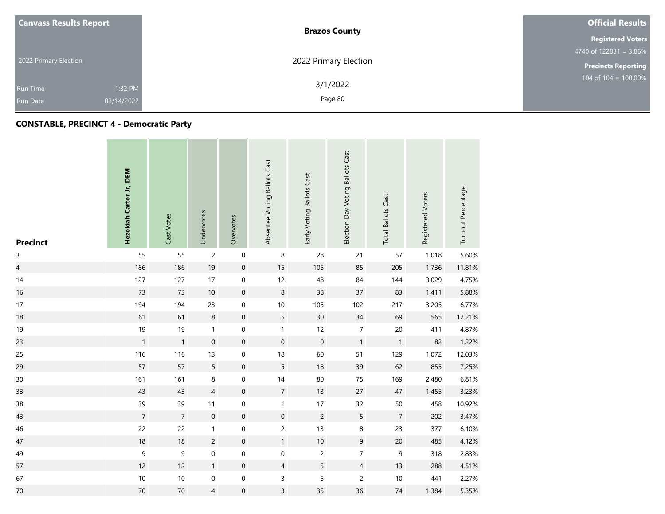| <b>Canvass Results Report</b> |                               | <b>Brazos County</b>  | <b>Official Results</b>    |  |
|-------------------------------|-------------------------------|-----------------------|----------------------------|--|
|                               |                               |                       | <b>Registered Voters</b>   |  |
|                               |                               |                       | $4740$ of 122831 = 3.86%   |  |
|                               | 2022 Primary Election         | 2022 Primary Election | <b>Precincts Reporting</b> |  |
|                               | 1:32 PM<br>Run Time           | 3/1/2022              | 104 of $104 = 100.00\%$    |  |
|                               | 03/14/2022<br><b>Run Date</b> | Page 80               |                            |  |

# **CONSTABLE, PRECINCT 4 - Democratic Party**

| <b>Precinct</b>         | Hezekiah Carter Jr, DEM | Cast Votes     | Undervotes     | Overvotes           | Absentee Voting Ballots Cast | Early Voting Ballots Cast | Election Day Voting Ballots Cast | <b>Total Ballots Cast</b> | Registered Voters | Turnout Percentage |
|-------------------------|-------------------------|----------------|----------------|---------------------|------------------------------|---------------------------|----------------------------------|---------------------------|-------------------|--------------------|
| $\mathsf{3}$            | 55                      | 55             | $\overline{c}$ | $\mathsf{O}\xspace$ | $\, 8$                       | 28                        | 21                               | 57                        | 1,018             | 5.60%              |
| $\overline{\mathbf{4}}$ | 186                     | 186            | 19             | $\mathsf{O}\xspace$ | 15                           | 105                       | 85                               | 205                       | 1,736             | 11.81%             |
| 14                      | 127                     | 127            | $17\,$         | $\mathbf 0$         | 12                           | 48                        | 84                               | 144                       | 3,029             | 4.75%              |
| 16                      | 73                      | 73             | $10$           | $\mathsf{O}\xspace$ | $\bf 8$                      | 38                        | 37                               | 83                        | 1,411             | 5.88%              |
| 17                      | 194                     | 194            | 23             | $\mathsf{O}\xspace$ | $10$                         | 105                       | 102                              | 217                       | 3,205             | 6.77%              |
| 18                      | 61                      | 61             | $\,8\,$        | $\mathbf 0$         | 5                            | 30                        | 34                               | 69                        | 565               | 12.21%             |
| 19                      | 19                      | 19             | $\mathbf{1}$   | $\mathbf 0$         | $\mathbf{1}$                 | 12                        | $\overline{7}$                   | $20\,$                    | 411               | 4.87%              |
| 23                      | $\mathbf{1}$            | $\mathbf{1}$   | $\mathbf 0$    | $\mathsf{O}\xspace$ | $\mathbf 0$                  | $\,0\,$                   | $\mathbf{1}$                     | $\mathbf{1}$              | 82                | 1.22%              |
| 25                      | 116                     | 116            | 13             | $\boldsymbol{0}$    | 18                           | 60                        | 51                               | 129                       | 1,072             | 12.03%             |
| 29                      | 57                      | 57             | 5              | $\mathbf 0$         | 5                            | 18                        | 39                               | 62                        | 855               | 7.25%              |
| 30                      | 161                     | 161            | 8              | $\mathsf{O}\xspace$ | $14$                         | $80\,$                    | $75\,$                           | 169                       | 2,480             | 6.81%              |
| 33                      | 43                      | 43             | $\overline{4}$ | $\mathsf{O}\xspace$ | $\overline{7}$               | 13                        | 27                               | $47\,$                    | 1,455             | 3.23%              |
| 38                      | 39                      | 39             | 11             | $\mathbf 0$         | $\mathbf{1}$                 | 17                        | 32                               | 50                        | 458               | 10.92%             |
| 43                      | $\overline{7}$          | $\overline{7}$ | $\mathbf 0$    | $\mathbf 0$         | $\mathbf 0$                  | $\overline{c}$            | 5                                | $\overline{7}$            | 202               | 3.47%              |
| 46                      | 22                      | 22             | $\mathbf{1}$   | $\boldsymbol{0}$    | $\overline{c}$               | 13                        | 8                                | 23                        | 377               | 6.10%              |
| 47                      | $18\,$                  | $18$           | $\overline{c}$ | $\mathsf{O}\xspace$ | $\mathbf{1}$                 | $10\,$                    | $\mathsf 9$                      | $20\,$                    | 485               | 4.12%              |
| 49                      | $\mathsf 9$             | $\mathsf 9$    | $\mathbf 0$    | $\mathsf{O}\xspace$ | 0                            | $\overline{c}$            | $\boldsymbol{7}$                 | $\boldsymbol{9}$          | 318               | 2.83%              |
| 57                      | 12                      | 12             | 1              | $\mathsf{O}\xspace$ | $\overline{4}$               | 5                         | $\overline{4}$                   | 13                        | 288               | 4.51%              |
| 67                      | $10$                    | $10\,$         | $\pmb{0}$      | $\mathsf{O}\xspace$ | 3                            | 5                         | $\overline{c}$                   | $10$                      | 441               | 2.27%              |
| 70                      | $70\,$                  | $70\,$         | $\overline{4}$ | $\boldsymbol{0}$    | $\overline{3}$               | 35                        | 36                               | $74\,$                    | 1,384             | 5.35%              |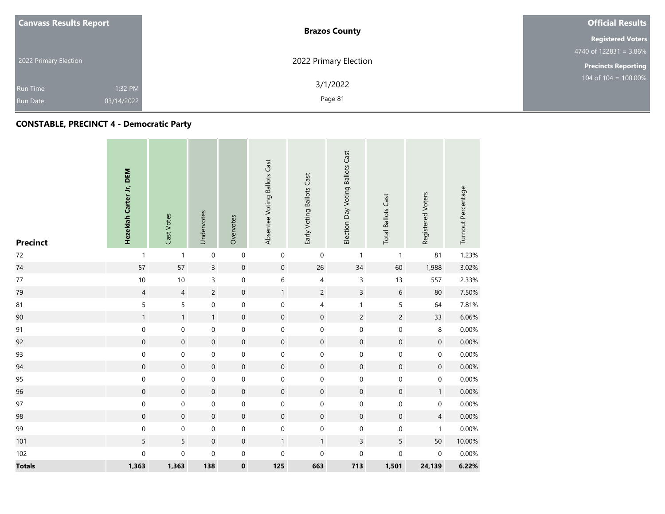| <b>Canvass Results Report</b> | <b>Brazos County</b>                         | <b>Official Results</b>    |
|-------------------------------|----------------------------------------------|----------------------------|
|                               |                                              | <b>Registered Voters</b>   |
|                               |                                              | 4740 of $122831 = 3.86\%$  |
| 2022 Primary Election         | 2022 Primary Election                        | <b>Precincts Reporting</b> |
| Run Time<br><b>Run Date</b>   | 3/1/2022<br>1:32 PM<br>Page 81<br>03/14/2022 | 104 of $104 = 100.00\%$    |

# **CONSTABLE, PRECINCT 4 - Democratic Party**

| <b>Precinct</b> | Hezekiah Carter Jr, DEM | Cast Votes          | Undervotes          | Overvotes           | Absentee Voting Ballots Cast | Early Voting Ballots Cast | Election Day Voting Ballots Cast | <b>Total Ballots Cast</b> | Registered Voters   | Turnout Percentage |
|-----------------|-------------------------|---------------------|---------------------|---------------------|------------------------------|---------------------------|----------------------------------|---------------------------|---------------------|--------------------|
| $72\,$          | $\mathbf{1}$            | $\mathbf{1}$        | $\mathbf 0$         | $\mathbf 0$         | $\mathbf 0$                  | $\mathsf 0$               | $\mathbf{1}$                     | $\mathbf{1}$              | 81                  | 1.23%              |
| 74              | 57                      | 57                  | $\overline{3}$      | $\mathsf{O}\xspace$ | $\mathsf{O}\xspace$          | 26                        | $34$                             | 60                        | 1,988               | 3.02%              |
| $77\,$          | $10\,$                  | $10\,$              | 3                   | $\mathsf{O}\xspace$ | 6                            | 4                         | $\mathsf 3$                      | $13$                      | 557                 | 2.33%              |
| 79              | $\overline{4}$          | $\overline{4}$      | $\overline{c}$      | $\mathsf{O}\xspace$ | $\mathbf{1}$                 | $\overline{c}$            | $\overline{3}$                   | $\,$ 6 $\,$               | $80\,$              | 7.50%              |
| 81              | $\mathsf S$             | 5                   | $\mathbf 0$         | $\mathsf{O}\xspace$ | 0                            | 4                         | $\mathbf{1}$                     | 5                         | 64                  | 7.81%              |
| 90              | $\mathbf{1}$            | $\mathbf{1}$        | $\mathbf{1}$        | $\mathbf 0$         | $\boldsymbol{0}$             | $\mathsf{O}\xspace$       | $\mathsf{2}\,$                   | $\overline{c}$            | 33                  | 6.06%              |
| 91              | $\mathbf 0$             | $\mathbf 0$         | $\mathbf 0$         | $\mathbf 0$         | $\mathbf 0$                  | $\mathsf{O}\xspace$       | $\boldsymbol{0}$                 | $\mathbf 0$               | $\,8\,$             | 0.00%              |
| 92              | $\mathbf 0$             | $\mathsf{O}\xspace$ | $\mathbf 0$         | $\mathbf 0$         | $\mathbf 0$                  | $\mathbf 0$               | $\mathbf 0$                      | $\mathbf 0$               | $\mathbf 0$         | 0.00%              |
| 93              | $\mathbf 0$             | 0                   | $\pmb{0}$           | $\mathsf{O}\xspace$ | 0                            | 0                         | $\boldsymbol{0}$                 | $\pmb{0}$                 | 0                   | 0.00%              |
| 94              | $\mathbf 0$             | $\mathbf 0$         | $\boldsymbol{0}$    | $\mathsf{O}\xspace$ | $\boldsymbol{0}$             | $\boldsymbol{0}$          | $\mathbf 0$                      | $\mathbf 0$               | $\mathbf 0$         | 0.00%              |
| 95              | $\mathbf 0$             | 0                   | $\pmb{0}$           | $\mathsf{O}\xspace$ | 0                            | $\mathsf 0$               | $\mathbf 0$                      | $\mathbf 0$               | $\mathbf 0$         | 0.00%              |
| 96              | $\mathbf 0$             | $\mathbf 0$         | $\mathsf{O}\xspace$ | $\mathsf{O}\xspace$ | $\mathsf{O}\xspace$          | $\boldsymbol{0}$          | $\mathbf 0$                      | $\mathbf 0$               | $\mathbf{1}$        | 0.00%              |
| 97              | $\mathbf 0$             | 0                   | $\pmb{0}$           | $\mathsf{O}\xspace$ | 0                            | $\mathsf{O}\xspace$       | $\boldsymbol{0}$                 | $\mathbf 0$               | $\mathsf{O}\xspace$ | 0.00%              |
| 98              | $\mathbf 0$             | $\mathbf 0$         | $\mathbf 0$         | $\mathsf{O}\xspace$ | $\boldsymbol{0}$             | $\mathbf 0$               | $\mathbf 0$                      | $\mathbf 0$               | $\overline{4}$      | 0.00%              |
| 99              | $\mathbf 0$             | 0                   | $\pmb{0}$           | $\mathsf{O}\xspace$ | 0                            | $\mathsf 0$               | $\boldsymbol{0}$                 | $\mathbf 0$               | $\mathbf{1}$        | 0.00%              |
| 101             | $5\overline{)}$         | 5                   | $\mathbf 0$         | $\mathbf 0$         | $\mathbf{1}$                 | $\mathbf{1}$              | $\mathsf 3$                      | 5                         | 50                  | 10.00%             |
| 102             | $\mathbf 0$             | $\mathsf{O}\xspace$ | $\mathbf 0$         | $\mathbf 0$         | 0                            | $\mathsf 0$               | $\boldsymbol{0}$                 | $\boldsymbol{0}$          | $\mathbf 0$         | 0.00%              |
| <b>Totals</b>   | 1,363                   | 1,363               | 138                 | $\pmb{0}$           | 125                          | 663                       | 713                              | 1,501                     | 24,139              | 6.22%              |